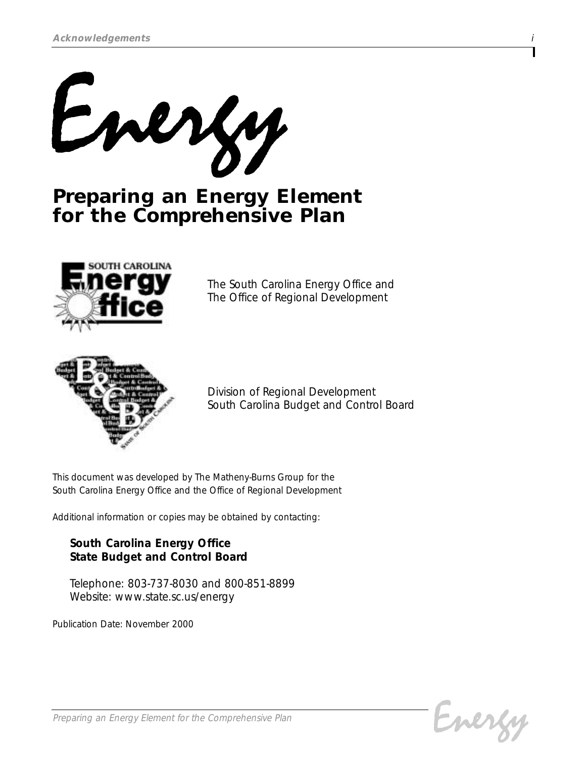

# *Preparing an Energy Element for the Comprehensive Plan*



*The South Carolina Energy Office and The Office of Regional Development*



*Division of Regional Development South Carolina Budget and Control Board*

*This document was developed by The Matheny-Burns Group for the South Carolina Energy Office and the Office of Regional Development* 

*Additional information or copies may be obtained by contacting:*

## *South Carolina Energy Office State Budget and Control Board*

*Telephone: 803-737-8030 and 800-851-8899 Website: www.state.sc.us/energy*

*Publication Date: November 2000*

Emer

*Preparing an Energy Element for the Comprehensive Plan*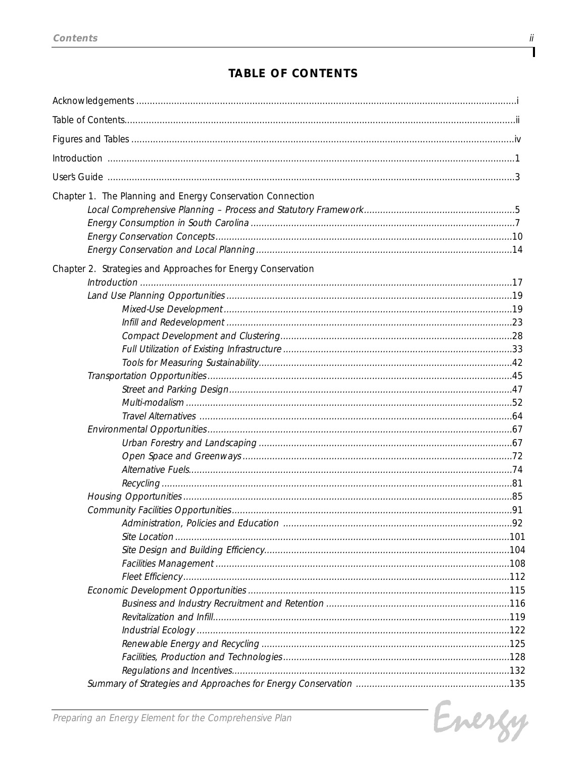# **TABLE OF CONTENTS**

| Chapter 1. The Planning and Energy Conservation Connection   |     |
|--------------------------------------------------------------|-----|
|                                                              |     |
|                                                              |     |
|                                                              |     |
|                                                              |     |
| Chapter 2. Strategies and Approaches for Energy Conservation |     |
| Introduction 17                                              |     |
|                                                              |     |
|                                                              |     |
|                                                              |     |
|                                                              |     |
|                                                              |     |
|                                                              |     |
|                                                              |     |
|                                                              |     |
|                                                              |     |
|                                                              |     |
|                                                              |     |
|                                                              |     |
|                                                              |     |
|                                                              |     |
|                                                              |     |
|                                                              |     |
|                                                              |     |
| Administration, Policies and Education                       | .92 |
|                                                              |     |
|                                                              |     |
|                                                              |     |
|                                                              |     |
|                                                              |     |
|                                                              |     |
|                                                              |     |
|                                                              |     |
|                                                              |     |
|                                                              |     |
|                                                              |     |
|                                                              |     |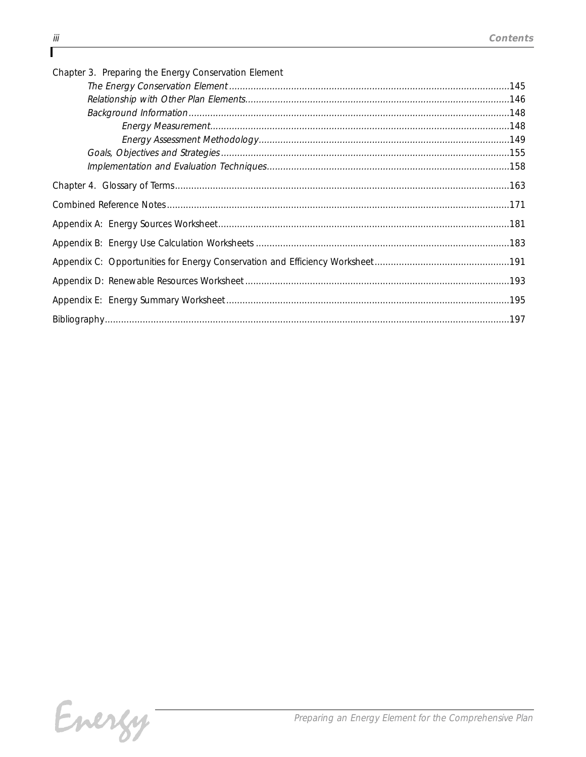| Chapter 3. Preparing the Energy Conservation Element |  |
|------------------------------------------------------|--|
|                                                      |  |
|                                                      |  |
|                                                      |  |
|                                                      |  |
|                                                      |  |
|                                                      |  |
|                                                      |  |
|                                                      |  |
|                                                      |  |
|                                                      |  |
|                                                      |  |
|                                                      |  |
|                                                      |  |
|                                                      |  |
|                                                      |  |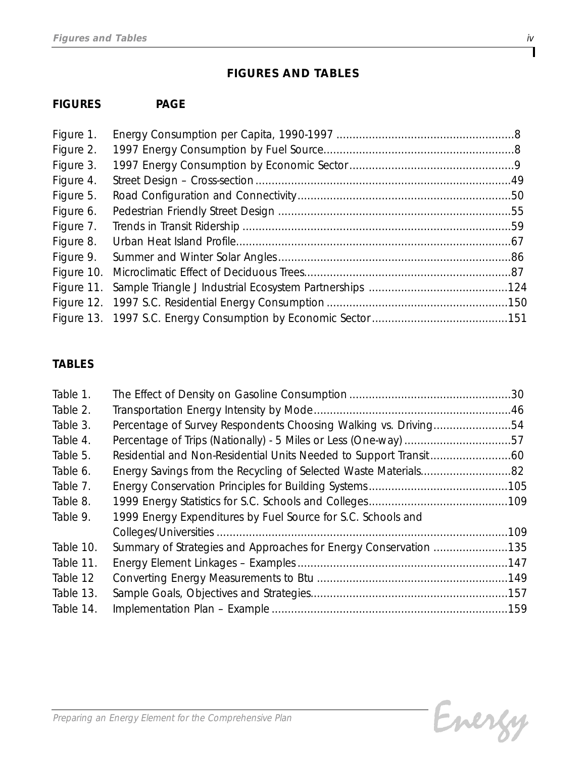# *FIGURES AND TABLES*

# *FIGURES PAGE*

| Figure 10. |
|------------|

# *TABLES*

| Table 1.  |                                                                  |      |
|-----------|------------------------------------------------------------------|------|
| Table 2.  |                                                                  |      |
| Table 3.  | Percentage of Survey Respondents Choosing Walking vs. Driving54  |      |
| Table 4.  |                                                                  |      |
| Table 5.  |                                                                  |      |
| Table 6.  |                                                                  |      |
| Table 7.  |                                                                  |      |
| Table 8.  |                                                                  |      |
| Table 9.  | 1999 Energy Expenditures by Fuel Source for S.C. Schools and     |      |
|           |                                                                  | .109 |
| Table 10. | Summary of Strategies and Approaches for Energy Conservation 135 |      |
| Table 11. |                                                                  |      |
| Table 12  |                                                                  |      |
| Table 13. |                                                                  |      |
| Table 14. |                                                                  |      |

T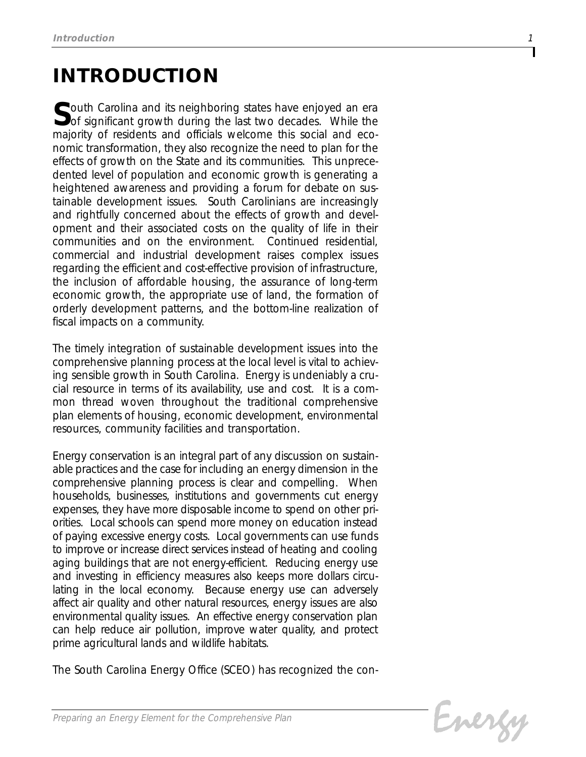# *INTRODUCTION*

*South Carolina and its neighboring states have enjoyed an era of significant growth during the last two decades. While the majority of residents and officials welcome this social and economic transformation, they also recognize the need to plan for the effects of growth on the State and its communities. This unprecedented level of population and economic growth is generating a heightened awareness and providing a forum for debate on sustainable development issues. South Carolinians are increasingly and rightfully concerned about the effects of growth and development and their associated costs on the quality of life in their communities and on the environment. Continued residential, commercial and industrial development raises complex issues regarding the efficient and cost-effective provision of infrastructure, the inclusion of affordable housing, the assurance of long-term economic growth, the appropriate use of land, the formation of orderly development patterns, and the bottom-line realization of fiscal impacts on a community.*

*The timely integration of sustainable development issues into the comprehensive planning process at the local level is vital to achieving sensible growth in South Carolina. Energy is undeniably a crucial resource in terms of its availability, use and cost. It is a common thread woven throughout the traditional comprehensive plan elements of housing, economic development, environmental resources, community facilities and transportation.*

*Energy conservation is an integral part of any discussion on sustainable practices and the case for including an energy dimension in the comprehensive planning process is clear and compelling. When households, businesses, institutions and governments cut energy expenses, they have more disposable income to spend on other priorities. Local schools can spend more money on education instead of paying excessive energy costs. Local governments can use funds to improve or increase direct services instead of heating and cooling aging buildings that are not energy-efficient. Reducing energy use and investing in efficiency measures also keeps more dollars circulating in the local economy. Because energy use can adversely affect air quality and other natural resources, energy issues are also environmental quality issues. An effective energy conservation plan can help reduce air pollution, improve water quality, and protect prime agricultural lands and wildlife habitats.* 

*The South Carolina Energy Office (SCEO) has recognized the con-*

Energy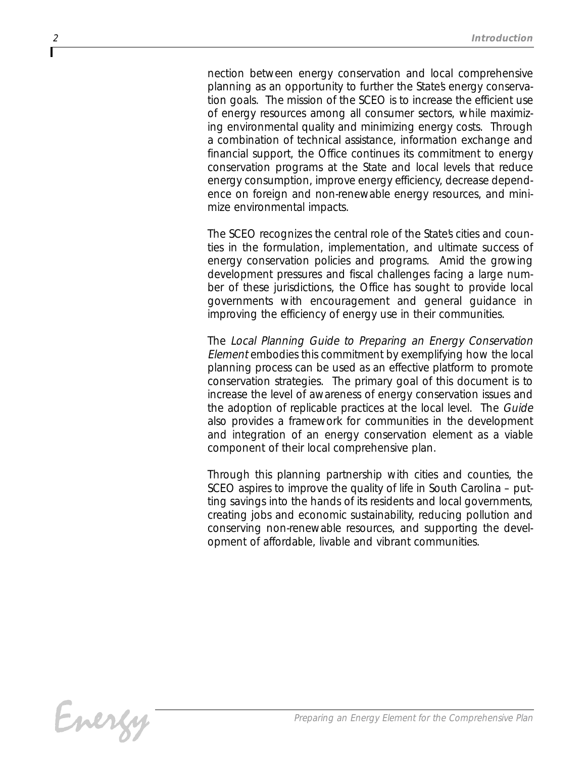*nection between energy conservation and local comprehensive planning as an opportunity to further the State's energy conservation goals. The mission of the SCEO is to increase the efficient use of energy resources among all consumer sectors, while maximizing environmental quality and minimizing energy costs. Through a combination of technical assistance, information exchange and financial support, the Office continues its commitment to energy conservation programs at the State and local levels that reduce energy consumption, improve energy efficiency, decrease dependence on foreign and non-renewable energy resources, and minimize environmental impacts.*

The SCEO recognizes the central role of the States cities and coun*ties in the formulation, implementation, and ultimate success of energy conservation policies and programs. Amid the growing development pressures and fiscal challenges facing a large number of these jurisdictions, the Office has sought to provide local governments with encouragement and general guidance in improving the efficiency of energy use in their communities.*

*The Local Planning Guide to Preparing an Energy Conservation Element embodies this commitment by exemplifying how the local planning process can be used as an effective platform to promote conservation strategies. The primary goal of this document is to increase the level of awareness of energy conservation issues and the adoption of replicable practices at the local level. The Guide also provides a framework for communities in the development and integration of an energy conservation element as a viable component of their local comprehensive plan.* 

*Through this planning partnership with cities and counties, the SCEO aspires to improve the quality of life in South Carolina – putting savings into the hands of its residents and local governments, creating jobs and economic sustainability, reducing pollution and conserving non-renewable resources, and supporting the development of affordable, livable and vibrant communities.*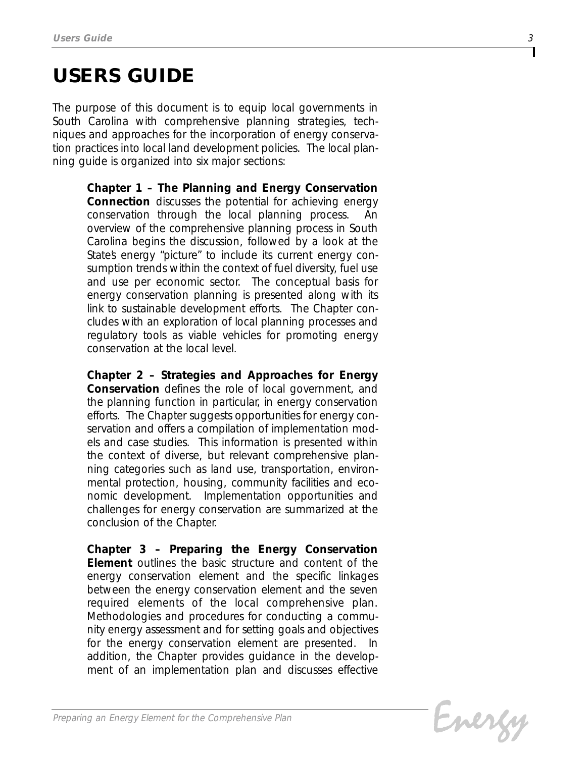# *USERS GUIDE*

*The purpose of this document is to equip local governments in South Carolina with comprehensive planning strategies, techniques and approaches for the incorporation of energy conservation practices into local land development policies. The local planning guide is organized into six major sections:*

> *Chapter 1 – The Planning and Energy Conservation Connection discusses the potential for achieving energy* conservation through the local planning process. *overview of the comprehensive planning process in South Carolina begins the discussion, followed by a look at the* States energy "picture" to include its current energy con*sumption trends within the context of fuel diversity, fuel use and use per economic sector. The conceptual basis for energy conservation planning is presented along with its link to sustainable development efforts. The Chapter concludes with an exploration of local planning processes and regulatory tools as viable vehicles for promoting energy conservation at the local level.*

> *Chapter 2 – Strategies and Approaches for Energy Conservation defines the role of local government, and the planning function in particular, in energy conservation efforts. The Chapter suggests opportunities for energy conservation and offers a compilation of implementation models and case studies. This information is presented within the context of diverse, but relevant comprehensive planning categories such as land use, transportation, environmental protection, housing, community facilities and economic development. Implementation opportunities and challenges for energy conservation are summarized at the conclusion of the Chapter.*

> *Chapter 3 – Preparing the Energy Conservation Element outlines the basic structure and content of the energy conservation element and the specific linkages between the energy conservation element and the seven required elements of the local comprehensive plan. Methodologies and procedures for conducting a community energy assessment and for setting goals and objectives for the energy conservation element are presented. In addition, the Chapter provides guidance in the development of an implementation plan and discusses effective*

Evergy

*3*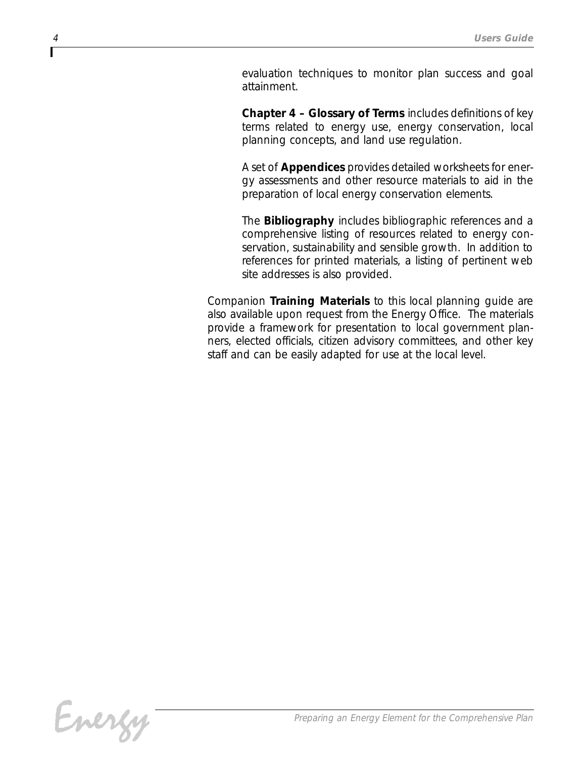*evaluation techniques to monitor plan success and goal attainment.* 

*Chapter 4 – Glossary of Terms includes definitions of key terms related to energy use, energy conservation, local planning concepts, and land use regulation.*

*A set of Appendices provides detailed worksheets for energy assessments and other resource materials to aid in the preparation of local energy conservation elements.*

*The Bibliography includes bibliographic references and a comprehensive listing of resources related to energy conservation, sustainability and sensible growth. In addition to references for printed materials, a listing of pertinent web site addresses is also provided.*

*Companion Training Materials to this local planning guide are also available upon request from the Energy Office. The materials provide a framework for presentation to local government planners, elected officials, citizen advisory committees, and other key staff and can be easily adapted for use at the local level.*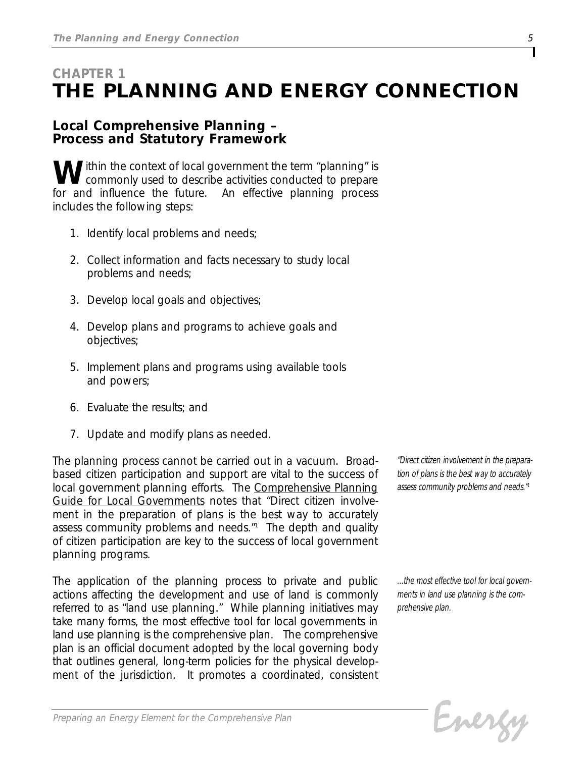# *CHAPTER 1 THE PLANNING AND ENERGY CONNECTION*

## *Local Comprehensive Planning – Process and Statutory Framework*

*Within the context of local government the term "planning" is commonly used to describe activities conducted to prepare for and influence the future. An effective planning process includes the following steps:*

- *1. Identify local problems and needs;*
- *2. Collect information and facts necessary to study local problems and needs;*
- *3. Develop local goals and objectives;*
- *4. Develop plans and programs to achieve goals and objectives;*
- *5. Implement plans and programs using available tools and powers;*
- *6. Evaluate the results; and*
- *7. Update and modify plans as needed.*

*The planning process cannot be carried out in a vacuum. Broadbased citizen participation and support are vital to the success of local government planning efforts. The Comprehensive Planning Guide for Local Governments notes that "Direct citizen involvement in the preparation of plans is the best way to accurately assess community problems and needs." <sup>1</sup> The depth and quality of citizen participation are key to the success of local government planning programs.*

*The application of the planning process to private and public actions affecting the development and use of land is commonly referred to as "land use planning." While planning initiatives may take many forms, the most effective tool for local governments in land use planning is the comprehensive plan. The comprehensive plan is an official document adopted by the local governing body that outlines general, long-term policies for the physical development of the jurisdiction. It promotes a coordinated, consistent*

*"Direct citizen involvement in the preparation of plans is the best way to accurately assess community problems and needs."<sup>1</sup>*

*...the most effective tool for local governments in land use planning is the comprehensive plan.*

Energy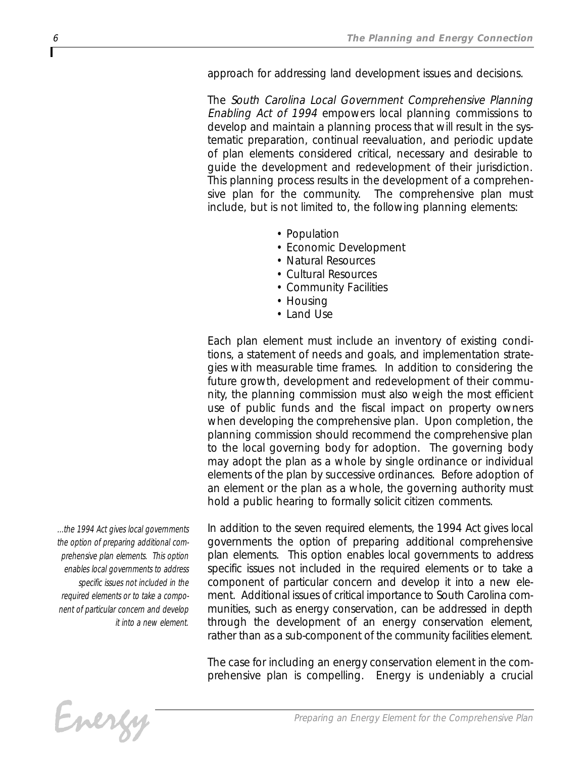*approach for addressing land development issues and decisions.*

*The South Carolina Local Government Comprehensive Planning Enabling Act of 1994 empowers local planning commissions to develop and maintain a planning process that will result in the systematic preparation, continual reevaluation, and periodic update of plan elements considered critical, necessary and desirable to guide the development and redevelopment of their jurisdiction. This planning process results in the development of a comprehensive plan for the community. The comprehensive plan must include, but is not limited to, the following planning elements:*

- *Population*
- *Economic Development*
- *Natural Resources*
- *Cultural Resources*
- *Community Facilities*
- *Housing*
- *Land Use*

*Each plan element must include an inventory of existing conditions, a statement of needs and goals, and implementation strategies with measurable time frames. In addition to considering the future growth, development and redevelopment of their community, the planning commission must also weigh the most efficient use of public funds and the fiscal impact on property owners when developing the comprehensive plan. Upon completion, the planning commission should recommend the comprehensive plan to the local governing body for adoption. The governing body may adopt the plan as a whole by single ordinance or individual elements of the plan by successive ordinances. Before adoption of an element or the plan as a whole, the governing authority must hold a public hearing to formally solicit citizen comments.*

*...the 1994 Act gives local governments the option of preparing additional comprehensive plan elements. This option enables local governments to address specific issues not included in the required elements or to take a component of particular concern and develop it into a new element.*

*In addition to the seven required elements, the 1994 Act gives local governments the option of preparing additional comprehensive plan elements. This option enables local governments to address specific issues not included in the required elements or to take a component of particular concern and develop it into a new element. Additional issues of critical importance to South Carolina communities, such as energy conservation, can be addressed in depth through the development of an energy conservation element, rather than as a sub-component of the community facilities element.*

*The case for including an energy conservation element in the comprehensive plan is compelling. Energy is undeniably a crucial*

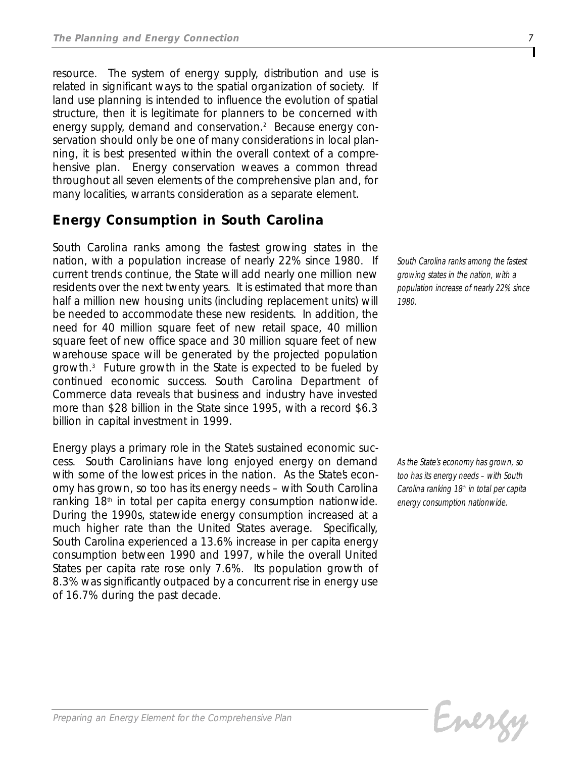*resource. The system of energy supply, distribution and use is related in significant ways to the spatial organization of society. If land use planning is intended to influence the evolution of spatial structure, then it is legitimate for planners to be concerned with energy supply, demand and conservation.2 Because energy conservation should only be one of many considerations in local planning, it is best presented within the overall context of a comprehensive plan. Energy conservation weaves a common thread throughout all seven elements of the comprehensive plan and, for many localities, warrants consideration as a separate element.*

# *Energy Consumption in South Carolina*

*South Carolina ranks among the fastest growing states in the nation, with a population increase of nearly 22% since 1980. If current trends continue, the State will add nearly one million new residents over the next twenty years. It is estimated that more than half a million new housing units (including replacement units) will be needed to accommodate these new residents. In addition, the need for 40 million square feet of new retail space, 40 million square feet of new office space and 30 million square feet of new warehouse space will be generated by the projected population growth.3 Future growth in the State is expected to be fueled by continued economic success. South Carolina Department of Commerce data reveals that business and industry have invested more than \$28 billion in the State since 1995, with a record \$6.3 billion in capital investment in 1999.* 

*Energy plays a primary role in the State's sustained economic success. South Carolinians have long enjoyed energy on demand* with some of the lowest prices in the nation. As the States econ*omy has grown, so too has its energy needs – with South Carolina ranking 18th in total per capita energy consumption nationwide. During the 1990s, statewide energy consumption increased at a much higher rate than the United States average. Specifically, South Carolina experienced a 13.6% increase in per capita energy consumption between 1990 and 1997, while the overall United States per capita rate rose only 7.6%. Its population growth of 8.3% was significantly outpaced by a concurrent rise in energy use of 16.7% during the past decade.* 

*South Carolina ranks among the fastest growing states in the nation, with a population increase of nearly 22% since 1980.*

*As the State's economy has grown, so too has its energy needs – with South Carolina ranking 18th in total per capita energy consumption nationwide.*

Evergy

*Preparing an Energy Element for the Comprehensive Plan*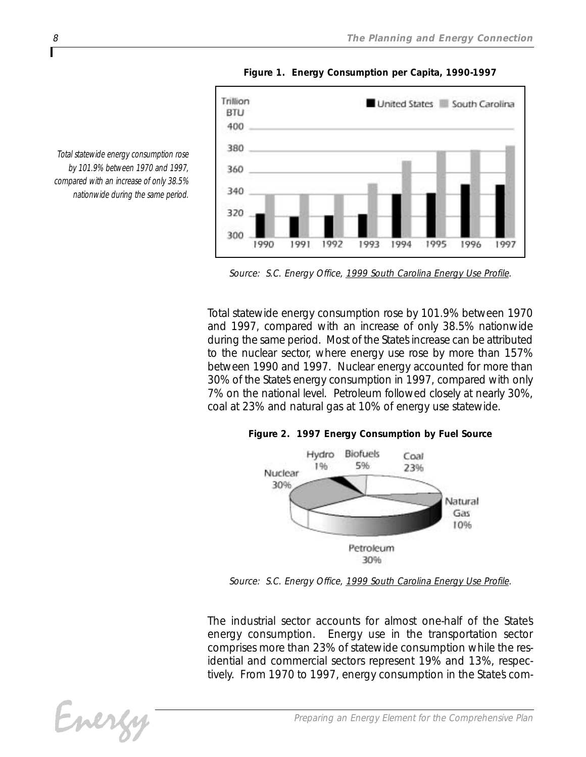

*Figure 1. Energy Consumption per Capita, 1990-1997*

*Total statewide energy consumption rose by 101.9% between 1970 and 1997, compared with an increase of only 38.5% nationwide during the same period.*

*Source: S.C. Energy Office, 1999 South Carolina Energy Use Profile.*

*Total statewide energy consumption rose by 101.9% between 1970 and 1997, compared with an increase of only 38.5% nationwide* during the same period. Most of the States increase can be attributed *to the nuclear sector, where energy use rose by more than 157% between 1990 and 1997. Nuclear energy accounted for more than 30% of the State's energy consumption in 1997, compared with only 7% on the national level. Petroleum followed closely at nearly 30%, coal at 23% and natural gas at 10% of energy use statewide.* 

#### *Figure 2. 1997 Energy Consumption by Fuel Source*



*Source: S.C. Energy Office, 1999 South Carolina Energy Use Profile.*

*The industrial sector accounts for almost one-half of the State's energy consumption. Energy use in the transportation sector comprises more than 23% of statewide consumption while the residential and commercial sectors represent 19% and 13%, respec*tively. From 1970 to 1997, energy consumption in the States com-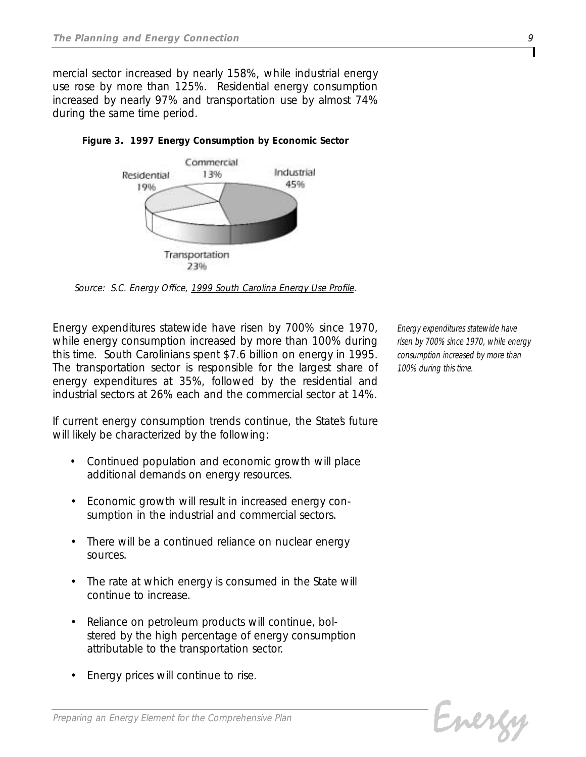*mercial sector increased by nearly 158%, while industrial energy use rose by more than 125%. Residential energy consumption increased by nearly 97% and transportation use by almost 74% during the same time period.*



*Figure 3. 1997 Energy Consumption by Economic Sector* 

*Source: S.C. Energy Office, 1999 South Carolina Energy Use Profile.*

*Energy expenditures statewide have risen by 700% since 1970, while energy consumption increased by more than 100% during this time. South Carolinians spent \$7.6 billion on energy in 1995. The transportation sector is responsible for the largest share of energy expenditures at 35%, followed by the residential and industrial sectors at 26% each and the commercial sector at 14%.*

If current energy consumption trends continue, the State's future *will likely be characterized by the following:*

- *• Continued population and economic growth will place additional demands on energy resources.*
- *• Economic growth will result in increased energy consumption in the industrial and commercial sectors.*
- *• There will be a continued reliance on nuclear energy sources.*
- *• The rate at which energy is consumed in the State will continue to increase.*
- *• Reliance on petroleum products will continue, bolstered by the high percentage of energy consumption attributable to the transportation sector.*
- *• Energy prices will continue to rise.*

*Energy expenditures statewide have risen by 700% since 1970, while energy consumption increased by more than 100% during this time.*

```
Energy
```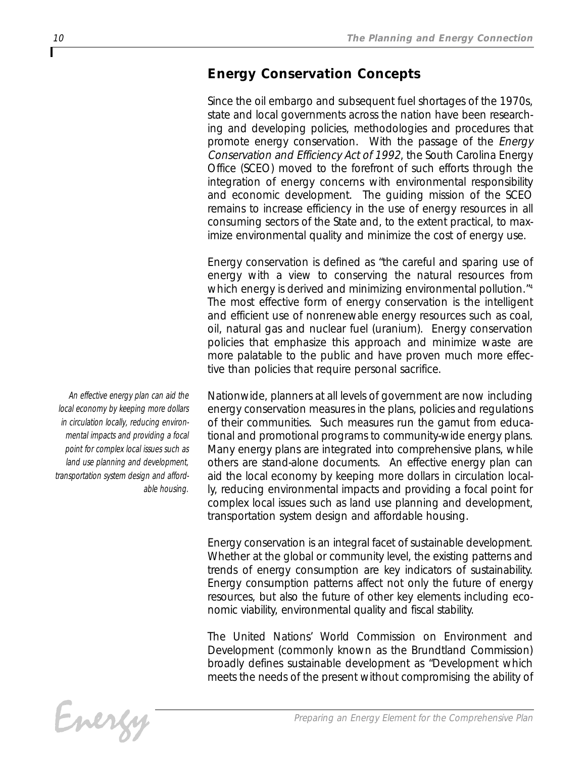# *Energy Conservation Concepts*

*Since the oil embargo and subsequent fuel shortages of the 1970s, state and local governments across the nation have been researching and developing policies, methodologies and procedures that promote energy conservation. With the passage of the Energy Conservation and Efficiency Act of 1992, the South Carolina Energy Office (SCEO) moved to the forefront of such efforts through the integration of energy concerns with environmental responsibility and economic development. The guiding mission of the SCEO remains to increase efficiency in the use of energy resources in all consuming sectors of the State and, to the extent practical, to maximize environmental quality and minimize the cost of energy use.* 

*Energy conservation is defined as "the careful and sparing use of energy with a view to conserving the natural resources from which energy is derived and minimizing environmental pollution." 4 The most effective form of energy conservation is the intelligent and efficient use of nonrenewable energy resources such as coal, oil, natural gas and nuclear fuel (uranium). Energy conservation policies that emphasize this approach and minimize waste are more palatable to the public and have proven much more effective than policies that require personal sacrifice.*

*Nationwide, planners at all levels of government are now including energy conservation measures in the plans, policies and regulations of their communities. Such measures run the gamut from educational and promotional programs to community-wide energy plans. Many energy plans are integrated into comprehensive plans, while others are stand-alone documents. An effective energy plan can aid the local economy by keeping more dollars in circulation locally, reducing environmental impacts and providing a focal point for complex local issues such as land use planning and development, transportation system design and affordable housing.* 

*Energy conservation is an integral facet of sustainable development. Whether at the global or community level, the existing patterns and trends of energy consumption are key indicators of sustainability. Energy consumption patterns affect not only the future of energy resources, but also the future of other key elements including economic viability, environmental quality and fiscal stability.* 

*The United Nations' World Commission on Environment and Development (commonly known as the Brundtland Commission) broadly defines sustainable development as "Development which meets the needs of the present without compromising the ability of*

Energy

*An effective energy plan can aid the local economy by keeping more dollars in circulation locally, reducing environmental impacts and providing a focal point for complex local issues such as land use planning and development, transportation system design and affordable housing.*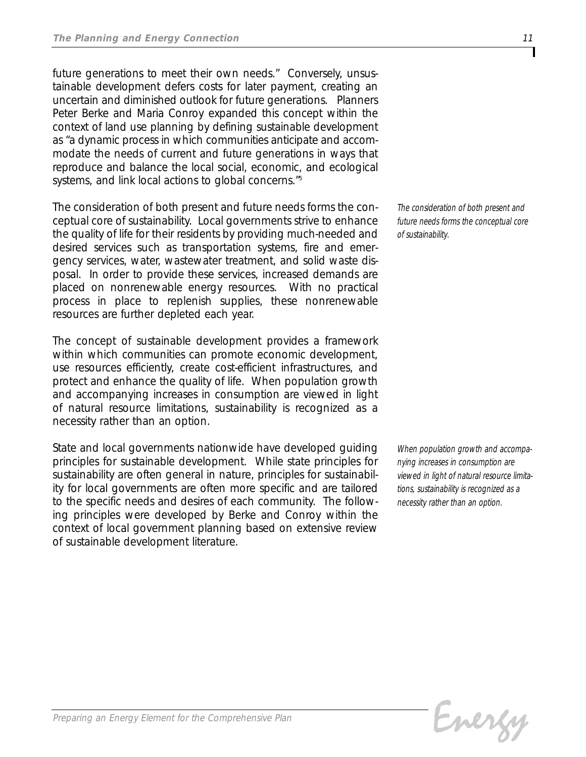*future generations to meet their own needs." Conversely, unsustainable development defers costs for later payment, creating an uncertain and diminished outlook for future generations. Planners Peter Berke and Maria Conroy expanded this concept within the context of land use planning by defining sustainable development as "a dynamic process in which communities anticipate and accommodate the needs of current and future generations in ways that reproduce and balance the local social, economic, and ecological systems, and link local actions to global concerns." 5*

*The consideration of both present and future needs forms the conceptual core of sustainability. Local governments strive to enhance the quality of life for their residents by providing much-needed and desired services such as transportation systems, fire and emergency services, water, wastewater treatment, and solid waste disposal. In order to provide these services, increased demands are placed on nonrenewable energy resources. With no practical process in place to replenish supplies, these nonrenewable resources are further depleted each year.* 

*The concept of sustainable development provides a framework within which communities can promote economic development, use resources efficiently, create cost-efficient infrastructures, and protect and enhance the quality of life. When population growth and accompanying increases in consumption are viewed in light of natural resource limitations, sustainability is recognized as a necessity rather than an option.*

*State and local governments nationwide have developed guiding principles for sustainable development. While state principles for sustainability are often general in nature, principles for sustainability for local governments are often more specific and are tailored to the specific needs and desires of each community. The following principles were developed by Berke and Conroy within the context of local government planning based on extensive review of sustainable development literature.* 

*The consideration of both present and future needs forms the conceptual core of sustainability.*

*When population growth and accompanying increases in consumption are viewed in light of natural resource limitations, sustainability is recognized as a necessity rather than an option.*

Evergy

*Preparing an Energy Element for the Comprehensive Plan*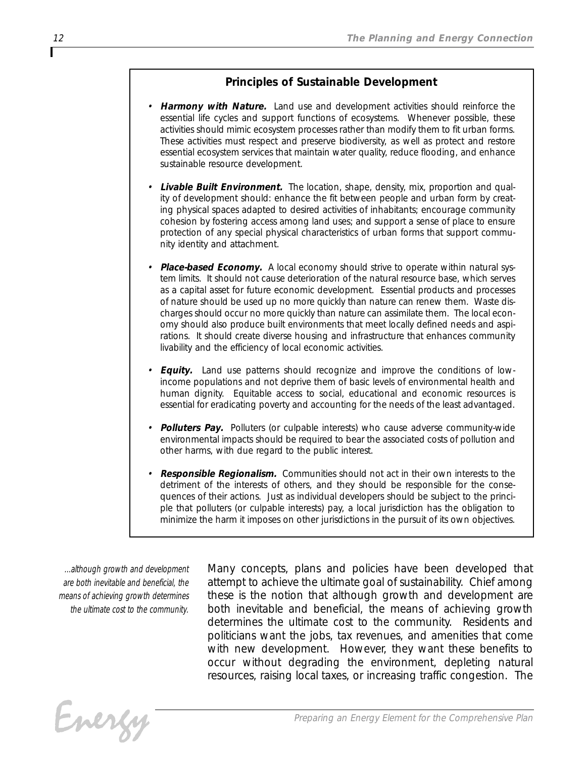## *Principles of Sustainable Development*

- *• Harmony with Nature. Land use and development activities should reinforce the essential life cycles and support functions of ecosystems. Whenever possible, these activities should mimic ecosystem processes rather than modify them to fit urban forms. These activities must respect and preserve biodiversity, as well as protect and restore essential ecosystem services that maintain water quality, reduce flooding, and enhance sustainable resource development.*
- *• Livable Built Environment. The location, shape, density, mix, proportion and quality of development should: enhance the fit between people and urban form by creating physical spaces adapted to desired activities of inhabitants; encourage community cohesion by fostering access among land uses; and support a sense of place to ensure protection of any special physical characteristics of urban forms that support community identity and attachment.*
- *• Place-based Economy. A local economy should strive to operate within natural system limits. It should not cause deterioration of the natural resource base, which serves as a capital asset for future economic development. Essential products and processes of nature should be used up no more quickly than nature can renew them. Waste discharges should occur no more quickly than nature can assimilate them. The local economy should also produce built environments that meet locally defined needs and aspirations. It should create diverse housing and infrastructure that enhances community livability and the efficiency of local economic activities.*
- *• Equity. Land use patterns should recognize and improve the conditions of lowincome populations and not deprive them of basic levels of environmental health and human dignity. Equitable access to social, educational and economic resources is essential for eradicating poverty and accounting for the needs of the least advantaged.*
- *• Polluters Pay. Polluters (or culpable interests) who cause adverse community-wide environmental impacts should be required to bear the associated costs of pollution and other harms, with due regard to the public interest.*
- *• Responsible Regionalism. Communities should not act in their own interests to the detriment of the interests of others, and they should be responsible for the consequences of their actions. Just as individual developers should be subject to the principle that polluters (or culpable interests) pay, a local jurisdiction has the obligation to minimize the harm it imposes on other jurisdictions in the pursuit of its own objectives.*

*...although growth and development are both inevitable and beneficial, the means of achieving growth determines the ultimate cost to the community.*

*Many concepts, plans and policies have been developed that attempt to achieve the ultimate goal of sustainability. Chief among these is the notion that although growth and development are both inevitable and beneficial, the means of achieving growth determines the ultimate cost to the community. Residents and politicians want the jobs, tax revenues, and amenities that come with new development. However, they want these benefits to occur without degrading the environment, depleting natural resources, raising local taxes, or increasing traffic congestion. The*

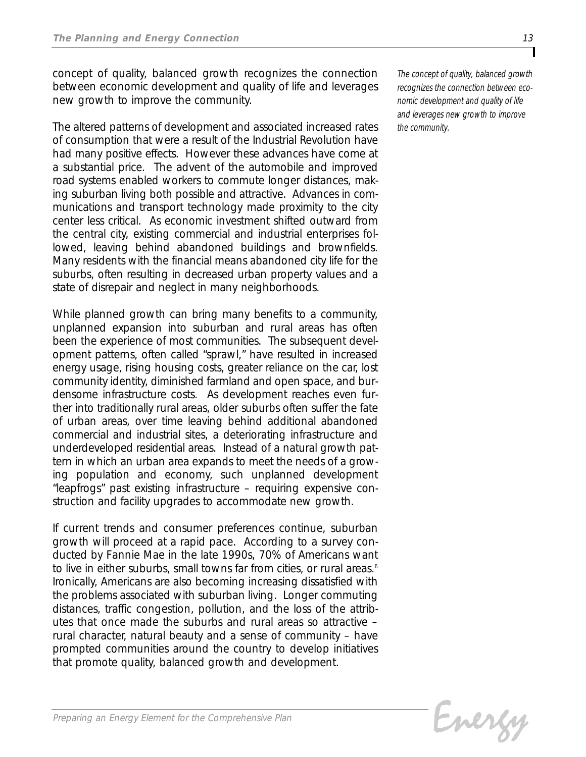*concept of quality, balanced growth recognizes the connection between economic development and quality of life and leverages new growth to improve the community.*

*The altered patterns of development and associated increased rates of consumption that were a result of the Industrial Revolution have had many positive effects. However these advances have come at a substantial price. The advent of the automobile and improved road systems enabled workers to commute longer distances, making suburban living both possible and attractive. Advances in communications and transport technology made proximity to the city center less critical. As economic investment shifted outward from the central city, existing commercial and industrial enterprises followed, leaving behind abandoned buildings and brownfields. Many residents with the financial means abandoned city life for the suburbs, often resulting in decreased urban property values and a state of disrepair and neglect in many neighborhoods.*

*While planned growth can bring many benefits to a community, unplanned expansion into suburban and rural areas has often been the experience of most communities. The subsequent development patterns, often called "sprawl," have resulted in increased energy usage, rising housing costs, greater reliance on the car, lost community identity, diminished farmland and open space, and burdensome infrastructure costs. As development reaches even further into traditionally rural areas, older suburbs often suffer the fate of urban areas, over time leaving behind additional abandoned commercial and industrial sites, a deteriorating infrastructure and underdeveloped residential areas. Instead of a natural growth pattern in which an urban area expands to meet the needs of a growing population and economy, such unplanned development "leapfrogs" past existing infrastructure – requiring expensive construction and facility upgrades to accommodate new growth.* 

*If current trends and consumer preferences continue, suburban growth will proceed at a rapid pace. According to a survey conducted by Fannie Mae in the late 1990s, 70% of Americans want to live in either suburbs, small towns far from cities, or rural areas.6 Ironically, Americans are also becoming increasing dissatisfied with the problems associated with suburban living. Longer commuting distances, traffic congestion, pollution, and the loss of the attributes that once made the suburbs and rural areas so attractive – rural character, natural beauty and a sense of community – have prompted communities around the country to develop initiatives that promote quality, balanced growth and development.* 

*The concept of quality, balanced growth recognizes the connection between economic development and quality of life and leverages new growth to improve the community.*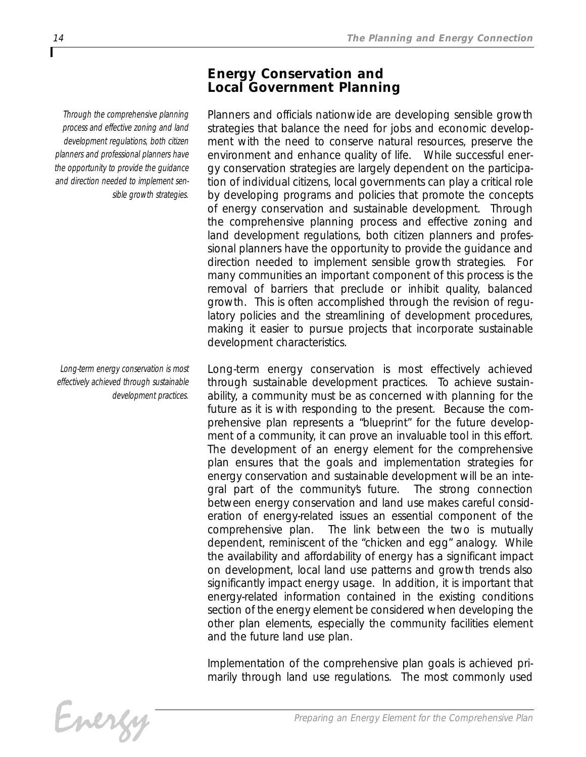# *Energy Conservation and Local Government Planning*

*Planners and officials nationwide are developing sensible growth strategies that balance the need for jobs and economic development with the need to conserve natural resources, preserve the environment and enhance quality of life. While successful energy conservation strategies are largely dependent on the participation of individual citizens, local governments can play a critical role by developing programs and policies that promote the concepts of energy conservation and sustainable development. Through the comprehensive planning process and effective zoning and land development regulations, both citizen planners and professional planners have the opportunity to provide the guidance and direction needed to implement sensible growth strategies. For many communities an important component of this process is the removal of barriers that preclude or inhibit quality, balanced growth. This is often accomplished through the revision of regulatory policies and the streamlining of development procedures, making it easier to pursue projects that incorporate sustainable development characteristics.*

*Long-term energy conservation is most effectively achieved through sustainable development practices. To achieve sustainability, a community must be as concerned with planning for the future as it is with responding to the present. Because the comprehensive plan represents a "blueprint" for the future development of a community, it can prove an invaluable tool in this effort. The development of an energy element for the comprehensive plan ensures that the goals and implementation strategies for energy conservation and sustainable development will be an integral part of the community's future. The strong connection between energy conservation and land use makes careful consideration of energy-related issues an essential component of the comprehensive plan. The link between the two is mutually dependent, reminiscent of the "chicken and egg" analogy. While the availability and affordability of energy has a significant impact on development, local land use patterns and growth trends also significantly impact energy usage. In addition, it is important that energy-related information contained in the existing conditions section of the energy element be considered when developing the other plan elements, especially the community facilities element and the future land use plan.*

*Implementation of the comprehensive plan goals is achieved primarily through land use regulations. The most commonly used*

*Through the comprehensive planning process and effective zoning and land development regulations, both citizen planners and professional planners have the opportunity to provide the guidance and direction needed to implement sensible growth strategies.*

*Long-term energy conservation is most effectively achieved through sustainable development practices.*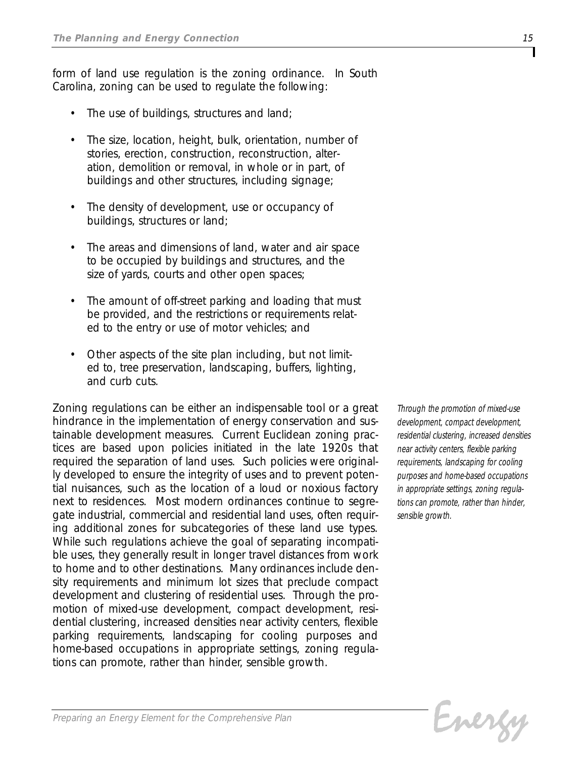*form of land use regulation is the zoning ordinance. In South Carolina, zoning can be used to regulate the following:*

- *• The use of buildings, structures and land;*
- *• The size, location, height, bulk, orientation, number of stories, erection, construction, reconstruction, alteration, demolition or removal, in whole or in part, of buildings and other structures, including signage;*
- *• The density of development, use or occupancy of buildings, structures or land;*
- *• The areas and dimensions of land, water and air space to be occupied by buildings and structures, and the size of yards, courts and other open spaces;*
- *• The amount of off-street parking and loading that must be provided, and the restrictions or requirements related to the entry or use of motor vehicles; and*
- *• Other aspects of the site plan including, but not limited to, tree preservation, landscaping, buffers, lighting, and curb cuts.*

*Zoning regulations can be either an indispensable tool or a great hindrance in the implementation of energy conservation and sustainable development measures. Current Euclidean zoning practices are based upon policies initiated in the late 1920s that required the separation of land uses. Such policies were originally developed to ensure the integrity of uses and to prevent potential nuisances, such as the location of a loud or noxious factory next to residences. Most modern ordinances continue to segregate industrial, commercial and residential land uses, often requiring additional zones for subcategories of these land use types. While such regulations achieve the goal of separating incompatible uses, they generally result in longer travel distances from work to home and to other destinations. Many ordinances include density requirements and minimum lot sizes that preclude compact development and clustering of residential uses. Through the promotion of mixed-use development, compact development, residential clustering, increased densities near activity centers, flexible parking requirements, landscaping for cooling purposes and home-based occupations in appropriate settings, zoning regulations can promote, rather than hinder, sensible growth.*

*Through the promotion of mixed-use development, compact development, residential clustering, increased densities near activity centers, flexible parking requirements, landscaping for cooling purposes and home-based occupations in appropriate settings, zoning regulations can promote, rather than hinder, sensible growth.*

Evergy

*Preparing an Energy Element for the Comprehensive Plan*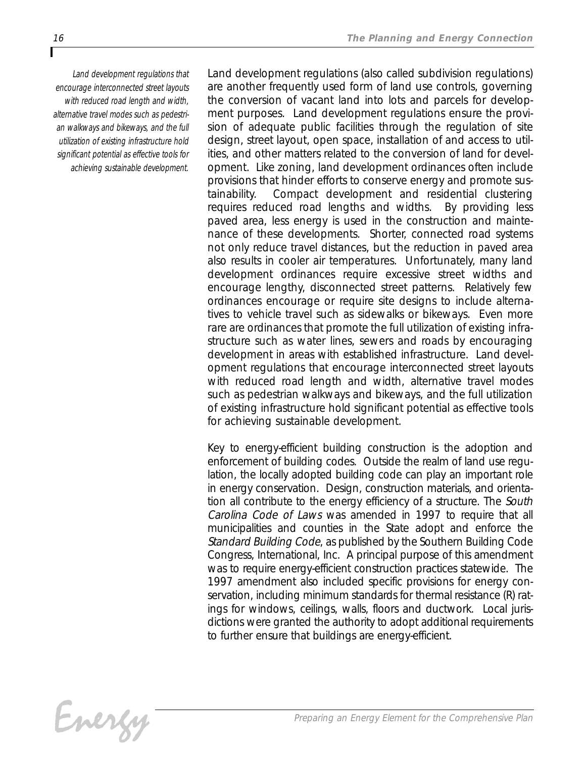*Land development regulations that encourage interconnected street layouts with reduced road length and width, alternative travel modes such as pedestrian walkways and bikeways, and the full utilization of existing infrastructure hold significant potential as effective tools for achieving sustainable development.* *Land development regulations (also called subdivision regulations) are another frequently used form of land use controls, governing the conversion of vacant land into lots and parcels for development purposes. Land development regulations ensure the provision of adequate public facilities through the regulation of site design, street layout, open space, installation of and access to utilities, and other matters related to the conversion of land for development. Like zoning, land development ordinances often include provisions that hinder efforts to conserve energy and promote sustainability. Compact development and residential clustering requires reduced road lengths and widths. By providing less paved area, less energy is used in the construction and maintenance of these developments. Shorter, connected road systems not only reduce travel distances, but the reduction in paved area also results in cooler air temperatures. Unfortunately, many land development ordinances require excessive street widths and encourage lengthy, disconnected street patterns. Relatively few ordinances encourage or require site designs to include alternatives to vehicle travel such as sidewalks or bikeways. Even more rare are ordinances that promote the full utilization of existing infrastructure such as water lines, sewers and roads by encouraging development in areas with established infrastructure. Land development regulations that encourage interconnected street layouts with reduced road length and width, alternative travel modes such as pedestrian walkways and bikeways, and the full utilization of existing infrastructure hold significant potential as effective tools for achieving sustainable development.*

*Key to energy-efficient building construction is the adoption and enforcement of building codes. Outside the realm of land use regulation, the locally adopted building code can play an important role in energy conservation. Design, construction materials, and orientation all contribute to the energy efficiency of a structure. The South Carolina Code of Laws was amended in 1997 to require that all municipalities and counties in the State adopt and enforce the Standard Building Code, as published by the Southern Building Code Congress, International, Inc. A principal purpose of this amendment was to require energy-efficient construction practices statewide. The 1997 amendment also included specific provisions for energy conservation, including minimum standards for thermal resistance (R) ratings for windows, ceilings, walls, floors and ductwork. Local jurisdictions were granted the authority to adopt additional requirements to further ensure that buildings are energy-efficient.*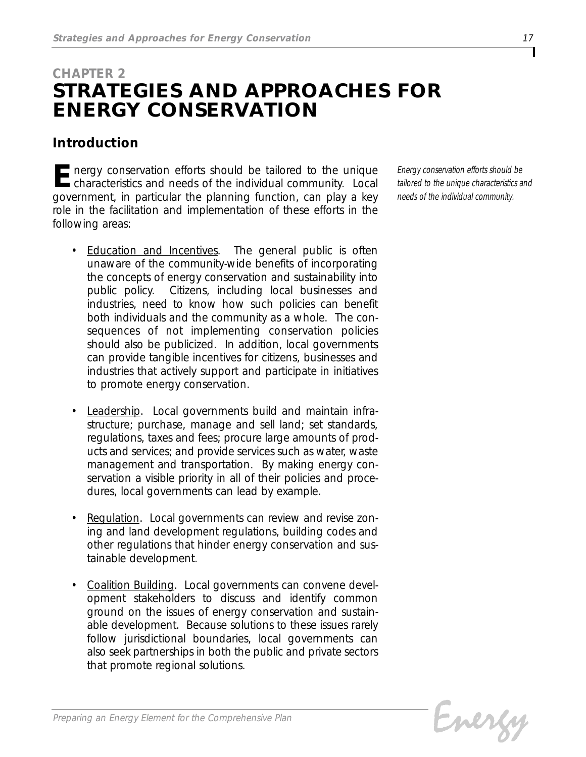# *CHAPTER 2 STRATEGIES AND APPROACHES FOR ENERGY CONSERVATION*

# *Introduction*

**E***nergy conservation efforts should be tailored to the unique*<br> *characteristics and needs of the individual community. Local government, in particular the planning function, can play a key role in the facilitation and implementation of these efforts in the following areas:*

- *Education and Incentives. The general public is often unaware of the community-wide benefits of incorporating the concepts of energy conservation and sustainability into public policy. Citizens, including local businesses and industries, need to know how such policies can benefit both individuals and the community as a whole. The consequences of not implementing conservation policies should also be publicized. In addition, local governments can provide tangible incentives for citizens, businesses and industries that actively support and participate in initiatives to promote energy conservation.*
- *Leadership. Local governments build and maintain infrastructure; purchase, manage and sell land; set standards, regulations, taxes and fees; procure large amounts of products and services; and provide services such as water, waste management and transportation. By making energy conservation a visible priority in all of their policies and procedures, local governments can lead by example.*
- *Regulation. Local governments can review and revise zoning and land development regulations, building codes and other regulations that hinder energy conservation and sustainable development.*
- *Coalition Building. Local governments can convene development stakeholders to discuss and identify common ground on the issues of energy conservation and sustainable development. Because solutions to these issues rarely follow jurisdictional boundaries, local governments can also seek partnerships in both the public and private sectors that promote regional solutions.*

*Energy conservation efforts should be tailored to the unique characteristics and needs of the individual community.*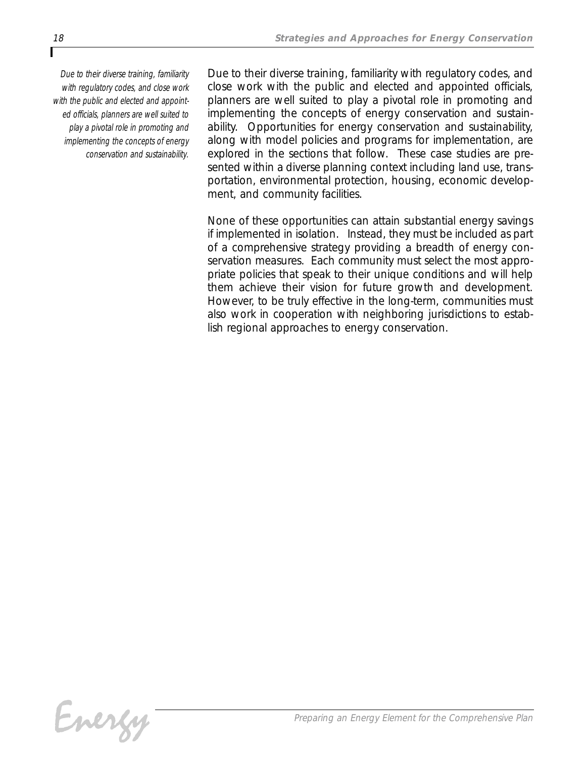*Due to their diverse training, familiarity with regulatory codes, and close work with the public and elected and appointed officials, planners are well suited to play a pivotal role in promoting and implementing the concepts of energy conservation and sustainability.*

*Due to their diverse training, familiarity with regulatory codes, and close work with the public and elected and appointed officials, planners are well suited to play a pivotal role in promoting and implementing the concepts of energy conservation and sustainability. Opportunities for energy conservation and sustainability, along with model policies and programs for implementation, are explored in the sections that follow. These case studies are presented within a diverse planning context including land use, transportation, environmental protection, housing, economic development, and community facilities.*

*None of these opportunities can attain substantial energy savings if implemented in isolation. Instead, they must be included as part of a comprehensive strategy providing a breadth of energy conservation measures. Each community must select the most appropriate policies that speak to their unique conditions and will help them achieve their vision for future growth and development. However, to be truly effective in the long-term, communities must also work in cooperation with neighboring jurisdictions to establish regional approaches to energy conservation.*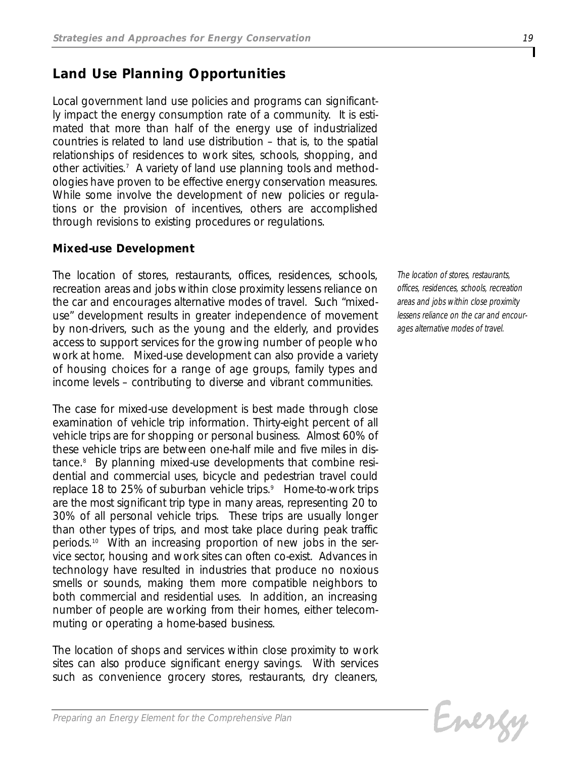# *Land Use Planning Opportunities*

*Local government land use policies and programs can significantly impact the energy consumption rate of a community. It is estimated that more than half of the energy use of industrialized countries is related to land use distribution – that is, to the spatial relationships of residences to work sites, schools, shopping, and other activities.7 A variety of land use planning tools and methodologies have proven to be effective energy conservation measures. While some involve the development of new policies or regulations or the provision of incentives, others are accomplished through revisions to existing procedures or regulations.*

## *Mixed-use Development*

*The location of stores, restaurants, offices, residences, schools, recreation areas and jobs within close proximity lessens reliance on the car and encourages alternative modes of travel. Such "mixeduse" development results in greater independence of movement by non-drivers, such as the young and the elderly, and provides access to support services for the growing number of people who work at home. Mixed-use development can also provide a variety of housing choices for a range of age groups, family types and income levels – contributing to diverse and vibrant communities.* 

*The case for mixed-use development is best made through close examination of vehicle trip information. Thirty-eight percent of all vehicle trips are for shopping or personal business. Almost 60% of these vehicle trips are between one-half mile and five miles in distance.8 By planning mixed-use developments that combine residential and commercial uses, bicycle and pedestrian travel could replace 18 to 25% of suburban vehicle trips.9 Home-to-work trips are the most significant trip type in many areas, representing 20 to 30% of all personal vehicle trips. These trips are usually longer than other types of trips, and most take place during peak traffic periods.10 With an increasing proportion of new jobs in the service sector, housing and work sites can often co-exist. Advances in technology have resulted in industries that produce no noxious smells or sounds, making them more compatible neighbors to both commercial and residential uses. In addition, an increasing number of people are working from their homes, either telecommuting or operating a home-based business.*

*The location of shops and services within close proximity to work sites can also produce significant energy savings. With services such as convenience grocery stores, restaurants, dry cleaners,*

*The location of stores, restaurants, offices, residences, schools, recreation areas and jobs within close proximity lessens reliance on the car and encourages alternative modes of travel.*

```
Evergy
```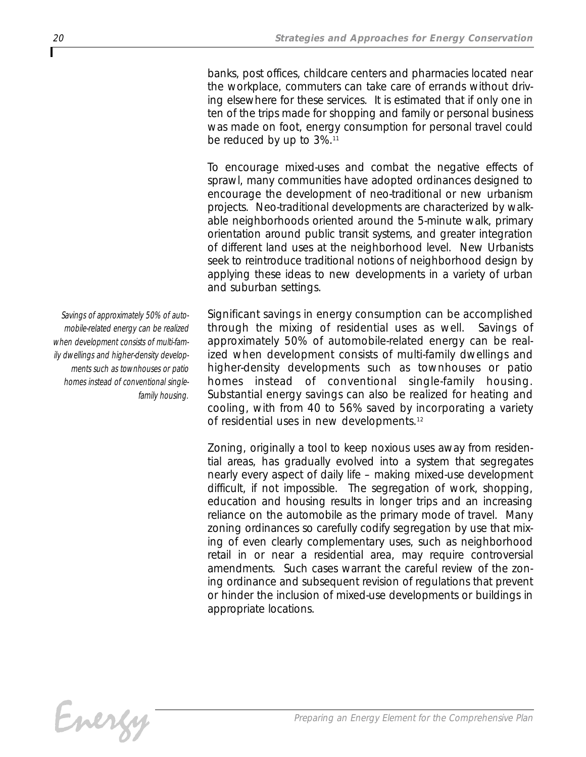*banks, post offices, childcare centers and pharmacies located near the workplace, commuters can take care of errands without driving elsewhere for these services. It is estimated that if only one in ten of the trips made for shopping and family or personal business was made on foot, energy consumption for personal travel could be reduced by up to 3%.11*

*To encourage mixed-uses and combat the negative effects of sprawl, many communities have adopted ordinances designed to encourage the development of neo-traditional or new urbanism projects. Neo-traditional developments are characterized by walkable neighborhoods oriented around the 5-minute walk, primary orientation around public transit systems, and greater integration of different land uses at the neighborhood level. New Urbanists seek to reintroduce traditional notions of neighborhood design by applying these ideas to new developments in a variety of urban and suburban settings.*

*Significant savings in energy consumption can be accomplished through the mixing of residential uses as well. Savings of approximately 50% of automobile-related energy can be realized when development consists of multi-family dwellings and higher-density developments such as townhouses or patio homes instead of conventional single-family housing. Substantial energy savings can also be realized for heating and cooling, with from 40 to 56% saved by incorporating a variety of residential uses in new developments.12*

*Zoning, originally a tool to keep noxious uses away from residential areas, has gradually evolved into a system that segregates nearly every aspect of daily life – making mixed-use development difficult, if not impossible. The segregation of work, shopping, education and housing results in longer trips and an increasing reliance on the automobile as the primary mode of travel. Many zoning ordinances so carefully codify segregation by use that mixing of even clearly complementary uses, such as neighborhood retail in or near a residential area, may require controversial amendments. Such cases warrant the careful review of the zoning ordinance and subsequent revision of regulations that prevent or hinder the inclusion of mixed-use developments or buildings in appropriate locations.*

*Savings of approximately 50% of automobile-related energy can be realized when development consists of multi-family dwellings and higher-density developments such as townhouses or patio homes instead of conventional singlefamily housing.*

Energy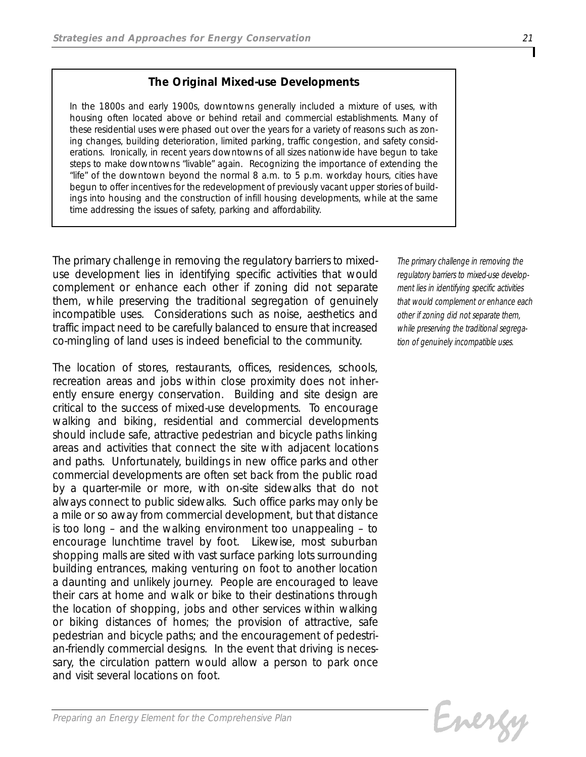## *The Original Mixed-use Developments*

*In the 1800s and early 1900s, downtowns generally included a mixture of uses, with housing often located above or behind retail and commercial establishments. Many of these residential uses were phased out over the years for a variety of reasons such as zoning changes, building deterioration, limited parking, traffic congestion, and safety considerations. Ironically, in recent years downtowns of all sizes nationwide have begun to take steps to make downtowns "livable" again. Recognizing the importance of extending the "life" of the downtown beyond the normal 8 a.m. to 5 p.m. workday hours, cities have begun to offer incentives for the redevelopment of previously vacant upper stories of buildings into housing and the construction of infill housing developments, while at the same time addressing the issues of safety, parking and affordability.*

*The primary challenge in removing the regulatory barriers to mixeduse development lies in identifying specific activities that would complement or enhance each other if zoning did not separate them, while preserving the traditional segregation of genuinely incompatible uses. Considerations such as noise, aesthetics and traffic impact need to be carefully balanced to ensure that increased co-mingling of land uses is indeed beneficial to the community.*

*The location of stores, restaurants, offices, residences, schools, recreation areas and jobs within close proximity does not inherently ensure energy conservation. Building and site design are critical to the success of mixed-use developments. To encourage walking and biking, residential and commercial developments should include safe, attractive pedestrian and bicycle paths linking areas and activities that connect the site with adjacent locations and paths. Unfortunately, buildings in new office parks and other commercial developments are often set back from the public road by a quarter-mile or more, with on-site sidewalks that do not always connect to public sidewalks. Such office parks may only be a mile or so away from commercial development, but that distance is too long – and the walking environment too unappealing – to encourage lunchtime travel by foot. Likewise, most suburban shopping malls are sited with vast surface parking lots surrounding building entrances, making venturing on foot to another location a daunting and unlikely journey. People are encouraged to leave their cars at home and walk or bike to their destinations through the location of shopping, jobs and other services within walking or biking distances of homes; the provision of attractive, safe pedestrian and bicycle paths; and the encouragement of pedestrian-friendly commercial designs. In the event that driving is necessary, the circulation pattern would allow a person to park once and visit several locations on foot.*

*The primary challenge in removing the regulatory barriers to mixed-use development lies in identifying specific activities that would complement or enhance each other if zoning did not separate them, while preserving the traditional segregation of genuinely incompatible uses.*

Energy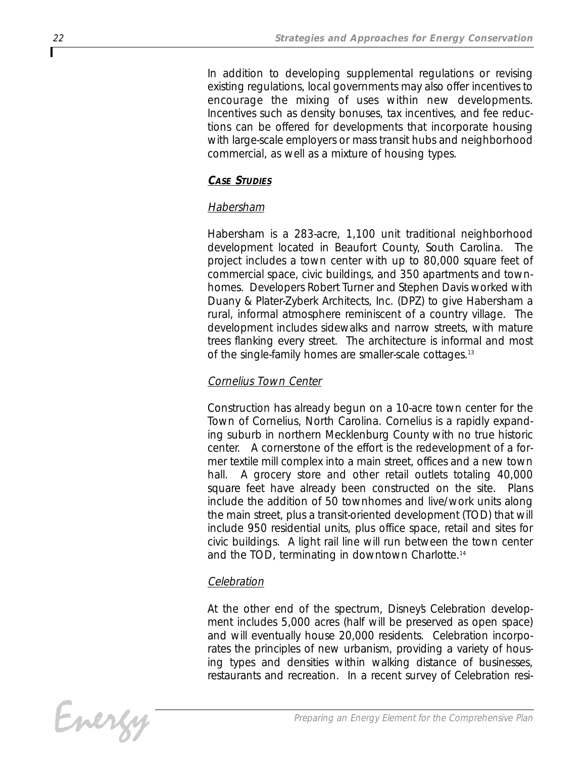*In addition to developing supplemental regulations or revising existing regulations, local governments may also offer incentives to encourage the mixing of uses within new developments. Incentives such as density bonuses, tax incentives, and fee reductions can be offered for developments that incorporate housing with large-scale employers or mass transit hubs and neighborhood commercial, as well as a mixture of housing types.*

#### *CASE STUDIES*

#### *Habersham*

*Habersham is a 283-acre, 1,100 unit traditional neighborhood development located in Beaufort County, South Carolina. The project includes a town center with up to 80,000 square feet of commercial space, civic buildings, and 350 apartments and townhomes. Developers Robert Turner and Stephen Davis worked with Duany & Plater-Zyberk Architects, Inc. (DPZ) to give Habersham a rural, informal atmosphere reminiscent of a country village. The development includes sidewalks and narrow streets, with mature trees flanking every street. The architecture is informal and most of the single-family homes are smaller-scale cottages.13*

## *Cornelius Town Center*

*Construction has already begun on a 10-acre town center for the Town of Cornelius, North Carolina. Cornelius is a rapidly expanding suburb in northern Mecklenburg County with no true historic center. A cornerstone of the effort is the redevelopment of a former textile mill complex into a main street, offices and a new town hall. A grocery store and other retail outlets totaling 40,000 square feet have already been constructed on the site. Plans include the addition of 50 townhomes and live/work units along the main street, plus a transit-oriented development (TOD) that will include 950 residential units, plus office space, retail and sites for civic buildings. A light rail line will run between the town center and the TOD, terminating in downtown Charlotte.14*

### *Celebration*

At the other end of the spectrum, Disneys Celebration develop*ment includes 5,000 acres (half will be preserved as open space) and will eventually house 20,000 residents. Celebration incorporates the principles of new urbanism, providing a variety of housing types and densities within walking distance of businesses, restaurants and recreation. In a recent survey of Celebration resi-*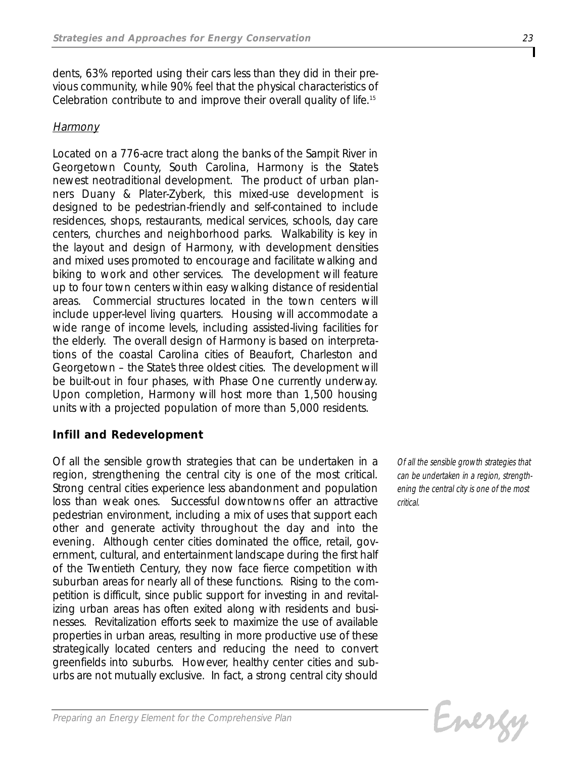*dents, 63% reported using their cars less than they did in their previous community, while 90% feel that the physical characteristics of Celebration contribute to and improve their overall quality of life.15*

### *Harmony*

*Located on a 776-acre tract along the banks of the Sampit River in Georgetown County, South Carolina, Harmony is the State's newest neotraditional development. The product of urban planners Duany & Plater-Zyberk, this mixed-use development is designed to be pedestrian-friendly and self-contained to include residences, shops, restaurants, medical services, schools, day care centers, churches and neighborhood parks. Walkability is key in the layout and design of Harmony, with development densities and mixed uses promoted to encourage and facilitate walking and biking to work and other services. The development will feature up to four town centers within easy walking distance of residential areas. Commercial structures located in the town centers will include upper-level living quarters. Housing will accommodate a wide range of income levels, including assisted-living facilities for the elderly. The overall design of Harmony is based on interpretations of the coastal Carolina cities of Beaufort, Charleston and Georgetown – the State's three oldest cities. The development will be built-out in four phases, with Phase One currently underway. Upon completion, Harmony will host more than 1,500 housing units with a projected population of more than 5,000 residents.*

### *Infill and Redevelopment*

*Of all the sensible growth strategies that can be undertaken in a region, strengthening the central city is one of the most critical. Strong central cities experience less abandonment and population loss than weak ones. Successful downtowns offer an attractive pedestrian environment, including a mix of uses that support each other and generate activity throughout the day and into the evening. Although center cities dominated the office, retail, government, cultural, and entertainment landscape during the first half of the Twentieth Century, they now face fierce competition with suburban areas for nearly all of these functions. Rising to the competition is difficult, since public support for investing in and revitalizing urban areas has often exited along with residents and businesses. Revitalization efforts seek to maximize the use of available properties in urban areas, resulting in more productive use of these strategically located centers and reducing the need to convert greenfields into suburbs. However, healthy center cities and suburbs are not mutually exclusive. In fact, a strong central city should*

*Of all the sensible growth strategies that can be undertaken in a region, strengthening the central city is one of the most critical.* 

Evergy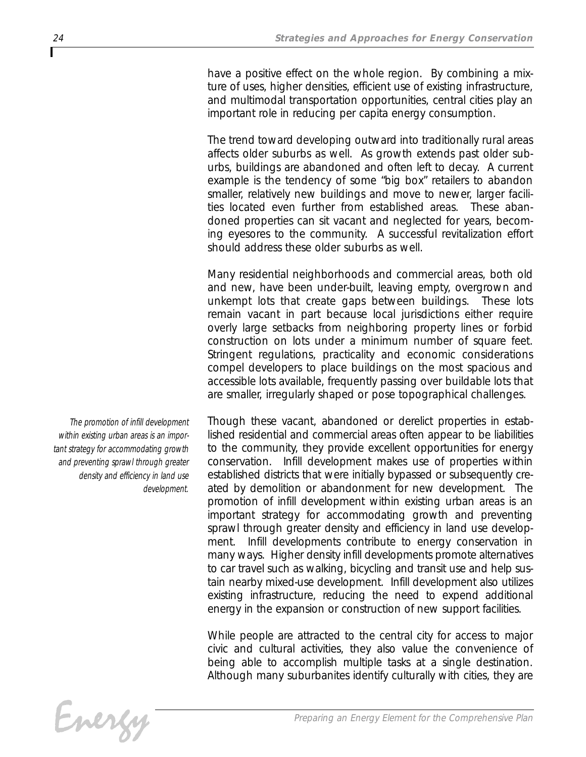*have a positive effect on the whole region. By combining a mixture of uses, higher densities, efficient use of existing infrastructure, and multimodal transportation opportunities, central cities play an important role in reducing per capita energy consumption.* 

*The trend toward developing outward into traditionally rural areas affects older suburbs as well. As growth extends past older suburbs, buildings are abandoned and often left to decay. A current example is the tendency of some "big box" retailers to abandon smaller, relatively new buildings and move to newer, larger facilities located even further from established areas. These abandoned properties can sit vacant and neglected for years, becoming eyesores to the community. A successful revitalization effort should address these older suburbs as well.*

*Many residential neighborhoods and commercial areas, both old and new, have been under-built, leaving empty, overgrown and unkempt lots that create gaps between buildings. These lots remain vacant in part because local jurisdictions either require overly large setbacks from neighboring property lines or forbid construction on lots under a minimum number of square feet. Stringent regulations, practicality and economic considerations compel developers to place buildings on the most spacious and accessible lots available, frequently passing over buildable lots that are smaller, irregularly shaped or pose topographical challenges.* 

*Though these vacant, abandoned or derelict properties in established residential and commercial areas often appear to be liabilities to the community, they provide excellent opportunities for energy conservation. Infill development makes use of properties within established districts that were initially bypassed or subsequently created by demolition or abandonment for new development. The promotion of infill development within existing urban areas is an important strategy for accommodating growth and preventing sprawl through greater density and efficiency in land use development. Infill developments contribute to energy conservation in many ways. Higher density infill developments promote alternatives to car travel such as walking, bicycling and transit use and help sustain nearby mixed-use development. Infill development also utilizes existing infrastructure, reducing the need to expend additional energy in the expansion or construction of new support facilities.* 

*While people are attracted to the central city for access to major civic and cultural activities, they also value the convenience of being able to accomplish multiple tasks at a single destination. Although many suburbanites identify culturally with cities, they are*

*The promotion of infill development within existing urban areas is an important strategy for accommodating growth and preventing sprawl through greater density and efficiency in land use development.*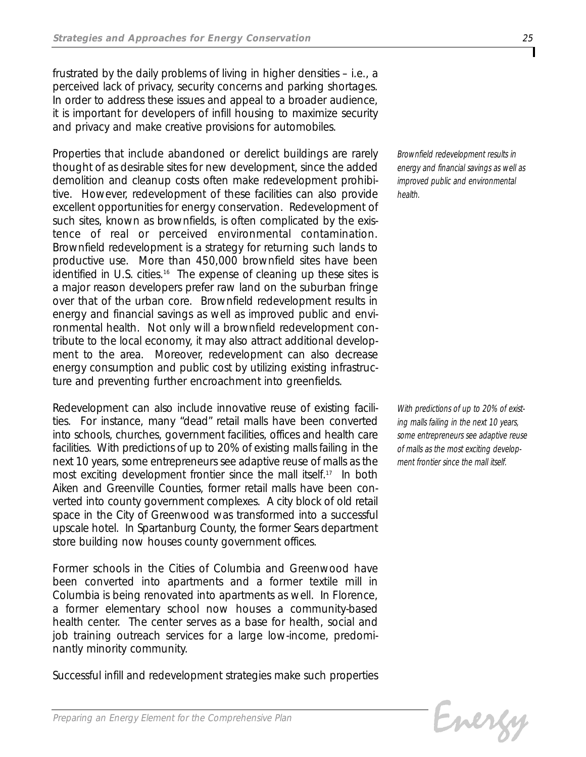*frustrated by the daily problems of living in higher densities – i.e., a perceived lack of privacy, security concerns and parking shortages. In order to address these issues and appeal to a broader audience, it is important for developers of infill housing to maximize security and privacy and make creative provisions for automobiles.* 

*Properties that include abandoned or derelict buildings are rarely thought of as desirable sites for new development, since the added demolition and cleanup costs often make redevelopment prohibitive. However, redevelopment of these facilities can also provide excellent opportunities for energy conservation. Redevelopment of such sites, known as brownfields, is often complicated by the existence of real or perceived environmental contamination. Brownfield redevelopment is a strategy for returning such lands to productive use. More than 450,000 brownfield sites have been identified in U.S. cities.16 The expense of cleaning up these sites is a major reason developers prefer raw land on the suburban fringe over that of the urban core. Brownfield redevelopment results in energy and financial savings as well as improved public and environmental health. Not only will a brownfield redevelopment contribute to the local economy, it may also attract additional development to the area. Moreover, redevelopment can also decrease energy consumption and public cost by utilizing existing infrastructure and preventing further encroachment into greenfields.*

*Redevelopment can also include innovative reuse of existing facilities. For instance, many "dead" retail malls have been converted into schools, churches, government facilities, offices and health care facilities. With predictions of up to 20% of existing malls failing in the next 10 years, some entrepreneurs see adaptive reuse of malls as the most exciting development frontier since the mall itself.17 In both Aiken and Greenville Counties, former retail malls have been converted into county government complexes. A city block of old retail space in the City of Greenwood was transformed into a successful upscale hotel. In Spartanburg County, the former Sears department store building now houses county government offices.* 

*Former schools in the Cities of Columbia and Greenwood have been converted into apartments and a former textile mill in Columbia is being renovated into apartments as well. In Florence, a former elementary school now houses a community-based health center. The center serves as a base for health, social and job training outreach services for a large low-income, predominantly minority community.*

*Successful infill and redevelopment strategies make such properties*

*Brownfield redevelopment results in energy and financial savings as well as improved public and environmental health.*

*With predictions of up to 20% of existing malls failing in the next 10 years, some entrepreneurs see adaptive reuse of malls as the most exciting development frontier since the mall itself.*

Energy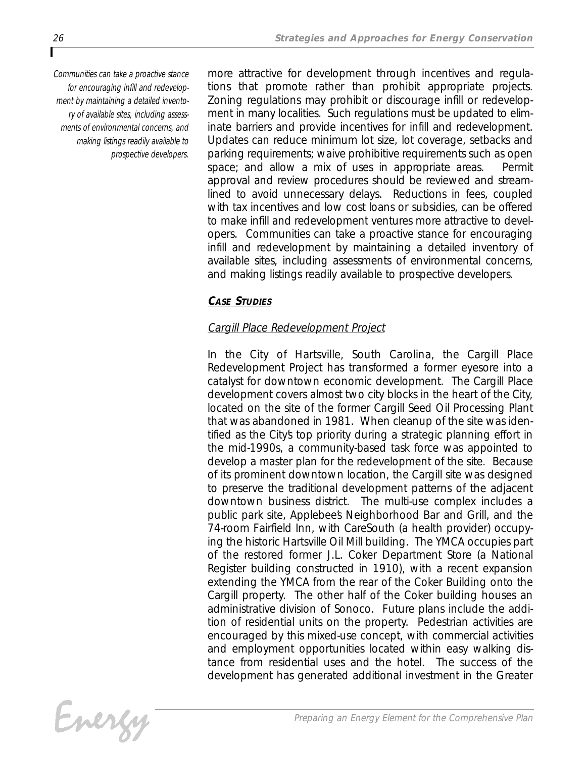*Communities can take a proactive stance for encouraging infill and redevelopment by maintaining a detailed inventory of available sites, including assessments of environmental concerns, and making listings readily available to prospective developers.*

*more attractive for development through incentives and regulations that promote rather than prohibit appropriate projects. Zoning regulations may prohibit or discourage infill or redevelopment in many localities. Such regulations must be updated to eliminate barriers and provide incentives for infill and redevelopment. Updates can reduce minimum lot size, lot coverage, setbacks and parking requirements; waive prohibitive requirements such as open space; and allow a mix of uses in appropriate areas. Permit approval and review procedures should be reviewed and streamlined to avoid unnecessary delays. Reductions in fees, coupled with tax incentives and low cost loans or subsidies, can be offered to make infill and redevelopment ventures more attractive to developers. Communities can take a proactive stance for encouraging infill and redevelopment by maintaining a detailed inventory of available sites, including assessments of environmental concerns, and making listings readily available to prospective developers.*

## *CASE STUDIES*

# *Cargill Place Redevelopment Project*

*In the City of Hartsville, South Carolina, the Cargill Place Redevelopment Project has transformed a former eyesore into a catalyst for downtown economic development. The Cargill Place development covers almost two city blocks in the heart of the City, located on the site of the former Cargill Seed Oil Processing Plant that was abandoned in 1981. When cleanup of the site was identified as the City's top priority during a strategic planning effort in the mid-1990s, a community-based task force was appointed to develop a master plan for the redevelopment of the site. Because of its prominent downtown location, the Cargill site was designed to preserve the traditional development patterns of the adjacent downtown business district. The multi-use complex includes a public park site, Applebee's Neighborhood Bar and Grill, and the 74-room Fairfield Inn, with CareSouth (a health provider) occupying the historic Hartsville Oil Mill building. The YMCA occupies part of the restored former J.L. Coker Department Store (a National Register building constructed in 1910), with a recent expansion extending the YMCA from the rear of the Coker Building onto the Cargill property. The other half of the Coker building houses an administrative division of Sonoco. Future plans include the addition of residential units on the property. Pedestrian activities are encouraged by this mixed-use concept, with commercial activities and employment opportunities located within easy walking distance from residential uses and the hotel. The success of the development has generated additional investment in the Greater*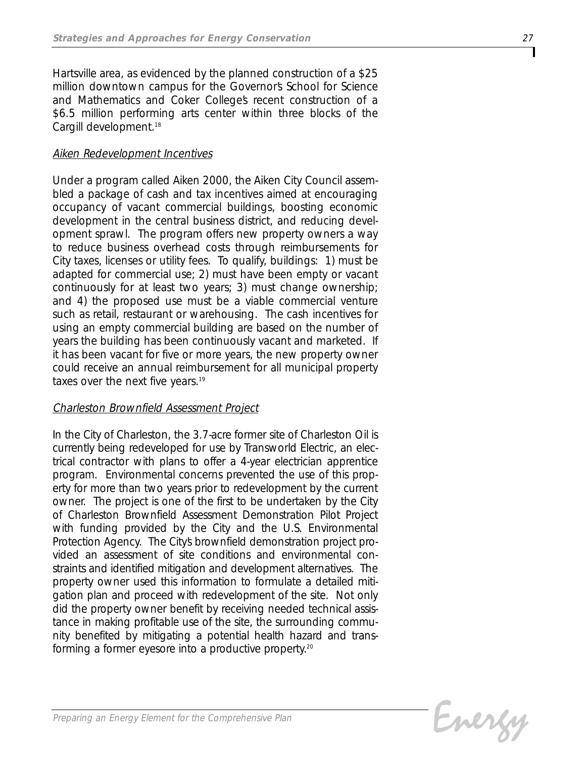*Hartsville area, as evidenced by the planned construction of a \$25 million downtown campus for the Governor's School for Science and Mathematics and Coker College's recent construction of a \$6.5 million performing arts center within three blocks of the Cargill development.18*

#### *Aiken Redevelopment Incentives*

*Under a program called Aiken 2000, the Aiken City Council assembled a package of cash and tax incentives aimed at encouraging occupancy of vacant commercial buildings, boosting economic development in the central business district, and reducing development sprawl. The program offers new property owners a way to reduce business overhead costs through reimbursements for City taxes, licenses or utility fees. To qualify, buildings: 1) must be adapted for commercial use; 2) must have been empty or vacant continuously for at least two years; 3) must change ownership; and 4) the proposed use must be a viable commercial venture such as retail, restaurant or warehousing. The cash incentives for using an empty commercial building are based on the number of years the building has been continuously vacant and marketed. If it has been vacant for five or more years, the new property owner could receive an annual reimbursement for all municipal property taxes over the next five years.19*

#### *Charleston Brownfield Assessment Project*

*In the City of Charleston, the 3.7-acre former site of Charleston Oil is currently being redeveloped for use by Transworld Electric, an electrical contractor with plans to offer a 4-year electrician apprentice program. Environmental concerns prevented the use of this property for more than two years prior to redevelopment by the current owner. The project is one of the first to be undertaken by the City of Charleston Brownfield Assessment Demonstration Pilot Project with funding provided by the City and the U.S. Environmental Protection Agency. The City's brownfield demonstration project provided an assessment of site conditions and environmental constraints and identified mitigation and development alternatives. The property owner used this information to formulate a detailed mitigation plan and proceed with redevelopment of the site. Not only did the property owner benefit by receiving needed technical assistance in making profitable use of the site, the surrounding community benefited by mitigating a potential health hazard and transforming a former eyesore into a productive property.20*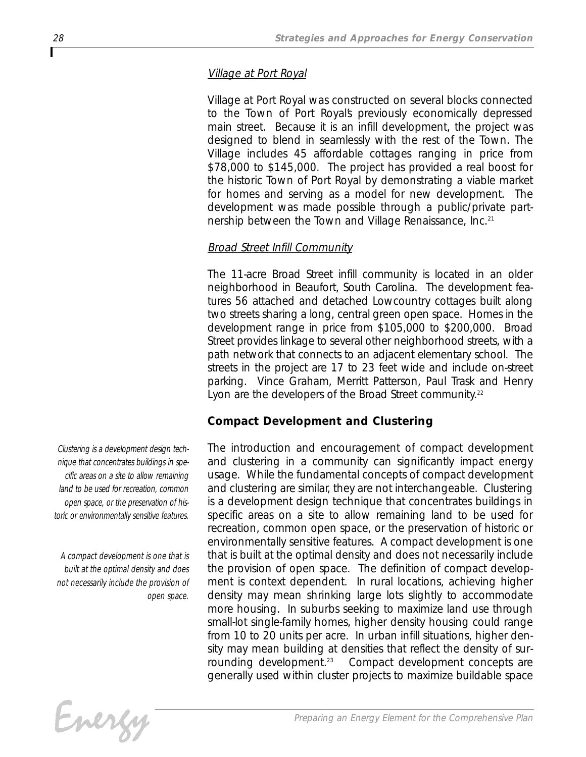#### *Village at Port Royal*

*Village at Port Royal was constructed on several blocks connected to the Town of Port Royal's previously economically depressed main street. Because it is an infill development, the project was designed to blend in seamlessly with the rest of the Town. The Village includes 45 affordable cottages ranging in price from \$78,000 to \$145,000. The project has provided a real boost for the historic Town of Port Royal by demonstrating a viable market for homes and serving as a model for new development. The development was made possible through a public/private partnership between the Town and Village Renaissance, Inc.21*

#### *Broad Street Infill Community*

*The 11-acre Broad Street infill community is located in an older neighborhood in Beaufort, South Carolina. The development features 56 attached and detached Lowcountry cottages built along two streets sharing a long, central green open space. Homes in the development range in price from \$105,000 to \$200,000. Broad Street provides linkage to several other neighborhood streets, with a path network that connects to an adjacent elementary school. The streets in the project are 17 to 23 feet wide and include on-street parking. Vince Graham, Merritt Patterson, Paul Trask and Henry Lyon are the developers of the Broad Street community.22*

#### *Compact Development and Clustering*

*The introduction and encouragement of compact development and clustering in a community can significantly impact energy usage. While the fundamental concepts of compact development and clustering are similar, they are not interchangeable. Clustering is a development design technique that concentrates buildings in specific areas on a site to allow remaining land to be used for recreation, common open space, or the preservation of historic or environmentally sensitive features. A compact development is one that is built at the optimal density and does not necessarily include the provision of open space. The definition of compact development is context dependent. In rural locations, achieving higher density may mean shrinking large lots slightly to accommodate more housing. In suburbs seeking to maximize land use through small-lot single-family homes, higher density housing could range from 10 to 20 units per acre. In urban infill situations, higher density may mean building at densities that reflect the density of sur-Compact development concepts are generally used within cluster projects to maximize buildable space*



*Clustering is a development design technique that concentrates buildings in specific areas on a site to allow remaining land to be used for recreation, common open space, or the preservation of historic or environmentally sensitive features.*

*A compact development is one that is built at the optimal density and does not necessarily include the provision of open space.*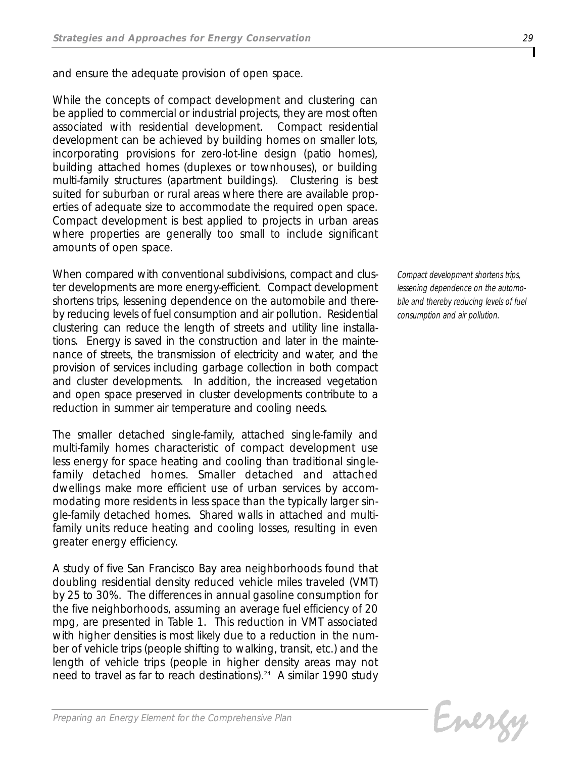*and ensure the adequate provision of open space.*

*While the concepts of compact development and clustering can be applied to commercial or industrial projects, they are most often associated with residential development. Compact residential development can be achieved by building homes on smaller lots, incorporating provisions for zero-lot-line design (patio homes), building attached homes (duplexes or townhouses), or building multi-family structures (apartment buildings). Clustering is best suited for suburban or rural areas where there are available properties of adequate size to accommodate the required open space. Compact development is best applied to projects in urban areas where properties are generally too small to include significant amounts of open space.*

*When compared with conventional subdivisions, compact and cluster developments are more energy-efficient. Compact development shortens trips, lessening dependence on the automobile and thereby reducing levels of fuel consumption and air pollution. Residential clustering can reduce the length of streets and utility line installations. Energy is saved in the construction and later in the maintenance of streets, the transmission of electricity and water, and the provision of services including garbage collection in both compact and cluster developments. In addition, the increased vegetation and open space preserved in cluster developments contribute to a reduction in summer air temperature and cooling needs.*

*The smaller detached single-family, attached single-family and multi-family homes characteristic of compact development use less energy for space heating and cooling than traditional singlefamily detached homes. Smaller detached and attached dwellings make more efficient use of urban services by accommodating more residents in less space than the typically larger single-family detached homes. Shared walls in attached and multifamily units reduce heating and cooling losses, resulting in even greater energy efficiency.*

*A study of five San Francisco Bay area neighborhoods found that doubling residential density reduced vehicle miles traveled (VMT) by 25 to 30%. The differences in annual gasoline consumption for the five neighborhoods, assuming an average fuel efficiency of 20 mpg, are presented in Table 1. This reduction in VMT associated with higher densities is most likely due to a reduction in the number of vehicle trips (people shifting to walking, transit, etc.) and the length of vehicle trips (people in higher density areas may not need to travel as far to reach destinations).24 A similar 1990 study*

*Compact development shortens trips, lessening dependence on the automobile and thereby reducing levels of fuel consumption and air pollution.*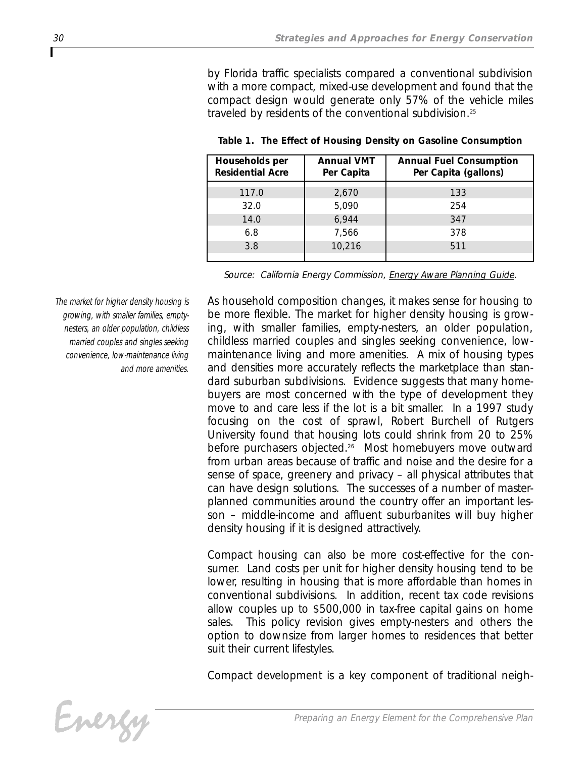*by Florida traffic specialists compared a conventional subdivision with a more compact, mixed-use development and found that the compact design would generate only 57% of the vehicle miles traveled by residents of the conventional subdivision.25*

| Households per<br><b>Residential Acre</b> | <b>Annual VMT</b><br>Per Capita | <b>Annual Fuel Consumption</b><br>Per Capita (gallons) |
|-------------------------------------------|---------------------------------|--------------------------------------------------------|
| 117.0                                     | 2,670                           | 133                                                    |
| 32.0                                      | 5,090                           | 254                                                    |
| 14.0                                      | 6,944                           | 347                                                    |
| 6.8                                       | 7.566                           | 378                                                    |
| 3.8                                       | 10,216                          | 511                                                    |
|                                           |                                 |                                                        |

*Table 1. The Effect of Housing Density on Gasoline Consumption*

*Source: California Energy Commission, Energy Aware Planning Guide.*

*The market for higher density housing is growing, with smaller families, emptynesters, an older population, childless married couples and singles seeking convenience, low-maintenance living and more amenities.*

*As household composition changes, it makes sense for housing to be more flexible. The market for higher density housing is growing, with smaller families, empty-nesters, an older population, childless married couples and singles seeking convenience, lowmaintenance living and more amenities. A mix of housing types and densities more accurately reflects the marketplace than standard suburban subdivisions. Evidence suggests that many homebuyers are most concerned with the type of development they move to and care less if the lot is a bit smaller. In a 1997 study focusing on the cost of sprawl, Robert Burchell of Rutgers University found that housing lots could shrink from 20 to 25% before purchasers objected.26 Most homebuyers move outward from urban areas because of traffic and noise and the desire for a sense of space, greenery and privacy – all physical attributes that can have design solutions. The successes of a number of masterplanned communities around the country offer an important lesson – middle-income and affluent suburbanites will buy higher density housing if it is designed attractively.* 

*Compact housing can also be more cost-effective for the consumer. Land costs per unit for higher density housing tend to be lower, resulting in housing that is more affordable than homes in conventional subdivisions. In addition, recent tax code revisions allow couples up to \$500,000 in tax-free capital gains on home sales. This policy revision gives empty-nesters and others the option to downsize from larger homes to residences that better suit their current lifestyles.*

*Compact development is a key component of traditional neigh-*

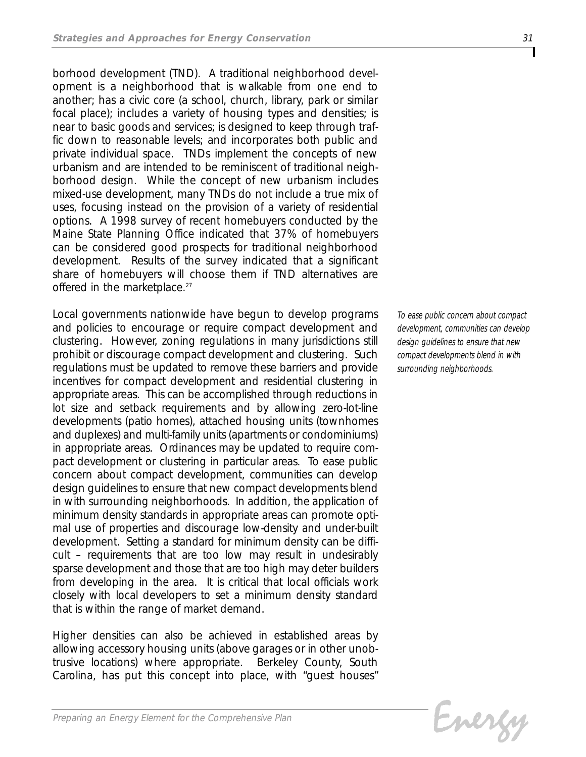*borhood development (TND). A traditional neighborhood development is a neighborhood that is walkable from one end to another; has a civic core (a school, church, library, park or similar focal place); includes a variety of housing types and densities; is near to basic goods and services; is designed to keep through traffic down to reasonable levels; and incorporates both public and private individual space. TNDs implement the concepts of new urbanism and are intended to be reminiscent of traditional neighborhood design. While the concept of new urbanism includes mixed-use development, many TNDs do not include a true mix of uses, focusing instead on the provision of a variety of residential options. A 1998 survey of recent homebuyers conducted by the Maine State Planning Office indicated that 37% of homebuyers can be considered good prospects for traditional neighborhood development. Results of the survey indicated that a significant share of homebuyers will choose them if TND alternatives are offered in the marketplace.27*

*Local governments nationwide have begun to develop programs and policies to encourage or require compact development and clustering. However, zoning regulations in many jurisdictions still prohibit or discourage compact development and clustering. Such regulations must be updated to remove these barriers and provide incentives for compact development and residential clustering in appropriate areas. This can be accomplished through reductions in lot size and setback requirements and by allowing zero-lot-line developments (patio homes), attached housing units (townhomes and duplexes) and multi-family units (apartments or condominiums) in appropriate areas. Ordinances may be updated to require compact development or clustering in particular areas. To ease public concern about compact development, communities can develop design guidelines to ensure that new compact developments blend in with surrounding neighborhoods. In addition, the application of minimum density standards in appropriate areas can promote optimal use of properties and discourage low-density and under-built development. Setting a standard for minimum density can be difficult – requirements that are too low may result in undesirably sparse development and those that are too high may deter builders from developing in the area. It is critical that local officials work closely with local developers to set a minimum density standard that is within the range of market demand.* 

*Higher densities can also be achieved in established areas by allowing accessory housing units (above garages or in other unobtrusive locations) where appropriate. Berkeley County, South Carolina, has put this concept into place, with "guest houses"*

*To ease public concern about compact development, communities can develop design guidelines to ensure that new compact developments blend in with surrounding neighborhoods.*

```
Evergy
```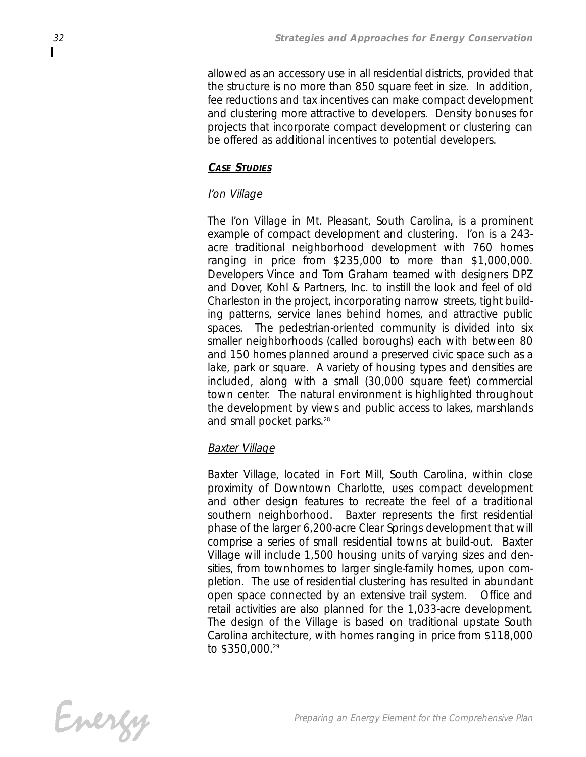*allowed as an accessory use in all residential districts, provided that the structure is no more than 850 square feet in size. In addition, fee reductions and tax incentives can make compact development and clustering more attractive to developers. Density bonuses for projects that incorporate compact development or clustering can be offered as additional incentives to potential developers.*

### *CASE STUDIES*

### *I'on Village*

*The I'on Village in Mt. Pleasant, South Carolina, is a prominent example of compact development and clustering. I'on is a 243 acre traditional neighborhood development with 760 homes ranging in price from \$235,000 to more than \$1,000,000. Developers Vince and Tom Graham teamed with designers DPZ and Dover, Kohl & Partners, Inc. to instill the look and feel of old Charleston in the project, incorporating narrow streets, tight building patterns, service lanes behind homes, and attractive public spaces. The pedestrian-oriented community is divided into six smaller neighborhoods (called boroughs) each with between 80 and 150 homes planned around a preserved civic space such as a lake, park or square. A variety of housing types and densities are included, along with a small (30,000 square feet) commercial town center. The natural environment is highlighted throughout the development by views and public access to lakes, marshlands and small pocket parks.28*

### *Baxter Village*

*Baxter Village, located in Fort Mill, South Carolina, within close proximity of Downtown Charlotte, uses compact development and other design features to recreate the feel of a traditional southern neighborhood. Baxter represents the first residential phase of the larger 6,200-acre Clear Springs development that will comprise a series of small residential towns at build-out. Baxter Village will include 1,500 housing units of varying sizes and densities, from townhomes to larger single-family homes, upon completion. The use of residential clustering has resulted in abundant open space connected by an extensive trail system. Office and retail activities are also planned for the 1,033-acre development. The design of the Village is based on traditional upstate South Carolina architecture, with homes ranging in price from \$118,000 to \$350,000.29*

Energy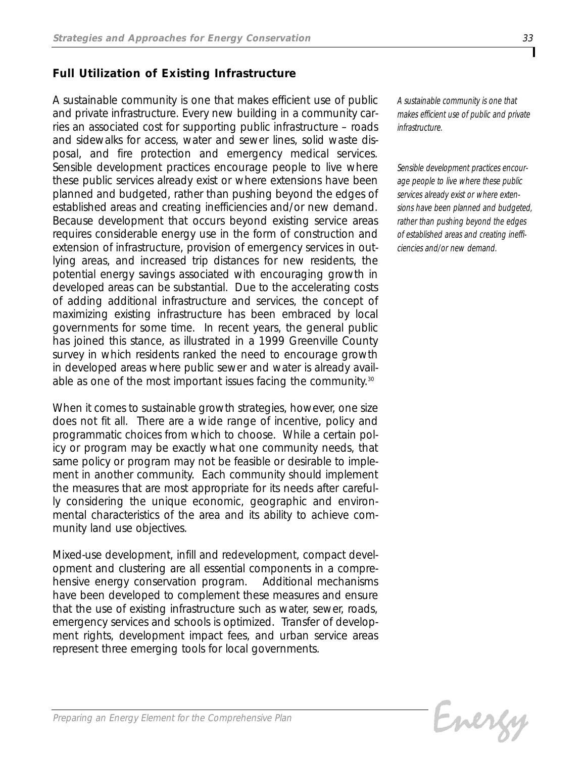## *Full Utilization of Existing Infrastructure*

*A sustainable community is one that makes efficient use of public and private infrastructure. Every new building in a community carries an associated cost for supporting public infrastructure – roads and sidewalks for access, water and sewer lines, solid waste disposal, and fire protection and emergency medical services. Sensible development practices encourage people to live where these public services already exist or where extensions have been planned and budgeted, rather than pushing beyond the edges of established areas and creating inefficiencies and/or new demand. Because development that occurs beyond existing service areas requires considerable energy use in the form of construction and extension of infrastructure, provision of emergency services in outlying areas, and increased trip distances for new residents, the potential energy savings associated with encouraging growth in developed areas can be substantial. Due to the accelerating costs of adding additional infrastructure and services, the concept of maximizing existing infrastructure has been embraced by local governments for some time. In recent years, the general public has joined this stance, as illustrated in a 1999 Greenville County survey in which residents ranked the need to encourage growth in developed areas where public sewer and water is already available as one of the most important issues facing the community.30*

*When it comes to sustainable growth strategies, however, one size does not fit all. There are a wide range of incentive, policy and programmatic choices from which to choose. While a certain policy or program may be exactly what one community needs, that same policy or program may not be feasible or desirable to implement in another community. Each community should implement the measures that are most appropriate for its needs after carefully considering the unique economic, geographic and environmental characteristics of the area and its ability to achieve community land use objectives.*

*Mixed-use development, infill and redevelopment, compact development and clustering are all essential components in a comprehensive energy conservation program. Additional mechanisms have been developed to complement these measures and ensure that the use of existing infrastructure such as water, sewer, roads, emergency services and schools is optimized. Transfer of development rights, development impact fees, and urban service areas represent three emerging tools for local governments.* 

*A sustainable community is one that makes efficient use of public and private infrastructure.*

*Sensible development practices encourage people to live where these public services already exist or where extensions have been planned and budgeted, rather than pushing beyond the edges of established areas and creating inefficiencies and/or new demand.* 

Evergy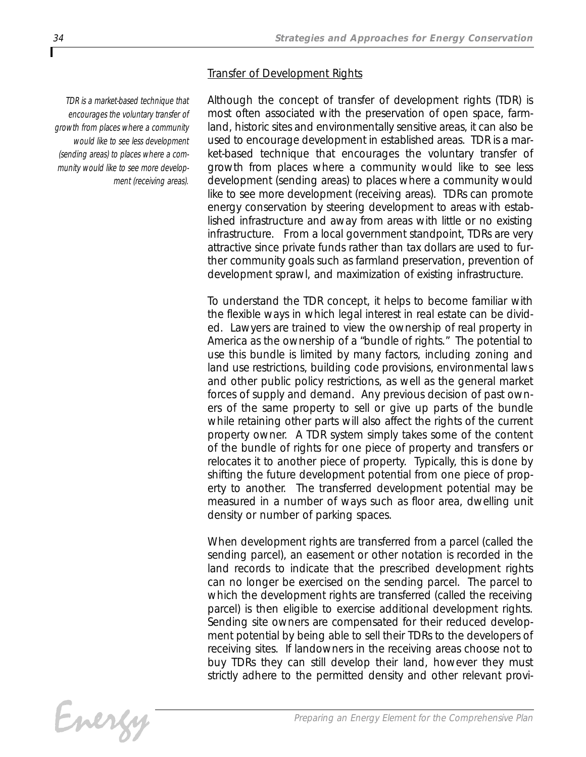#### *Transfer of Development Rights*

*TDR is a market-based technique that encourages the voluntary transfer of growth from places where a community would like to see less development (sending areas) to places where a community would like to see more development (receiving areas).*

*Although the concept of transfer of development rights (TDR) is most often associated with the preservation of open space, farmland, historic sites and environmentally sensitive areas, it can also be used to encourage development in established areas. TDR is a market-based technique that encourages the voluntary transfer of growth from places where a community would like to see less development (sending areas) to places where a community would like to see more development (receiving areas). TDRs can promote energy conservation by steering development to areas with established infrastructure and away from areas with little or no existing infrastructure. From a local government standpoint, TDRs are very attractive since private funds rather than tax dollars are used to further community goals such as farmland preservation, prevention of development sprawl, and maximization of existing infrastructure.*

*To understand the TDR concept, it helps to become familiar with the flexible ways in which legal interest in real estate can be divided. Lawyers are trained to view the ownership of real property in America as the ownership of a "bundle of rights." The potential to use this bundle is limited by many factors, including zoning and land use restrictions, building code provisions, environmental laws and other public policy restrictions, as well as the general market forces of supply and demand. Any previous decision of past owners of the same property to sell or give up parts of the bundle while retaining other parts will also affect the rights of the current property owner. A TDR system simply takes some of the content of the bundle of rights for one piece of property and transfers or relocates it to another piece of property. Typically, this is done by shifting the future development potential from one piece of property to another. The transferred development potential may be measured in a number of ways such as floor area, dwelling unit density or number of parking spaces.* 

*When development rights are transferred from a parcel (called the sending parcel), an easement or other notation is recorded in the land records to indicate that the prescribed development rights can no longer be exercised on the sending parcel. The parcel to which the development rights are transferred (called the receiving parcel) is then eligible to exercise additional development rights. Sending site owners are compensated for their reduced development potential by being able to sell their TDRs to the developers of receiving sites. If landowners in the receiving areas choose not to buy TDRs they can still develop their land, however they must strictly adhere to the permitted density and other relevant provi-*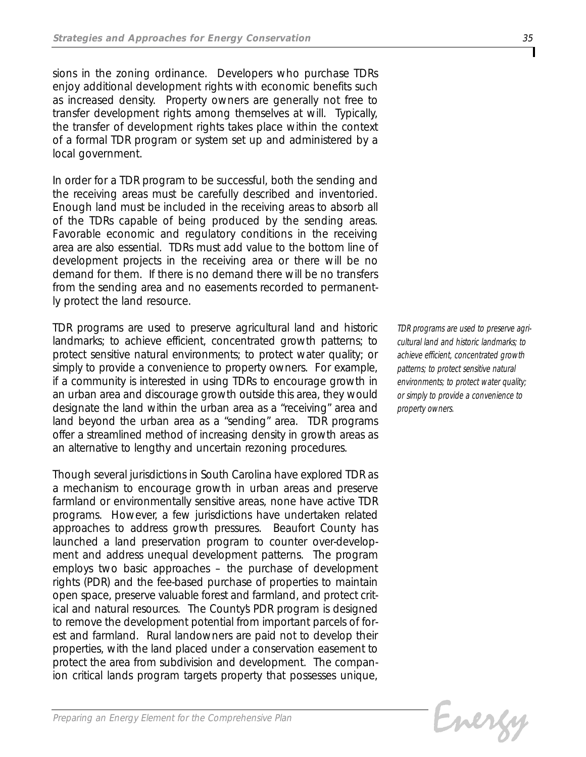*sions in the zoning ordinance. Developers who purchase TDRs enjoy additional development rights with economic benefits such as increased density. Property owners are generally not free to transfer development rights among themselves at will. Typically, the transfer of development rights takes place within the context of a formal TDR program or system set up and administered by a local government.*

*In order for a TDR program to be successful, both the sending and the receiving areas must be carefully described and inventoried. Enough land must be included in the receiving areas to absorb all of the TDRs capable of being produced by the sending areas. Favorable economic and regulatory conditions in the receiving area are also essential. TDRs must add value to the bottom line of development projects in the receiving area or there will be no demand for them. If there is no demand there will be no transfers from the sending area and no easements recorded to permanently protect the land resource.*

*TDR programs are used to preserve agricultural land and historic landmarks; to achieve efficient, concentrated growth patterns; to protect sensitive natural environments; to protect water quality; or simply to provide a convenience to property owners. For example, if a community is interested in using TDRs to encourage growth in an urban area and discourage growth outside this area, they would designate the land within the urban area as a "receiving" area and land beyond the urban area as a "sending" area. TDR programs offer a streamlined method of increasing density in growth areas as an alternative to lengthy and uncertain rezoning procedures.* 

*Though several jurisdictions in South Carolina have explored TDR as a mechanism to encourage growth in urban areas and preserve farmland or environmentally sensitive areas, none have active TDR programs. However, a few jurisdictions have undertaken related approaches to address growth pressures. Beaufort County has launched a land preservation program to counter over-development and address unequal development patterns. The program employs two basic approaches – the purchase of development rights (PDR) and the fee-based purchase of properties to maintain open space, preserve valuable forest and farmland, and protect critical and natural resources. The County's PDR program is designed to remove the development potential from important parcels of forest and farmland. Rural landowners are paid not to develop their properties, with the land placed under a conservation easement to protect the area from subdivision and development. The companion critical lands program targets property that possesses unique,*

*TDR programs are used to preserve agricultural land and historic landmarks; to achieve efficient, concentrated growth patterns; to protect sensitive natural environments; to protect water quality; or simply to provide a convenience to property owners.*

Evergy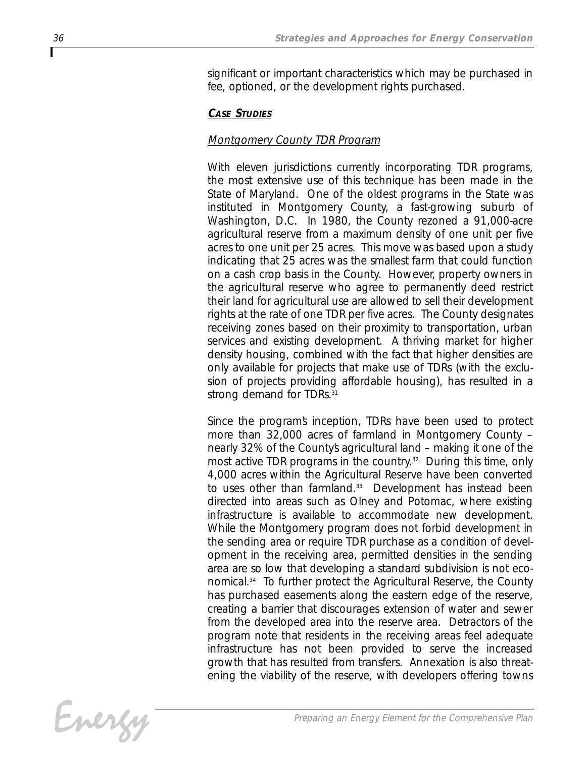*significant or important characteristics which may be purchased in fee, optioned, or the development rights purchased.*

## *CASE STUDIES*

## *Montgomery County TDR Program*

*With eleven jurisdictions currently incorporating TDR programs, the most extensive use of this technique has been made in the State of Maryland. One of the oldest programs in the State was instituted in Montgomery County, a fast-growing suburb of Washington, D.C. In 1980, the County rezoned a 91,000-acre agricultural reserve from a maximum density of one unit per five acres to one unit per 25 acres. This move was based upon a study indicating that 25 acres was the smallest farm that could function on a cash crop basis in the County. However, property owners in the agricultural reserve who agree to permanently deed restrict their land for agricultural use are allowed to sell their development rights at the rate of one TDR per five acres. The County designates receiving zones based on their proximity to transportation, urban services and existing development. A thriving market for higher density housing, combined with the fact that higher densities are only available for projects that make use of TDRs (with the exclusion of projects providing affordable housing), has resulted in a strong demand for TDRs.31*

*Since the program's inception, TDRs have been used to protect more than 32,000 acres of farmland in Montgomery County – nearly 32% of the County's agricultural land – making it one of the most active TDR programs in the country.32 During this time, only 4,000 acres within the Agricultural Reserve have been converted to uses other than farmland.33 Development has instead been directed into areas such as Olney and Potomac, where existing infrastructure is available to accommodate new development. While the Montgomery program does not forbid development in the sending area or require TDR purchase as a condition of development in the receiving area, permitted densities in the sending area are so low that developing a standard subdivision is not economical.34 To further protect the Agricultural Reserve, the County has purchased easements along the eastern edge of the reserve, creating a barrier that discourages extension of water and sewer from the developed area into the reserve area. Detractors of the program note that residents in the receiving areas feel adequate infrastructure has not been provided to serve the increased growth that has resulted from transfers. Annexation is also threatening the viability of the reserve, with developers offering towns*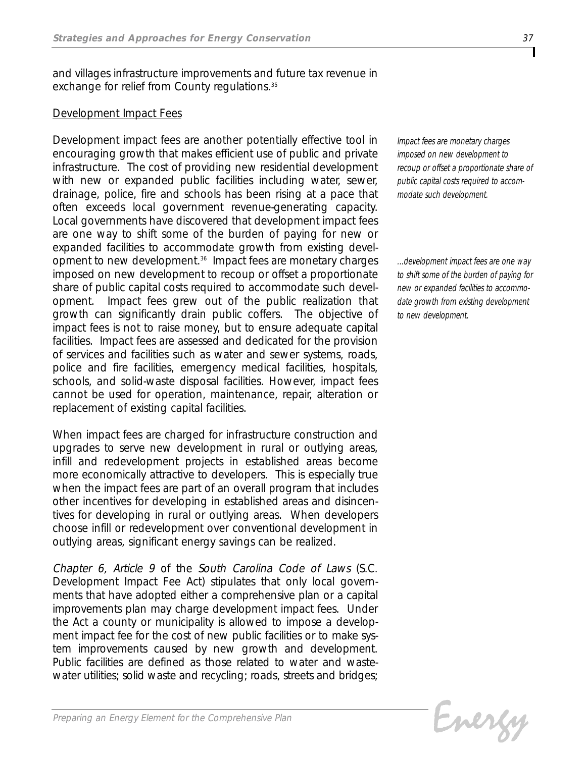*and villages infrastructure improvements and future tax revenue in exchange for relief from County regulations.35*

## *Development Impact Fees*

*Development impact fees are another potentially effective tool in encouraging growth that makes efficient use of public and private infrastructure. The cost of providing new residential development with new or expanded public facilities including water, sewer, drainage, police, fire and schools has been rising at a pace that often exceeds local government revenue-generating capacity. Local governments have discovered that development impact fees are one way to shift some of the burden of paying for new or expanded facilities to accommodate growth from existing development to new development.36 Impact fees are monetary charges imposed on new development to recoup or offset a proportionate share of public capital costs required to accommodate such development. Impact fees grew out of the public realization that growth can significantly drain public coffers. The objective of impact fees is not to raise money, but to ensure adequate capital facilities. Impact fees are assessed and dedicated for the provision of services and facilities such as water and sewer systems, roads, police and fire facilities, emergency medical facilities, hospitals, schools, and solid-waste disposal facilities. However, impact fees cannot be used for operation, maintenance, repair, alteration or replacement of existing capital facilities.* 

*When impact fees are charged for infrastructure construction and upgrades to serve new development in rural or outlying areas, infill and redevelopment projects in established areas become more economically attractive to developers. This is especially true when the impact fees are part of an overall program that includes other incentives for developing in established areas and disincentives for developing in rural or outlying areas. When developers choose infill or redevelopment over conventional development in outlying areas, significant energy savings can be realized.* 

*Chapter 6, Article 9 of the South Carolina Code of Laws (S.C. Development Impact Fee Act) stipulates that only local governments that have adopted either a comprehensive plan or a capital improvements plan may charge development impact fees. Under the Act a county or municipality is allowed to impose a development impact fee for the cost of new public facilities or to make system improvements caused by new growth and development. Public facilities are defined as those related to water and wastewater utilities; solid waste and recycling; roads, streets and bridges;*

*Impact fees are monetary charges imposed on new development to recoup or offset a proportionate share of public capital costs required to accommodate such development.*

*...development impact fees are one way to shift some of the burden of paying for new or expanded facilities to accommodate growth from existing development to new development.*

Energy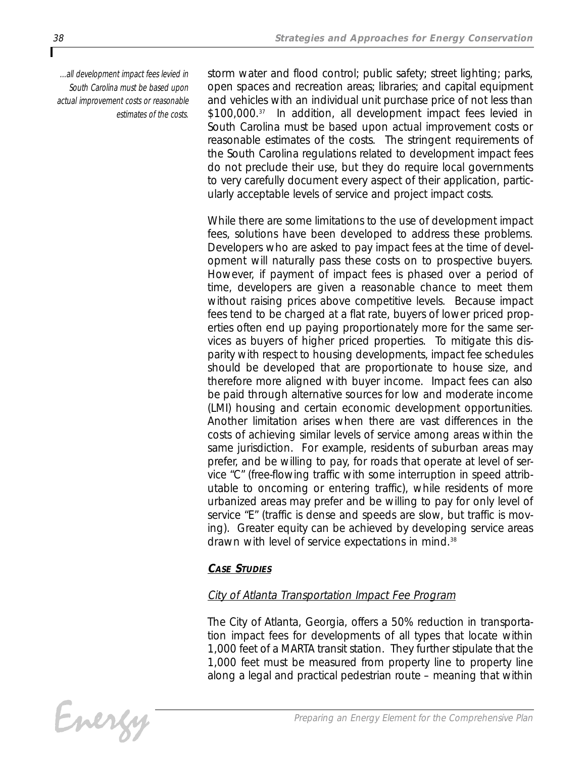*...all development impact fees levied in South Carolina must be based upon actual improvement costs or reasonable estimates of the costs.*

*storm water and flood control; public safety; street lighting; parks, open spaces and recreation areas; libraries; and capital equipment and vehicles with an individual unit purchase price of not less than \$100,000.37 In addition, all development impact fees levied in South Carolina must be based upon actual improvement costs or reasonable estimates of the costs. The stringent requirements of the South Carolina regulations related to development impact fees do not preclude their use, but they do require local governments to very carefully document every aspect of their application, particularly acceptable levels of service and project impact costs.*

*While there are some limitations to the use of development impact fees, solutions have been developed to address these problems. Developers who are asked to pay impact fees at the time of development will naturally pass these costs on to prospective buyers. However, if payment of impact fees is phased over a period of time, developers are given a reasonable chance to meet them without raising prices above competitive levels. Because impact fees tend to be charged at a flat rate, buyers of lower priced properties often end up paying proportionately more for the same services as buyers of higher priced properties. To mitigate this disparity with respect to housing developments, impact fee schedules should be developed that are proportionate to house size, and therefore more aligned with buyer income. Impact fees can also be paid through alternative sources for low and moderate income (LMI) housing and certain economic development opportunities. Another limitation arises when there are vast differences in the costs of achieving similar levels of service among areas within the same jurisdiction. For example, residents of suburban areas may prefer, and be willing to pay, for roads that operate at level of service "C" (free-flowing traffic with some interruption in speed attributable to oncoming or entering traffic), while residents of more urbanized areas may prefer and be willing to pay for only level of service "E" (traffic is dense and speeds are slow, but traffic is moving). Greater equity can be achieved by developing service areas drawn with level of service expectations in mind.38*

## *CASE STUDIES*

## *City of Atlanta Transportation Impact Fee Program*

*The City of Atlanta, Georgia, offers a 50% reduction in transportation impact fees for developments of all types that locate within 1,000 feet of a MARTA transit station. They further stipulate that the 1,000 feet must be measured from property line to property line along a legal and practical pedestrian route – meaning that within*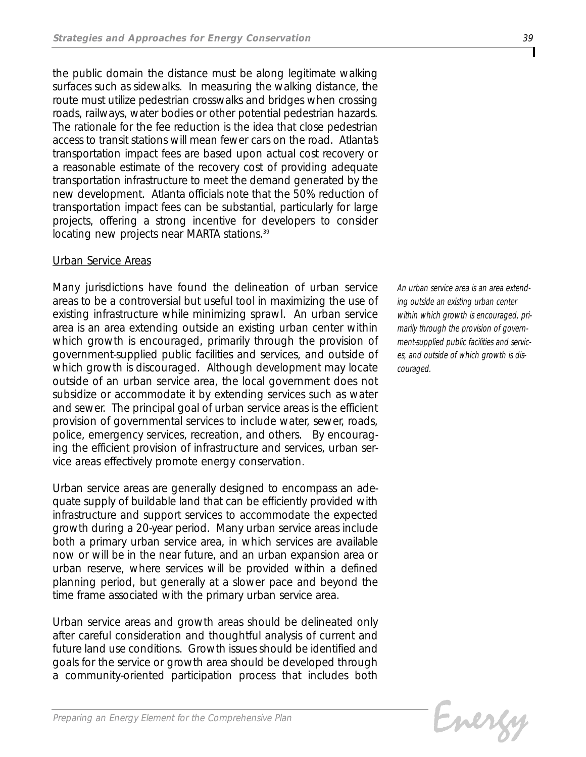*the public domain the distance must be along legitimate walking surfaces such as sidewalks. In measuring the walking distance, the route must utilize pedestrian crosswalks and bridges when crossing roads, railways, water bodies or other potential pedestrian hazards. The rationale for the fee reduction is the idea that close pedestrian access to transit stations will mean fewer cars on the road. Atlanta's transportation impact fees are based upon actual cost recovery or a reasonable estimate of the recovery cost of providing adequate transportation infrastructure to meet the demand generated by the new development. Atlanta officials note that the 50% reduction of transportation impact fees can be substantial, particularly for large projects, offering a strong incentive for developers to consider locating new projects near MARTA stations.39*

## *Urban Service Areas*

*Many jurisdictions have found the delineation of urban service areas to be a controversial but useful tool in maximizing the use of existing infrastructure while minimizing sprawl. An urban service area is an area extending outside an existing urban center within which growth is encouraged, primarily through the provision of government-supplied public facilities and services, and outside of which growth is discouraged. Although development may locate outside of an urban service area, the local government does not subsidize or accommodate it by extending services such as water and sewer. The principal goal of urban service areas is the efficient provision of governmental services to include water, sewer, roads, police, emergency services, recreation, and others. By encouraging the efficient provision of infrastructure and services, urban service areas effectively promote energy conservation.*

*Urban service areas are generally designed to encompass an adequate supply of buildable land that can be efficiently provided with infrastructure and support services to accommodate the expected growth during a 20-year period. Many urban service areas include both a primary urban service area, in which services are available now or will be in the near future, and an urban expansion area or urban reserve, where services will be provided within a defined planning period, but generally at a slower pace and beyond the time frame associated with the primary urban service area.*

*Urban service areas and growth areas should be delineated only after careful consideration and thoughtful analysis of current and future land use conditions. Growth issues should be identified and goals for the service or growth area should be developed through a community-oriented participation process that includes both*

*An urban service area is an area extending outside an existing urban center within which growth is encouraged, primarily through the provision of government-supplied public facilities and services, and outside of which growth is discouraged.*

```
Evergy
```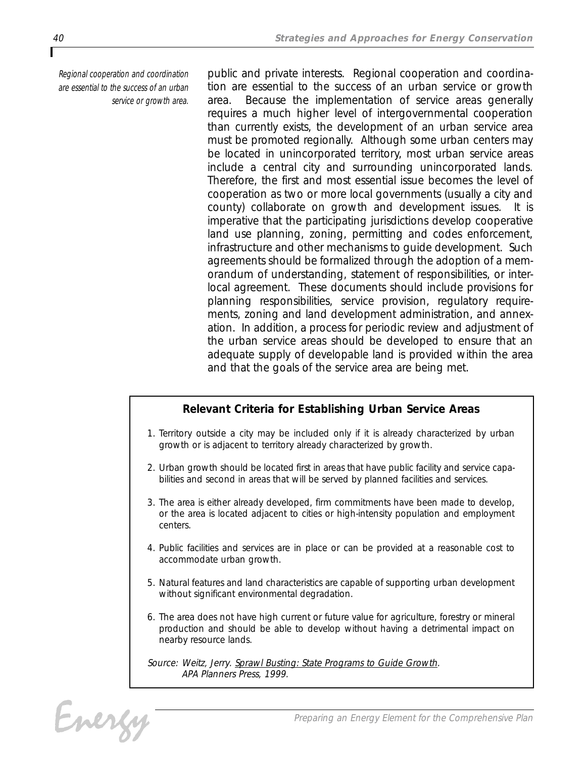*Regional cooperation and coordination are essential to the success of an urban service or growth area.* 

*public and private interests. Regional cooperation and coordination are essential to the success of an urban service or growth area. Because the implementation of service areas generally requires a much higher level of intergovernmental cooperation than currently exists, the development of an urban service area must be promoted regionally. Although some urban centers may be located in unincorporated territory, most urban service areas include a central city and surrounding unincorporated lands. Therefore, the first and most essential issue becomes the level of cooperation as two or more local governments (usually a city and county) collaborate on growth and development issues. It is imperative that the participating jurisdictions develop cooperative land use planning, zoning, permitting and codes enforcement, infrastructure and other mechanisms to guide development. Such agreements should be formalized through the adoption of a memorandum of understanding, statement of responsibilities, or interlocal agreement. These documents should include provisions for planning responsibilities, service provision, regulatory requirements, zoning and land development administration, and annexation. In addition, a process for periodic review and adjustment of the urban service areas should be developed to ensure that an adequate supply of developable land is provided within the area and that the goals of the service area are being met.*

## *Relevant Criteria for Establishing Urban Service Areas*

- *1. Territory outside a city may be included only if it is already characterized by urban growth or is adjacent to territory already characterized by growth.*
- *2. Urban growth should be located first in areas that have public facility and service capabilities and second in areas that will be served by planned facilities and services.*
- *3. The area is either already developed, firm commitments have been made to develop, or the area is located adjacent to cities or high-intensity population and employment centers.*
- *4. Public facilities and services are in place or can be provided at a reasonable cost to accommodate urban growth.*
- *5. Natural features and land characteristics are capable of supporting urban development without significant environmental degradation.*
- *6. The area does not have high current or future value for agriculture, forestry or mineral production and should be able to develop without having a detrimental impact on nearby resource lands.*

*Source: Weitz, Jerry. Sprawl Busting: State Programs to Guide Growth. APA Planners Press, 1999.*

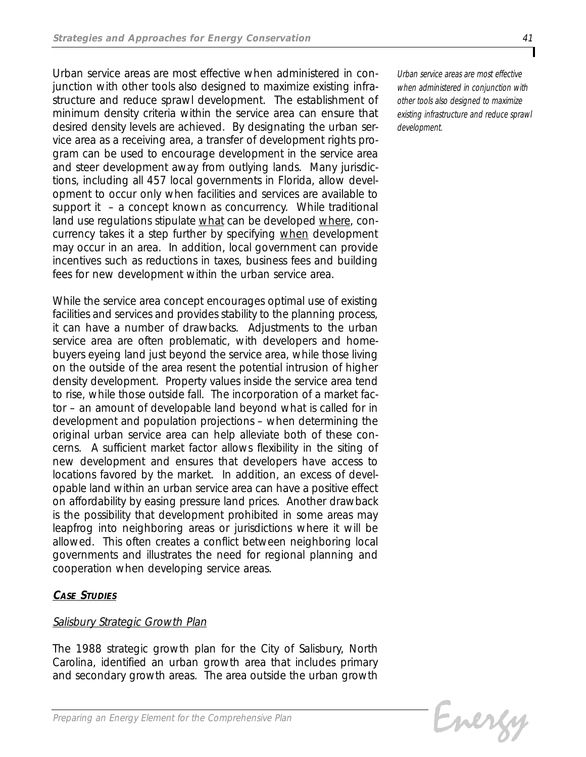*Urban service areas are most effective when administered in conjunction with other tools also designed to maximize existing infrastructure and reduce sprawl development. The establishment of minimum density criteria within the service area can ensure that desired density levels are achieved. By designating the urban service area as a receiving area, a transfer of development rights program can be used to encourage development in the service area and steer development away from outlying lands. Many jurisdictions, including all 457 local governments in Florida, allow development to occur only when facilities and services are available to support it – a concept known as concurrency. While traditional land use regulations stipulate what can be developed where, concurrency takes it a step further by specifying when development may occur in an area. In addition, local government can provide incentives such as reductions in taxes, business fees and building fees for new development within the urban service area.*

*While the service area concept encourages optimal use of existing facilities and services and provides stability to the planning process, it can have a number of drawbacks. Adjustments to the urban service area are often problematic, with developers and homebuyers eyeing land just beyond the service area, while those living on the outside of the area resent the potential intrusion of higher density development. Property values inside the service area tend to rise, while those outside fall. The incorporation of a market factor – an amount of developable land beyond what is called for in development and population projections – when determining the original urban service area can help alleviate both of these concerns. A sufficient market factor allows flexibility in the siting of new development and ensures that developers have access to locations favored by the market. In addition, an excess of developable land within an urban service area can have a positive effect on affordability by easing pressure land prices. Another drawback is the possibility that development prohibited in some areas may leapfrog into neighboring areas or jurisdictions where it will be allowed. This often creates a conflict between neighboring local governments and illustrates the need for regional planning and cooperation when developing service areas.*

## *CASE STUDIES*

## *Salisbury Strategic Growth Plan*

*The 1988 strategic growth plan for the City of Salisbury, North Carolina, identified an urban growth area that includes primary and secondary growth areas. The area outside the urban growth*

*Urban service areas are most effective when administered in conjunction with other tools also designed to maximize existing infrastructure and reduce sprawl development.*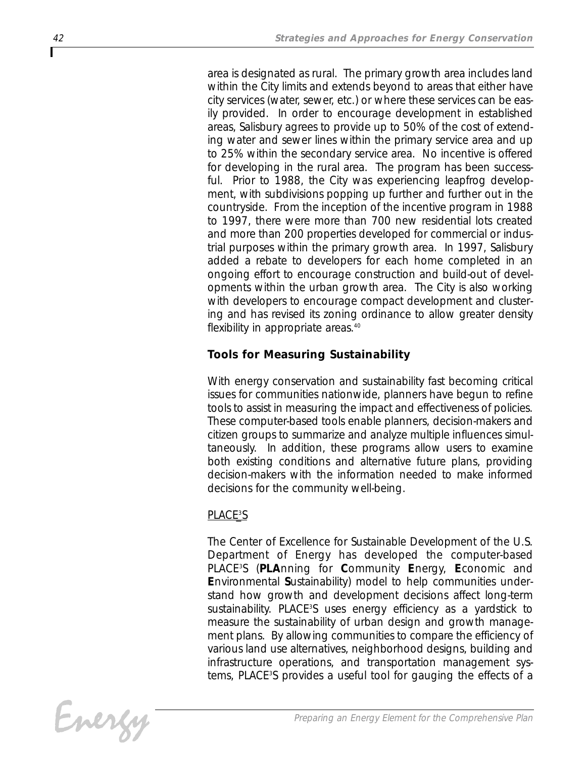*area is designated as rural. The primary growth area includes land within the City limits and extends beyond to areas that either have city services (water, sewer, etc.) or where these services can be easily provided. In order to encourage development in established areas, Salisbury agrees to provide up to 50% of the cost of extending water and sewer lines within the primary service area and up to 25% within the secondary service area. No incentive is offered for developing in the rural area. The program has been successful. Prior to 1988, the City was experiencing leapfrog development, with subdivisions popping up further and further out in the countryside. From the inception of the incentive program in 1988 to 1997, there were more than 700 new residential lots created and more than 200 properties developed for commercial or industrial purposes within the primary growth area. In 1997, Salisbury added a rebate to developers for each home completed in an ongoing effort to encourage construction and build-out of developments within the urban growth area. The City is also working with developers to encourage compact development and clustering and has revised its zoning ordinance to allow greater density flexibility in appropriate areas.40*

## *Tools for Measuring Sustainability*

*With energy conservation and sustainability fast becoming critical issues for communities nationwide, planners have begun to refine tools to assist in measuring the impact and effectiveness of policies. These computer-based tools enable planners, decision-makers and citizen groups to summarize and analyze multiple influences simultaneously. In addition, these programs allow users to examine both existing conditions and alternative future plans, providing decision-makers with the information needed to make informed decisions for the community well-being.*

## *PLACE3 \_S*

*The Center of Excellence for Sustainable Development of the U.S. Department of Energy has developed the computer-based PLACE3 S (PLAnning for Community Energy, Economic and Environmental Sustainability) model to help communities understand how growth and development decisions affect long-term* sustainability. PLACE<sup>3</sup>S uses energy efficiency as a yardstick to *measure the sustainability of urban design and growth management plans. By allowing communities to compare the efficiency of various land use alternatives, neighborhood designs, building and infrastructure operations, and transportation management systems, PLACE3 S provides a useful tool for gauging the effects of a*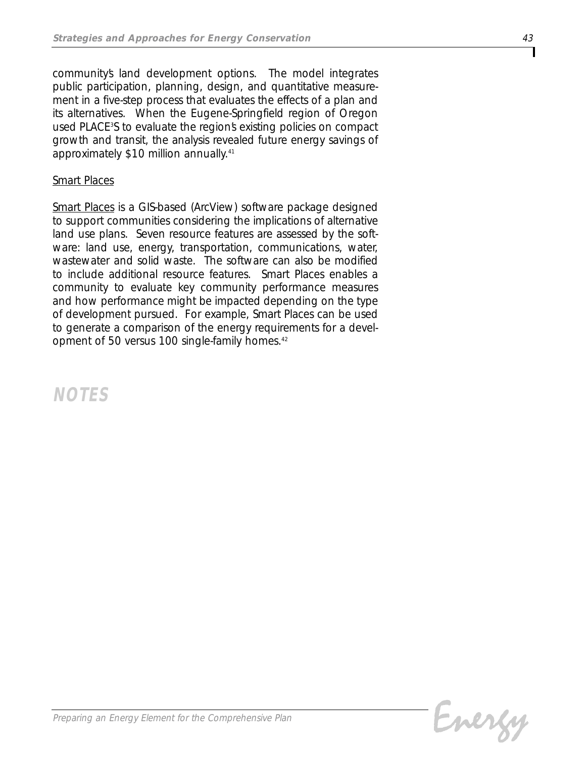*community's land development options. The model integrates public participation, planning, design, and quantitative measurement in a five-step process that evaluates the effects of a plan and its alternatives. When the Eugene-Springfield region of Oregon used PLACE3 S to evaluate the region's existing policies on compact growth and transit, the analysis revealed future energy savings of approximately \$10 million annually.41*

## *Smart Places*

*Smart Places is a GIS-based (ArcView) software package designed to support communities considering the implications of alternative land use plans. Seven resource features are assessed by the software: land use, energy, transportation, communications, water, wastewater and solid waste. The software can also be modified to include additional resource features. Smart Places enables a community to evaluate key community performance measures and how performance might be impacted depending on the type of development pursued. For example, Smart Places can be used to generate a comparison of the energy requirements for a development of 50 versus 100 single-family homes.42*

*NOTES*

Energy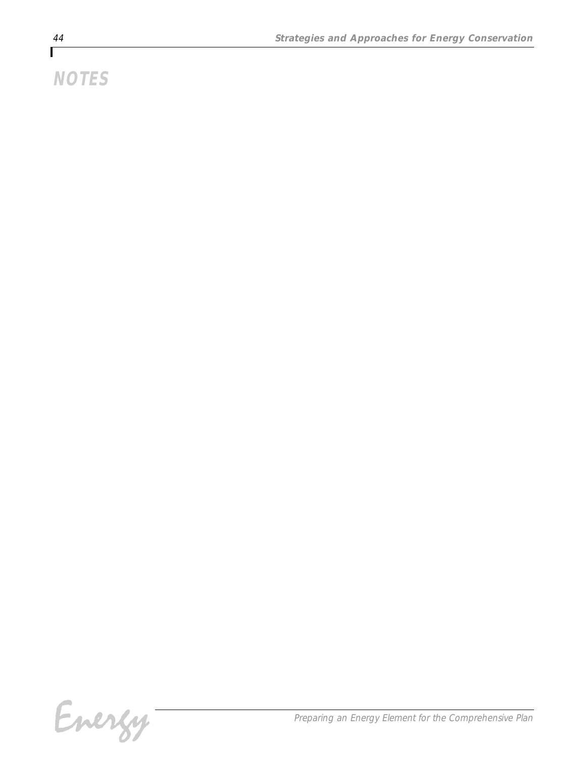# *NOTES*

Energy-

*Preparing an Energy Element for the Comprehensive Plan*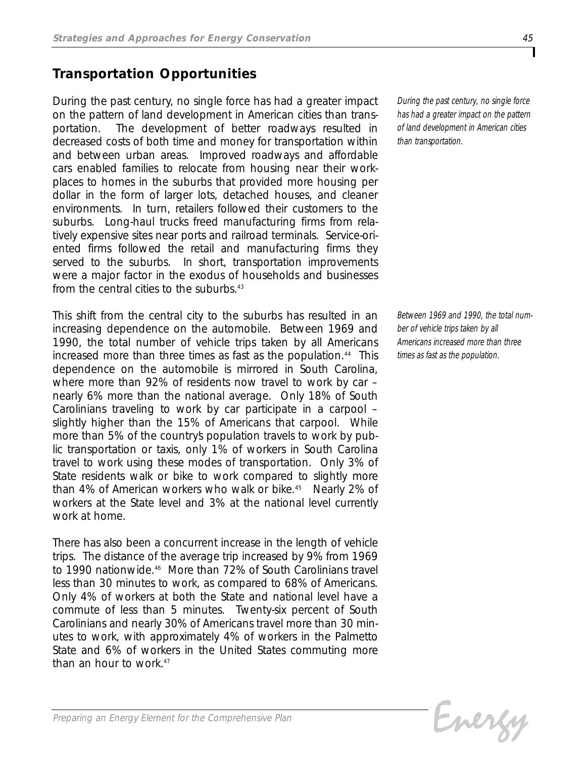## *Transportation Opportunities*

*During the past century, no single force has had a greater impact on the pattern of land development in American cities than transportation. The development of better roadways resulted in decreased costs of both time and money for transportation within and between urban areas. Improved roadways and affordable cars enabled families to relocate from housing near their workplaces to homes in the suburbs that provided more housing per dollar in the form of larger lots, detached houses, and cleaner environments. In turn, retailers followed their customers to the suburbs. Long-haul trucks freed manufacturing firms from relatively expensive sites near ports and railroad terminals. Service-oriented firms followed the retail and manufacturing firms they served to the suburbs. In short, transportation improvements were a major factor in the exodus of households and businesses from the central cities to the suburbs.43*

*This shift from the central city to the suburbs has resulted in an increasing dependence on the automobile. Between 1969 and 1990, the total number of vehicle trips taken by all Americans increased more than three times as fast as the population.44 This dependence on the automobile is mirrored in South Carolina, where more than 92% of residents now travel to work by car – nearly 6% more than the national average. Only 18% of South Carolinians traveling to work by car participate in a carpool – slightly higher than the 15% of Americans that carpool. While* more than 5% of the countrys population travels to work by pub*lic transportation or taxis, only 1% of workers in South Carolina travel to work using these modes of transportation. Only 3% of State residents walk or bike to work compared to slightly more than 4% of American workers who walk or bike.45 Nearly 2% of workers at the State level and 3% at the national level currently work at home.*

*There has also been a concurrent increase in the length of vehicle trips. The distance of the average trip increased by 9% from 1969 to 1990 nationwide.46 More than 72% of South Carolinians travel less than 30 minutes to work, as compared to 68% of Americans. Only 4% of workers at both the State and national level have a commute of less than 5 minutes. Twenty-six percent of South Carolinians and nearly 30% of Americans travel more than 30 minutes to work, with approximately 4% of workers in the Palmetto State and 6% of workers in the United States commuting more than an hour to work.47*

*During the past century, no single force has had a greater impact on the pattern of land development in American cities than transportation.*

*Between 1969 and 1990, the total number of vehicle trips taken by all Americans increased more than three times as fast as the population.*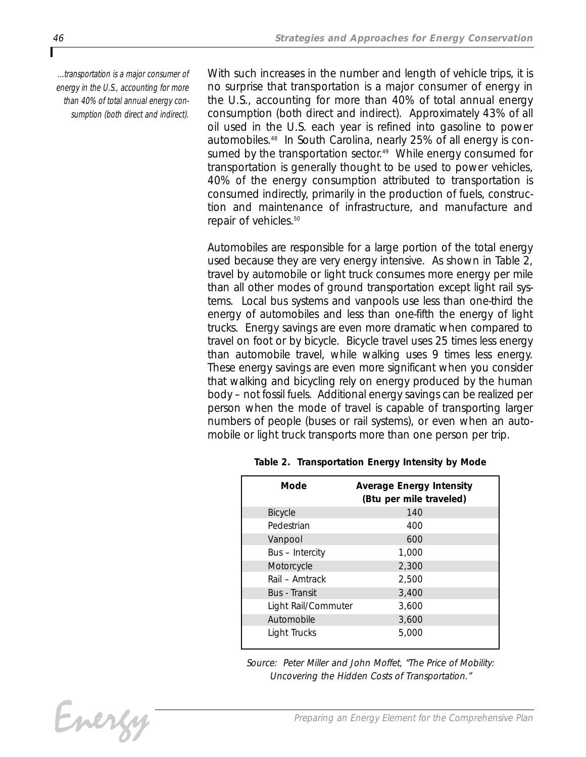*...transportation is a major consumer of energy in the U.S., accounting for more than 40% of total annual energy consumption (both direct and indirect).*

*With such increases in the number and length of vehicle trips, it is no surprise that transportation is a major consumer of energy in the U.S., accounting for more than 40% of total annual energy consumption (both direct and indirect). Approximately 43% of all oil used in the U.S. each year is refined into gasoline to power automobiles.48 In South Carolina, nearly 25% of all energy is consumed by the transportation sector.49 While energy consumed for transportation is generally thought to be used to power vehicles, 40% of the energy consumption attributed to transportation is consumed indirectly, primarily in the production of fuels, construction and maintenance of infrastructure, and manufacture and repair of vehicles.50*

*Automobiles are responsible for a large portion of the total energy used because they are very energy intensive. As shown in Table 2, travel by automobile or light truck consumes more energy per mile than all other modes of ground transportation except light rail systems. Local bus systems and vanpools use less than one-third the energy of automobiles and less than one-fifth the energy of light trucks. Energy savings are even more dramatic when compared to travel on foot or by bicycle. Bicycle travel uses 25 times less energy than automobile travel, while walking uses 9 times less energy. These energy savings are even more significant when you consider that walking and bicycling rely on energy produced by the human body – not fossil fuels. Additional energy savings can be realized per person when the mode of travel is capable of transporting larger numbers of people (buses or rail systems), or even when an automobile or light truck transports more than one person per trip.*

| Mode                 | <b>Average Energy Intensity</b><br>(Btu per mile traveled) |
|----------------------|------------------------------------------------------------|
| <b>Bicycle</b>       | 140                                                        |
| Pedestrian           | 400                                                        |
| Vanpool              | 600                                                        |
| Bus - Intercity      | 1,000                                                      |
| Motorcycle           | 2,300                                                      |
| Rail - Amtrack       | 2,500                                                      |
| <b>Bus</b> - Transit | 3,400                                                      |
| Light Rail/Commuter  | 3,600                                                      |
| Automobile           | 3,600                                                      |
| Light Trucks         | 5,000                                                      |

*Table 2. Transportation Energy Intensity by Mode*

*Source: Peter Miller and John Moffet, "The Price of Mobility: Uncovering the Hidden Costs of Transportation."*

Energy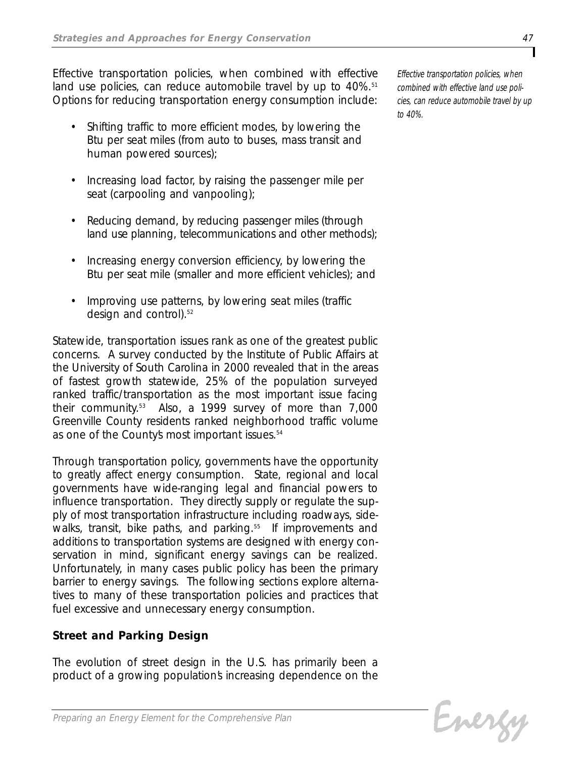*Effective transportation policies, when combined with effective land use policies, can reduce automobile travel by up to 40%.51 Options for reducing transportation energy consumption include:*

- *• Shifting traffic to more efficient modes, by lowering the Btu per seat miles (from auto to buses, mass transit and human powered sources);*
- *• Increasing load factor, by raising the passenger mile per seat (carpooling and vanpooling);*
- *• Reducing demand, by reducing passenger miles (through land use planning, telecommunications and other methods);*
- *• Increasing energy conversion efficiency, by lowering the Btu per seat mile (smaller and more efficient vehicles); and*
- *• Improving use patterns, by lowering seat miles (traffic design and control).52*

*Statewide, transportation issues rank as one of the greatest public concerns. A survey conducted by the Institute of Public Affairs at the University of South Carolina in 2000 revealed that in the areas of fastest growth statewide, 25% of the population surveyed ranked traffic/transportation as the most important issue facing their community.53 Also, a 1999 survey of more than 7,000 Greenville County residents ranked neighborhood traffic volume as one of the County's most important issues.54*

*Through transportation policy, governments have the opportunity to greatly affect energy consumption. State, regional and local governments have wide-ranging legal and financial powers to influence transportation. They directly supply or regulate the supply of most transportation infrastructure including roadways, sidewalks, transit, bike paths, and parking.55 If improvements and additions to transportation systems are designed with energy conservation in mind, significant energy savings can be realized. Unfortunately, in many cases public policy has been the primary barrier to energy savings. The following sections explore alternatives to many of these transportation policies and practices that fuel excessive and unnecessary energy consumption.*

## *Street and Parking Design*

*The evolution of street design in the U.S. has primarily been a product of a growing population's increasing dependence on the*

Evergy

*Effective transportation policies, when combined with effective land use policies, can reduce automobile travel by up to 40%.*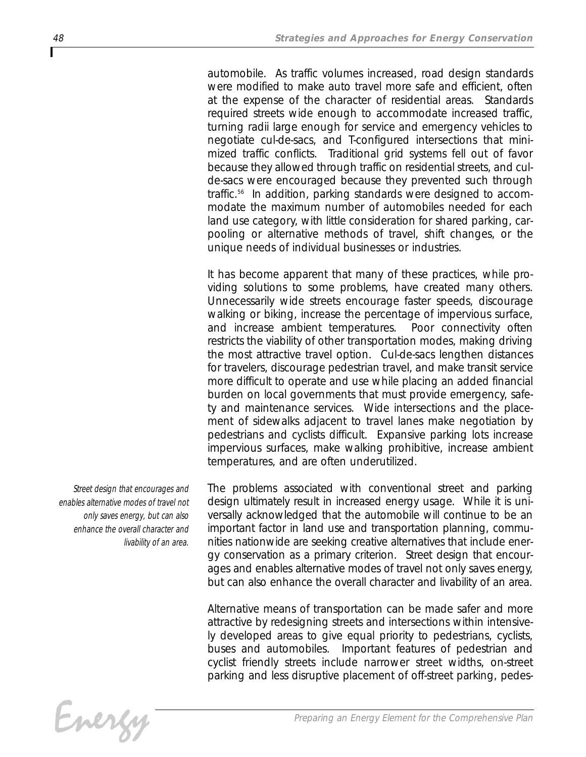*automobile. As traffic volumes increased, road design standards were modified to make auto travel more safe and efficient, often at the expense of the character of residential areas. Standards required streets wide enough to accommodate increased traffic, turning radii large enough for service and emergency vehicles to negotiate cul-de-sacs, and T-configured intersections that minimized traffic conflicts. Traditional grid systems fell out of favor because they allowed through traffic on residential streets, and culde-sacs were encouraged because they prevented such through traffic.56 In addition, parking standards were designed to accommodate the maximum number of automobiles needed for each land use category, with little consideration for shared parking, carpooling or alternative methods of travel, shift changes, or the unique needs of individual businesses or industries.* 

*It has become apparent that many of these practices, while providing solutions to some problems, have created many others. Unnecessarily wide streets encourage faster speeds, discourage walking or biking, increase the percentage of impervious surface, and increase ambient temperatures. Poor connectivity often restricts the viability of other transportation modes, making driving the most attractive travel option. Cul-de-sacs lengthen distances for travelers, discourage pedestrian travel, and make transit service more difficult to operate and use while placing an added financial burden on local governments that must provide emergency, safety and maintenance services. Wide intersections and the placement of sidewalks adjacent to travel lanes make negotiation by pedestrians and cyclists difficult. Expansive parking lots increase impervious surfaces, make walking prohibitive, increase ambient temperatures, and are often underutilized.* 

*Street design that encourages and enables alternative modes of travel not only saves energy, but can also enhance the overall character and livability of an area.* 

*The problems associated with conventional street and parking design ultimately result in increased energy usage. While it is universally acknowledged that the automobile will continue to be an important factor in land use and transportation planning, communities nationwide are seeking creative alternatives that include energy conservation as a primary criterion. Street design that encourages and enables alternative modes of travel not only saves energy, but can also enhance the overall character and livability of an area.* 

*Alternative means of transportation can be made safer and more attractive by redesigning streets and intersections within intensively developed areas to give equal priority to pedestrians, cyclists, buses and automobiles. Important features of pedestrian and cyclist friendly streets include narrower street widths, on-street parking and less disruptive placement of off-street parking, pedes-*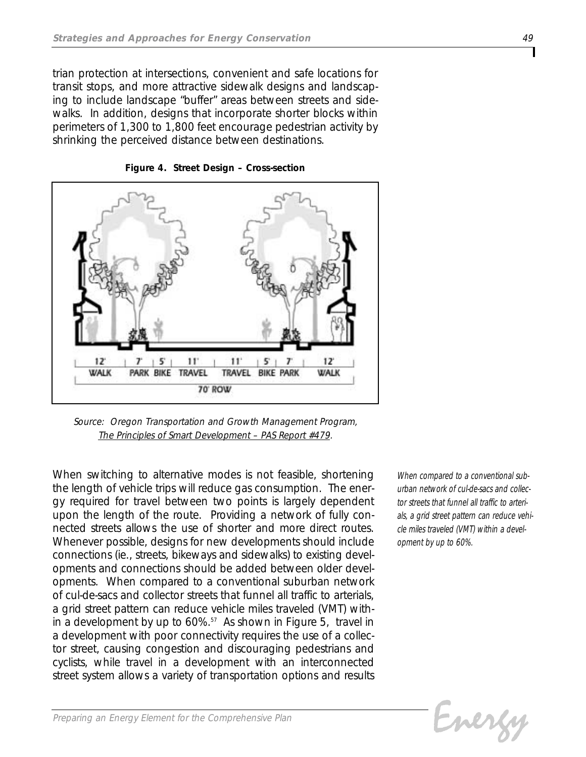*trian protection at intersections, convenient and safe locations for transit stops, and more attractive sidewalk designs and landscaping to include landscape "buffer" areas between streets and sidewalks. In addition, designs that incorporate shorter blocks within perimeters of 1,300 to 1,800 feet encourage pedestrian activity by shrinking the perceived distance between destinations.*



*Figure 4. Street Design – Cross-section*

*Source: Oregon Transportation and Growth Management Program, The Principles of Smart Development – PAS Report #479.*

*When switching to alternative modes is not feasible, shortening the length of vehicle trips will reduce gas consumption. The energy required for travel between two points is largely dependent upon the length of the route. Providing a network of fully connected streets allows the use of shorter and more direct routes. Whenever possible, designs for new developments should include connections (ie., streets, bikeways and sidewalks) to existing developments and connections should be added between older developments. When compared to a conventional suburban network of cul-de-sacs and collector streets that funnel all traffic to arterials, a grid street pattern can reduce vehicle miles traveled (VMT) within a development by up to 60%.57 As shown in Figure 5, travel in a development with poor connectivity requires the use of a collector street, causing congestion and discouraging pedestrians and cyclists, while travel in a development with an interconnected street system allows a variety of transportation options and results*

*When compared to a conventional suburban network of cul-de-sacs and collector streets that funnel all traffic to arterials, a grid street pattern can reduce vehicle miles traveled (VMT) within a development by up to 60%.*

Evergy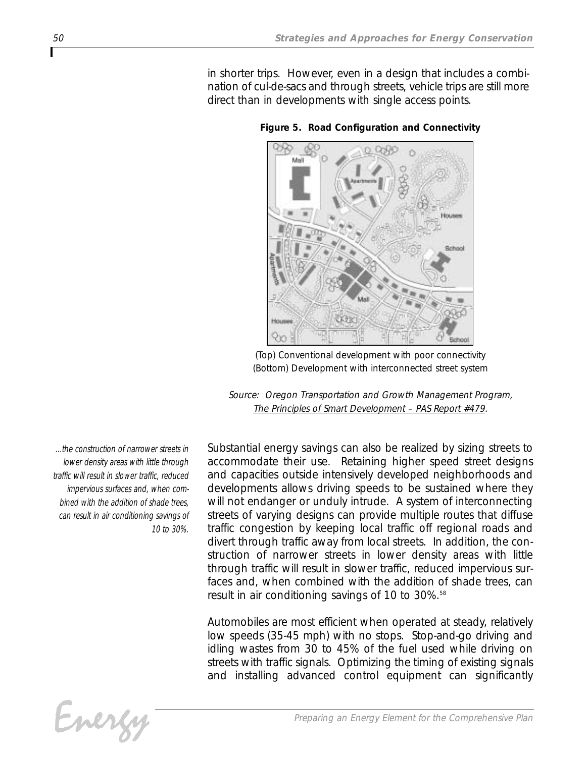*in shorter trips. However, even in a design that includes a combination of cul-de-sacs and through streets, vehicle trips are still more direct than in developments with single access points.* 



*Figure 5. Road Configuration and Connectivity* 

*(Top) Conventional development with poor connectivity (Bottom) Development with interconnected street system*

*Source: Oregon Transportation and Growth Management Program, The Principles of Smart Development – PAS Report #479.*

*...the construction of narrower streets in lower density areas with little through traffic will result in slower traffic, reduced impervious surfaces and, when combined with the addition of shade trees, can result in air conditioning savings of 10 to 30%.*

*Substantial energy savings can also be realized by sizing streets to accommodate their use. Retaining higher speed street designs and capacities outside intensively developed neighborhoods and developments allows driving speeds to be sustained where they will not endanger or unduly intrude. A system of interconnecting streets of varying designs can provide multiple routes that diffuse traffic congestion by keeping local traffic off regional roads and divert through traffic away from local streets. In addition, the construction of narrower streets in lower density areas with little through traffic will result in slower traffic, reduced impervious surfaces and, when combined with the addition of shade trees, can result in air conditioning savings of 10 to 30%.58*

*Automobiles are most efficient when operated at steady, relatively low speeds (35-45 mph) with no stops. Stop-and-go driving and idling wastes from 30 to 45% of the fuel used while driving on streets with traffic signals. Optimizing the timing of existing signals and installing advanced control equipment can significantly*

Energy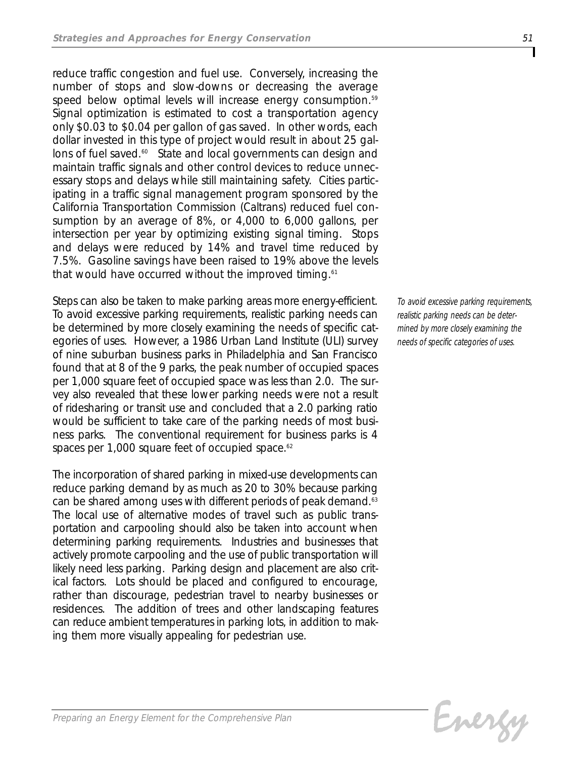*reduce traffic congestion and fuel use. Conversely, increasing the number of stops and slow-downs or decreasing the average speed below optimal levels will increase energy consumption.59 Signal optimization is estimated to cost a transportation agency only \$0.03 to \$0.04 per gallon of gas saved. In other words, each dollar invested in this type of project would result in about 25 gallons of fuel saved.60 State and local governments can design and maintain traffic signals and other control devices to reduce unnecessary stops and delays while still maintaining safety. Cities participating in a traffic signal management program sponsored by the California Transportation Commission (Caltrans) reduced fuel consumption by an average of 8%, or 4,000 to 6,000 gallons, per intersection per year by optimizing existing signal timing. Stops and delays were reduced by 14% and travel time reduced by 7.5%. Gasoline savings have been raised to 19% above the levels that would have occurred without the improved timing.61*

*Steps can also be taken to make parking areas more energy-efficient. To avoid excessive parking requirements, realistic parking needs can be determined by more closely examining the needs of specific categories of uses. However, a 1986 Urban Land Institute (ULI) survey of nine suburban business parks in Philadelphia and San Francisco found that at 8 of the 9 parks, the peak number of occupied spaces per 1,000 square feet of occupied space was less than 2.0. The survey also revealed that these lower parking needs were not a result of ridesharing or transit use and concluded that a 2.0 parking ratio would be sufficient to take care of the parking needs of most business parks. The conventional requirement for business parks is 4 spaces per 1,000 square feet of occupied space.62*

*The incorporation of shared parking in mixed-use developments can reduce parking demand by as much as 20 to 30% because parking can be shared among uses with different periods of peak demand.63 The local use of alternative modes of travel such as public transportation and carpooling should also be taken into account when determining parking requirements. Industries and businesses that actively promote carpooling and the use of public transportation will likely need less parking. Parking design and placement are also critical factors. Lots should be placed and configured to encourage, rather than discourage, pedestrian travel to nearby businesses or residences. The addition of trees and other landscaping features can reduce ambient temperatures in parking lots, in addition to making them more visually appealing for pedestrian use.* 

*To avoid excessive parking requirements, realistic parking needs can be determined by more closely examining the needs of specific categories of uses.*

Evergy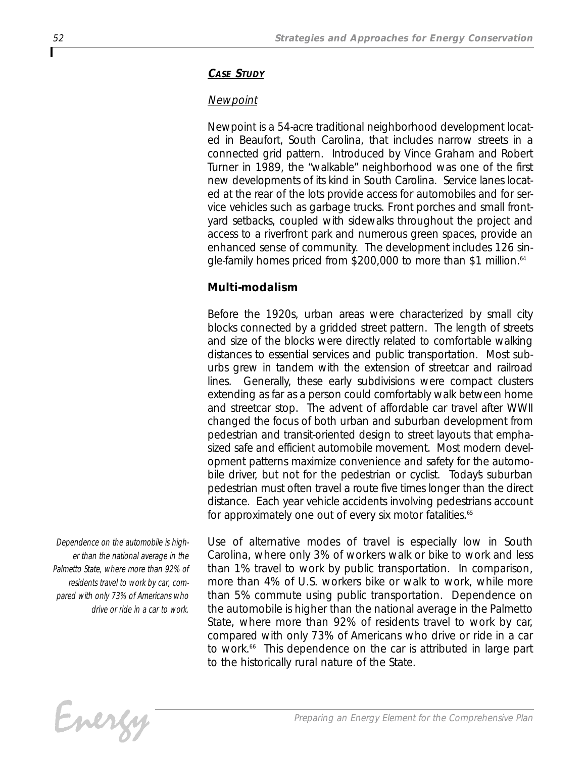## *CASE STUDY*

## *Newpoint*

*Newpoint is a 54-acre traditional neighborhood development located in Beaufort, South Carolina, that includes narrow streets in a connected grid pattern. Introduced by Vince Graham and Robert Turner in 1989, the "walkable" neighborhood was one of the first new developments of its kind in South Carolina. Service lanes located at the rear of the lots provide access for automobiles and for service vehicles such as garbage trucks. Front porches and small frontyard setbacks, coupled with sidewalks throughout the project and access to a riverfront park and numerous green spaces, provide an enhanced sense of community. The development includes 126 single-family homes priced from \$200,000 to more than \$1 million.64*

## *Multi-modalism*

*Before the 1920s, urban areas were characterized by small city blocks connected by a gridded street pattern. The length of streets and size of the blocks were directly related to comfortable walking distances to essential services and public transportation. Most suburbs grew in tandem with the extension of streetcar and railroad lines. Generally, these early subdivisions were compact clusters extending as far as a person could comfortably walk between home and streetcar stop. The advent of affordable car travel after WWII changed the focus of both urban and suburban development from pedestrian and transit-oriented design to street layouts that emphasized safe and efficient automobile movement. Most modern development patterns maximize convenience and safety for the automobile driver, but not for the pedestrian or cyclist. Today's suburban pedestrian must often travel a route five times longer than the direct distance. Each year vehicle accidents involving pedestrians account for approximately one out of every six motor fatalities.65*

*Dependence on the automobile is higher than the national average in the Palmetto State, where more than 92% of residents travel to work by car, compared with only 73% of Americans who drive or ride in a car to work.*

*Use of alternative modes of travel is especially low in South Carolina, where only 3% of workers walk or bike to work and less than 1% travel to work by public transportation. In comparison, more than 4% of U.S. workers bike or walk to work, while more than 5% commute using public transportation. Dependence on the automobile is higher than the national average in the Palmetto State, where more than 92% of residents travel to work by car, compared with only 73% of Americans who drive or ride in a car to work.66 This dependence on the car is attributed in large part to the historically rural nature of the State.*

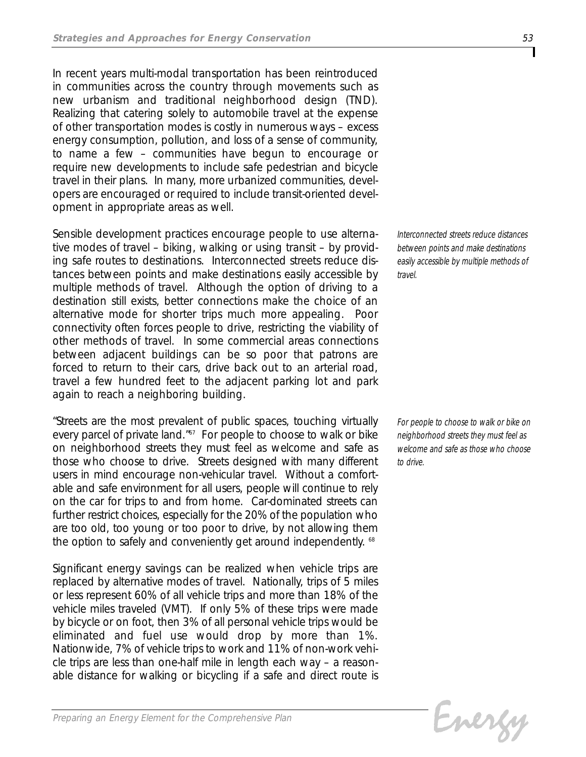*In recent years multi-modal transportation has been reintroduced in communities across the country through movements such as new urbanism and traditional neighborhood design (TND). Realizing that catering solely to automobile travel at the expense of other transportation modes is costly in numerous ways – excess energy consumption, pollution, and loss of a sense of community, to name a few – communities have begun to encourage or require new developments to include safe pedestrian and bicycle travel in their plans. In many, more urbanized communities, developers are encouraged or required to include transit-oriented development in appropriate areas as well.*

*Sensible development practices encourage people to use alternative modes of travel – biking, walking or using transit – by providing safe routes to destinations. Interconnected streets reduce distances between points and make destinations easily accessible by multiple methods of travel. Although the option of driving to a destination still exists, better connections make the choice of an alternative mode for shorter trips much more appealing. Poor connectivity often forces people to drive, restricting the viability of other methods of travel. In some commercial areas connections between adjacent buildings can be so poor that patrons are forced to return to their cars, drive back out to an arterial road, travel a few hundred feet to the adjacent parking lot and park again to reach a neighboring building.* 

*"Streets are the most prevalent of public spaces, touching virtually every parcel of private land." <sup>67</sup> For people to choose to walk or bike on neighborhood streets they must feel as welcome and safe as those who choose to drive. Streets designed with many different users in mind encourage non-vehicular travel. Without a comfortable and safe environment for all users, people will continue to rely on the car for trips to and from home. Car-dominated streets can further restrict choices, especially for the 20% of the population who are too old, too young or too poor to drive, by not allowing them the option to safely and conveniently get around independently. <sup>68</sup>*

*Significant energy savings can be realized when vehicle trips are replaced by alternative modes of travel. Nationally, trips of 5 miles or less represent 60% of all vehicle trips and more than 18% of the vehicle miles traveled (VMT). If only 5% of these trips were made by bicycle or on foot, then 3% of all personal vehicle trips would be eliminated and fuel use would drop by more than 1%. Nationwide, 7% of vehicle trips to work and 11% of non-work vehicle trips are less than one-half mile in length each way – a reasonable distance for walking or bicycling if a safe and direct route is*

*Interconnected streets reduce distances between points and make destinations easily accessible by multiple methods of travel.*

*For people to choose to walk or bike on neighborhood streets they must feel as welcome and safe as those who choose to drive.*

Evergy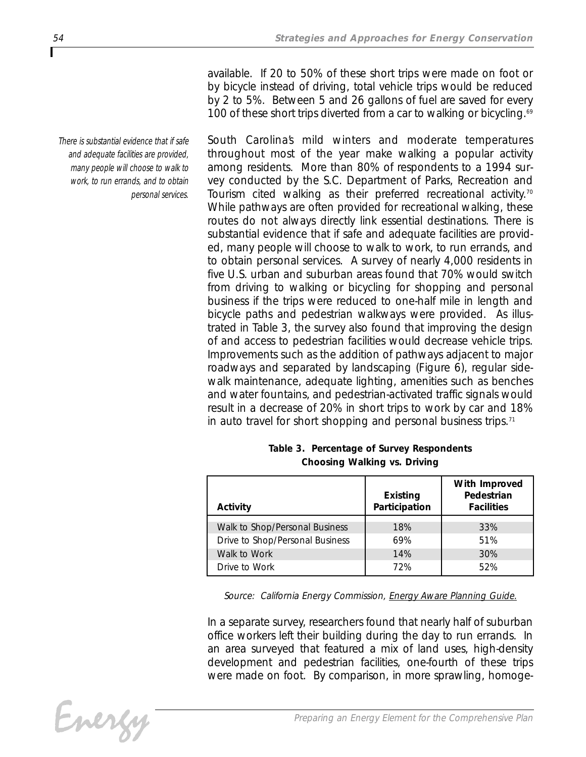*available. If 20 to 50% of these short trips were made on foot or by bicycle instead of driving, total vehicle trips would be reduced by 2 to 5%. Between 5 and 26 gallons of fuel are saved for every 100 of these short trips diverted from a car to walking or bicycling.69*

*South Carolina's mild winters and moderate temperatures throughout most of the year make walking a popular activity among residents. More than 80% of respondents to a 1994 survey conducted by the S.C. Department of Parks, Recreation and Tourism cited walking as their preferred recreational activity.70 While pathways are often provided for recreational walking, these routes do not always directly link essential destinations. There is substantial evidence that if safe and adequate facilities are provided, many people will choose to walk to work, to run errands, and to obtain personal services. A survey of nearly 4,000 residents in five U.S. urban and suburban areas found that 70% would switch from driving to walking or bicycling for shopping and personal business if the trips were reduced to one-half mile in length and bicycle paths and pedestrian walkways were provided. As illustrated in Table 3, the survey also found that improving the design of and access to pedestrian facilities would decrease vehicle trips. Improvements such as the addition of pathways adjacent to major roadways and separated by landscaping (Figure 6), regular sidewalk maintenance, adequate lighting, amenities such as benches and water fountains, and pedestrian-activated traffic signals would result in a decrease of 20% in short trips to work by car and 18% in auto travel for short shopping and personal business trips.71*

| Activity                        | <b>Existing</b><br>Participation | With Improved<br>Pedestrian<br><b>Facilities</b> |
|---------------------------------|----------------------------------|--------------------------------------------------|
| Walk to Shop/Personal Business  | 18%                              | 33%                                              |
| Drive to Shop/Personal Business | 69%                              | 51%                                              |
| Walk to Work                    | 14%                              | 30%                                              |
| Drive to Work                   | 72%                              | 52%                                              |

#### *Table 3. Percentage of Survey Respondents Choosing Walking vs. Driving*

*Source: California Energy Commission, Energy Aware Planning Guide.*

*In a separate survey, researchers found that nearly half of suburban office workers left their building during the day to run errands. In an area surveyed that featured a mix of land uses, high-density development and pedestrian facilities, one-fourth of these trips were made on foot. By comparison, in more sprawling, homoge-*

$$
\tilde{-}m!\nu\chi\gamma^-
$$

*There is substantial evidence that if safe and adequate facilities are provided, many people will choose to walk to work, to run errands, and to obtain personal services.*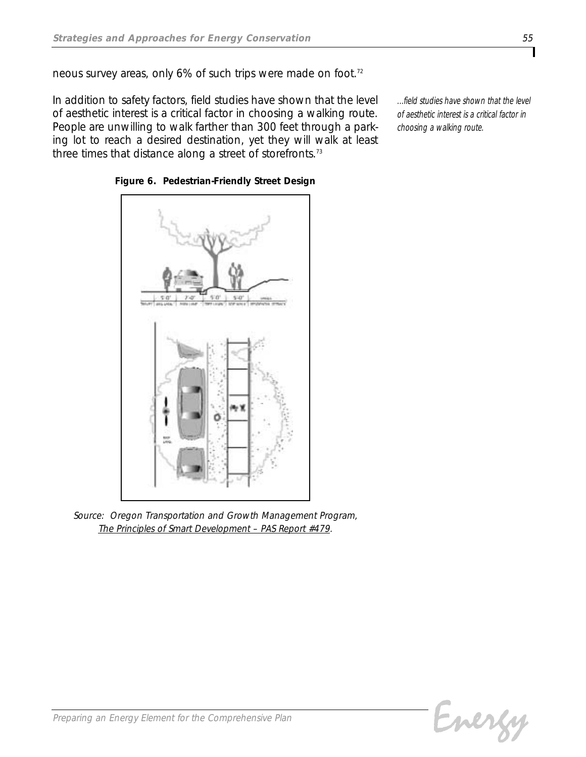*neous survey areas, only 6% of such trips were made on foot.72*

*In addition to safety factors, field studies have shown that the level of aesthetic interest is a critical factor in choosing a walking route. People are unwilling to walk farther than 300 feet through a parking lot to reach a desired destination, yet they will walk at least three times that distance along a street of storefronts.73*

*...field studies have shown that the level of aesthetic interest is a critical factor in choosing a walking route.* 



*Figure 6. Pedestrian-Friendly Street Design*

*Source: Oregon Transportation and Growth Management Program, The Principles of Smart Development – PAS Report #479.*

Energy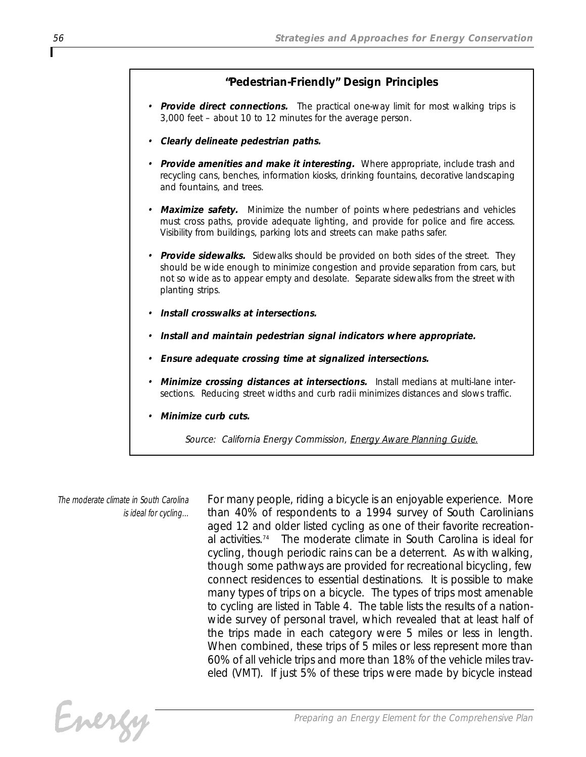## *"Pedestrian-Friendly" Design Principles*

- *• Provide direct connections. The practical one-way limit for most walking trips is 3,000 feet – about 10 to 12 minutes for the average person.*
- *• Clearly delineate pedestrian paths.*
- *• Provide amenities and make it interesting. Where appropriate, include trash and recycling cans, benches, information kiosks, drinking fountains, decorative landscaping and fountains, and trees.*
- *• Maximize safety. Minimize the number of points where pedestrians and vehicles must cross paths, provide adequate lighting, and provide for police and fire access. Visibility from buildings, parking lots and streets can make paths safer.*
- *• Provide sidewalks. Sidewalks should be provided on both sides of the street. They should be wide enough to minimize congestion and provide separation from cars, but not so wide as to appear empty and desolate. Separate sidewalks from the street with planting strips.*
- *• Install crosswalks at intersections.*
- *• Install and maintain pedestrian signal indicators where appropriate.*
- *• Ensure adequate crossing time at signalized intersections.*
- *• Minimize crossing distances at intersections. Install medians at multi-lane intersections. Reducing street widths and curb radii minimizes distances and slows traffic.*
- *• Minimize curb cuts.*

*Source: California Energy Commission, Energy Aware Planning Guide.*

*The moderate climate in South Carolina is ideal for cycling...* *For many people, riding a bicycle is an enjoyable experience. More than 40% of respondents to a 1994 survey of South Carolinians aged 12 and older listed cycling as one of their favorite recreational activities.74 The moderate climate in South Carolina is ideal for cycling, though periodic rains can be a deterrent. As with walking, though some pathways are provided for recreational bicycling, few connect residences to essential destinations. It is possible to make many types of trips on a bicycle. The types of trips most amenable to cycling are listed in Table 4. The table lists the results of a nationwide survey of personal travel, which revealed that at least half of the trips made in each category were 5 miles or less in length. When combined, these trips of 5 miles or less represent more than 60% of all vehicle trips and more than 18% of the vehicle miles traveled (VMT). If just 5% of these trips were made by bicycle instead*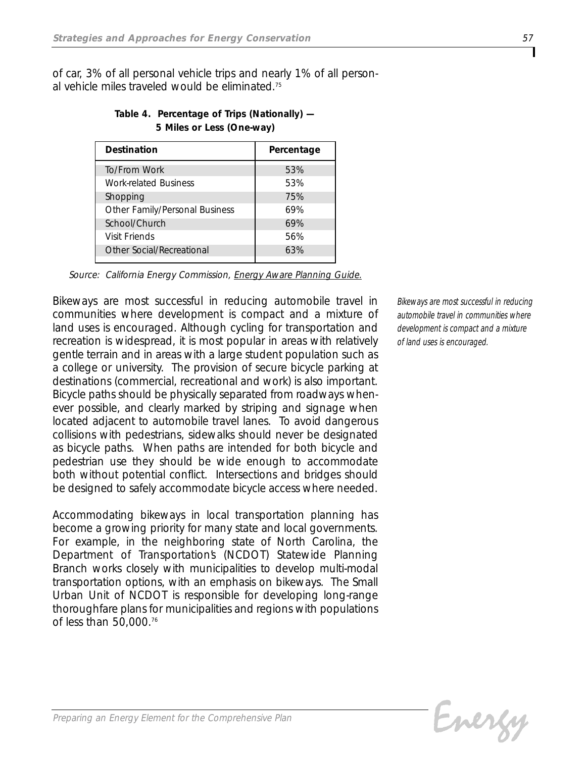*of car, 3% of all personal vehicle trips and nearly 1% of all personal vehicle miles traveled would be eliminated.75*

| <b>Destination</b>             | Percentage |  |
|--------------------------------|------------|--|
| To/From Work                   | 53%        |  |
| <b>Work-related Business</b>   | 53%        |  |
| Shopping                       | 75%        |  |
| Other Family/Personal Business | 69%        |  |
| School/Church                  | 69%        |  |
| Visit Friends                  | 56%        |  |
| Other Social/Recreational      | 63%        |  |
|                                |            |  |

*Table 4. Percentage of Trips (Nationally) — 5 Miles or Less (One-way)*

*Source: California Energy Commission, Energy Aware Planning Guide.*

*Bikeways are most successful in reducing automobile travel in communities where development is compact and a mixture of land uses is encouraged. Although cycling for transportation and recreation is widespread, it is most popular in areas with relatively gentle terrain and in areas with a large student population such as a college or university. The provision of secure bicycle parking at destinations (commercial, recreational and work) is also important. Bicycle paths should be physically separated from roadways whenever possible, and clearly marked by striping and signage when located adjacent to automobile travel lanes. To avoid dangerous collisions with pedestrians, sidewalks should never be designated as bicycle paths. When paths are intended for both bicycle and pedestrian use they should be wide enough to accommodate both without potential conflict. Intersections and bridges should be designed to safely accommodate bicycle access where needed.* 

*Accommodating bikeways in local transportation planning has become a growing priority for many state and local governments. For example, in the neighboring state of North Carolina, the Department of Transportation's (NCDOT) Statewide Planning Branch works closely with municipalities to develop multi-modal transportation options, with an emphasis on bikeways. The Small Urban Unit of NCDOT is responsible for developing long-range thoroughfare plans for municipalities and regions with populations of less than 50,000.76*

*Bikeways are most successful in reducing automobile travel in communities where development is compact and a mixture of land uses is encouraged.*

Evergy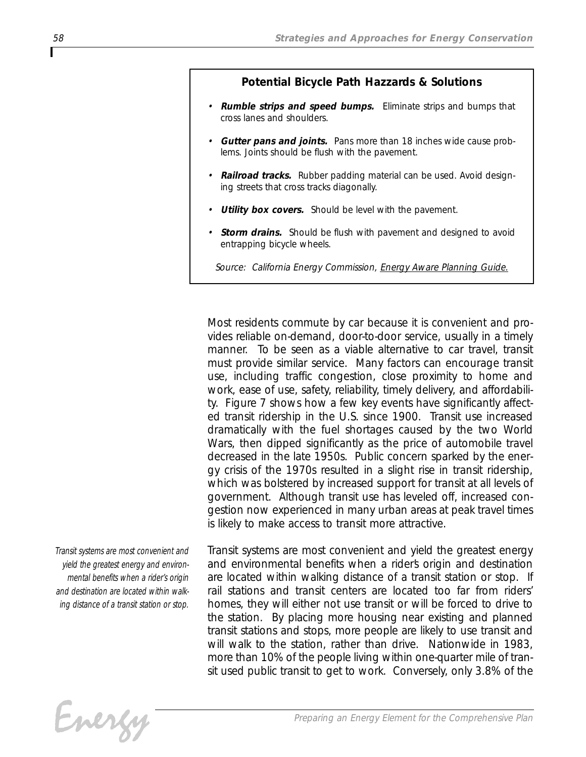#### *Potential Bicycle Path Hazzards & Solutions*

- *• Rumble strips and speed bumps. Eliminate strips and bumps that cross lanes and shoulders.*
- *• Gutter pans and joints. Pans more than 18 inches wide cause problems. Joints should be flush with the pavement.*
- *• Railroad tracks. Rubber padding material can be used. Avoid designing streets that cross tracks diagonally.*
- *• Utility box covers. Should be level with the pavement.*
- *• Storm drains. Should be flush with pavement and designed to avoid entrapping bicycle wheels.*
	- *Source: California Energy Commission, Energy Aware Planning Guide.*

*Most residents commute by car because it is convenient and provides reliable on-demand, door-to-door service, usually in a timely manner. To be seen as a viable alternative to car travel, transit must provide similar service. Many factors can encourage transit use, including traffic congestion, close proximity to home and work, ease of use, safety, reliability, timely delivery, and affordability. Figure 7 shows how a few key events have significantly affected transit ridership in the U.S. since 1900. Transit use increased dramatically with the fuel shortages caused by the two World Wars, then dipped significantly as the price of automobile travel decreased in the late 1950s. Public concern sparked by the energy crisis of the 1970s resulted in a slight rise in transit ridership, which was bolstered by increased support for transit at all levels of government. Although transit use has leveled off, increased congestion now experienced in many urban areas at peak travel times is likely to make access to transit more attractive.* 

*Transit systems are most convenient and yield the greatest energy and environmental benefits when a rider's origin and destination are located within walking distance of a transit station or stop.*

*Transit systems are most convenient and yield the greatest energy and environmental benefits when a rider's origin and destination are located within walking distance of a transit station or stop. If rail stations and transit centers are located too far from riders' homes, they will either not use transit or will be forced to drive to the station. By placing more housing near existing and planned transit stations and stops, more people are likely to use transit and will walk to the station, rather than drive. Nationwide in 1983, more than 10% of the people living within one-quarter mile of transit used public transit to get to work. Conversely, only 3.8% of the*

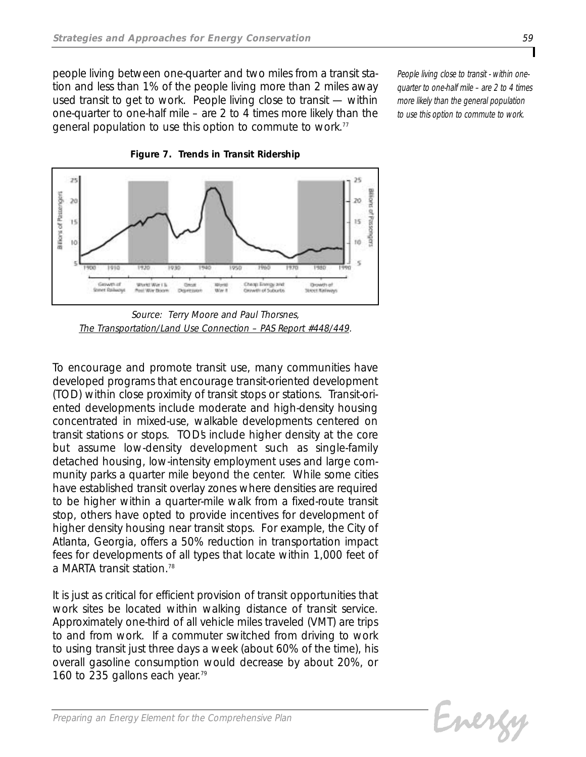*people living between one-quarter and two miles from a transit station and less than 1% of the people living more than 2 miles away used transit to get to work. People living close to transit — within one-quarter to one-half mile – are 2 to 4 times more likely than the general population to use this option to commute to work.77*

*People living close to transit - within onequarter to one-half mile – are 2 to 4 times more likely than the general population to use this option to commute to work.*



*Figure 7. Trends in Transit Ridership*

*Source: Terry Moore and Paul Thorsnes, The Transportation/Land Use Connection – PAS Report #448/449.*

*To encourage and promote transit use, many communities have developed programs that encourage transit-oriented development (TOD) within close proximity of transit stops or stations. Transit-oriented developments include moderate and high-density housing concentrated in mixed-use, walkable developments centered on transit stations or stops. TOD's include higher density at the core but assume low-density development such as single-family detached housing, low-intensity employment uses and large community parks a quarter mile beyond the center. While some cities have established transit overlay zones where densities are required to be higher within a quarter-mile walk from a fixed-route transit stop, others have opted to provide incentives for development of higher density housing near transit stops. For example, the City of Atlanta, Georgia, offers a 50% reduction in transportation impact fees for developments of all types that locate within 1,000 feet of a MARTA transit station.78*

*It is just as critical for efficient provision of transit opportunities that work sites be located within walking distance of transit service. Approximately one-third of all vehicle miles traveled (VMT) are trips to and from work. If a commuter switched from driving to work to using transit just three days a week (about 60% of the time), his overall gasoline consumption would decrease by about 20%, or 160 to 235 gallons each year.79*

Energy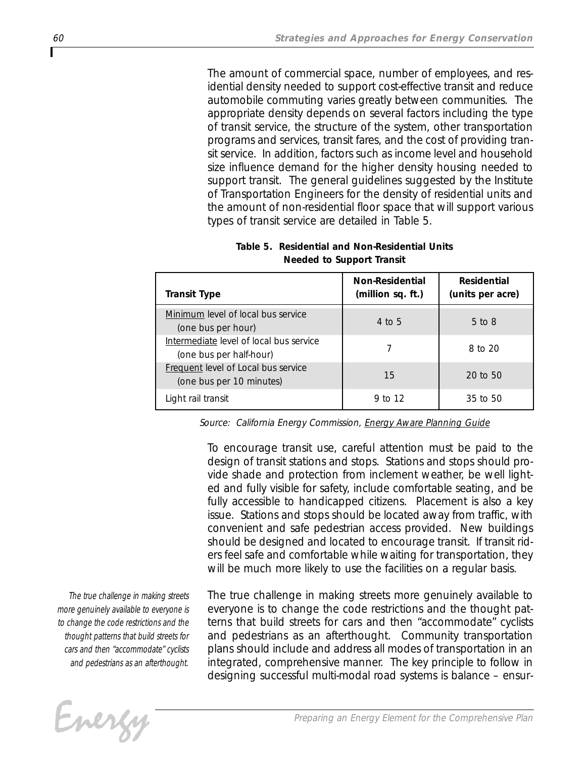*The amount of commercial space, number of employees, and residential density needed to support cost-effective transit and reduce automobile commuting varies greatly between communities. The appropriate density depends on several factors including the type of transit service, the structure of the system, other transportation programs and services, transit fares, and the cost of providing transit service. In addition, factors such as income level and household size influence demand for the higher density housing needed to support transit. The general guidelines suggested by the Institute of Transportation Engineers for the density of residential units and the amount of non-residential floor space that will support various types of transit service are detailed in Table 5.* 

| <b>Transit Type</b>                                                | <b>Non-Residential</b><br>(million sq. ft.) | Residential<br>(units per acre) |
|--------------------------------------------------------------------|---------------------------------------------|---------------------------------|
| Minimum level of local bus service<br>(one bus per hour)           | $4$ to 5                                    | $5$ to $8$                      |
| Intermediate level of local bus service<br>(one bus per half-hour) |                                             | 8 to 20                         |
| Frequent level of Local bus service<br>(one bus per 10 minutes)    | 15                                          | $20$ to $50$                    |
| Light rail transit                                                 | 9 to 12                                     | 35 to 50                        |

*Table 5. Residential and Non-Residential Units Needed to Support Transit*

*Source: California Energy Commission, Energy Aware Planning Guide*

*To encourage transit use, careful attention must be paid to the design of transit stations and stops. Stations and stops should provide shade and protection from inclement weather, be well lighted and fully visible for safety, include comfortable seating, and be fully accessible to handicapped citizens. Placement is also a key issue. Stations and stops should be located away from traffic, with convenient and safe pedestrian access provided. New buildings should be designed and located to encourage transit. If transit riders feel safe and comfortable while waiting for transportation, they will be much more likely to use the facilities on a regular basis.* 

*The true challenge in making streets more genuinely available to everyone is to change the code restrictions and the thought patterns that build streets for cars and then "accommodate" cyclists and pedestrians as an afterthought.*

Energy

*The true challenge in making streets more genuinely available to everyone is to change the code restrictions and the thought patterns that build streets for cars and then "accommodate" cyclists and pedestrians as an afterthought. Community transportation plans should include and address all modes of transportation in an integrated, comprehensive manner. The key principle to follow in designing successful multi-modal road systems is balance – ensur-*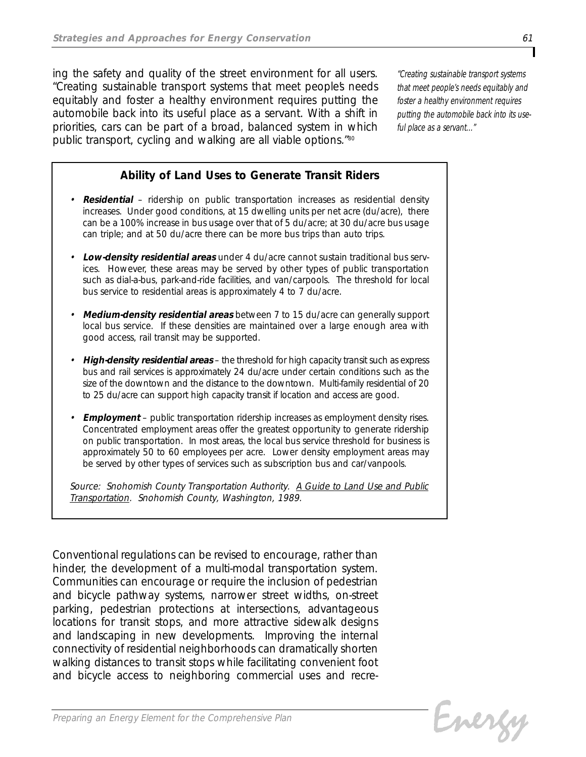*ing the safety and quality of the street environment for all users. "Creating sustainable transport systems that meet people's needs equitably and foster a healthy environment requires putting the automobile back into its useful place as a servant. With a shift in priorities, cars can be part of a broad, balanced system in which public transport, cycling and walking are all viable options."<sup>80</sup>*

*"Creating sustainable transport systems that meet people's needs equitably and foster a healthy environment requires putting the automobile back into its useful place as a servant..."*

## *Ability of Land Uses to Generate Transit Riders*

- *• Residential ridership on public transportation increases as residential density increases. Under good conditions, at 15 dwelling units per net acre (du/acre), there can be a 100% increase in bus usage over that of 5 du/acre; at 30 du/acre bus usage can triple; and at 50 du/acre there can be more bus trips than auto trips.*
- *• Low-density residential areas under 4 du/acre cannot sustain traditional bus services. However, these areas may be served by other types of public transportation such as dial-a-bus, park-and-ride facilities, and van/carpools. The threshold for local bus service to residential areas is approximately 4 to 7 du/acre.*
- *• Medium-density residential areas between 7 to 15 du/acre can generally support local bus service. If these densities are maintained over a large enough area with good access, rail transit may be supported.*
- *• High-density residential areas the threshold for high capacity transit such as express bus and rail services is approximately 24 du/acre under certain conditions such as the size of the downtown and the distance to the downtown. Multi-family residential of 20 to 25 du/acre can support high capacity transit if location and access are good.*
- *• Employment public transportation ridership increases as employment density rises. Concentrated employment areas offer the greatest opportunity to generate ridership on public transportation. In most areas, the local bus service threshold for business is approximately 50 to 60 employees per acre. Lower density employment areas may be served by other types of services such as subscription bus and car/vanpools.*

*Source: Snohomish County Transportation Authority. A Guide to Land Use and Public Transportation. Snohomish County, Washington, 1989.*

*Conventional regulations can be revised to encourage, rather than hinder, the development of a multi-modal transportation system. Communities can encourage or require the inclusion of pedestrian and bicycle pathway systems, narrower street widths, on-street parking, pedestrian protections at intersections, advantageous locations for transit stops, and more attractive sidewalk designs and landscaping in new developments. Improving the internal connectivity of residential neighborhoods can dramatically shorten walking distances to transit stops while facilitating convenient foot and bicycle access to neighboring commercial uses and recre-*

Evergy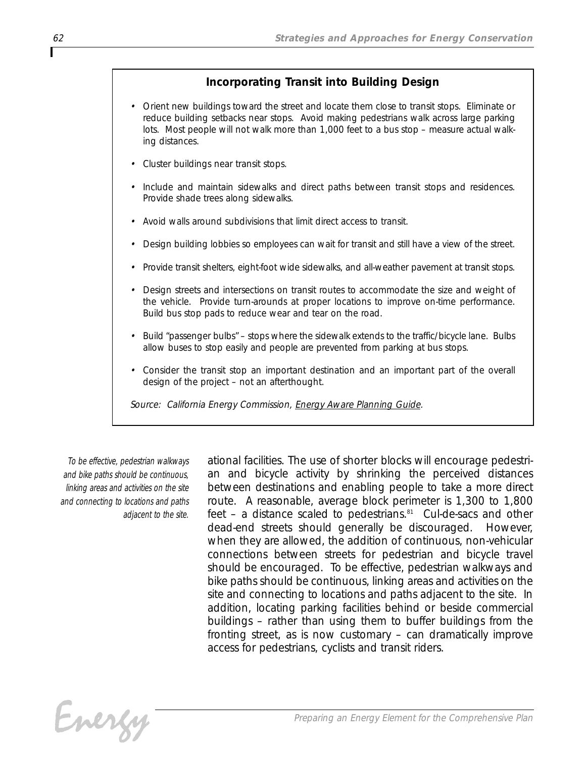## *Incorporating Transit into Building Design*

- *• Orient new buildings toward the street and locate them close to transit stops. Eliminate or reduce building setbacks near stops. Avoid making pedestrians walk across large parking lots. Most people will not walk more than 1,000 feet to a bus stop – measure actual walking distances.*
- *• Cluster buildings near transit stops.*
- *• Include and maintain sidewalks and direct paths between transit stops and residences. Provide shade trees along sidewalks.*
- *• Avoid walls around subdivisions that limit direct access to transit.*
- *• Design building lobbies so employees can wait for transit and still have a view of the street.*
- *• Provide transit shelters, eight-foot wide sidewalks, and all-weather pavement at transit stops.*
- *• Design streets and intersections on transit routes to accommodate the size and weight of the vehicle. Provide turn-arounds at proper locations to improve on-time performance. Build bus stop pads to reduce wear and tear on the road.*
- *• Build "passenger bulbs" stops where the sidewalk extends to the traffic/bicycle lane. Bulbs allow buses to stop easily and people are prevented from parking at bus stops.*
- *• Consider the transit stop an important destination and an important part of the overall design of the project – not an afterthought.*

*Source: California Energy Commission, Energy Aware Planning Guide.*

*To be effective, pedestrian walkways and bike paths should be continuous, linking areas and activities on the site and connecting to locations and paths adjacent to the site.*

*ational facilities. The use of shorter blocks will encourage pedestrian and bicycle activity by shrinking the perceived distances between destinations and enabling people to take a more direct route. A reasonable, average block perimeter is 1,300 to 1,800 feet – a distance scaled to pedestrians.81 Cul-de-sacs and other dead-end streets should generally be discouraged. However, when they are allowed, the addition of continuous, non-vehicular connections between streets for pedestrian and bicycle travel should be encouraged. To be effective, pedestrian walkways and bike paths should be continuous, linking areas and activities on the site and connecting to locations and paths adjacent to the site. In addition, locating parking facilities behind or beside commercial buildings – rather than using them to buffer buildings from the fronting street, as is now customary – can dramatically improve access for pedestrians, cyclists and transit riders.*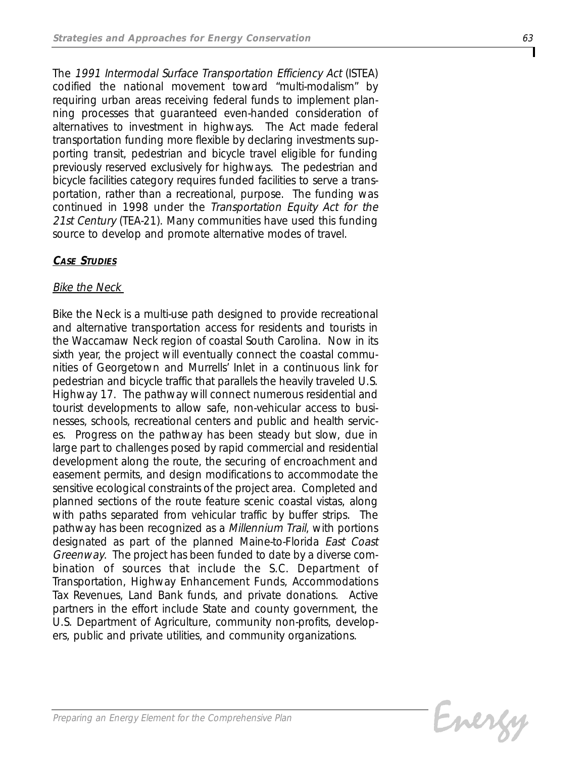*The 1991 Intermodal Surface Transportation Efficiency Act (ISTEA) codified the national movement toward "multi-modalism" by requiring urban areas receiving federal funds to implement planning processes that guaranteed even-handed consideration of alternatives to investment in highways. The Act made federal transportation funding more flexible by declaring investments supporting transit, pedestrian and bicycle travel eligible for funding previously reserved exclusively for highways. The pedestrian and bicycle facilities category requires funded facilities to serve a transportation, rather than a recreational, purpose. The funding was continued in 1998 under the Transportation Equity Act for the 21st Century (TEA-21). Many communities have used this funding source to develop and promote alternative modes of travel.*

## *CASE STUDIES*

## *Bike the Neck*

*Bike the Neck is a multi-use path designed to provide recreational and alternative transportation access for residents and tourists in the Waccamaw Neck region of coastal South Carolina. Now in its sixth year, the project will eventually connect the coastal communities of Georgetown and Murrells' Inlet in a continuous link for pedestrian and bicycle traffic that parallels the heavily traveled U.S. Highway 17. The pathway will connect numerous residential and tourist developments to allow safe, non-vehicular access to businesses, schools, recreational centers and public and health services. Progress on the pathway has been steady but slow, due in large part to challenges posed by rapid commercial and residential development along the route, the securing of encroachment and easement permits, and design modifications to accommodate the sensitive ecological constraints of the project area. Completed and planned sections of the route feature scenic coastal vistas, along with paths separated from vehicular traffic by buffer strips. The pathway has been recognized as a Millennium Trail, with portions designated as part of the planned Maine-to-Florida East Coast Greenway. The project has been funded to date by a diverse combination of sources that include the S.C. Department of Transportation, Highway Enhancement Funds, Accommodations Tax Revenues, Land Bank funds, and private donations. Active partners in the effort include State and county government, the U.S. Department of Agriculture, community non-profits, developers, public and private utilities, and community organizations.*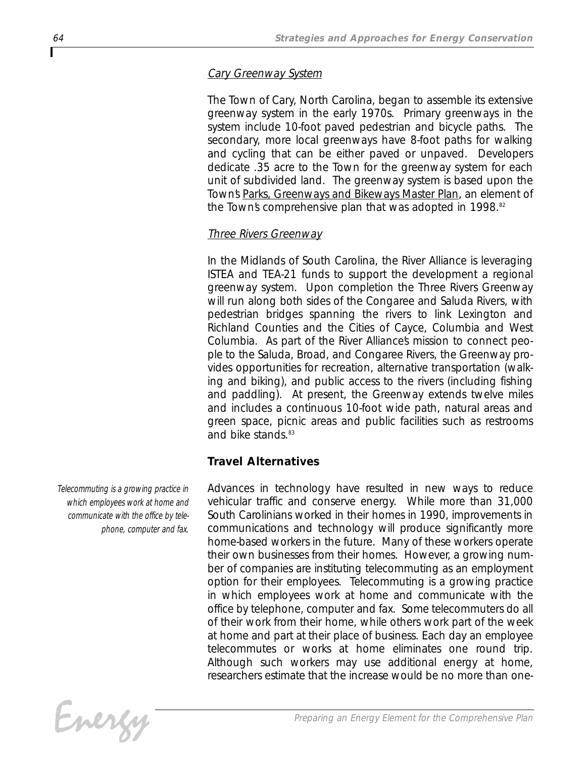## *Cary Greenway System*

*The Town of Cary, North Carolina, began to assemble its extensive greenway system in the early 1970s. Primary greenways in the system include 10-foot paved pedestrian and bicycle paths. The secondary, more local greenways have 8-foot paths for walking and cycling that can be either paved or unpaved. Developers dedicate .35 acre to the Town for the greenway system for each unit of subdivided land. The greenway system is based upon the Town's Parks, Greenways and Bikeways Master Plan, an element of the Town's comprehensive plan that was adopted in 1998.82*

## *Three Rivers Greenway*

*In the Midlands of South Carolina, the River Alliance is leveraging ISTEA and TEA-21 funds to support the development a regional greenway system. Upon completion the Three Rivers Greenway will run along both sides of the Congaree and Saluda Rivers, with pedestrian bridges spanning the rivers to link Lexington and Richland Counties and the Cities of Cayce, Columbia and West Columbia. As part of the River Alliance's mission to connect people to the Saluda, Broad, and Congaree Rivers, the Greenway provides opportunities for recreation, alternative transportation (walking and biking), and public access to the rivers (including fishing and paddling). At present, the Greenway extends twelve miles and includes a continuous 10-foot wide path, natural areas and green space, picnic areas and public facilities such as restrooms and bike stands.83*

## *Travel Alternatives*

*Advances in technology have resulted in new ways to reduce vehicular traffic and conserve energy. While more than 31,000 South Carolinians worked in their homes in 1990, improvements in communications and technology will produce significantly more home-based workers in the future. Many of these workers operate their own businesses from their homes. However, a growing number of companies are instituting telecommuting as an employment option for their employees. Telecommuting is a growing practice in which employees work at home and communicate with the office by telephone, computer and fax. Some telecommuters do all of their work from their home, while others work part of the week at home and part at their place of business. Each day an employee telecommutes or works at home eliminates one round trip. Although such workers may use additional energy at home, researchers estimate that the increase would be no more than one-*

*Telecommuting is a growing practice in which employees work at home and communicate with the office by telephone, computer and fax.*

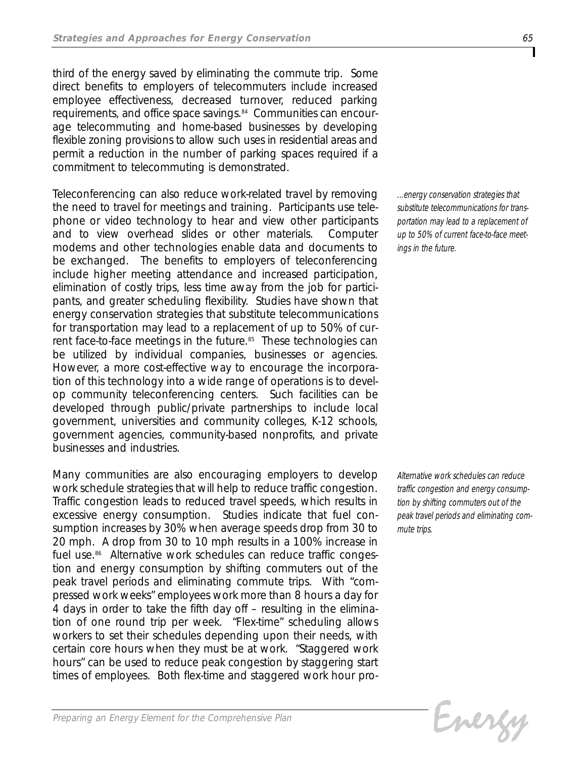*third of the energy saved by eliminating the commute trip. Some direct benefits to employers of telecommuters include increased employee effectiveness, decreased turnover, reduced parking requirements, and office space savings.84 Communities can encourage telecommuting and home-based businesses by developing flexible zoning provisions to allow such uses in residential areas and permit a reduction in the number of parking spaces required if a commitment to telecommuting is demonstrated.* 

*Teleconferencing can also reduce work-related travel by removing the need to travel for meetings and training. Participants use telephone or video technology to hear and view other participants and to view overhead slides or other materials. Computer modems and other technologies enable data and documents to be exchanged. The benefits to employers of teleconferencing include higher meeting attendance and increased participation, elimination of costly trips, less time away from the job for participants, and greater scheduling flexibility. Studies have shown that energy conservation strategies that substitute telecommunications for transportation may lead to a replacement of up to 50% of current face-to-face meetings in the future.85 These technologies can be utilized by individual companies, businesses or agencies. However, a more cost-effective way to encourage the incorporation of this technology into a wide range of operations is to develop community teleconferencing centers. Such facilities can be developed through public/private partnerships to include local government, universities and community colleges, K-12 schools, government agencies, community-based nonprofits, and private businesses and industries.*

*Many communities are also encouraging employers to develop work schedule strategies that will help to reduce traffic congestion. Traffic congestion leads to reduced travel speeds, which results in excessive energy consumption. Studies indicate that fuel consumption increases by 30% when average speeds drop from 30 to 20 mph. A drop from 30 to 10 mph results in a 100% increase in fuel use.86 Alternative work schedules can reduce traffic congestion and energy consumption by shifting commuters out of the peak travel periods and eliminating commute trips. With "compressed work weeks" employees work more than 8 hours a day for 4 days in order to take the fifth day off – resulting in the elimination of one round trip per week. "Flex-time" scheduling allows workers to set their schedules depending upon their needs, with certain core hours when they must be at work. "Staggered work hours" can be used to reduce peak congestion by staggering start times of employees. Both flex-time and staggered work hour pro-* *...energy conservation strategies that substitute telecommunications for transportation may lead to a replacement of up to 50% of current face-to-face meetings in the future.*

*Alternative work schedules can reduce traffic congestion and energy consumption by shifting commuters out of the peak travel periods and eliminating commute trips.*

Energy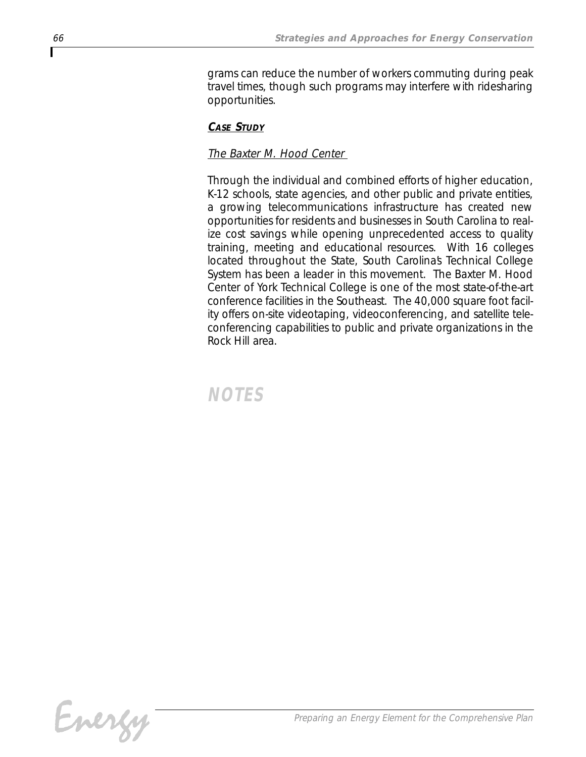*grams can reduce the number of workers commuting during peak travel times, though such programs may interfere with ridesharing opportunities.* 

## *CASE STUDY*

## *The Baxter M. Hood Center*

*Through the individual and combined efforts of higher education, K-12 schools, state agencies, and other public and private entities, a growing telecommunications infrastructure has created new opportunities for residents and businesses in South Carolina to realize cost savings while opening unprecedented access to quality training, meeting and educational resources. With 16 colleges located throughout the State, South Carolina's Technical College System has been a leader in this movement. The Baxter M. Hood Center of York Technical College is one of the most state-of-the-art conference facilities in the Southeast. The 40,000 square foot facility offers on-site videotaping, videoconferencing, and satellite teleconferencing capabilities to public and private organizations in the Rock Hill area.*

*NOTES*

Energy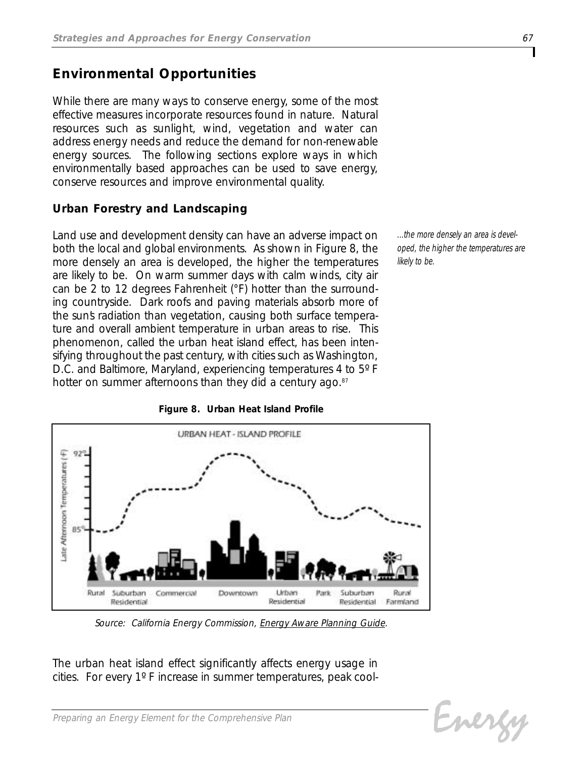## *Environmental Opportunities*

*While there are many ways to conserve energy, some of the most effective measures incorporate resources found in nature. Natural resources such as sunlight, wind, vegetation and water can address energy needs and reduce the demand for non-renewable energy sources. The following sections explore ways in which environmentally based approaches can be used to save energy, conserve resources and improve environmental quality.*

## *Urban Forestry and Landscaping*

*Land use and development density can have an adverse impact on both the local and global environments. As shown in Figure 8, the more densely an area is developed, the higher the temperatures are likely to be. On warm summer days with calm winds, city air can be 2 to 12 degrees Fahrenheit (°F) hotter than the surrounding countryside. Dark roofs and paving materials absorb more of the sun's radiation than vegetation, causing both surface temperature and overall ambient temperature in urban areas to rise. This phenomenon, called the urban heat island effect, has been intensifying throughout the past century, with cities such as Washington, D.C. and Baltimore, Maryland, experiencing temperatures 4 to 5º F hotter on summer afternoons than they did a century ago.87*

*...the more densely an area is developed, the higher the temperatures are likely to be.*



*Figure 8. Urban Heat Island Profile*

URBAN HEAT - ISLAND PROFILE

*Source: California Energy Commission, Energy Aware Planning Guide.*

*The urban heat island effect significantly affects energy usage in cities. For every 1º F increase in summer temperatures, peak cool-*

Evergy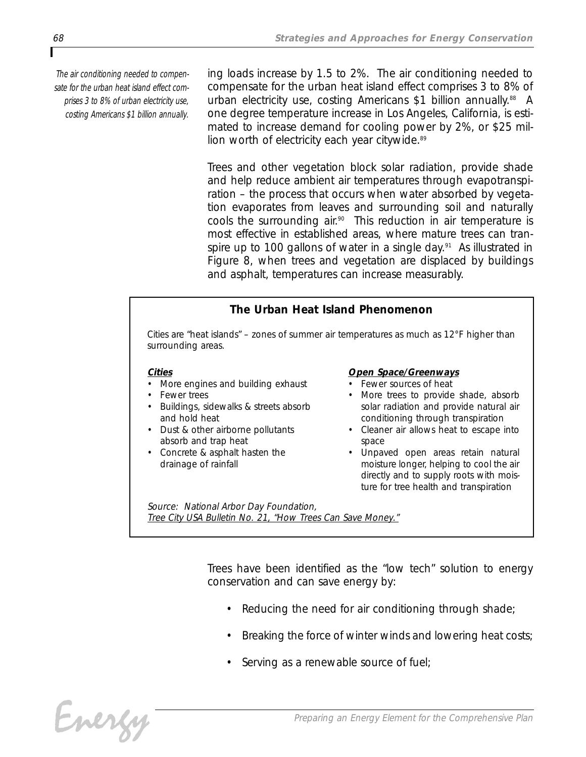*The air conditioning needed to compensate for the urban heat island effect comprises 3 to 8% of urban electricity use, costing Americans \$1 billion annually.* *ing loads increase by 1.5 to 2%. The air conditioning needed to compensate for the urban heat island effect comprises 3 to 8% of urban electricity use, costing Americans \$1 billion annually.88 A one degree temperature increase in Los Angeles, California, is estimated to increase demand for cooling power by 2%, or \$25 million worth of electricity each year citywide.89*

*Trees and other vegetation block solar radiation, provide shade and help reduce ambient air temperatures through evapotranspiration – the process that occurs when water absorbed by vegetation evaporates from leaves and surrounding soil and naturally cools the surrounding air.90 This reduction in air temperature is most effective in established areas, where mature trees can transpire up to 100 gallons of water in a single day.91 As illustrated in Figure 8, when trees and vegetation are displaced by buildings and asphalt, temperatures can increase measurably.*

## *The Urban Heat Island Phenomenon*

*Cities are "heat islands" – zones of summer air temperatures as much as 12°F higher than surrounding areas.*

#### *Cities*

- *• More engines and building exhaust*
- *• Fewer trees*
- *• Buildings, sidewalks & streets absorb and hold heat*
- *• Dust & other airborne pollutants absorb and trap heat*
- *• Concrete & asphalt hasten the drainage of rainfall*

#### *Open Space/Greenways*

- *• Fewer sources of heat*
- *• More trees to provide shade, absorb solar radiation and provide natural air conditioning through transpiration*
- *• Cleaner air allows heat to escape into space*
- *• Unpaved open areas retain natural moisture longer, helping to cool the air directly and to supply roots with moisture for tree health and transpiration*

*Source: National Arbor Day Foundation, Tree City USA Bulletin No. 21, "How Trees Can Save Money."*

> *Trees have been identified as the "low tech" solution to energy conservation and can save energy by:*

- *• Reducing the need for air conditioning through shade;*
- *• Breaking the force of winter winds and lowering heat costs;*
- *• Serving as a renewable source of fuel;*

Energy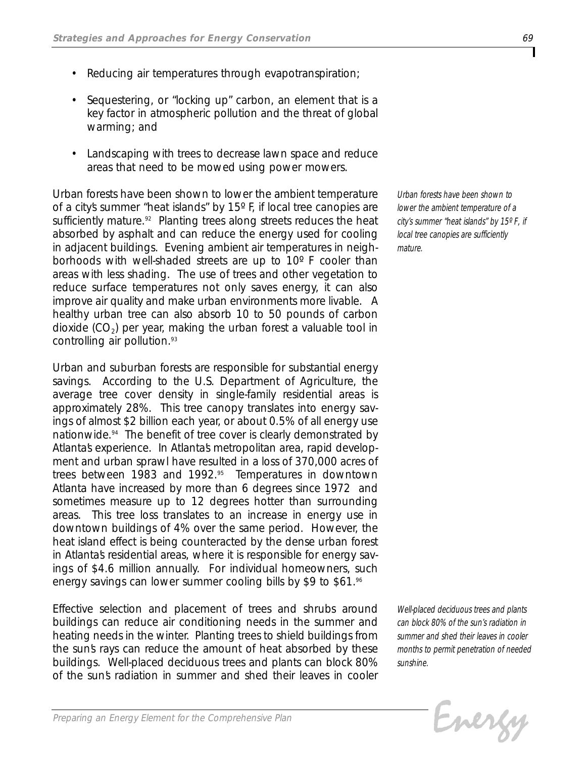- *• Reducing air temperatures through evapotranspiration;*
- *• Sequestering, or "locking up" carbon, an element that is a key factor in atmospheric pollution and the threat of global warming; and*
- *• Landscaping with trees to decrease lawn space and reduce areas that need to be mowed using power mowers.*

*Urban forests have been shown to lower the ambient temperature of a city's summer "heat islands" by 15º F, if local tree canopies are sufficiently mature.92 Planting trees along streets reduces the heat absorbed by asphalt and can reduce the energy used for cooling in adjacent buildings. Evening ambient air temperatures in neighborhoods with well-shaded streets are up to 10º F cooler than areas with less shading. The use of trees and other vegetation to reduce surface temperatures not only saves energy, it can also improve air quality and make urban environments more livable. A healthy urban tree can also absorb 10 to 50 pounds of carbon dioxide (CO2) per year, making the urban forest a valuable tool in controlling air pollution.93*

*Urban and suburban forests are responsible for substantial energy savings. According to the U.S. Department of Agriculture, the average tree cover density in single-family residential areas is approximately 28%. This tree canopy translates into energy savings of almost \$2 billion each year, or about 0.5% of all energy use nationwide.94 The benefit of tree cover is clearly demonstrated by* Atlanta's experience. In Atlanta's metropolitan area, rapid develop*ment and urban sprawl have resulted in a loss of 370,000 acres of trees between 1983 and 1992.95 Temperatures in downtown Atlanta have increased by more than 6 degrees since 1972 and sometimes measure up to 12 degrees hotter than surrounding areas. This tree loss translates to an increase in energy use in downtown buildings of 4% over the same period. However, the heat island effect is being counteracted by the dense urban forest in Atlanta's residential areas, where it is responsible for energy savings of \$4.6 million annually. For individual homeowners, such energy savings can lower summer cooling bills by \$9 to \$61.96*

*Effective selection and placement of trees and shrubs around buildings can reduce air conditioning needs in the summer and heating needs in the winter. Planting trees to shield buildings from the sun's rays can reduce the amount of heat absorbed by these buildings. Well-placed deciduous trees and plants can block 80% of the sun's radiation in summer and shed their leaves in cooler*

*Urban forests have been shown to lower the ambient temperature of a city's summer "heat islands" by 15º F, if local tree canopies are sufficiently mature.*

*Well-placed deciduous trees and plants can block 80% of the sun's radiation in summer and shed their leaves in cooler months to permit penetration of needed sunshine.*

Energy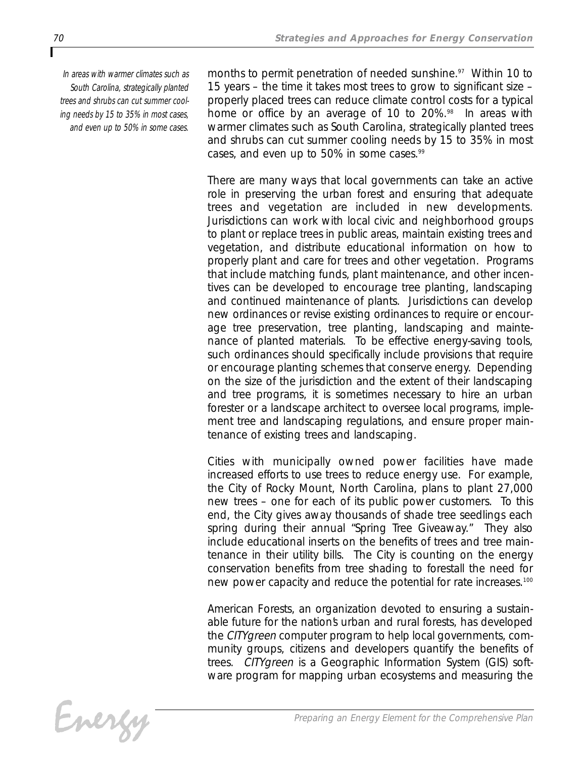*In areas with warmer climates such as South Carolina, strategically planted trees and shrubs can cut summer cooling needs by 15 to 35% in most cases, and even up to 50% in some cases.*

*months to permit penetration of needed sunshine.97 Within 10 to 15 years – the time it takes most trees to grow to significant size – properly placed trees can reduce climate control costs for a typical home or office by an average of 10 to 20%.98 In areas with warmer climates such as South Carolina, strategically planted trees and shrubs can cut summer cooling needs by 15 to 35% in most cases, and even up to 50% in some cases.99*

*There are many ways that local governments can take an active role in preserving the urban forest and ensuring that adequate trees and vegetation are included in new developments. Jurisdictions can work with local civic and neighborhood groups to plant or replace trees in public areas, maintain existing trees and vegetation, and distribute educational information on how to properly plant and care for trees and other vegetation. Programs that include matching funds, plant maintenance, and other incentives can be developed to encourage tree planting, landscaping and continued maintenance of plants. Jurisdictions can develop new ordinances or revise existing ordinances to require or encourage tree preservation, tree planting, landscaping and maintenance of planted materials. To be effective energy-saving tools, such ordinances should specifically include provisions that require or encourage planting schemes that conserve energy. Depending on the size of the jurisdiction and the extent of their landscaping and tree programs, it is sometimes necessary to hire an urban forester or a landscape architect to oversee local programs, implement tree and landscaping regulations, and ensure proper maintenance of existing trees and landscaping.*

*Cities with municipally owned power facilities have made increased efforts to use trees to reduce energy use. For example, the City of Rocky Mount, North Carolina, plans to plant 27,000 new trees – one for each of its public power customers. To this end, the City gives away thousands of shade tree seedlings each spring during their annual "Spring Tree Giveaway." They also include educational inserts on the benefits of trees and tree maintenance in their utility bills. The City is counting on the energy conservation benefits from tree shading to forestall the need for new power capacity and reduce the potential for rate increases.100*

*American Forests, an organization devoted to ensuring a sustainable future for the nation's urban and rural forests, has developed the CITYgreen computer program to help local governments, community groups, citizens and developers quantify the benefits of trees. CITYgreen is a Geographic Information System (GIS) software program for mapping urban ecosystems and measuring the*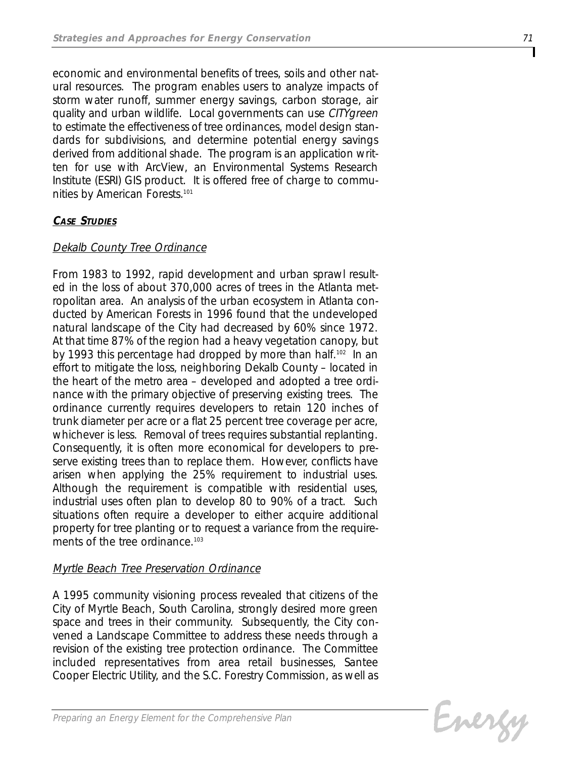*economic and environmental benefits of trees, soils and other natural resources. The program enables users to analyze impacts of storm water runoff, summer energy savings, carbon storage, air quality and urban wildlife. Local governments can use CITYgreen to estimate the effectiveness of tree ordinances, model design standards for subdivisions, and determine potential energy savings derived from additional shade. The program is an application written for use with ArcView, an Environmental Systems Research Institute (ESRI) GIS product. It is offered free of charge to communities by American Forests. 101*

## *CASE STUDIES*

## *Dekalb County Tree Ordinance*

*From 1983 to 1992, rapid development and urban sprawl resulted in the loss of about 370,000 acres of trees in the Atlanta metropolitan area. An analysis of the urban ecosystem in Atlanta conducted by American Forests in 1996 found that the undeveloped natural landscape of the City had decreased by 60% since 1972. At that time 87% of the region had a heavy vegetation canopy, but by 1993 this percentage had dropped by more than half.102 In an effort to mitigate the loss, neighboring Dekalb County – located in the heart of the metro area – developed and adopted a tree ordinance with the primary objective of preserving existing trees. The ordinance currently requires developers to retain 120 inches of trunk diameter per acre or a flat 25 percent tree coverage per acre, whichever is less. Removal of trees requires substantial replanting. Consequently, it is often more economical for developers to preserve existing trees than to replace them. However, conflicts have arisen when applying the 25% requirement to industrial uses. Although the requirement is compatible with residential uses, industrial uses often plan to develop 80 to 90% of a tract. Such situations often require a developer to either acquire additional property for tree planting or to request a variance from the requirements of the tree ordinance.103*

## *Myrtle Beach Tree Preservation Ordinance*

*A 1995 community visioning process revealed that citizens of the City of Myrtle Beach, South Carolina, strongly desired more green space and trees in their community. Subsequently, the City convened a Landscape Committee to address these needs through a revision of the existing tree protection ordinance. The Committee included representatives from area retail businesses, Santee Cooper Electric Utility, and the S.C. Forestry Commission, as well as*

Energy

*Preparing an Energy Element for the Comprehensive Plan*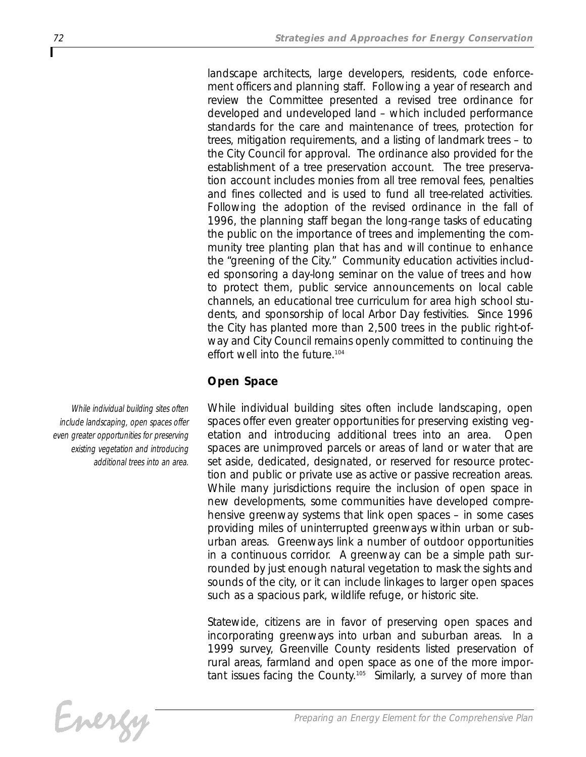*landscape architects, large developers, residents, code enforcement officers and planning staff. Following a year of research and review the Committee presented a revised tree ordinance for developed and undeveloped land – which included performance standards for the care and maintenance of trees, protection for trees, mitigation requirements, and a listing of landmark trees – to the City Council for approval. The ordinance also provided for the establishment of a tree preservation account. The tree preservation account includes monies from all tree removal fees, penalties and fines collected and is used to fund all tree-related activities. Following the adoption of the revised ordinance in the fall of 1996, the planning staff began the long-range tasks of educating the public on the importance of trees and implementing the community tree planting plan that has and will continue to enhance the "greening of the City." Community education activities included sponsoring a day-long seminar on the value of trees and how to protect them, public service announcements on local cable channels, an educational tree curriculum for area high school students, and sponsorship of local Arbor Day festivities. Since 1996 the City has planted more than 2,500 trees in the public right-ofway and City Council remains openly committed to continuing the effort well into the future.104*

## *Open Space*

*While individual building sites often include landscaping, open spaces offer even greater opportunities for preserving existing vegetation and introducing additional trees into an area. Open spaces are unimproved parcels or areas of land or water that are set aside, dedicated, designated, or reserved for resource protection and public or private use as active or passive recreation areas. While many jurisdictions require the inclusion of open space in new developments, some communities have developed comprehensive greenway systems that link open spaces – in some cases providing miles of uninterrupted greenways within urban or suburban areas. Greenways link a number of outdoor opportunities in a continuous corridor. A greenway can be a simple path surrounded by just enough natural vegetation to mask the sights and sounds of the city, or it can include linkages to larger open spaces such as a spacious park, wildlife refuge, or historic site.* 

*Statewide, citizens are in favor of preserving open spaces and incorporating greenways into urban and suburban areas. In a 1999 survey, Greenville County residents listed preservation of rural areas, farmland and open space as one of the more important issues facing the County.105 Similarly, a survey of more than*

*While individual building sites often include landscaping, open spaces offer even greater opportunities for preserving existing vegetation and introducing additional trees into an area.*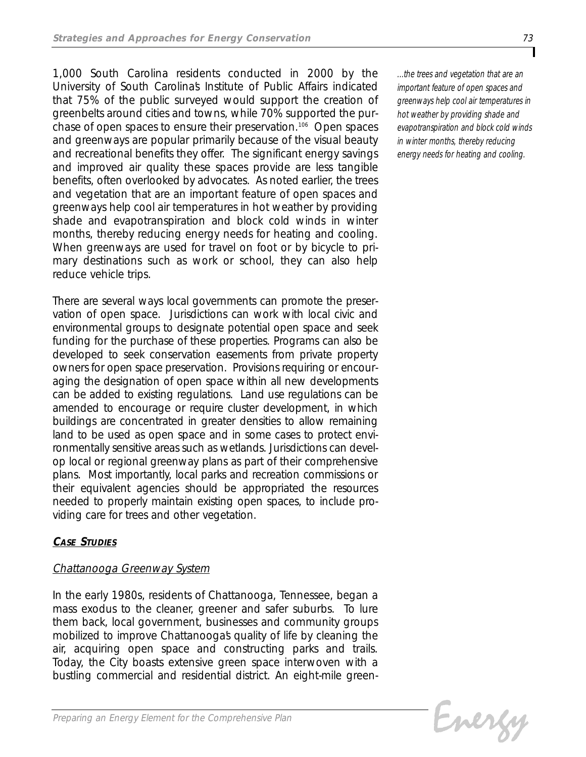*1,000 South Carolina residents conducted in 2000 by the University of South Carolina's Institute of Public Affairs indicated that 75% of the public surveyed would support the creation of greenbelts around cities and towns, while 70% supported the purchase of open spaces to ensure their preservation.106 Open spaces and greenways are popular primarily because of the visual beauty and recreational benefits they offer. The significant energy savings and improved air quality these spaces provide are less tangible benefits, often overlooked by advocates. As noted earlier, the trees and vegetation that are an important feature of open spaces and greenways help cool air temperatures in hot weather by providing shade and evapotranspiration and block cold winds in winter months, thereby reducing energy needs for heating and cooling. When greenways are used for travel on foot or by bicycle to primary destinations such as work or school, they can also help reduce vehicle trips.*

*There are several ways local governments can promote the preservation of open space. Jurisdictions can work with local civic and environmental groups to designate potential open space and seek funding for the purchase of these properties. Programs can also be developed to seek conservation easements from private property owners for open space preservation. Provisions requiring or encouraging the designation of open space within all new developments can be added to existing regulations. Land use regulations can be amended to encourage or require cluster development, in which buildings are concentrated in greater densities to allow remaining land to be used as open space and in some cases to protect environmentally sensitive areas such as wetlands. Jurisdictions can develop local or regional greenway plans as part of their comprehensive plans. Most importantly, local parks and recreation commissions or their equivalent agencies should be appropriated the resources needed to properly maintain existing open spaces, to include providing care for trees and other vegetation.*

## *CASE STUDIES*

## *Chattanooga Greenway System*

*In the early 1980s, residents of Chattanooga, Tennessee, began a mass exodus to the cleaner, greener and safer suburbs. To lure them back, local government, businesses and community groups mobilized to improve Chattanooga's quality of life by cleaning the air, acquiring open space and constructing parks and trails. Today, the City boasts extensive green space interwoven with a bustling commercial and residential district. An eight-mile green-* *...the trees and vegetation that are an important feature of open spaces and greenways help cool air temperatures in hot weather by providing shade and evapotranspiration and block cold winds in winter months, thereby reducing energy needs for heating and cooling.* 

Energy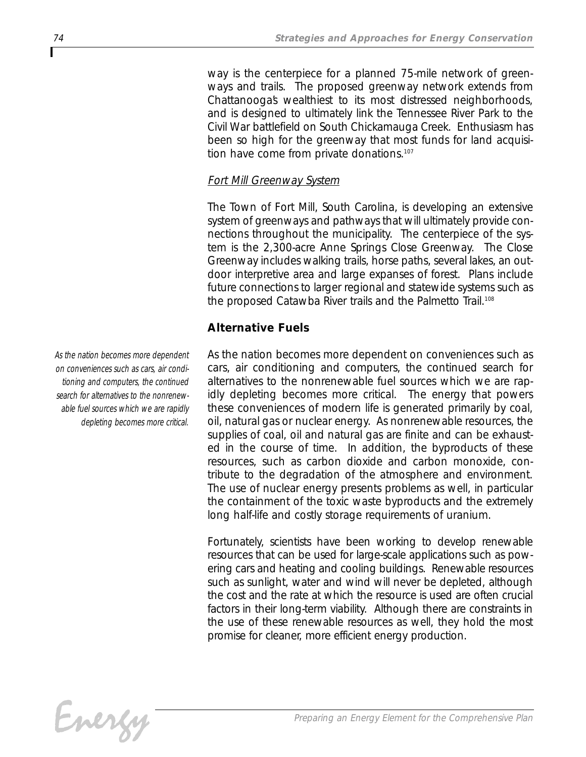*way is the centerpiece for a planned 75-mile network of greenways and trails. The proposed greenway network extends from Chattanooga's wealthiest to its most distressed neighborhoods, and is designed to ultimately link the Tennessee River Park to the Civil War battlefield on South Chickamauga Creek. Enthusiasm has been so high for the greenway that most funds for land acquisition have come from private donations.107*

## *Fort Mill Greenway System*

*The Town of Fort Mill, South Carolina, is developing an extensive system of greenways and pathways that will ultimately provide connections throughout the municipality. The centerpiece of the system is the 2,300-acre Anne Springs Close Greenway. The Close Greenway includes walking trails, horse paths, several lakes, an outdoor interpretive area and large expanses of forest. Plans include future connections to larger regional and statewide systems such as the proposed Catawba River trails and the Palmetto Trail.108*

## *Alternative Fuels*

*As the nation becomes more dependent on conveniences such as cars, air conditioning and computers, the continued search for alternatives to the nonrenewable fuel sources which we are rapidly depleting becomes more critical. The energy that powers these conveniences of modern life is generated primarily by coal, oil, natural gas or nuclear energy. As nonrenewable resources, the supplies of coal, oil and natural gas are finite and can be exhausted in the course of time. In addition, the byproducts of these resources, such as carbon dioxide and carbon monoxide, contribute to the degradation of the atmosphere and environment. The use of nuclear energy presents problems as well, in particular the containment of the toxic waste byproducts and the extremely long half-life and costly storage requirements of uranium.*

*Fortunately, scientists have been working to develop renewable resources that can be used for large-scale applications such as powering cars and heating and cooling buildings. Renewable resources such as sunlight, water and wind will never be depleted, although the cost and the rate at which the resource is used are often crucial factors in their long-term viability. Although there are constraints in the use of these renewable resources as well, they hold the most promise for cleaner, more efficient energy production.* 



*As the nation becomes more dependent on conveniences such as cars, air conditioning and computers, the continued search for alternatives to the nonrenewable fuel sources which we are rapidly depleting becomes more critical.*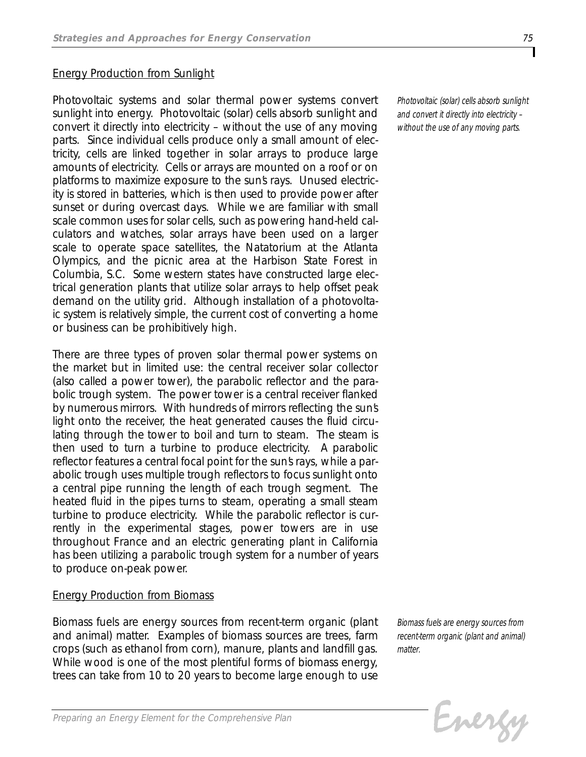## *Energy Production from Sunlight*

*Photovoltaic systems and solar thermal power systems convert sunlight into energy. Photovoltaic (solar) cells absorb sunlight and convert it directly into electricity – without the use of any moving parts. Since individual cells produce only a small amount of electricity, cells are linked together in solar arrays to produce large amounts of electricity. Cells or arrays are mounted on a roof or on platforms to maximize exposure to the sun's rays. Unused electricity is stored in batteries, which is then used to provide power after sunset or during overcast days. While we are familiar with small scale common uses for solar cells, such as powering hand-held calculators and watches, solar arrays have been used on a larger scale to operate space satellites, the Natatorium at the Atlanta Olympics, and the picnic area at the Harbison State Forest in Columbia, S.C. Some western states have constructed large electrical generation plants that utilize solar arrays to help offset peak demand on the utility grid. Although installation of a photovoltaic system is relatively simple, the current cost of converting a home or business can be prohibitively high.*

*There are three types of proven solar thermal power systems on the market but in limited use: the central receiver solar collector (also called a power tower), the parabolic reflector and the parabolic trough system. The power tower is a central receiver flanked by numerous mirrors. With hundreds of mirrors reflecting the sun's light onto the receiver, the heat generated causes the fluid circulating through the tower to boil and turn to steam. The steam is then used to turn a turbine to produce electricity. A parabolic* reflector features a central focal point for the suns rays, while a par*abolic trough uses multiple trough reflectors to focus sunlight onto a central pipe running the length of each trough segment. The heated fluid in the pipes turns to steam, operating a small steam turbine to produce electricity. While the parabolic reflector is currently in the experimental stages, power towers are in use throughout France and an electric generating plant in California has been utilizing a parabolic trough system for a number of years to produce on-peak power.*

## *Energy Production from Biomass*

*Biomass fuels are energy sources from recent-term organic (plant and animal) matter. Examples of biomass sources are trees, farm crops (such as ethanol from corn), manure, plants and landfill gas. While wood is one of the most plentiful forms of biomass energy, trees can take from 10 to 20 years to become large enough to use*

*Biomass fuels are energy sources from recent-term organic (plant and animal) matter.*

Evergy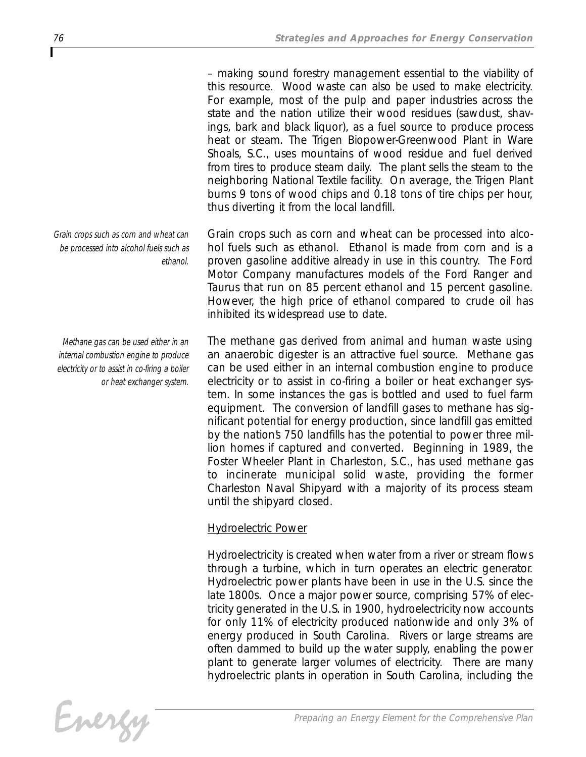*– making sound forestry management essential to the viability of this resource. Wood waste can also be used to make electricity. For example, most of the pulp and paper industries across the state and the nation utilize their wood residues (sawdust, shavings, bark and black liquor), as a fuel source to produce process heat or steam. The Trigen Biopower-Greenwood Plant in Ware Shoals, S.C., uses mountains of wood residue and fuel derived from tires to produce steam daily. The plant sells the steam to the neighboring National Textile facility. On average, the Trigen Plant burns 9 tons of wood chips and 0.18 tons of tire chips per hour, thus diverting it from the local landfill.*

*Grain crops such as corn and wheat can be processed into alcohol fuels such as ethanol. Ethanol is made from corn and is a proven gasoline additive already in use in this country. The Ford Motor Company manufactures models of the Ford Ranger and Taurus that run on 85 percent ethanol and 15 percent gasoline. However, the high price of ethanol compared to crude oil has inhibited its widespread use to date.*

*The methane gas derived from animal and human waste using an anaerobic digester is an attractive fuel source. Methane gas can be used either in an internal combustion engine to produce electricity or to assist in co-firing a boiler or heat exchanger system. In some instances the gas is bottled and used to fuel farm equipment. The conversion of landfill gases to methane has significant potential for energy production, since landfill gas emitted by the nation's 750 landfills has the potential to power three million homes if captured and converted. Beginning in 1989, the Foster Wheeler Plant in Charleston, S.C., has used methane gas to incinerate municipal solid waste, providing the former Charleston Naval Shipyard with a majority of its process steam until the shipyard closed.* 

## *Hydroelectric Power*

*Hydroelectricity is created when water from a river or stream flows through a turbine, which in turn operates an electric generator. Hydroelectric power plants have been in use in the U.S. since the late 1800s. Once a major power source, comprising 57% of electricity generated in the U.S. in 1900, hydroelectricity now accounts for only 11% of electricity produced nationwide and only 3% of energy produced in South Carolina. Rivers or large streams are often dammed to build up the water supply, enabling the power plant to generate larger volumes of electricity. There are many hydroelectric plants in operation in South Carolina, including the*

*Grain crops such as corn and wheat can be processed into alcohol fuels such as ethanol.*

*Methane gas can be used either in an internal combustion engine to produce electricity or to assist in co-firing a boiler or heat exchanger system.*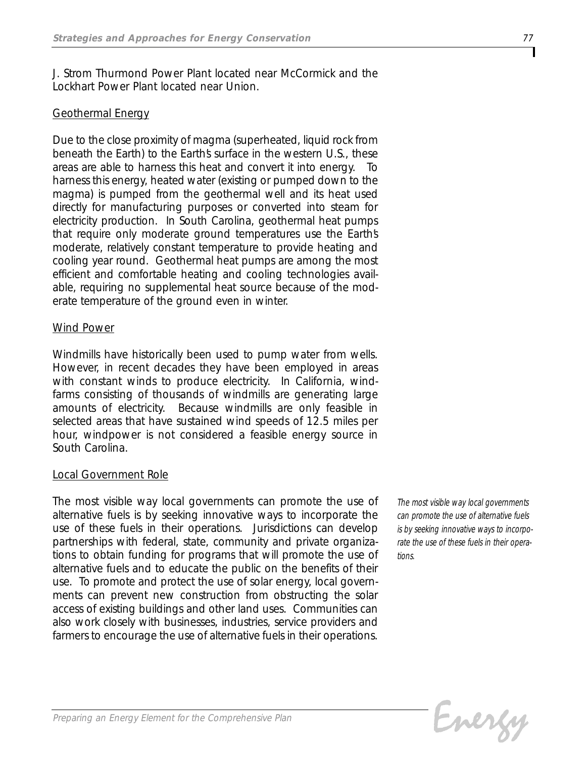*J. Strom Thurmond Power Plant located near McCormick and the Lockhart Power Plant located near Union.*

## *Geothermal Energy*

*Due to the close proximity of magma (superheated, liquid rock from beneath the Earth) to the Earth's surface in the western U.S., these areas are able to harness this heat and convert it into energy. To harness this energy, heated water (existing or pumped down to the magma) is pumped from the geothermal well and its heat used directly for manufacturing purposes or converted into steam for electricity production. In South Carolina, geothermal heat pumps that require only moderate ground temperatures use the Earth's moderate, relatively constant temperature to provide heating and cooling year round. Geothermal heat pumps are among the most efficient and comfortable heating and cooling technologies available, requiring no supplemental heat source because of the moderate temperature of the ground even in winter.*

## *Wind Power*

*Windmills have historically been used to pump water from wells. However, in recent decades they have been employed in areas with constant winds to produce electricity. In California, windfarms consisting of thousands of windmills are generating large amounts of electricity. Because windmills are only feasible in selected areas that have sustained wind speeds of 12.5 miles per hour, windpower is not considered a feasible energy source in South Carolina.*

## *Local Government Role*

*The most visible way local governments can promote the use of alternative fuels is by seeking innovative ways to incorporate the use of these fuels in their operations. Jurisdictions can develop partnerships with federal, state, community and private organizations to obtain funding for programs that will promote the use of alternative fuels and to educate the public on the benefits of their use. To promote and protect the use of solar energy, local governments can prevent new construction from obstructing the solar access of existing buildings and other land uses. Communities can also work closely with businesses, industries, service providers and farmers to encourage the use of alternative fuels in their operations.*

*The most visible way local governments can promote the use of alternative fuels is by seeking innovative ways to incorporate the use of these fuels in their operations.*

Evergy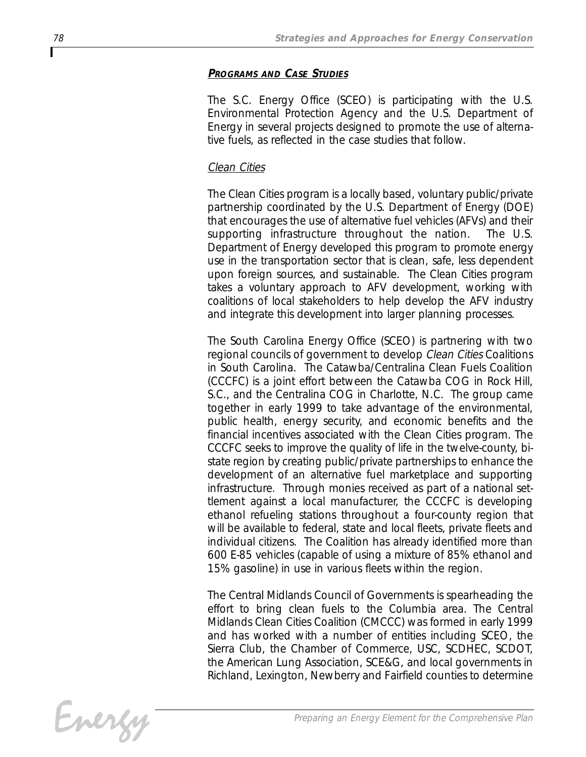## *PROGRAMS AND CASE STUDIES*

*The S.C. Energy Office (SCEO) is participating with the U.S. Environmental Protection Agency and the U.S. Department of Energy in several projects designed to promote the use of alternative fuels, as reflected in the case studies that follow.*

## *Clean Cities*

*The Clean Cities program is a locally based, voluntary public/private partnership coordinated by the U.S. Department of Energy (DOE) that encourages the use of alternative fuel vehicles (AFVs) and their supporting infrastructure throughout the nation. The U.S. Department of Energy developed this program to promote energy use in the transportation sector that is clean, safe, less dependent upon foreign sources, and sustainable. The Clean Cities program takes a voluntary approach to AFV development, working with coalitions of local stakeholders to help develop the AFV industry and integrate this development into larger planning processes.*

*The South Carolina Energy Office (SCEO) is partnering with two regional councils of government to develop Clean Cities Coalitions in South Carolina. The Catawba/Centralina Clean Fuels Coalition (CCCFC) is a joint effort between the Catawba COG in Rock Hill, S.C., and the Centralina COG in Charlotte, N.C. The group came together in early 1999 to take advantage of the environmental, public health, energy security, and economic benefits and the financial incentives associated with the Clean Cities program. The CCCFC seeks to improve the quality of life in the twelve-county, bistate region by creating public/private partnerships to enhance the development of an alternative fuel marketplace and supporting infrastructure. Through monies received as part of a national settlement against a local manufacturer, the CCCFC is developing ethanol refueling stations throughout a four-county region that will be available to federal, state and local fleets, private fleets and individual citizens. The Coalition has already identified more than 600 E-85 vehicles (capable of using a mixture of 85% ethanol and 15% gasoline) in use in various fleets within the region.*

*The Central Midlands Council of Governments is spearheading the effort to bring clean fuels to the Columbia area. The Central Midlands Clean Cities Coalition (CMCCC) was formed in early 1999 and has worked with a number of entities including SCEO, the Sierra Club, the Chamber of Commerce, USC, SCDHEC, SCDOT, the American Lung Association, SCE&G, and local governments in Richland, Lexington, Newberry and Fairfield counties to determine*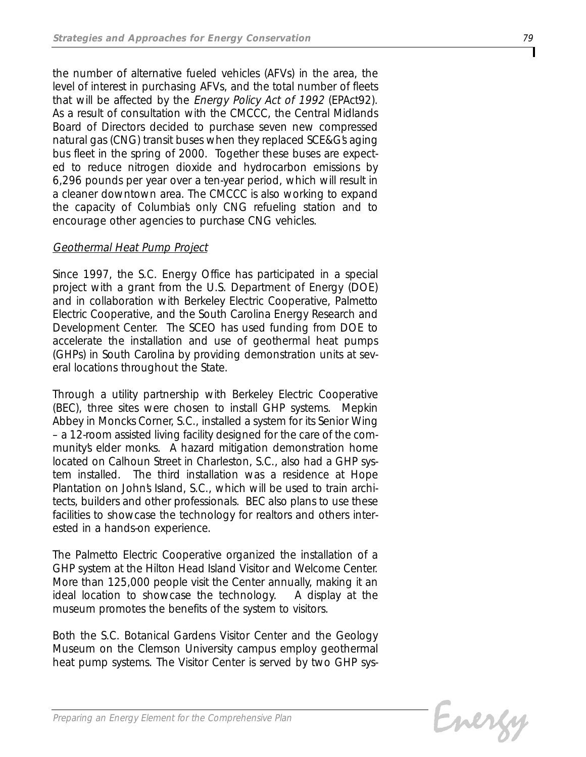*the number of alternative fueled vehicles (AFVs) in the area, the level of interest in purchasing AFVs, and the total number of fleets that will be affected by the Energy Policy Act of 1992 (EPAct92). As a result of consultation with the CMCCC, the Central Midlands Board of Directors decided to purchase seven new compressed natural gas (CNG) transit buses when they replaced SCE&G's aging bus fleet in the spring of 2000. Together these buses are expected to reduce nitrogen dioxide and hydrocarbon emissions by 6,296 pounds per year over a ten-year period, which will result in a cleaner downtown area. The CMCCC is also working to expand the capacity of Columbia's only CNG refueling station and to encourage other agencies to purchase CNG vehicles.* 

## *Geothermal Heat Pump Project*

*Since 1997, the S.C. Energy Office has participated in a special project with a grant from the U.S. Department of Energy (DOE) and in collaboration with Berkeley Electric Cooperative, Palmetto Electric Cooperative, and the South Carolina Energy Research and Development Center. The SCEO has used funding from DOE to accelerate the installation and use of geothermal heat pumps (GHPs) in South Carolina by providing demonstration units at several locations throughout the State.* 

*Through a utility partnership with Berkeley Electric Cooperative (BEC), three sites were chosen to install GHP systems. Mepkin Abbey in Moncks Corner, S.C., installed a system for its Senior Wing – a 12-room assisted living facility designed for the care of the community's elder monks. A hazard mitigation demonstration home located on Calhoun Street in Charleston, S.C., also had a GHP system installed. The third installation was a residence at Hope Plantation on John's Island, S.C., which will be used to train architects, builders and other professionals. BEC also plans to use these facilities to showcase the technology for realtors and others interested in a hands-on experience.*

*The Palmetto Electric Cooperative organized the installation of a GHP system at the Hilton Head Island Visitor and Welcome Center. More than 125,000 people visit the Center annually, making it an ideal location to showcase the technology. A display at the museum promotes the benefits of the system to visitors.*

*Both the S.C. Botanical Gardens Visitor Center and the Geology Museum on the Clemson University campus employ geothermal heat pump systems. The Visitor Center is served by two GHP sys-*

Evergy

*Preparing an Energy Element for the Comprehensive Plan*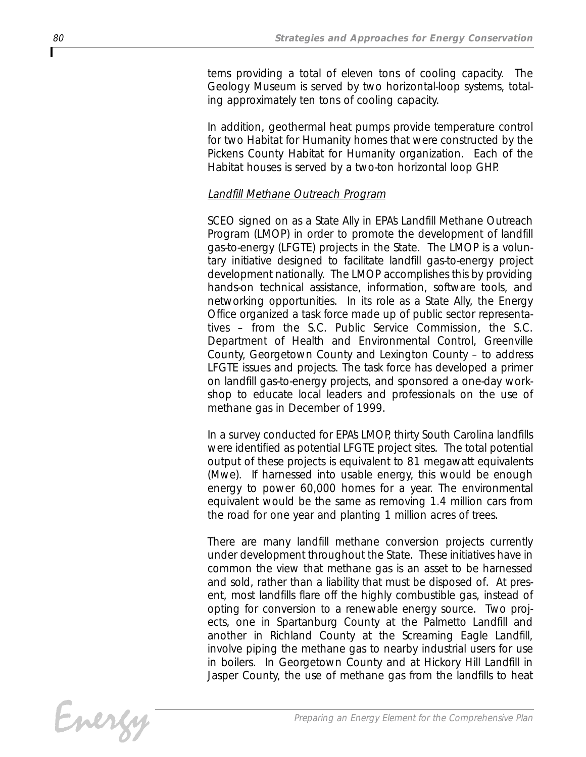*tems providing a total of eleven tons of cooling capacity. The Geology Museum is served by two horizontal-loop systems, totaling approximately ten tons of cooling capacity.* 

*In addition, geothermal heat pumps provide temperature control for two Habitat for Humanity homes that were constructed by the Pickens County Habitat for Humanity organization. Each of the Habitat houses is served by a two-ton horizontal loop GHP.* 

## *Landfill Methane Outreach Program*

*SCEO signed on as a State Ally in EPA's Landfill Methane Outreach Program (LMOP) in order to promote the development of landfill gas-to-energy (LFGTE) projects in the State. The LMOP is a voluntary initiative designed to facilitate landfill gas-to-energy project development nationally. The LMOP accomplishes this by providing hands-on technical assistance, information, software tools, and networking opportunities. In its role as a State Ally, the Energy Office organized a task force made up of public sector representatives – from the S.C. Public Service Commission, the S.C. Department of Health and Environmental Control, Greenville County, Georgetown County and Lexington County – to address LFGTE issues and projects. The task force has developed a primer on landfill gas-to-energy projects, and sponsored a one-day workshop to educate local leaders and professionals on the use of methane gas in December of 1999.*

*In a survey conducted for EPA's LMOP, thirty South Carolina landfills were identified as potential LFGTE project sites. The total potential output of these projects is equivalent to 81 megawatt equivalents (Mwe). If harnessed into usable energy, this would be enough energy to power 60,000 homes for a year. The environmental equivalent would be the same as removing 1.4 million cars from the road for one year and planting 1 million acres of trees.*

*There are many landfill methane conversion projects currently under development throughout the State. These initiatives have in common the view that methane gas is an asset to be harnessed and sold, rather than a liability that must be disposed of. At present, most landfills flare off the highly combustible gas, instead of opting for conversion to a renewable energy source. Two projects, one in Spartanburg County at the Palmetto Landfill and another in Richland County at the Screaming Eagle Landfill, involve piping the methane gas to nearby industrial users for use in boilers. In Georgetown County and at Hickory Hill Landfill in Jasper County, the use of methane gas from the landfills to heat*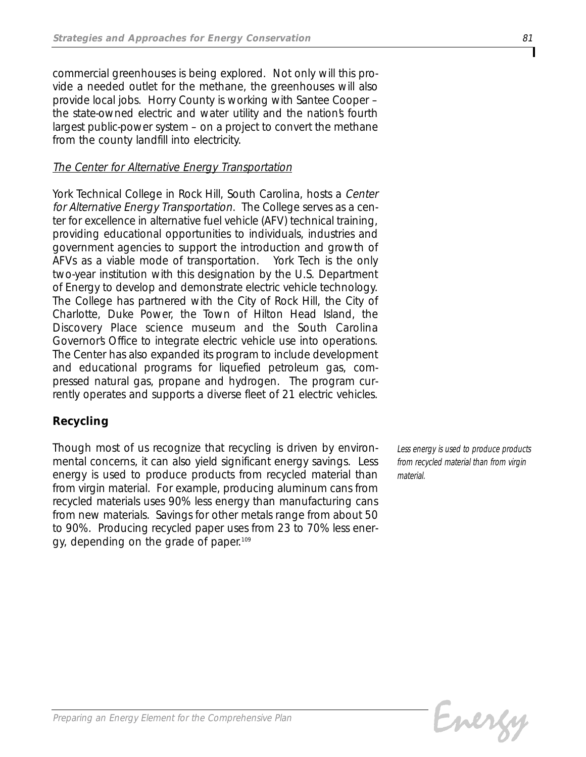*commercial greenhouses is being explored. Not only will this provide a needed outlet for the methane, the greenhouses will also provide local jobs. Horry County is working with Santee Cooper – the state-owned electric and water utility and the nation's fourth largest public-power system – on a project to convert the methane from the county landfill into electricity.*

## *The Center for Alternative Energy Transportation*

*York Technical College in Rock Hill, South Carolina, hosts a Center for Alternative Energy Transportation. The College serves as a center for excellence in alternative fuel vehicle (AFV) technical training, providing educational opportunities to individuals, industries and government agencies to support the introduction and growth of AFVs as a viable mode of transportation. York Tech is the only two-year institution with this designation by the U.S. Department of Energy to develop and demonstrate electric vehicle technology. The College has partnered with the City of Rock Hill, the City of Charlotte, Duke Power, the Town of Hilton Head Island, the Discovery Place science museum and the South Carolina Governor's Office to integrate electric vehicle use into operations. The Center has also expanded its program to include development and educational programs for liquefied petroleum gas, compressed natural gas, propane and hydrogen. The program currently operates and supports a diverse fleet of 21 electric vehicles.* 

## *Recycling*

*Though most of us recognize that recycling is driven by environmental concerns, it can also yield significant energy savings. Less energy is used to produce products from recycled material than from virgin material. For example, producing aluminum cans from recycled materials uses 90% less energy than manufacturing cans from new materials. Savings for other metals range from about 50 to 90%. Producing recycled paper uses from 23 to 70% less energy, depending on the grade of paper.109*

*Less energy is used to produce products from recycled material than from virgin material.*

Energy

*Preparing an Energy Element for the Comprehensive Plan*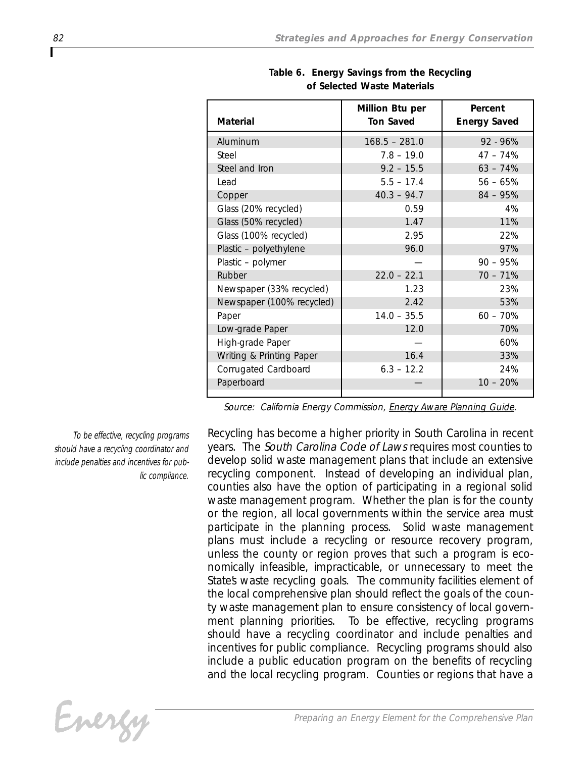| <b>Material</b>           | Million Btu per<br><b>Ton Saved</b> | Percent<br><b>Energy Saved</b> |
|---------------------------|-------------------------------------|--------------------------------|
| Aluminum                  | $168.5 - 281.0$                     | $92 - 96%$                     |
| Steel                     | $7.8 - 19.0$                        | $47 - 74\%$                    |
| Steel and Iron            | $9.2 - 15.5$                        | $63 - 74%$                     |
| Lead                      | $5.5 - 17.4$                        | $56 - 65%$                     |
| Copper                    | $40.3 - 94.7$                       | $84 - 95%$                     |
| Glass (20% recycled)      | 0.59                                | 4%                             |
| Glass (50% recycled)      | 1.47                                | 11%                            |
| Glass (100% recycled)     | 2.95                                | 22%                            |
| Plastic - polyethylene    | 96.0                                | 97%                            |
| Plastic - polymer         |                                     | $90 - 95%$                     |
| Rubber                    | $22.0 - 22.1$                       | $70 - 71%$                     |
| Newspaper (33% recycled)  | 1.23                                | 23%                            |
| Newspaper (100% recycled) | 2.42                                | 53%                            |
| Paper                     | $14.0 - 35.5$                       | $60 - 70%$                     |
| Low-grade Paper           | 12.0                                | 70%                            |
| High-grade Paper          |                                     | 60%                            |
| Writing & Printing Paper  | 16.4                                | 33%                            |
| Corrugated Cardboard      | $6.3 - 12.2$                        | 24%                            |
| Paperboard                |                                     | $10 - 20%$                     |
|                           |                                     |                                |

*Table 6. Energy Savings from the Recycling of Selected Waste Materials*

*Source: California Energy Commission, Energy Aware Planning Guide.*

*To be effective, recycling programs should have a recycling coordinator and include penalties and incentives for public compliance.*

*Recycling has become a higher priority in South Carolina in recent years. The South Carolina Code of Laws requires most counties to develop solid waste management plans that include an extensive recycling component. Instead of developing an individual plan, counties also have the option of participating in a regional solid waste management program. Whether the plan is for the county or the region, all local governments within the service area must participate in the planning process. Solid waste management plans must include a recycling or resource recovery program, unless the county or region proves that such a program is economically infeasible, impracticable, or unnecessary to meet the State's waste recycling goals. The community facilities element of the local comprehensive plan should reflect the goals of the county waste management plan to ensure consistency of local government planning priorities. To be effective, recycling programs should have a recycling coordinator and include penalties and incentives for public compliance. Recycling programs should also include a public education program on the benefits of recycling and the local recycling program. Counties or regions that have a*

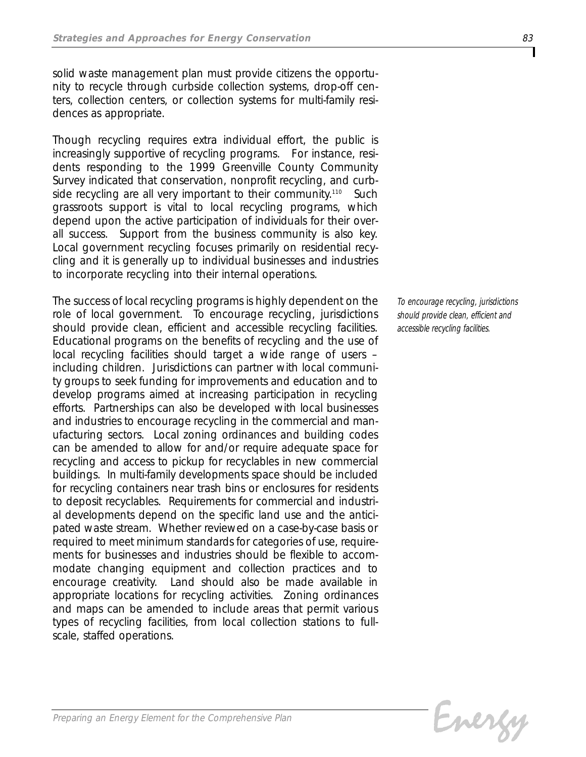*solid waste management plan must provide citizens the opportunity to recycle through curbside collection systems, drop-off centers, collection centers, or collection systems for multi-family residences as appropriate.*

*Though recycling requires extra individual effort, the public is increasingly supportive of recycling programs. For instance, residents responding to the 1999 Greenville County Community Survey indicated that conservation, nonprofit recycling, and curbside recycling are all very important to their community.110 Such grassroots support is vital to local recycling programs, which depend upon the active participation of individuals for their overall success. Support from the business community is also key. Local government recycling focuses primarily on residential recycling and it is generally up to individual businesses and industries to incorporate recycling into their internal operations.*

*The success of local recycling programs is highly dependent on the role of local government. To encourage recycling, jurisdictions should provide clean, efficient and accessible recycling facilities. Educational programs on the benefits of recycling and the use of local recycling facilities should target a wide range of users – including children. Jurisdictions can partner with local community groups to seek funding for improvements and education and to develop programs aimed at increasing participation in recycling efforts. Partnerships can also be developed with local businesses and industries to encourage recycling in the commercial and manufacturing sectors. Local zoning ordinances and building codes can be amended to allow for and/or require adequate space for recycling and access to pickup for recyclables in new commercial buildings. In multi-family developments space should be included for recycling containers near trash bins or enclosures for residents to deposit recyclables. Requirements for commercial and industrial developments depend on the specific land use and the anticipated waste stream. Whether reviewed on a case-by-case basis or required to meet minimum standards for categories of use, requirements for businesses and industries should be flexible to accommodate changing equipment and collection practices and to encourage creativity. Land should also be made available in appropriate locations for recycling activities. Zoning ordinances and maps can be amended to include areas that permit various types of recycling facilities, from local collection stations to fullscale, staffed operations.*

*To encourage recycling, jurisdictions should provide clean, efficient and accessible recycling facilities.* 

Evergy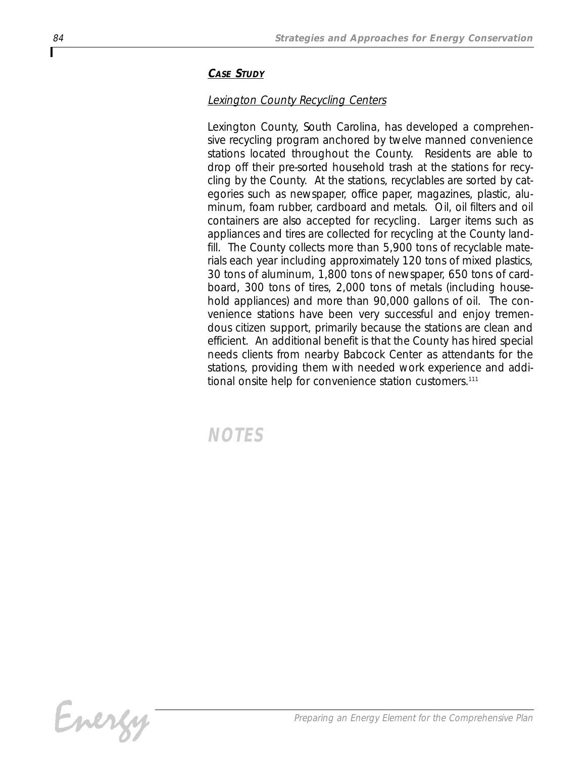## *CASE STUDY*

## *Lexington County Recycling Centers*

*Lexington County, South Carolina, has developed a comprehensive recycling program anchored by twelve manned convenience stations located throughout the County. Residents are able to drop off their pre-sorted household trash at the stations for recycling by the County. At the stations, recyclables are sorted by categories such as newspaper, office paper, magazines, plastic, aluminum, foam rubber, cardboard and metals. Oil, oil filters and oil containers are also accepted for recycling. Larger items such as appliances and tires are collected for recycling at the County landfill. The County collects more than 5,900 tons of recyclable materials each year including approximately 120 tons of mixed plastics, 30 tons of aluminum, 1,800 tons of newspaper, 650 tons of cardboard, 300 tons of tires, 2,000 tons of metals (including household appliances) and more than 90,000 gallons of oil. The convenience stations have been very successful and enjoy tremendous citizen support, primarily because the stations are clean and efficient. An additional benefit is that the County has hired special needs clients from nearby Babcock Center as attendants for the stations, providing them with needed work experience and additional onsite help for convenience station customers.111*

*NOTES*

Г

Energy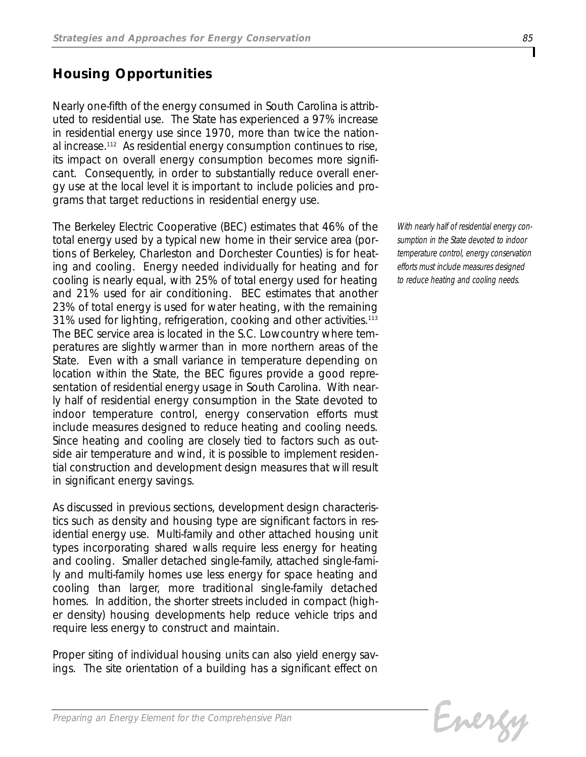## *Housing Opportunities*

*Nearly one-fifth of the energy consumed in South Carolina is attributed to residential use. The State has experienced a 97% increase in residential energy use since 1970, more than twice the national increase.112 As residential energy consumption continues to rise, its impact on overall energy consumption becomes more significant. Consequently, in order to substantially reduce overall energy use at the local level it is important to include policies and programs that target reductions in residential energy use.* 

*The Berkeley Electric Cooperative (BEC) estimates that 46% of the total energy used by a typical new home in their service area (portions of Berkeley, Charleston and Dorchester Counties) is for heating and cooling. Energy needed individually for heating and for cooling is nearly equal, with 25% of total energy used for heating and 21% used for air conditioning. BEC estimates that another 23% of total energy is used for water heating, with the remaining 31% used for lighting, refrigeration, cooking and other activities.113 The BEC service area is located in the S.C. Lowcountry where temperatures are slightly warmer than in more northern areas of the State. Even with a small variance in temperature depending on location within the State, the BEC figures provide a good representation of residential energy usage in South Carolina. With nearly half of residential energy consumption in the State devoted to indoor temperature control, energy conservation efforts must include measures designed to reduce heating and cooling needs. Since heating and cooling are closely tied to factors such as outside air temperature and wind, it is possible to implement residential construction and development design measures that will result in significant energy savings.*

*As discussed in previous sections, development design characteristics such as density and housing type are significant factors in residential energy use. Multi-family and other attached housing unit types incorporating shared walls require less energy for heating and cooling. Smaller detached single-family, attached single-family and multi-family homes use less energy for space heating and cooling than larger, more traditional single-family detached homes. In addition, the shorter streets included in compact (higher density) housing developments help reduce vehicle trips and require less energy to construct and maintain.* 

*Proper siting of individual housing units can also yield energy savings. The site orientation of a building has a significant effect on*

*With nearly half of residential energy consumption in the State devoted to indoor temperature control, energy conservation efforts must include measures designed to reduce heating and cooling needs.* 

Energy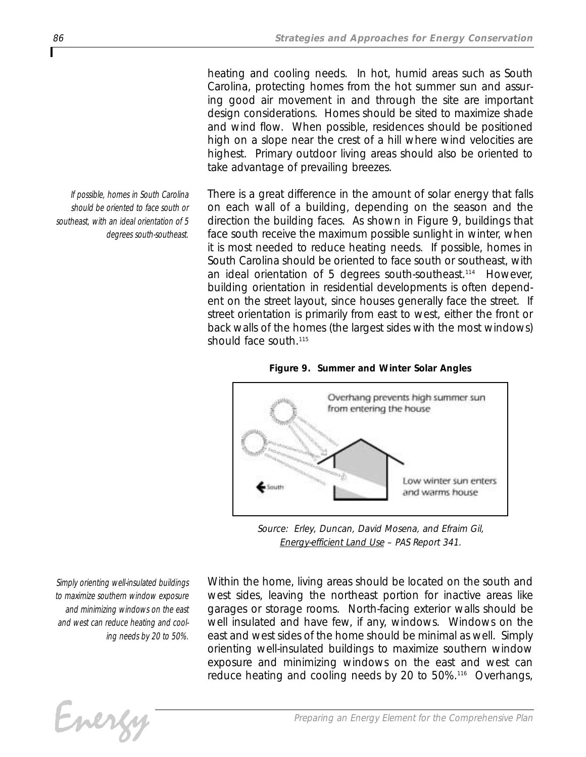*heating and cooling needs. In hot, humid areas such as South Carolina, protecting homes from the hot summer sun and assuring good air movement in and through the site are important design considerations. Homes should be sited to maximize shade and wind flow. When possible, residences should be positioned high on a slope near the crest of a hill where wind velocities are highest. Primary outdoor living areas should also be oriented to take advantage of prevailing breezes.* 

*There is a great difference in the amount of solar energy that falls on each wall of a building, depending on the season and the direction the building faces. As shown in Figure 9, buildings that face south receive the maximum possible sunlight in winter, when it is most needed to reduce heating needs. If possible, homes in South Carolina should be oriented to face south or southeast, with an ideal orientation of 5 degrees south-southeast.114 However, building orientation in residential developments is often dependent on the street layout, since houses generally face the street. If street orientation is primarily from east to west, either the front or back walls of the homes (the largest sides with the most windows) should face south.115*





*Source: Erley, Duncan, David Mosena, and Efraim Gil, Energy-efficient Land Use – PAS Report 341.*

*Simply orienting well-insulated buildings to maximize southern window exposure and minimizing windows on the east and west can reduce heating and cooling needs by 20 to 50%.*

*Within the home, living areas should be located on the south and west sides, leaving the northeast portion for inactive areas like garages or storage rooms. North-facing exterior walls should be well insulated and have few, if any, windows. Windows on the east and west sides of the home should be minimal as well. Simply orienting well-insulated buildings to maximize southern window exposure and minimizing windows on the east and west can reduce heating and cooling needs by 20 to 50%.116 Overhangs,*



*If possible, homes in South Carolina should be oriented to face south or southeast, with an ideal orientation of 5 degrees south-southeast.*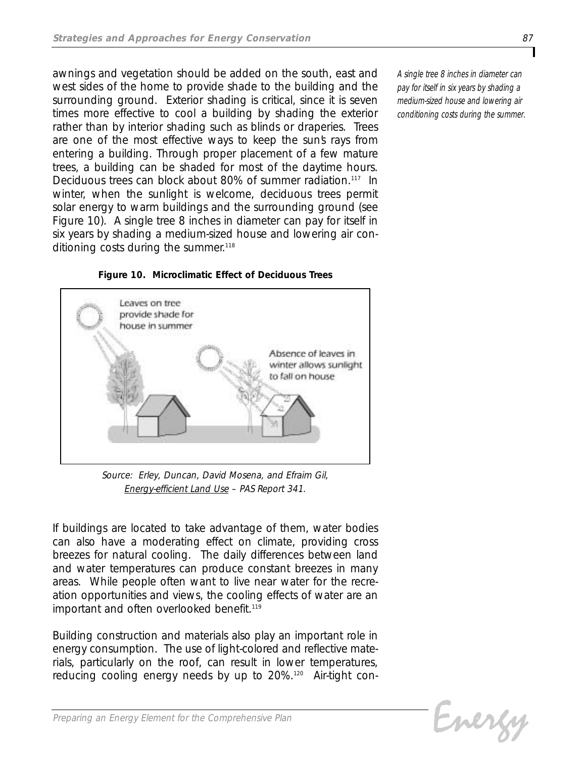*awnings and vegetation should be added on the south, east and west sides of the home to provide shade to the building and the surrounding ground. Exterior shading is critical, since it is seven times more effective to cool a building by shading the exterior rather than by interior shading such as blinds or draperies. Trees are one of the most effective ways to keep the sun's rays from entering a building. Through proper placement of a few mature trees, a building can be shaded for most of the daytime hours. Deciduous trees can block about 80% of summer radiation.117 In winter, when the sunlight is welcome, deciduous trees permit solar energy to warm buildings and the surrounding ground (see Figure 10). A single tree 8 inches in diameter can pay for itself in six years by shading a medium-sized house and lowering air conditioning costs during the summer.118*



*Figure 10. Microclimatic Effect of Deciduous Trees*

*Source: Erley, Duncan, David Mosena, and Efraim Gil, Energy-efficient Land Use – PAS Report 341.*

*If buildings are located to take advantage of them, water bodies can also have a moderating effect on climate, providing cross breezes for natural cooling. The daily differences between land and water temperatures can produce constant breezes in many areas. While people often want to live near water for the recreation opportunities and views, the cooling effects of water are an important and often overlooked benefit.119*

*Building construction and materials also play an important role in energy consumption. The use of light-colored and reflective materials, particularly on the roof, can result in lower temperatures, reducing cooling energy needs by up to 20%.120 Air-tight con-* *A single tree 8 inches in diameter can pay for itself in six years by shading a medium-sized house and lowering air conditioning costs during the summer.*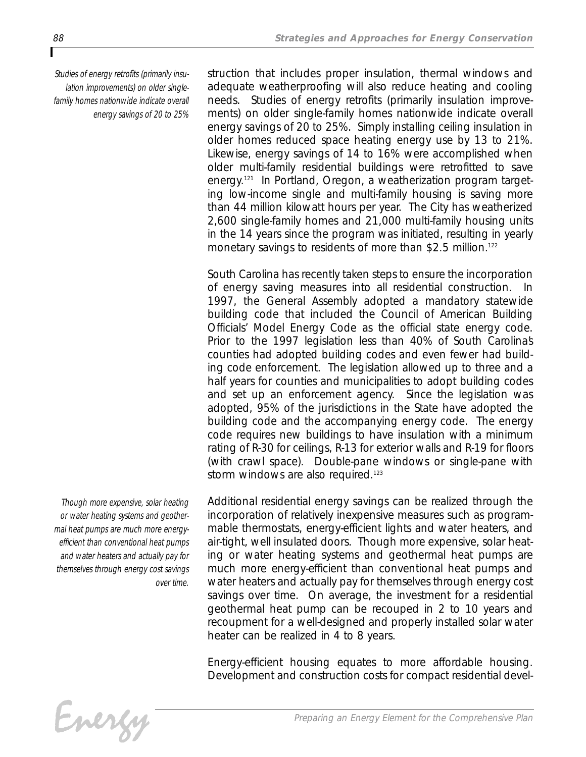*Studies of energy retrofits (primarily insulation improvements) on older singlefamily homes nationwide indicate overall energy savings of 20 to 25%* *struction that includes proper insulation, thermal windows and adequate weatherproofing will also reduce heating and cooling needs. Studies of energy retrofits (primarily insulation improvements) on older single-family homes nationwide indicate overall energy savings of 20 to 25%. Simply installing ceiling insulation in older homes reduced space heating energy use by 13 to 21%. Likewise, energy savings of 14 to 16% were accomplished when older multi-family residential buildings were retrofitted to save energy.121 In Portland, Oregon, a weatherization program targeting low-income single and multi-family housing is saving more than 44 million kilowatt hours per year. The City has weatherized 2,600 single-family homes and 21,000 multi-family housing units in the 14 years since the program was initiated, resulting in yearly monetary savings to residents of more than \$2.5 million.122*

*South Carolina has recently taken steps to ensure the incorporation of energy saving measures into all residential construction. In 1997, the General Assembly adopted a mandatory statewide building code that included the Council of American Building Officials' Model Energy Code as the official state energy code. Prior to the 1997 legislation less than 40% of South Carolina's counties had adopted building codes and even fewer had building code enforcement. The legislation allowed up to three and a half years for counties and municipalities to adopt building codes and set up an enforcement agency. Since the legislation was adopted, 95% of the jurisdictions in the State have adopted the building code and the accompanying energy code. The energy code requires new buildings to have insulation with a minimum rating of R-30 for ceilings, R-13 for exterior walls and R-19 for floors (with crawl space). Double-pane windows or single-pane with storm windows are also required.123*

*Additional residential energy savings can be realized through the incorporation of relatively inexpensive measures such as programmable thermostats, energy-efficient lights and water heaters, and air-tight, well insulated doors. Though more expensive, solar heating or water heating systems and geothermal heat pumps are much more energy-efficient than conventional heat pumps and water heaters and actually pay for themselves through energy cost savings over time. On average, the investment for a residential geothermal heat pump can be recouped in 2 to 10 years and recoupment for a well-designed and properly installed solar water heater can be realized in 4 to 8 years.*

*Energy-efficient housing equates to more affordable housing. Development and construction costs for compact residential devel-*

*Though more expensive, solar heating or water heating systems and geothermal heat pumps are much more energyefficient than conventional heat pumps and water heaters and actually pay for themselves through energy cost savings*

*over time.*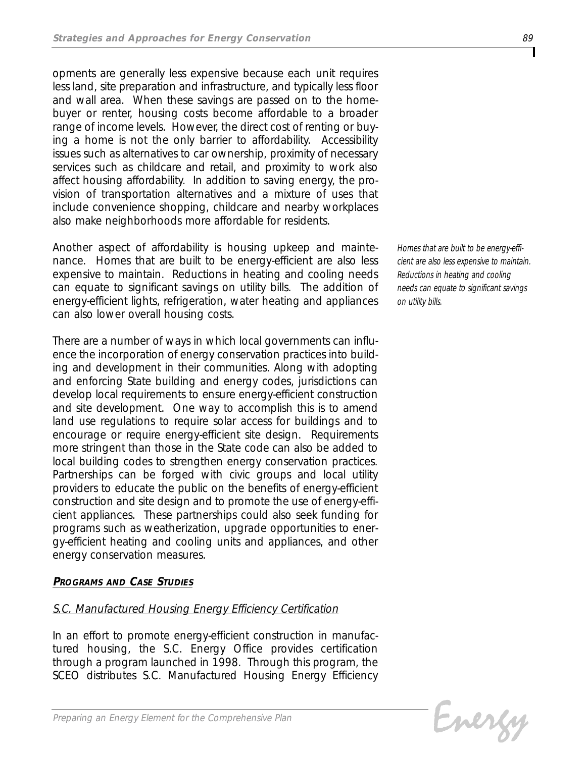*opments are generally less expensive because each unit requires less land, site preparation and infrastructure, and typically less floor and wall area. When these savings are passed on to the homebuyer or renter, housing costs become affordable to a broader range of income levels. However, the direct cost of renting or buying a home is not the only barrier to affordability. Accessibility issues such as alternatives to car ownership, proximity of necessary services such as childcare and retail, and proximity to work also affect housing affordability. In addition to saving energy, the provision of transportation alternatives and a mixture of uses that include convenience shopping, childcare and nearby workplaces also make neighborhoods more affordable for residents.* 

*Another aspect of affordability is housing upkeep and maintenance. Homes that are built to be energy-efficient are also less expensive to maintain. Reductions in heating and cooling needs can equate to significant savings on utility bills. The addition of energy-efficient lights, refrigeration, water heating and appliances can also lower overall housing costs.* 

*There are a number of ways in which local governments can influence the incorporation of energy conservation practices into building and development in their communities. Along with adopting and enforcing State building and energy codes, jurisdictions can develop local requirements to ensure energy-efficient construction and site development. One way to accomplish this is to amend land use regulations to require solar access for buildings and to encourage or require energy-efficient site design. Requirements more stringent than those in the State code can also be added to local building codes to strengthen energy conservation practices. Partnerships can be forged with civic groups and local utility providers to educate the public on the benefits of energy-efficient construction and site design and to promote the use of energy-efficient appliances. These partnerships could also seek funding for programs such as weatherization, upgrade opportunities to energy-efficient heating and cooling units and appliances, and other energy conservation measures.*

## *PROGRAMS AND CASE STUDIES*

## *S.C. Manufactured Housing Energy Efficiency Certification*

*In an effort to promote energy-efficient construction in manufactured housing, the S.C. Energy Office provides certification through a program launched in 1998. Through this program, the SCEO distributes S.C. Manufactured Housing Energy Efficiency*

*Homes that are built to be energy-efficient are also less expensive to maintain. Reductions in heating and cooling needs can equate to significant savings on utility bills.*

Evergy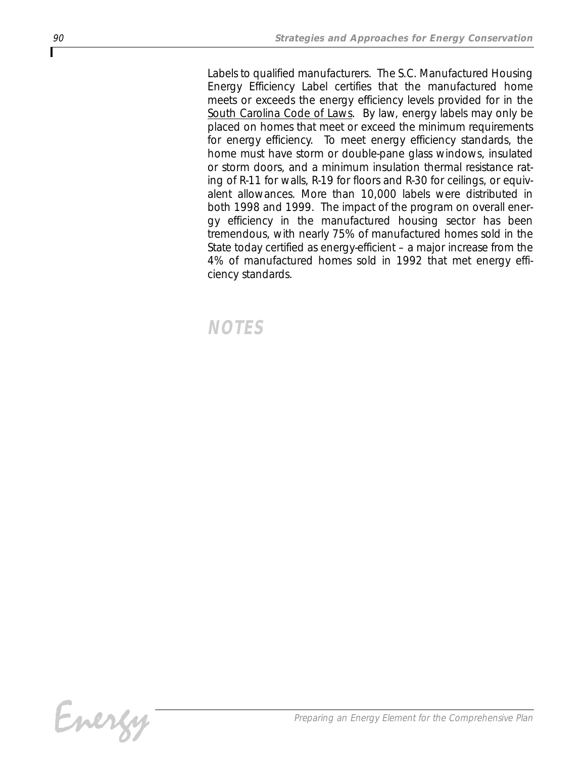*Labels to qualified manufacturers. The S.C. Manufactured Housing Energy Efficiency Label certifies that the manufactured home meets or exceeds the energy efficiency levels provided for in the South Carolina Code of Laws. By law, energy labels may only be placed on homes that meet or exceed the minimum requirements for energy efficiency. To meet energy efficiency standards, the home must have storm or double-pane glass windows, insulated or storm doors, and a minimum insulation thermal resistance rating of R-11 for walls, R-19 for floors and R-30 for ceilings, or equivalent allowances. More than 10,000 labels were distributed in both 1998 and 1999. The impact of the program on overall energy efficiency in the manufactured housing sector has been tremendous, with nearly 75% of manufactured homes sold in the State today certified as energy-efficient – a major increase from the 4% of manufactured homes sold in 1992 that met energy efficiency standards.*

# *NOTES*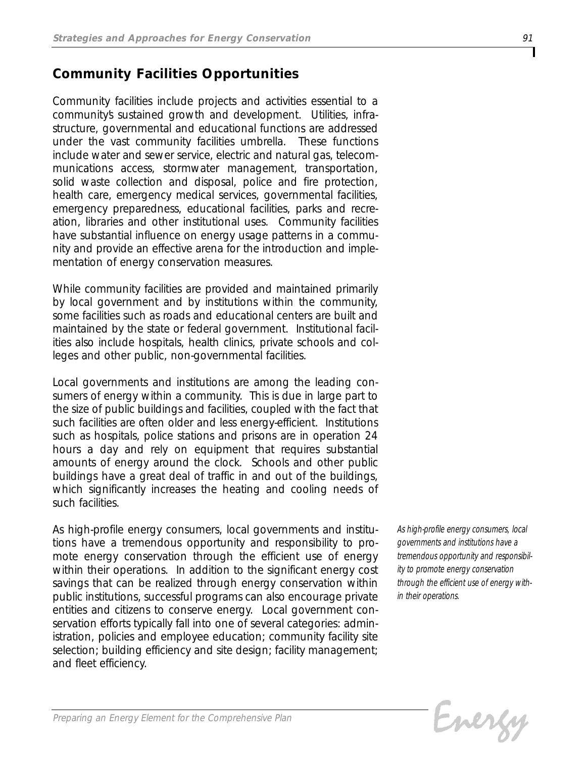## *Community Facilities Opportunities*

*Community facilities include projects and activities essential to a community's sustained growth and development. Utilities, infrastructure, governmental and educational functions are addressed under the vast community facilities umbrella. These functions include water and sewer service, electric and natural gas, telecommunications access, stormwater management, transportation, solid waste collection and disposal, police and fire protection, health care, emergency medical services, governmental facilities, emergency preparedness, educational facilities, parks and recreation, libraries and other institutional uses. Community facilities have substantial influence on energy usage patterns in a community and provide an effective arena for the introduction and implementation of energy conservation measures.*

*While community facilities are provided and maintained primarily by local government and by institutions within the community, some facilities such as roads and educational centers are built and maintained by the state or federal government. Institutional facilities also include hospitals, health clinics, private schools and colleges and other public, non-governmental facilities.*

*Local governments and institutions are among the leading consumers of energy within a community. This is due in large part to the size of public buildings and facilities, coupled with the fact that such facilities are often older and less energy-efficient. Institutions such as hospitals, police stations and prisons are in operation 24 hours a day and rely on equipment that requires substantial amounts of energy around the clock. Schools and other public buildings have a great deal of traffic in and out of the buildings, which significantly increases the heating and cooling needs of such facilities.*

*As high-profile energy consumers, local governments and institutions have a tremendous opportunity and responsibility to promote energy conservation through the efficient use of energy within their operations. In addition to the significant energy cost savings that can be realized through energy conservation within public institutions, successful programs can also encourage private entities and citizens to conserve energy. Local government conservation efforts typically fall into one of several categories: administration, policies and employee education; community facility site selection; building efficiency and site design; facility management; and fleet efficiency.*

*As high-profile energy consumers, local governments and institutions have a tremendous opportunity and responsibility to promote energy conservation through the efficient use of energy within their operations.* 

Evergy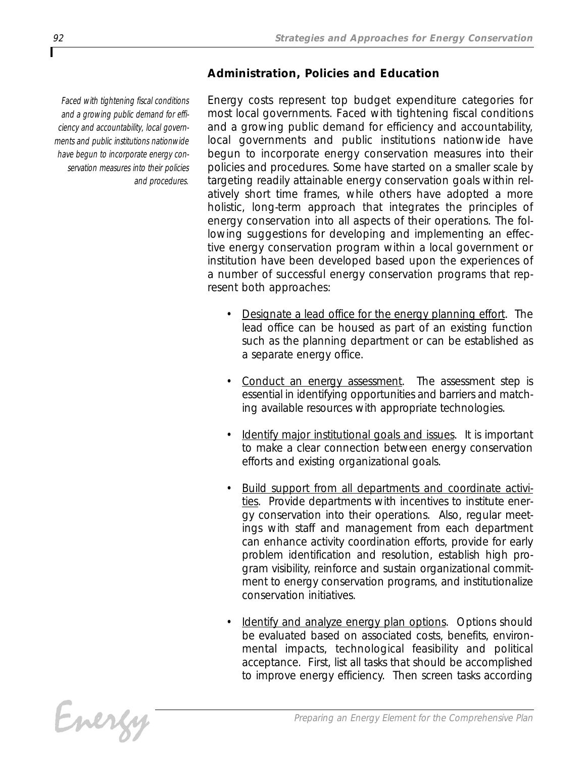## *Administration, Policies and Education*

*Faced with tightening fiscal conditions and a growing public demand for efficiency and accountability, local governments and public institutions nationwide have begun to incorporate energy conservation measures into their policies and procedures.*

*Energy costs represent top budget expenditure categories for most local governments. Faced with tightening fiscal conditions and a growing public demand for efficiency and accountability, local governments and public institutions nationwide have begun to incorporate energy conservation measures into their policies and procedures. Some have started on a smaller scale by targeting readily attainable energy conservation goals within relatively short time frames, while others have adopted a more holistic, long-term approach that integrates the principles of energy conservation into all aspects of their operations. The following suggestions for developing and implementing an effective energy conservation program within a local government or institution have been developed based upon the experiences of a number of successful energy conservation programs that represent both approaches:*

- *• Designate a lead office for the energy planning effort. The lead office can be housed as part of an existing function such as the planning department or can be established as a separate energy office.*
- *• Conduct an energy assessment. The assessment step is essential in identifying opportunities and barriers and matching available resources with appropriate technologies.*
- *• Identify major institutional goals and issues. It is important to make a clear connection between energy conservation efforts and existing organizational goals.*
- *• Build support from all departments and coordinate activities. Provide departments with incentives to institute energy conservation into their operations. Also, regular meetings with staff and management from each department can enhance activity coordination efforts, provide for early problem identification and resolution, establish high program visibility, reinforce and sustain organizational commitment to energy conservation programs, and institutionalize conservation initiatives.*
- *• Identify and analyze energy plan options. Options should be evaluated based on associated costs, benefits, environmental impacts, technological feasibility and political acceptance. First, list all tasks that should be accomplished to improve energy efficiency. Then screen tasks according*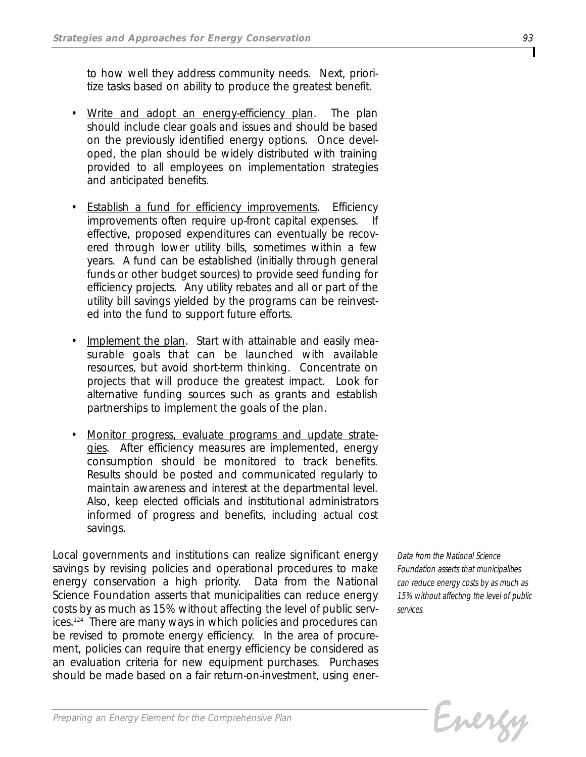*to how well they address community needs. Next, prioritize tasks based on ability to produce the greatest benefit.*

- *• Write and adopt an energy-efficiency plan. The plan should include clear goals and issues and should be based on the previously identified energy options. Once developed, the plan should be widely distributed with training provided to all employees on implementation strategies and anticipated benefits.*
- *• Establish a fund for efficiency improvements. Efficiency improvements often require up-front capital expenses. If effective, proposed expenditures can eventually be recovered through lower utility bills, sometimes within a few years. A fund can be established (initially through general funds or other budget sources) to provide seed funding for efficiency projects. Any utility rebates and all or part of the utility bill savings yielded by the programs can be reinvested into the fund to support future efforts.*
- *• Implement the plan. Start with attainable and easily measurable goals that can be launched with available resources, but avoid short-term thinking. Concentrate on projects that will produce the greatest impact. Look for alternative funding sources such as grants and establish partnerships to implement the goals of the plan.*
- *• Monitor progress, evaluate programs and update strategies. After efficiency measures are implemented, energy consumption should be monitored to track benefits. Results should be posted and communicated regularly to maintain awareness and interest at the departmental level. Also, keep elected officials and institutional administrators informed of progress and benefits, including actual cost savings.*

*Local governments and institutions can realize significant energy savings by revising policies and operational procedures to make energy conservation a high priority. Data from the National Science Foundation asserts that municipalities can reduce energy costs by as much as 15% without affecting the level of public services.124 There are many ways in which policies and procedures can be revised to promote energy efficiency. In the area of procurement, policies can require that energy efficiency be considered as an evaluation criteria for new equipment purchases. Purchases should be made based on a fair return-on-investment, using ener-*

*Data from the National Science Foundation asserts that municipalities can reduce energy costs by as much as 15% without affecting the level of public services.*

Evergy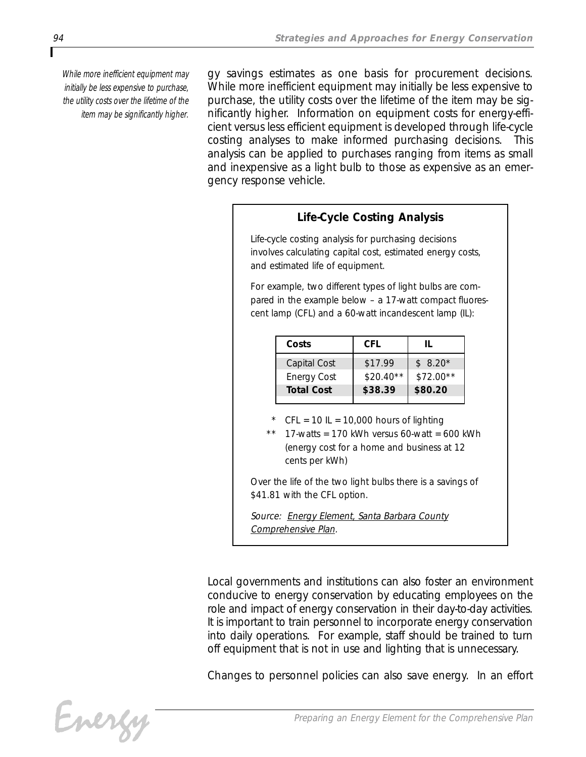*While more inefficient equipment may initially be less expensive to purchase, the utility costs over the lifetime of the item may be significantly higher.*

*gy savings estimates as one basis for procurement decisions. While more inefficient equipment may initially be less expensive to purchase, the utility costs over the lifetime of the item may be significantly higher. Information on equipment costs for energy-efficient versus less efficient equipment is developed through life-cycle costing analyses to make informed purchasing decisions. This analysis can be applied to purchases ranging from items as small and inexpensive as a light bulb to those as expensive as an emergency response vehicle.* 

## *Life-Cycle Costing Analysis*

*Life-cycle costing analysis for purchasing decisions involves calculating capital cost, estimated energy costs, and estimated life of equipment.*

*For example, two different types of light bulbs are compared in the example below – a 17-watt compact fluorescent lamp (CFL) and a 60-watt incandescent lamp (IL):*

| Costs              | CFL        |            |
|--------------------|------------|------------|
| Capital Cost       | \$17.99    | $$8.20*$   |
| <b>Energy Cost</b> | $$20.40**$ | $$72.00**$ |
| <b>Total Cost</b>  | \$38.39    | \$80.20    |

- *\* CFL = 10 IL = 10,000 hours of lighting*
- *\*\* 17-watts = 170 kWh versus 60-watt = 600 kWh (energy cost for a home and business at 12 cents per kWh)*

*Over the life of the two light bulbs there is a savings of \$41.81 with the CFL option.* 

*Source: Energy Element, Santa Barbara County Comprehensive Plan.*

*Local governments and institutions can also foster an environment conducive to energy conservation by educating employees on the role and impact of energy conservation in their day-to-day activities. It is important to train personnel to incorporate energy conservation into daily operations. For example, staff should be trained to turn off equipment that is not in use and lighting that is unnecessary.*

*Changes to personnel policies can also save energy. In an effort*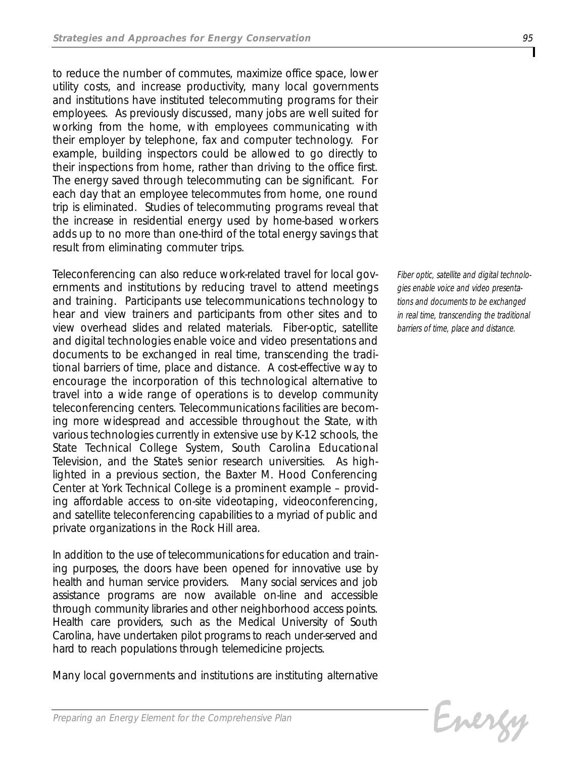*to reduce the number of commutes, maximize office space, lower utility costs, and increase productivity, many local governments and institutions have instituted telecommuting programs for their employees. As previously discussed, many jobs are well suited for working from the home, with employees communicating with their employer by telephone, fax and computer technology. For example, building inspectors could be allowed to go directly to their inspections from home, rather than driving to the office first. The energy saved through telecommuting can be significant. For each day that an employee telecommutes from home, one round trip is eliminated. Studies of telecommuting programs reveal that the increase in residential energy used by home-based workers adds up to no more than one-third of the total energy savings that result from eliminating commuter trips.*

*Teleconferencing can also reduce work-related travel for local governments and institutions by reducing travel to attend meetings and training. Participants use telecommunications technology to hear and view trainers and participants from other sites and to view overhead slides and related materials. Fiber-optic, satellite and digital technologies enable voice and video presentations and documents to be exchanged in real time, transcending the traditional barriers of time, place and distance. A cost-effective way to encourage the incorporation of this technological alternative to travel into a wide range of operations is to develop community teleconferencing centers. Telecommunications facilities are becoming more widespread and accessible throughout the State, with various technologies currently in extensive use by K-12 schools, the State Technical College System, South Carolina Educational* Television, and the States senior research universities. As high*lighted in a previous section, the Baxter M. Hood Conferencing Center at York Technical College is a prominent example – providing affordable access to on-site videotaping, videoconferencing, and satellite teleconferencing capabilities to a myriad of public and private organizations in the Rock Hill area.* 

*In addition to the use of telecommunications for education and training purposes, the doors have been opened for innovative use by health and human service providers. Many social services and job assistance programs are now available on-line and accessible through community libraries and other neighborhood access points. Health care providers, such as the Medical University of South Carolina, have undertaken pilot programs to reach under-served and hard to reach populations through telemedicine projects.* 

*Many local governments and institutions are instituting alternative*

*Fiber optic, satellite and digital technologies enable voice and video presentations and documents to be exchanged in real time, transcending the traditional barriers of time, place and distance.*

```
Energy
```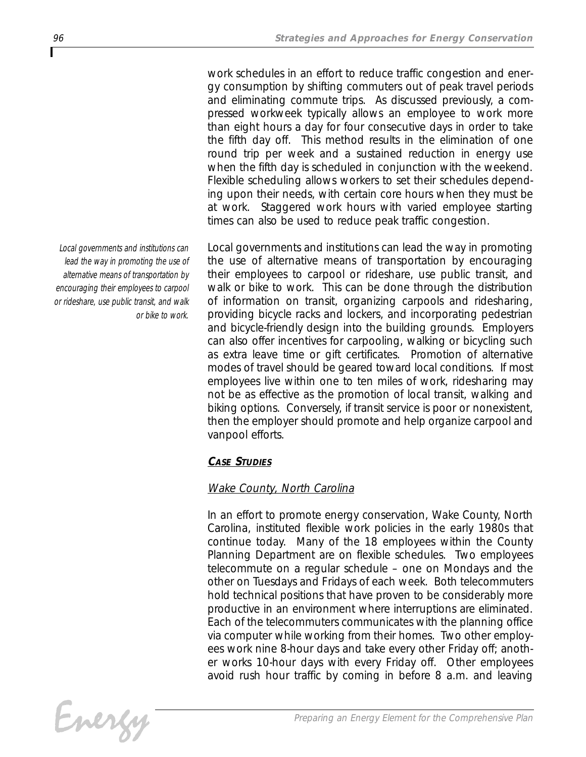*work schedules in an effort to reduce traffic congestion and energy consumption by shifting commuters out of peak travel periods and eliminating commute trips. As discussed previously, a compressed workweek typically allows an employee to work more than eight hours a day for four consecutive days in order to take the fifth day off. This method results in the elimination of one round trip per week and a sustained reduction in energy use when the fifth day is scheduled in conjunction with the weekend. Flexible scheduling allows workers to set their schedules depending upon their needs, with certain core hours when they must be at work. Staggered work hours with varied employee starting times can also be used to reduce peak traffic congestion.*

*Local governments and institutions can lead the way in promoting the use of alternative means of transportation by encouraging their employees to carpool or rideshare, use public transit, and walk or bike to work. This can be done through the distribution of information on transit, organizing carpools and ridesharing, providing bicycle racks and lockers, and incorporating pedestrian and bicycle-friendly design into the building grounds. Employers can also offer incentives for carpooling, walking or bicycling such as extra leave time or gift certificates. Promotion of alternative modes of travel should be geared toward local conditions. If most employees live within one to ten miles of work, ridesharing may not be as effective as the promotion of local transit, walking and biking options. Conversely, if transit service is poor or nonexistent, then the employer should promote and help organize carpool and vanpool efforts.*

## *CASE STUDIES*

## *Wake County, North Carolina*

*In an effort to promote energy conservation, Wake County, North Carolina, instituted flexible work policies in the early 1980s that continue today. Many of the 18 employees within the County Planning Department are on flexible schedules. Two employees telecommute on a regular schedule – one on Mondays and the other on Tuesdays and Fridays of each week. Both telecommuters hold technical positions that have proven to be considerably more productive in an environment where interruptions are eliminated. Each of the telecommuters communicates with the planning office via computer while working from their homes. Two other employees work nine 8-hour days and take every other Friday off; another works 10-hour days with every Friday off. Other employees avoid rush hour traffic by coming in before 8 a.m. and leaving*

*Local governments and institutions can lead the way in promoting the use of alternative means of transportation by encouraging their employees to carpool or rideshare, use public transit, and walk or bike to work.*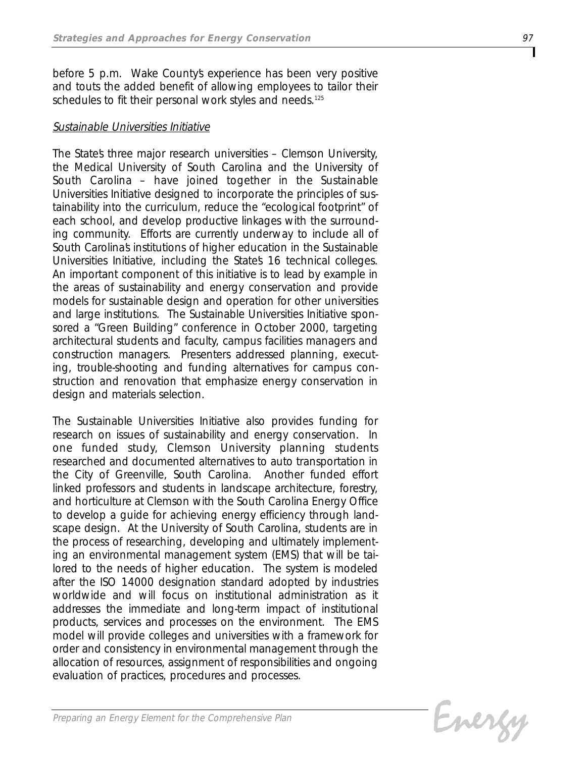*before 5 p.m. Wake County's experience has been very positive and touts the added benefit of allowing employees to tailor their schedules to fit their personal work styles and needs.125*

## *Sustainable Universities Initiative*

*The State's three major research universities – Clemson University, the Medical University of South Carolina and the University of South Carolina – have joined together in the Sustainable Universities Initiative designed to incorporate the principles of sustainability into the curriculum, reduce the "ecological footprint" of each school, and develop productive linkages with the surrounding community. Efforts are currently underway to include all of South Carolina's institutions of higher education in the Sustainable Universities Initiative, including the State's 16 technical colleges. An important component of this initiative is to lead by example in the areas of sustainability and energy conservation and provide models for sustainable design and operation for other universities and large institutions. The Sustainable Universities Initiative sponsored a "Green Building" conference in October 2000, targeting architectural students and faculty, campus facilities managers and construction managers. Presenters addressed planning, executing, trouble-shooting and funding alternatives for campus construction and renovation that emphasize energy conservation in design and materials selection.*

*The Sustainable Universities Initiative also provides funding for research on issues of sustainability and energy conservation. In one funded study, Clemson University planning students researched and documented alternatives to auto transportation in the City of Greenville, South Carolina. Another funded effort linked professors and students in landscape architecture, forestry, and horticulture at Clemson with the South Carolina Energy Office to develop a guide for achieving energy efficiency through landscape design. At the University of South Carolina, students are in the process of researching, developing and ultimately implementing an environmental management system (EMS) that will be tailored to the needs of higher education. The system is modeled after the ISO 14000 designation standard adopted by industries worldwide and will focus on institutional administration as it addresses the immediate and long-term impact of institutional products, services and processes on the environment. The EMS model will provide colleges and universities with a framework for order and consistency in environmental management through the allocation of resources, assignment of responsibilities and ongoing evaluation of practices, procedures and processes.*

Evergy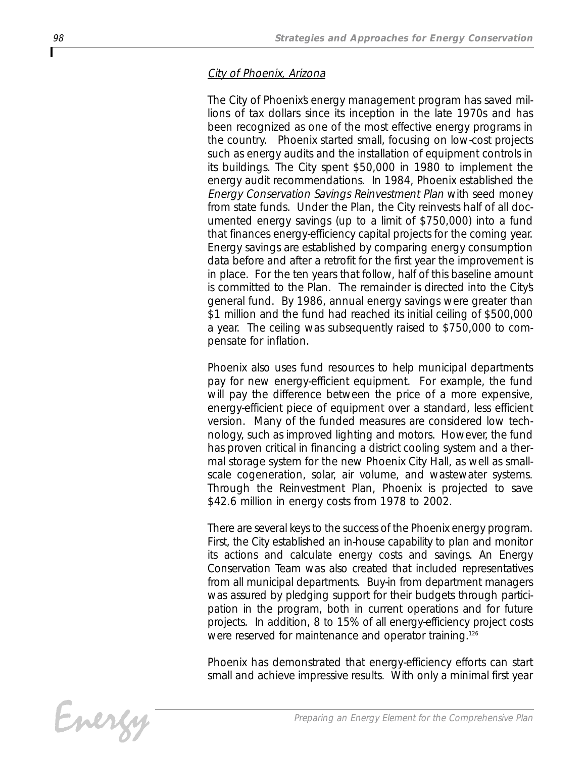## *City of Phoenix, Arizona*

The City of Phoenixs energy management program has saved mil*lions of tax dollars since its inception in the late 1970s and has been recognized as one of the most effective energy programs in the country. Phoenix started small, focusing on low-cost projects such as energy audits and the installation of equipment controls in its buildings. The City spent \$50,000 in 1980 to implement the energy audit recommendations. In 1984, Phoenix established the Energy Conservation Savings Reinvestment Plan with seed money from state funds. Under the Plan, the City reinvests half of all documented energy savings (up to a limit of \$750,000) into a fund that finances energy-efficiency capital projects for the coming year. Energy savings are established by comparing energy consumption data before and after a retrofit for the first year the improvement is in place. For the ten years that follow, half of this baseline amount is committed to the Plan. The remainder is directed into the City's general fund. By 1986, annual energy savings were greater than \$1 million and the fund had reached its initial ceiling of \$500,000 a year. The ceiling was subsequently raised to \$750,000 to compensate for inflation.*

*Phoenix also uses fund resources to help municipal departments pay for new energy-efficient equipment. For example, the fund will pay the difference between the price of a more expensive, energy-efficient piece of equipment over a standard, less efficient version. Many of the funded measures are considered low technology, such as improved lighting and motors. However, the fund has proven critical in financing a district cooling system and a thermal storage system for the new Phoenix City Hall, as well as smallscale cogeneration, solar, air volume, and wastewater systems. Through the Reinvestment Plan, Phoenix is projected to save \$42.6 million in energy costs from 1978 to 2002.*

*There are several keys to the success of the Phoenix energy program. First, the City established an in-house capability to plan and monitor its actions and calculate energy costs and savings. An Energy Conservation Team was also created that included representatives from all municipal departments. Buy-in from department managers was assured by pledging support for their budgets through participation in the program, both in current operations and for future projects. In addition, 8 to 15% of all energy-efficiency project costs were reserved for maintenance and operator training.126*

*Phoenix has demonstrated that energy-efficiency efforts can start small and achieve impressive results. With only a minimal first year*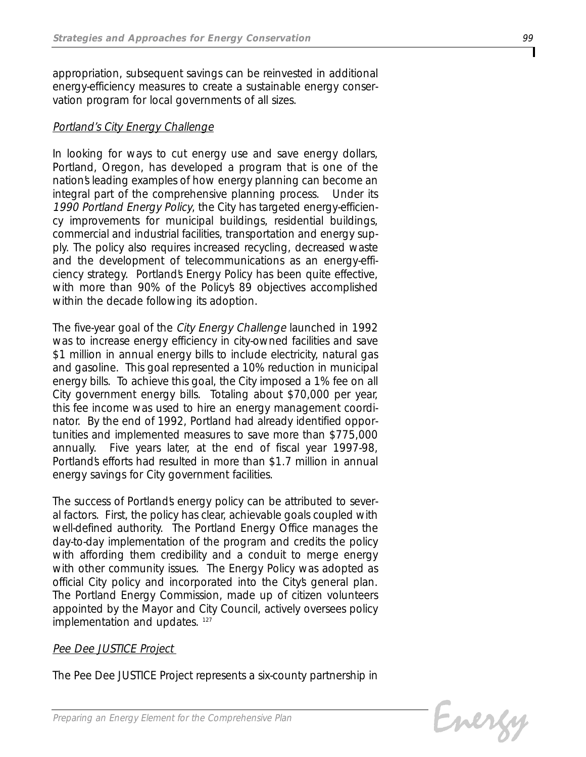*appropriation, subsequent savings can be reinvested in additional energy-efficiency measures to create a sustainable energy conservation program for local governments of all sizes.*

## *Portland's City Energy Challenge*

*In looking for ways to cut energy use and save energy dollars, Portland, Oregon, has developed a program that is one of the nation's leading examples of how energy planning can become an integral part of the comprehensive planning process. Under its 1990 Portland Energy Policy, the City has targeted energy-efficiency improvements for municipal buildings, residential buildings, commercial and industrial facilities, transportation and energy supply. The policy also requires increased recycling, decreased waste and the development of telecommunications as an energy-efficiency strategy. Portland's Energy Policy has been quite effective, with more than 90% of the Policy's 89 objectives accomplished within the decade following its adoption.*

*The five-year goal of the City Energy Challenge launched in 1992 was to increase energy efficiency in city-owned facilities and save \$1 million in annual energy bills to include electricity, natural gas and gasoline. This goal represented a 10% reduction in municipal energy bills. To achieve this goal, the City imposed a 1% fee on all City government energy bills. Totaling about \$70,000 per year, this fee income was used to hire an energy management coordinator. By the end of 1992, Portland had already identified opportunities and implemented measures to save more than \$775,000 annually. Five years later, at the end of fiscal year 1997-98, Portland's efforts had resulted in more than \$1.7 million in annual energy savings for City government facilities.*

*The success of Portland's energy policy can be attributed to several factors. First, the policy has clear, achievable goals coupled with well-defined authority. The Portland Energy Office manages the day-to-day implementation of the program and credits the policy with affording them credibility and a conduit to merge energy with other community issues. The Energy Policy was adopted as official City policy and incorporated into the City's general plan. The Portland Energy Commission, made up of citizen volunteers appointed by the Mayor and City Council, actively oversees policy implementation and updates. <sup>127</sup>*

## *Pee Dee JUSTICE Project*

*The Pee Dee JUSTICE Project represents a six-county partnership in*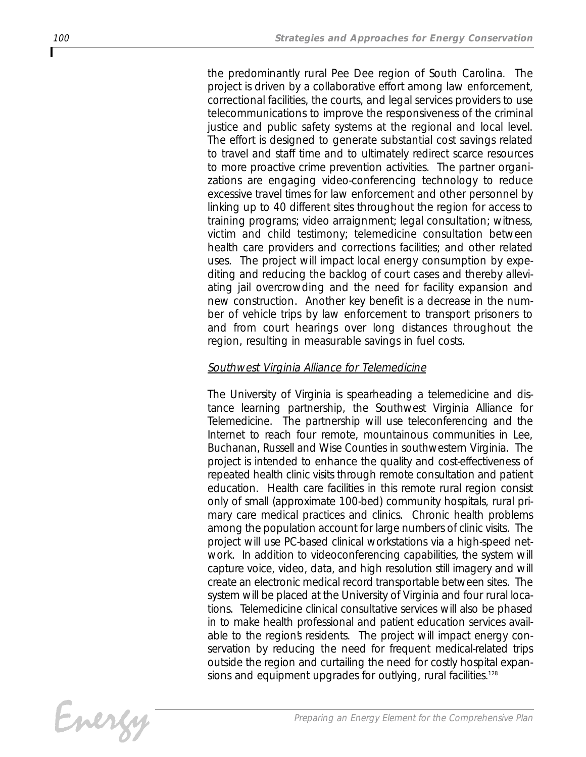*the predominantly rural Pee Dee region of South Carolina. The project is driven by a collaborative effort among law enforcement, correctional facilities, the courts, and legal services providers to use telecommunications to improve the responsiveness of the criminal justice and public safety systems at the regional and local level. The effort is designed to generate substantial cost savings related to travel and staff time and to ultimately redirect scarce resources to more proactive crime prevention activities. The partner organizations are engaging video-conferencing technology to reduce excessive travel times for law enforcement and other personnel by linking up to 40 different sites throughout the region for access to training programs; video arraignment; legal consultation; witness, victim and child testimony; telemedicine consultation between health care providers and corrections facilities; and other related uses. The project will impact local energy consumption by expediting and reducing the backlog of court cases and thereby alleviating jail overcrowding and the need for facility expansion and new construction. Another key benefit is a decrease in the number of vehicle trips by law enforcement to transport prisoners to and from court hearings over long distances throughout the region, resulting in measurable savings in fuel costs.* 

## *Southwest Virginia Alliance for Telemedicine*

*The University of Virginia is spearheading a telemedicine and distance learning partnership, the Southwest Virginia Alliance for Telemedicine. The partnership will use teleconferencing and the Internet to reach four remote, mountainous communities in Lee, Buchanan, Russell and Wise Counties in southwestern Virginia. The project is intended to enhance the quality and cost-effectiveness of repeated health clinic visits through remote consultation and patient education. Health care facilities in this remote rural region consist only of small (approximate 100-bed) community hospitals, rural primary care medical practices and clinics. Chronic health problems among the population account for large numbers of clinic visits. The project will use PC-based clinical workstations via a high-speed network. In addition to videoconferencing capabilities, the system will capture voice, video, data, and high resolution still imagery and will create an electronic medical record transportable between sites. The system will be placed at the University of Virginia and four rural locations. Telemedicine clinical consultative services will also be phased in to make health professional and patient education services avail*able to the regions residents. The project will impact energy con*servation by reducing the need for frequent medical-related trips outside the region and curtailing the need for costly hospital expansions and equipment upgrades for outlying, rural facilities.128*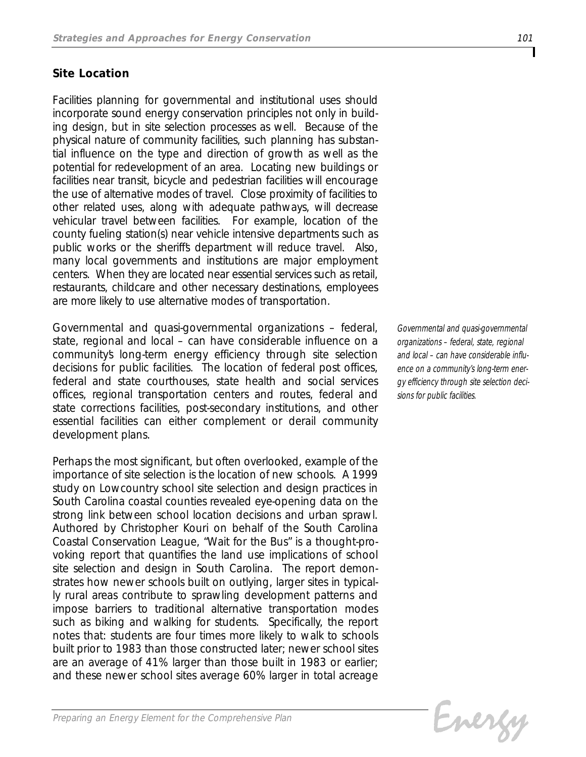## *Site Location*

*Facilities planning for governmental and institutional uses should incorporate sound energy conservation principles not only in building design, but in site selection processes as well. Because of the physical nature of community facilities, such planning has substantial influence on the type and direction of growth as well as the potential for redevelopment of an area. Locating new buildings or facilities near transit, bicycle and pedestrian facilities will encourage the use of alternative modes of travel. Close proximity of facilities to other related uses, along with adequate pathways, will decrease vehicular travel between facilities. For example, location of the county fueling station(s) near vehicle intensive departments such as public works or the sheriff's department will reduce travel. Also, many local governments and institutions are major employment centers. When they are located near essential services such as retail, restaurants, childcare and other necessary destinations, employees are more likely to use alternative modes of transportation.* 

*Governmental and quasi-governmental organizations – federal, state, regional and local – can have considerable influence on a community's long-term energy efficiency through site selection decisions for public facilities. The location of federal post offices, federal and state courthouses, state health and social services offices, regional transportation centers and routes, federal and state corrections facilities, post-secondary institutions, and other essential facilities can either complement or derail community development plans.* 

*Perhaps the most significant, but often overlooked, example of the importance of site selection is the location of new schools. A 1999 study on Lowcountry school site selection and design practices in South Carolina coastal counties revealed eye-opening data on the strong link between school location decisions and urban sprawl. Authored by Christopher Kouri on behalf of the South Carolina Coastal Conservation League, "Wait for the Bus" is a thought-provoking report that quantifies the land use implications of school site selection and design in South Carolina. The report demonstrates how newer schools built on outlying, larger sites in typically rural areas contribute to sprawling development patterns and impose barriers to traditional alternative transportation modes such as biking and walking for students. Specifically, the report notes that: students are four times more likely to walk to schools built prior to 1983 than those constructed later; newer school sites are an average of 41% larger than those built in 1983 or earlier; and these newer school sites average 60% larger in total acreage*

*Governmental and quasi-governmental organizations – federal, state, regional and local – can have considerable influence on a community's long-term energy efficiency through site selection decisions for public facilities.*

Evergy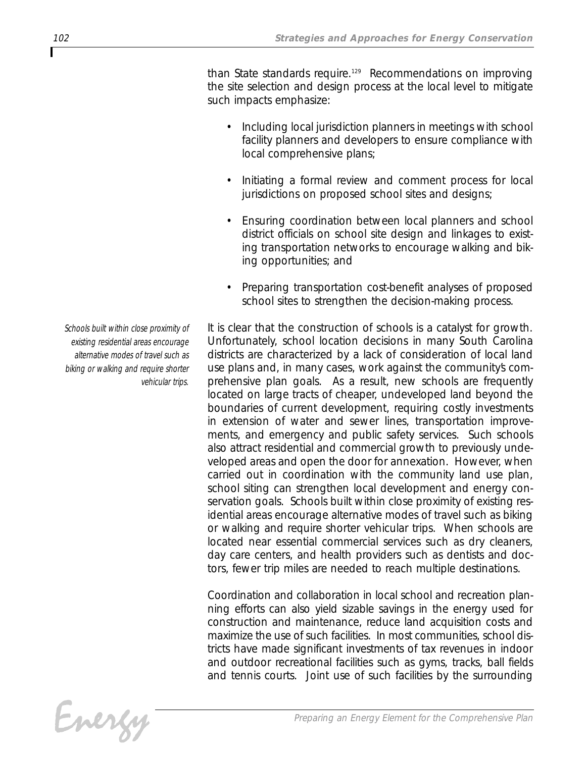*than State standards require.129 Recommendations on improving the site selection and design process at the local level to mitigate such impacts emphasize:* 

- *• Including local jurisdiction planners in meetings with school facility planners and developers to ensure compliance with local comprehensive plans;*
- *• Initiating a formal review and comment process for local jurisdictions on proposed school sites and designs;*
- *• Ensuring coordination between local planners and school district officials on school site design and linkages to existing transportation networks to encourage walking and biking opportunities; and*
- *• Preparing transportation cost-benefit analyses of proposed school sites to strengthen the decision-making process.*

*It is clear that the construction of schools is a catalyst for growth. Unfortunately, school location decisions in many South Carolina districts are characterized by a lack of consideration of local land use plans and, in many cases, work against the community's comprehensive plan goals. As a result, new schools are frequently located on large tracts of cheaper, undeveloped land beyond the boundaries of current development, requiring costly investments in extension of water and sewer lines, transportation improvements, and emergency and public safety services. Such schools also attract residential and commercial growth to previously undeveloped areas and open the door for annexation. However, when carried out in coordination with the community land use plan, school siting can strengthen local development and energy conservation goals. Schools built within close proximity of existing residential areas encourage alternative modes of travel such as biking or walking and require shorter vehicular trips. When schools are located near essential commercial services such as dry cleaners, day care centers, and health providers such as dentists and doctors, fewer trip miles are needed to reach multiple destinations.* 

*Coordination and collaboration in local school and recreation planning efforts can also yield sizable savings in the energy used for construction and maintenance, reduce land acquisition costs and maximize the use of such facilities. In most communities, school districts have made significant investments of tax revenues in indoor and outdoor recreational facilities such as gyms, tracks, ball fields and tennis courts. Joint use of such facilities by the surrounding*

*Schools built within close proximity of existing residential areas encourage alternative modes of travel such as biking or walking and require shorter vehicular trips.*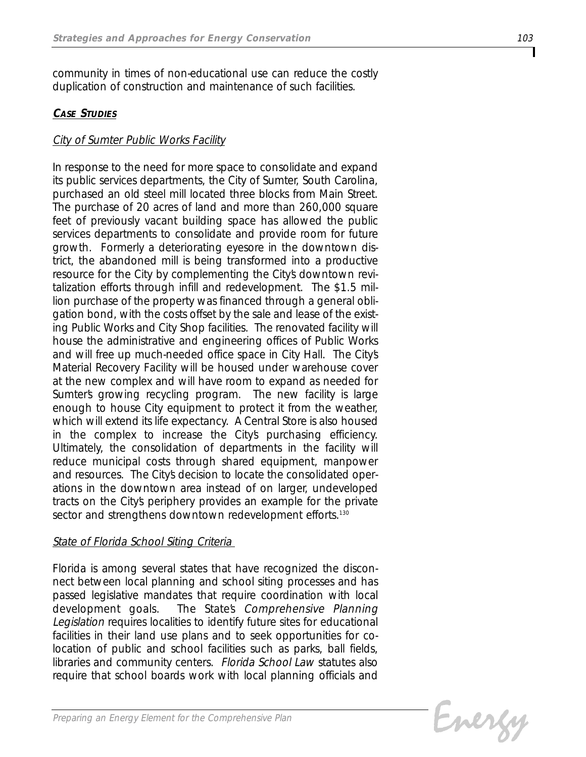*community in times of non-educational use can reduce the costly duplication of construction and maintenance of such facilities.*

## *CASE STUDIES*

## *City of Sumter Public Works Facility*

*In response to the need for more space to consolidate and expand its public services departments, the City of Sumter, South Carolina, purchased an old steel mill located three blocks from Main Street. The purchase of 20 acres of land and more than 260,000 square feet of previously vacant building space has allowed the public services departments to consolidate and provide room for future growth. Formerly a deteriorating eyesore in the downtown district, the abandoned mill is being transformed into a productive* resource for the City by complementing the City's downtown revi*talization efforts through infill and redevelopment. The \$1.5 million purchase of the property was financed through a general obligation bond, with the costs offset by the sale and lease of the existing Public Works and City Shop facilities. The renovated facility will house the administrative and engineering offices of Public Works and will free up much-needed office space in City Hall. The City's Material Recovery Facility will be housed under warehouse cover at the new complex and will have room to expand as needed for Sumter's growing recycling program. The new facility is large enough to house City equipment to protect it from the weather, which will extend its life expectancy. A Central Store is also housed in the complex to increase the City's purchasing efficiency. Ultimately, the consolidation of departments in the facility will reduce municipal costs through shared equipment, manpower and resources. The City's decision to locate the consolidated operations in the downtown area instead of on larger, undeveloped tracts on the City's periphery provides an example for the private sector and strengthens downtown redevelopment efforts.130*

## *State of Florida School Siting Criteria*

*Florida is among several states that have recognized the disconnect between local planning and school siting processes and has passed legislative mandates that require coordination with local development goals. The State's Comprehensive Planning Legislation requires localities to identify future sites for educational facilities in their land use plans and to seek opportunities for colocation of public and school facilities such as parks, ball fields, libraries and community centers. Florida School Law statutes also require that school boards work with local planning officials and*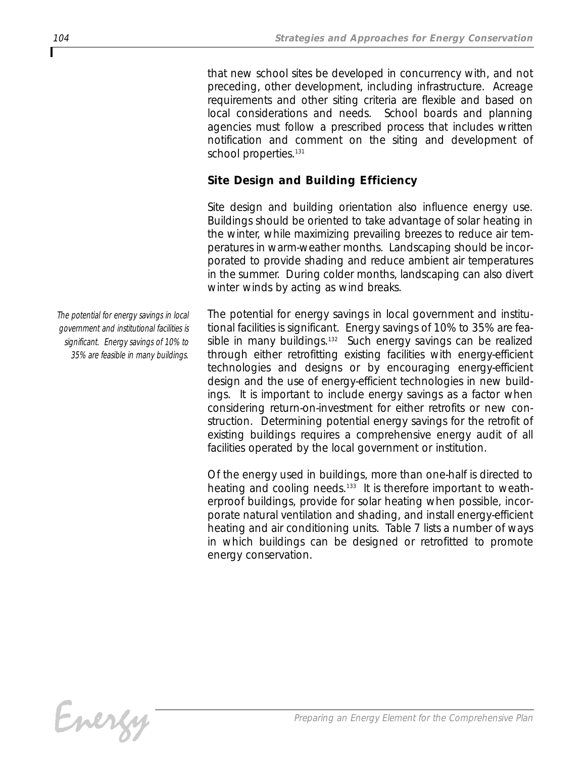*that new school sites be developed in concurrency with, and not preceding, other development, including infrastructure. Acreage requirements and other siting criteria are flexible and based on local considerations and needs. School boards and planning agencies must follow a prescribed process that includes written notification and comment on the siting and development of school properties.131*

## *Site Design and Building Efficiency*

*Site design and building orientation also influence energy use. Buildings should be oriented to take advantage of solar heating in the winter, while maximizing prevailing breezes to reduce air temperatures in warm-weather months. Landscaping should be incorporated to provide shading and reduce ambient air temperatures in the summer. During colder months, landscaping can also divert winter winds by acting as wind breaks.* 

*The potential for energy savings in local government and institutional facilities is significant. Energy savings of 10% to 35% are feasible in many buildings.132 Such energy savings can be realized through either retrofitting existing facilities with energy-efficient technologies and designs or by encouraging energy-efficient design and the use of energy-efficient technologies in new buildings. It is important to include energy savings as a factor when considering return-on-investment for either retrofits or new construction. Determining potential energy savings for the retrofit of existing buildings requires a comprehensive energy audit of all facilities operated by the local government or institution.* 

*Of the energy used in buildings, more than one-half is directed to heating and cooling needs.133 It is therefore important to weatherproof buildings, provide for solar heating when possible, incorporate natural ventilation and shading, and install energy-efficient heating and air conditioning units. Table 7 lists a number of ways in which buildings can be designed or retrofitted to promote energy conservation.*

*The potential for energy savings in local government and institutional facilities is significant. Energy savings of 10% to 35% are feasible in many buildings.*

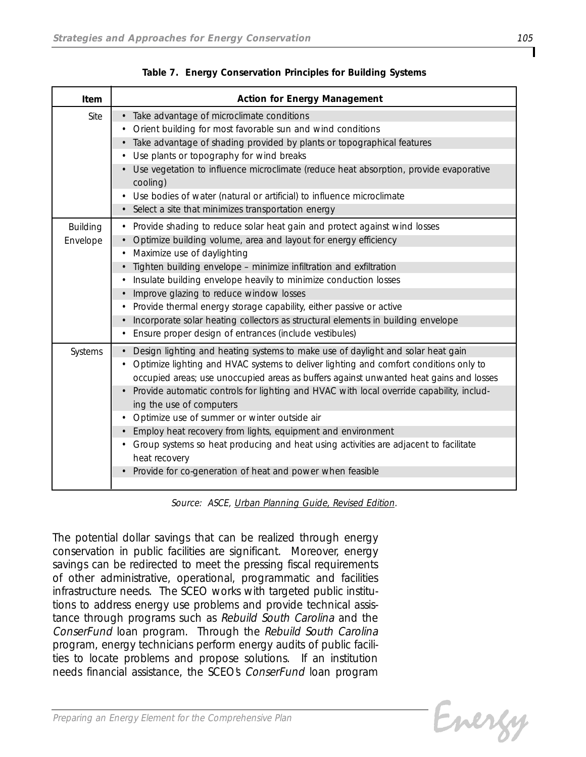| Item                        | <b>Action for Energy Management</b>                                                                                                                                                                                                                                                                                                                                                        |
|-----------------------------|--------------------------------------------------------------------------------------------------------------------------------------------------------------------------------------------------------------------------------------------------------------------------------------------------------------------------------------------------------------------------------------------|
| Site                        | Take advantage of microclimate conditions<br>Orient building for most favorable sun and wind conditions                                                                                                                                                                                                                                                                                    |
|                             | Take advantage of shading provided by plants or topographical features<br>Use plants or topography for wind breaks                                                                                                                                                                                                                                                                         |
|                             | Use vegetation to influence microclimate (reduce heat absorption, provide evaporative<br>cooling)                                                                                                                                                                                                                                                                                          |
|                             | Use bodies of water (natural or artificial) to influence microclimate                                                                                                                                                                                                                                                                                                                      |
|                             | Select a site that minimizes transportation energy                                                                                                                                                                                                                                                                                                                                         |
| <b>Building</b><br>Envelope | Provide shading to reduce solar heat gain and protect against wind losses<br>$\bullet$<br>Optimize building volume, area and layout for energy efficiency<br>Maximize use of daylighting                                                                                                                                                                                                   |
|                             | Tighten building envelope - minimize infiltration and exfiltration<br>Insulate building envelope heavily to minimize conduction losses                                                                                                                                                                                                                                                     |
|                             | Improve glazing to reduce window losses                                                                                                                                                                                                                                                                                                                                                    |
|                             | Provide thermal energy storage capability, either passive or active                                                                                                                                                                                                                                                                                                                        |
|                             | Incorporate solar heating collectors as structural elements in building envelope                                                                                                                                                                                                                                                                                                           |
|                             | Ensure proper design of entrances (include vestibules)                                                                                                                                                                                                                                                                                                                                     |
| Systems                     | Design lighting and heating systems to make use of daylight and solar heat gain<br>Optimize lighting and HVAC systems to deliver lighting and comfort conditions only to<br>occupied areas; use unoccupied areas as buffers against unwanted heat gains and losses<br>Provide automatic controls for lighting and HVAC with local override capability, includ-<br>ing the use of computers |
|                             | Optimize use of summer or winter outside air                                                                                                                                                                                                                                                                                                                                               |
|                             | Employ heat recovery from lights, equipment and environment                                                                                                                                                                                                                                                                                                                                |
|                             | Group systems so heat producing and heat using activities are adjacent to facilitate<br>heat recovery                                                                                                                                                                                                                                                                                      |
|                             | Provide for co-generation of heat and power when feasible                                                                                                                                                                                                                                                                                                                                  |

*Table 7. Energy Conservation Principles for Building Systems*

*Source: ASCE, Urban Planning Guide, Revised Edition.*

*The potential dollar savings that can be realized through energy conservation in public facilities are significant. Moreover, energy savings can be redirected to meet the pressing fiscal requirements of other administrative, operational, programmatic and facilities infrastructure needs. The SCEO works with targeted public institutions to address energy use problems and provide technical assistance through programs such as Rebuild South Carolina and the ConserFund loan program. Through the Rebuild South Carolina program, energy technicians perform energy audits of public facilities to locate problems and propose solutions. If an institution needs financial assistance, the SCEO's ConserFund loan program*

Energy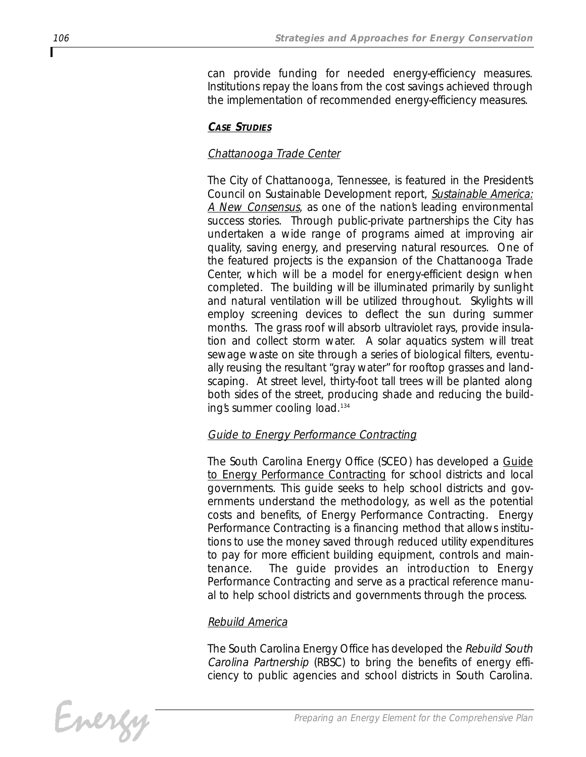*can provide funding for needed energy-efficiency measures. Institutions repay the loans from the cost savings achieved through the implementation of recommended energy-efficiency measures.*

# *CASE STUDIES*

# *Chattanooga Trade Center*

*The City of Chattanooga, Tennessee, is featured in the President's Council on Sustainable Development report, Sustainable America: A New Consensus, as one of the nation's leading environmental success stories. Through public-private partnerships the City has undertaken a wide range of programs aimed at improving air quality, saving energy, and preserving natural resources. One of the featured projects is the expansion of the Chattanooga Trade Center, which will be a model for energy-efficient design when completed. The building will be illuminated primarily by sunlight and natural ventilation will be utilized throughout. Skylights will employ screening devices to deflect the sun during summer months. The grass roof will absorb ultraviolet rays, provide insulation and collect storm water. A solar aquatics system will treat sewage waste on site through a series of biological filters, eventually reusing the resultant "gray water" for rooftop grasses and landscaping. At street level, thirty-foot tall trees will be planted along both sides of the street, producing shade and reducing the building's summer cooling load.134*

# *Guide to Energy Performance Contracting*

*The South Carolina Energy Office (SCEO) has developed a Guide to Energy Performance Contracting for school districts and local governments. This guide seeks to help school districts and governments understand the methodology, as well as the potential costs and benefits, of Energy Performance Contracting. Energy Performance Contracting is a financing method that allows institutions to use the money saved through reduced utility expenditures to pay for more efficient building equipment, controls and maintenance. The guide provides an introduction to Energy Performance Contracting and serve as a practical reference manual to help school districts and governments through the process.*

# *Rebuild America*

*The South Carolina Energy Office has developed the Rebuild South Carolina Partnership (RBSC) to bring the benefits of energy efficiency to public agencies and school districts in South Carolina.*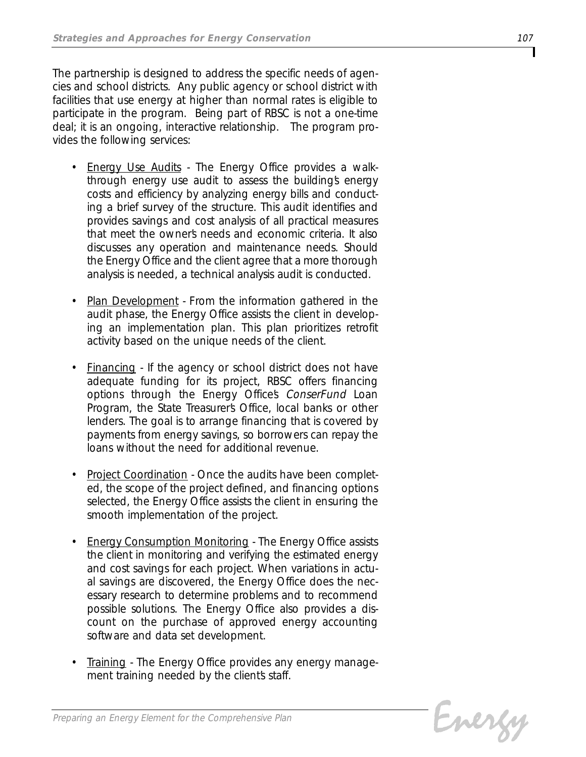*The partnership is designed to address the specific needs of agencies and school districts. Any public agency or school district with facilities that use energy at higher than normal rates is eligible to participate in the program. Being part of RBSC is not a one-time deal; it is an ongoing, interactive relationship. The program provides the following services:*

- *• Energy Use Audits The Energy Office provides a walkthrough energy use audit to assess the building's energy costs and efficiency by analyzing energy bills and conducting a brief survey of the structure. This audit identifies and provides savings and cost analysis of all practical measures that meet the owner's needs and economic criteria. It also discusses any operation and maintenance needs. Should the Energy Office and the client agree that a more thorough analysis is needed, a technical analysis audit is conducted.*
- *• Plan Development From the information gathered in the audit phase, the Energy Office assists the client in developing an implementation plan. This plan prioritizes retrofit activity based on the unique needs of the client.*
- *• Financing If the agency or school district does not have adequate funding for its project, RBSC offers financing options through the Energy Office's ConserFund Loan Program, the State Treasurer's Office, local banks or other lenders. The goal is to arrange financing that is covered by payments from energy savings, so borrowers can repay the loans without the need for additional revenue.*
- *• Project Coordination Once the audits have been completed, the scope of the project defined, and financing options selected, the Energy Office assists the client in ensuring the smooth implementation of the project.*
- *• Energy Consumption Monitoring The Energy Office assists the client in monitoring and verifying the estimated energy and cost savings for each project. When variations in actual savings are discovered, the Energy Office does the necessary research to determine problems and to recommend possible solutions. The Energy Office also provides a discount on the purchase of approved energy accounting software and data set development.*
- *• Training The Energy Office provides any energy management training needed by the client's staff.*

Evergy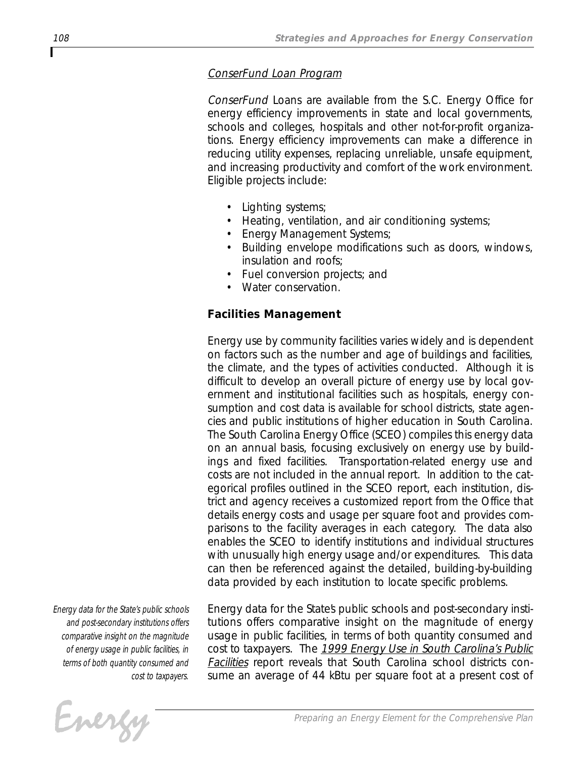#### *ConserFund Loan Program*

*ConserFund Loans are available from the S.C. Energy Office for energy efficiency improvements in state and local governments, schools and colleges, hospitals and other not-for-profit organizations. Energy efficiency improvements can make a difference in reducing utility expenses, replacing unreliable, unsafe equipment, and increasing productivity and comfort of the work environment. Eligible projects include:*

- *• Lighting systems;*
- *• Heating, ventilation, and air conditioning systems;*
- *• Energy Management Systems;*
- *• Building envelope modifications such as doors, windows, insulation and roofs;*
- *• Fuel conversion projects; and*
- *• Water conservation.*

# *Facilities Management*

*Energy use by community facilities varies widely and is dependent on factors such as the number and age of buildings and facilities, the climate, and the types of activities conducted. Although it is difficult to develop an overall picture of energy use by local government and institutional facilities such as hospitals, energy consumption and cost data is available for school districts, state agencies and public institutions of higher education in South Carolina. The South Carolina Energy Office (SCEO) compiles this energy data on an annual basis, focusing exclusively on energy use by buildings and fixed facilities. Transportation-related energy use and costs are not included in the annual report. In addition to the categorical profiles outlined in the SCEO report, each institution, district and agency receives a customized report from the Office that details energy costs and usage per square foot and provides comparisons to the facility averages in each category. The data also enables the SCEO to identify institutions and individual structures with unusually high energy usage and/or expenditures. This data can then be referenced against the detailed, building-by-building data provided by each institution to locate specific problems.*

*Energy data for the State's public schools and post-secondary institutions offers comparative insight on the magnitude of energy usage in public facilities, in terms of both quantity consumed and cost to taxpayers.* 

Evergy

*Energy data for the State's public schools and post-secondary institutions offers comparative insight on the magnitude of energy usage in public facilities, in terms of both quantity consumed and cost to taxpayers. The 1999 Energy Use in South Carolina's Public Facilities report reveals that South Carolina school districts consume an average of 44 kBtu per square foot at a present cost of*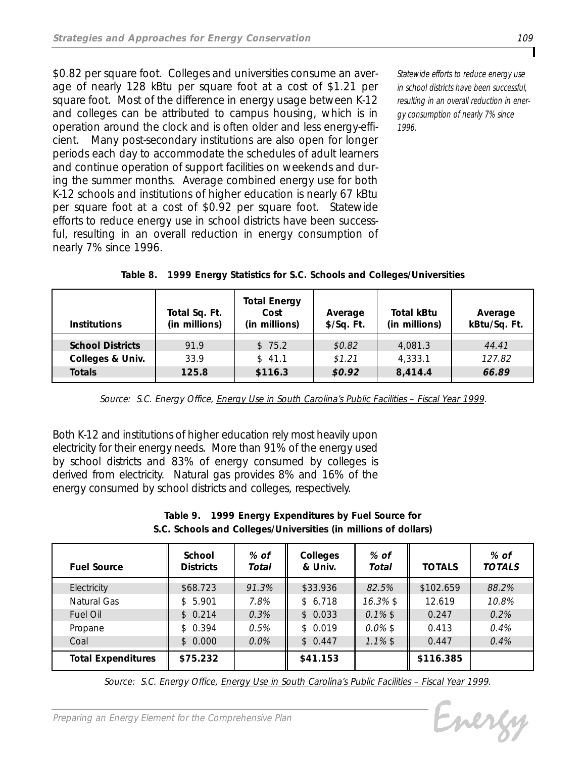*\$0.82 per square foot. Colleges and universities consume an average of nearly 128 kBtu per square foot at a cost of \$1.21 per square foot. Most of the difference in energy usage between K-12 and colleges can be attributed to campus housing, which is in operation around the clock and is often older and less energy-efficient. Many post-secondary institutions are also open for longer periods each day to accommodate the schedules of adult learners and continue operation of support facilities on weekends and during the summer months. Average combined energy use for both K-12 schools and institutions of higher education is nearly 67 kBtu per square foot at a cost of \$0.92 per square foot. Statewide efforts to reduce energy use in school districts have been successful, resulting in an overall reduction in energy consumption of nearly 7% since 1996.*

*Statewide efforts to reduce energy use in school districts have been successful, resulting in an overall reduction in energy consumption of nearly 7% since 1996.*

| <b>Institutions</b>     | Total Sq. Ft.<br>(in millions) | <b>Total Energy</b><br>Cost<br>(in millions) | Average<br>\$/Sq. Ft. | <b>Total kBtu</b><br>(in millions) | Average<br>kBtu/Sq. Ft. |
|-------------------------|--------------------------------|----------------------------------------------|-----------------------|------------------------------------|-------------------------|
| <b>School Districts</b> | 91.9                           | \$75.2                                       | \$0.82                | 4,081.3                            | 44.41                   |
| Colleges & Univ.        | 33.9                           | \$41.1                                       | \$1,21                | 4,333.1                            | 127.82                  |
| <b>Totals</b>           | 125.8                          | \$116.3                                      | \$0.92                | 8,414.4                            | 66.89                   |

|  | Table 8. 1999 Energy Statistics for S.C. Schools and Colleges/Universities |
|--|----------------------------------------------------------------------------|
|  |                                                                            |

*Source: S.C. Energy Office, Energy Use in South Carolina's Public Facilities – Fiscal Year 1999.*

*Both K-12 and institutions of higher education rely most heavily upon electricity for their energy needs. More than 91% of the energy used by school districts and 83% of energy consumed by colleges is derived from electricity. Natural gas provides 8% and 16% of the energy consumed by school districts and colleges, respectively.*

| Table 9. | 1999 Energy Expenditures by Fuel Source for                     |
|----------|-----------------------------------------------------------------|
|          | S.C. Schools and Colleges/Universities (in millions of dollars) |

| <b>Fuel Source</b>        | School<br><b>Districts</b> | % of<br>Total | <b>Colleges</b><br>& Univ. | % of<br>Total | <b>TOTALS</b> | % of<br><b>TOTALS</b> |
|---------------------------|----------------------------|---------------|----------------------------|---------------|---------------|-----------------------|
| Electricity               | \$68.723                   | 91.3%         | \$33.936                   | 82.5%         | \$102.659     | 88.2%                 |
| Natural Gas               | 5.901<br>\$                | 7.8%          | \$6.718                    | $16.3\%$ \$   | 12.619        | 10.8%                 |
| <b>Fuel Oil</b>           | \$0.214                    | 0.3%          | \$0.033                    | $0.1\%$ \$    | 0.247         | 0.2%                  |
| Propane                   | \$0.394                    | 0.5%          | \$0.019                    | $0.0\%$ \$    | 0.413         | 0.4%                  |
| Coal                      | \$0.000                    | 0.0%          | \$0.447                    | $1.1\%$ \$    | 0.447         | 0.4%                  |
| <b>Total Expenditures</b> | \$75.232                   |               | \$41.153                   |               | \$116.385     |                       |

*Source: S.C. Energy Office, Energy Use in South Carolina's Public Facilities – Fiscal Year 1999.*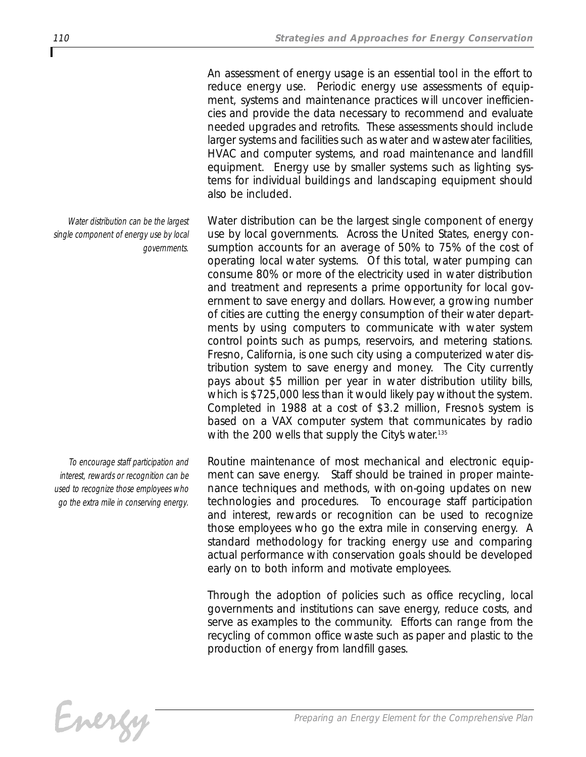*An assessment of energy usage is an essential tool in the effort to reduce energy use. Periodic energy use assessments of equipment, systems and maintenance practices will uncover inefficiencies and provide the data necessary to recommend and evaluate needed upgrades and retrofits. These assessments should include larger systems and facilities such as water and wastewater facilities, HVAC and computer systems, and road maintenance and landfill equipment. Energy use by smaller systems such as lighting systems for individual buildings and landscaping equipment should also be included.* 

*Water distribution can be the largest single component of energy use by local governments. Across the United States, energy consumption accounts for an average of 50% to 75% of the cost of operating local water systems. Of this total, water pumping can consume 80% or more of the electricity used in water distribution and treatment and represents a prime opportunity for local government to save energy and dollars. However, a growing number of cities are cutting the energy consumption of their water departments by using computers to communicate with water system control points such as pumps, reservoirs, and metering stations. Fresno, California, is one such city using a computerized water distribution system to save energy and money. The City currently pays about \$5 million per year in water distribution utility bills, which is \$725,000 less than it would likely pay without the system. Completed in 1988 at a cost of \$3.2 million, Fresno's system is based on a VAX computer system that communicates by radio* with the 200 wells that supply the City's water.<sup>135</sup>

*Routine maintenance of most mechanical and electronic equipment can save energy. Staff should be trained in proper maintenance techniques and methods, with on-going updates on new technologies and procedures. To encourage staff participation and interest, rewards or recognition can be used to recognize those employees who go the extra mile in conserving energy. A standard methodology for tracking energy use and comparing actual performance with conservation goals should be developed early on to both inform and motivate employees.*

*Through the adoption of policies such as office recycling, local governments and institutions can save energy, reduce costs, and serve as examples to the community. Efforts can range from the recycling of common office waste such as paper and plastic to the production of energy from landfill gases.* 

*Preparing an Energy Element for the Comprehensive Plan*

*Water distribution can be the largest single component of energy use by local governments.*

*To encourage staff participation and interest, rewards or recognition can be used to recognize those employees who go the extra mile in conserving energy.*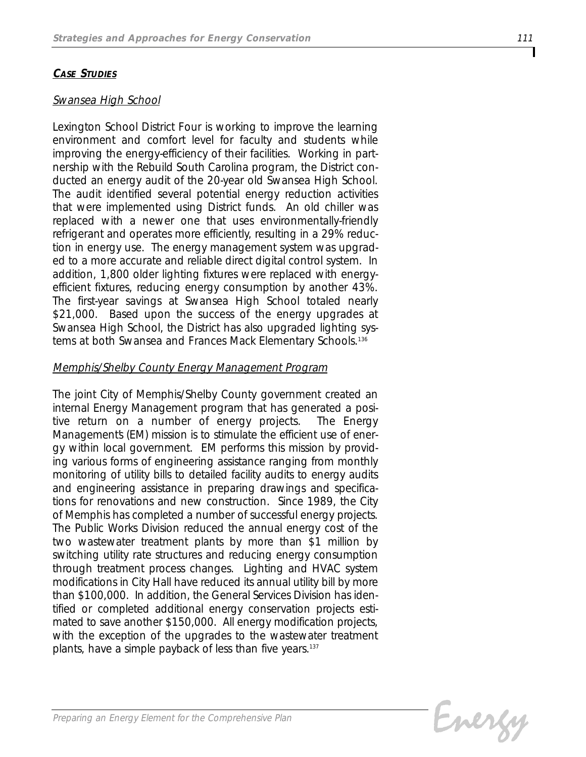# *CASE STUDIES*

#### *Swansea High School*

*Lexington School District Four is working to improve the learning environment and comfort level for faculty and students while improving the energy-efficiency of their facilities. Working in partnership with the Rebuild South Carolina program, the District conducted an energy audit of the 20-year old Swansea High School. The audit identified several potential energy reduction activities that were implemented using District funds. An old chiller was replaced with a newer one that uses environmentally-friendly refrigerant and operates more efficiently, resulting in a 29% reduction in energy use. The energy management system was upgraded to a more accurate and reliable direct digital control system. In addition, 1,800 older lighting fixtures were replaced with energyefficient fixtures, reducing energy consumption by another 43%. The first-year savings at Swansea High School totaled nearly \$21,000. Based upon the success of the energy upgrades at Swansea High School, the District has also upgraded lighting systems at both Swansea and Frances Mack Elementary Schools.136*

# *Memphis/Shelby County Energy Management Program*

*The joint City of Memphis/Shelby County government created an internal Energy Management program that has generated a positive return on a number of energy projects. The Energy Management's (EM) mission is to stimulate the efficient use of energy within local government. EM performs this mission by providing various forms of engineering assistance ranging from monthly monitoring of utility bills to detailed facility audits to energy audits and engineering assistance in preparing drawings and specifications for renovations and new construction. Since 1989, the City of Memphis has completed a number of successful energy projects. The Public Works Division reduced the annual energy cost of the two wastewater treatment plants by more than \$1 million by switching utility rate structures and reducing energy consumption through treatment process changes. Lighting and HVAC system modifications in City Hall have reduced its annual utility bill by more than \$100,000. In addition, the General Services Division has identified or completed additional energy conservation projects estimated to save another \$150,000. All energy modification projects, with the exception of the upgrades to the wastewater treatment plants, have a simple payback of less than five years.137*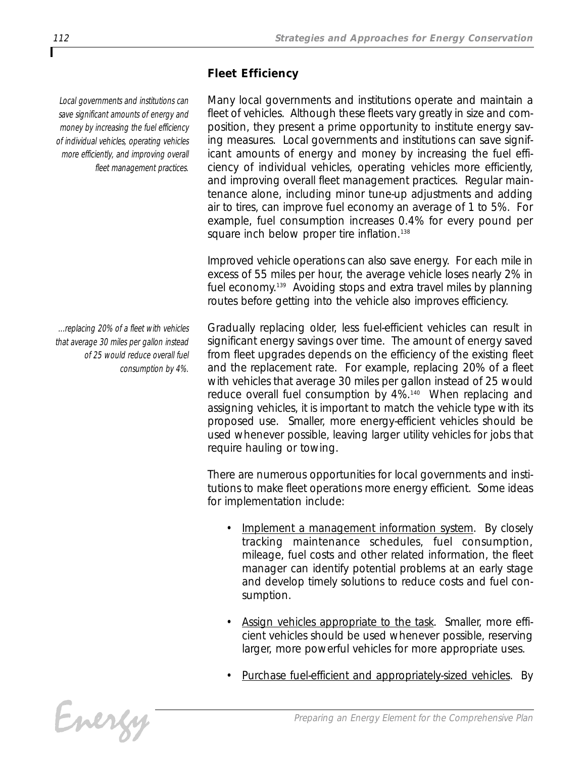# *Fleet Efficiency*

*Local governments and institutions can save significant amounts of energy and money by increasing the fuel efficiency of individual vehicles, operating vehicles more efficiently, and improving overall fleet management practices.*

*...replacing 20% of a fleet with vehicles that average 30 miles per gallon instead of 25 would reduce overall fuel consumption by 4%.*

*Many local governments and institutions operate and maintain a fleet of vehicles. Although these fleets vary greatly in size and composition, they present a prime opportunity to institute energy saving measures. Local governments and institutions can save significant amounts of energy and money by increasing the fuel efficiency of individual vehicles, operating vehicles more efficiently, and improving overall fleet management practices. Regular maintenance alone, including minor tune-up adjustments and adding air to tires, can improve fuel economy an average of 1 to 5%. For example, fuel consumption increases 0.4% for every pound per square inch below proper tire inflation.138*

*Improved vehicle operations can also save energy. For each mile in excess of 55 miles per hour, the average vehicle loses nearly 2% in fuel economy.139 Avoiding stops and extra travel miles by planning routes before getting into the vehicle also improves efficiency.* 

*Gradually replacing older, less fuel-efficient vehicles can result in significant energy savings over time. The amount of energy saved from fleet upgrades depends on the efficiency of the existing fleet and the replacement rate. For example, replacing 20% of a fleet with vehicles that average 30 miles per gallon instead of 25 would reduce overall fuel consumption by 4%.140 When replacing and assigning vehicles, it is important to match the vehicle type with its proposed use. Smaller, more energy-efficient vehicles should be used whenever possible, leaving larger utility vehicles for jobs that require hauling or towing.* 

*There are numerous opportunities for local governments and institutions to make fleet operations more energy efficient. Some ideas for implementation include:*

- *• Implement a management information system. By closely tracking maintenance schedules, fuel consumption, mileage, fuel costs and other related information, the fleet manager can identify potential problems at an early stage and develop timely solutions to reduce costs and fuel consumption.*
- *• Assign vehicles appropriate to the task. Smaller, more efficient vehicles should be used whenever possible, reserving larger, more powerful vehicles for more appropriate uses.*
- *• Purchase fuel-efficient and appropriately-sized vehicles. By*

Energy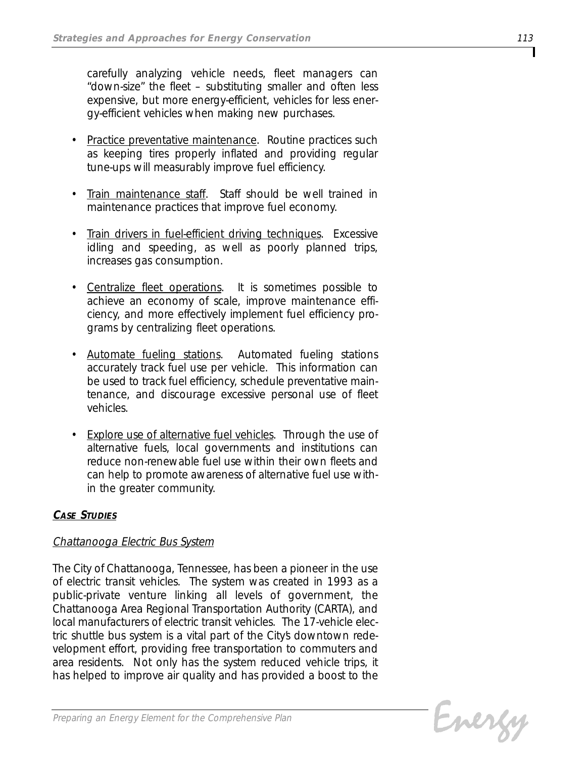*carefully analyzing vehicle needs, fleet managers can "down-size" the fleet – substituting smaller and often less expensive, but more energy-efficient, vehicles for less energy-efficient vehicles when making new purchases.*

- *• Practice preventative maintenance. Routine practices such as keeping tires properly inflated and providing regular tune-ups will measurably improve fuel efficiency.*
- *• Train maintenance staff. Staff should be well trained in maintenance practices that improve fuel economy.*
- *• Train drivers in fuel-efficient driving techniques. Excessive idling and speeding, as well as poorly planned trips, increases gas consumption.*
- *• Centralize fleet operations. It is sometimes possible to achieve an economy of scale, improve maintenance efficiency, and more effectively implement fuel efficiency programs by centralizing fleet operations.*
- *• Automate fueling stations. Automated fueling stations accurately track fuel use per vehicle. This information can be used to track fuel efficiency, schedule preventative maintenance, and discourage excessive personal use of fleet vehicles.*
- *• Explore use of alternative fuel vehicles. Through the use of alternative fuels, local governments and institutions can reduce non-renewable fuel use within their own fleets and can help to promote awareness of alternative fuel use within the greater community.*

# *CASE STUDIES*

# *Chattanooga Electric Bus System*

*The City of Chattanooga, Tennessee, has been a pioneer in the use of electric transit vehicles. The system was created in 1993 as a public-private venture linking all levels of government, the Chattanooga Area Regional Transportation Authority (CARTA), and local manufacturers of electric transit vehicles. The 17-vehicle electric shuttle bus system is a vital part of the City's downtown redevelopment effort, providing free transportation to commuters and area residents. Not only has the system reduced vehicle trips, it has helped to improve air quality and has provided a boost to the*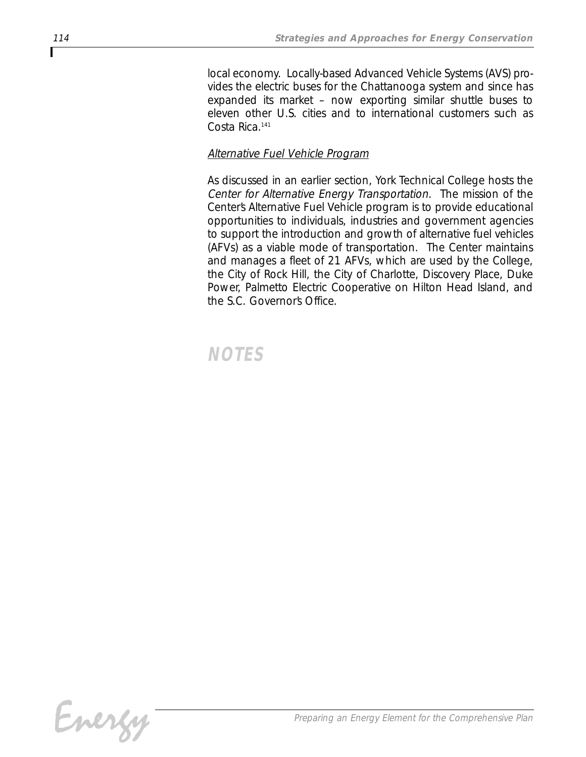*local economy. Locally-based Advanced Vehicle Systems (AVS) provides the electric buses for the Chattanooga system and since has expanded its market – now exporting similar shuttle buses to eleven other U.S. cities and to international customers such as Costa Rica.141*

# *Alternative Fuel Vehicle Program*

*As discussed in an earlier section, York Technical College hosts the Center for Alternative Energy Transportation. The mission of the Center's Alternative Fuel Vehicle program is to provide educational opportunities to individuals, industries and government agencies to support the introduction and growth of alternative fuel vehicles (AFVs) as a viable mode of transportation. The Center maintains and manages a fleet of 21 AFVs, which are used by the College, the City of Rock Hill, the City of Charlotte, Discovery Place, Duke Power, Palmetto Electric Cooperative on Hilton Head Island, and the S.C. Governor's Office.*

# *NOTES*

Г

Energy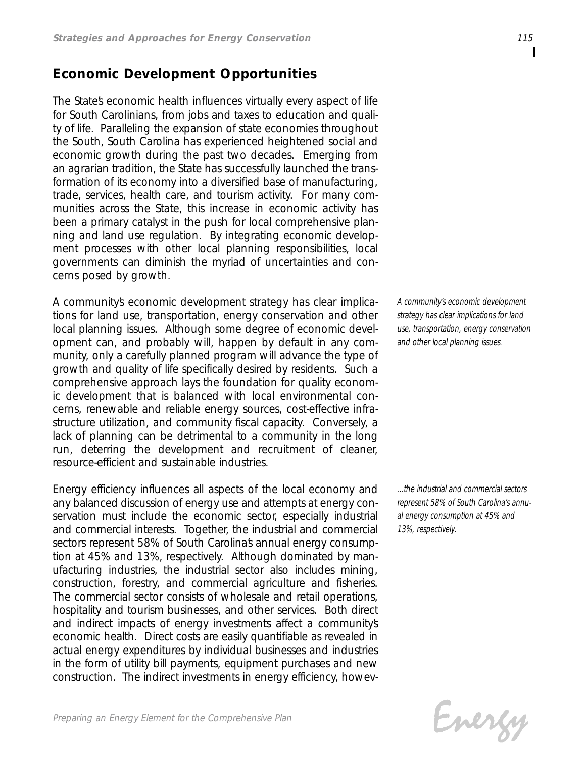# *Economic Development Opportunities*

*The State's economic health influences virtually every aspect of life for South Carolinians, from jobs and taxes to education and quality of life. Paralleling the expansion of state economies throughout the South, South Carolina has experienced heightened social and economic growth during the past two decades. Emerging from an agrarian tradition, the State has successfully launched the transformation of its economy into a diversified base of manufacturing, trade, services, health care, and tourism activity. For many communities across the State, this increase in economic activity has been a primary catalyst in the push for local comprehensive planning and land use regulation. By integrating economic development processes with other local planning responsibilities, local governments can diminish the myriad of uncertainties and concerns posed by growth.* 

*A community's economic development strategy has clear implications for land use, transportation, energy conservation and other local planning issues. Although some degree of economic development can, and probably will, happen by default in any community, only a carefully planned program will advance the type of growth and quality of life specifically desired by residents. Such a comprehensive approach lays the foundation for quality economic development that is balanced with local environmental concerns, renewable and reliable energy sources, cost-effective infrastructure utilization, and community fiscal capacity. Conversely, a lack of planning can be detrimental to a community in the long run, deterring the development and recruitment of cleaner, resource-efficient and sustainable industries.* 

*Energy efficiency influences all aspects of the local economy and any balanced discussion of energy use and attempts at energy conservation must include the economic sector, especially industrial and commercial interests. Together, the industrial and commercial* sectors represent 58% of South Carolinas annual energy consump*tion at 45% and 13%, respectively. Although dominated by manufacturing industries, the industrial sector also includes mining, construction, forestry, and commercial agriculture and fisheries. The commercial sector consists of wholesale and retail operations, hospitality and tourism businesses, and other services. Both direct and indirect impacts of energy investments affect a community's economic health. Direct costs are easily quantifiable as revealed in actual energy expenditures by individual businesses and industries in the form of utility bill payments, equipment purchases and new construction. The indirect investments in energy efficiency, howev-* *A community's economic development strategy has clear implications for land use, transportation, energy conservation and other local planning issues.*

*...the industrial and commercial sectors represent 58% of South Carolina's annual energy consumption at 45% and 13%, respectively.*

Evergy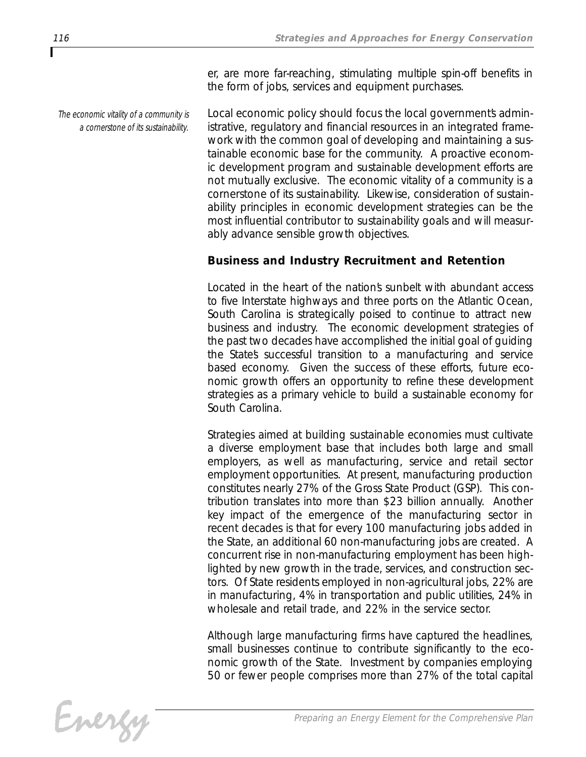*The economic vitality of a community is a cornerstone of its sustainability.*

*er, are more far-reaching, stimulating multiple spin-off benefits in the form of jobs, services and equipment purchases.* 

Local economic policy should focus the local governments admin*istrative, regulatory and financial resources in an integrated framework with the common goal of developing and maintaining a sustainable economic base for the community. A proactive economic development program and sustainable development efforts are not mutually exclusive. The economic vitality of a community is a cornerstone of its sustainability. Likewise, consideration of sustainability principles in economic development strategies can be the most influential contributor to sustainability goals and will measurably advance sensible growth objectives.*

# *Business and Industry Recruitment and Retention*

*Located in the heart of the nation's sunbelt with abundant access to five Interstate highways and three ports on the Atlantic Ocean, South Carolina is strategically poised to continue to attract new business and industry. The economic development strategies of the past two decades have accomplished the initial goal of guiding the State's successful transition to a manufacturing and service based economy. Given the success of these efforts, future economic growth offers an opportunity to refine these development strategies as a primary vehicle to build a sustainable economy for South Carolina.* 

*Strategies aimed at building sustainable economies must cultivate a diverse employment base that includes both large and small employers, as well as manufacturing, service and retail sector employment opportunities. At present, manufacturing production constitutes nearly 27% of the Gross State Product (GSP). This contribution translates into more than \$23 billion annually. Another key impact of the emergence of the manufacturing sector in recent decades is that for every 100 manufacturing jobs added in the State, an additional 60 non-manufacturing jobs are created. A concurrent rise in non-manufacturing employment has been highlighted by new growth in the trade, services, and construction sectors. Of State residents employed in non-agricultural jobs, 22% are in manufacturing, 4% in transportation and public utilities, 24% in wholesale and retail trade, and 22% in the service sector.* 

*Although large manufacturing firms have captured the headlines, small businesses continue to contribute significantly to the economic growth of the State. Investment by companies employing 50 or fewer people comprises more than 27% of the total capital*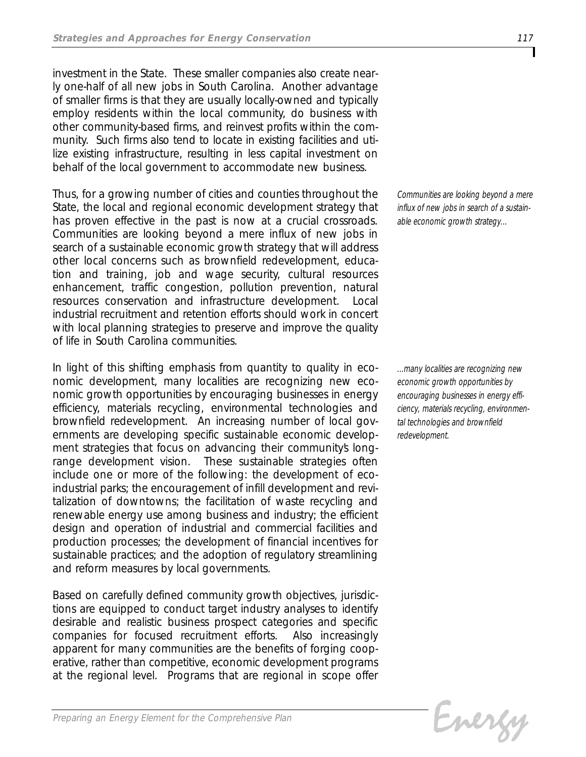*investment in the State. These smaller companies also create nearly one-half of all new jobs in South Carolina. Another advantage of smaller firms is that they are usually locally-owned and typically employ residents within the local community, do business with other community-based firms, and reinvest profits within the community. Such firms also tend to locate in existing facilities and utilize existing infrastructure, resulting in less capital investment on behalf of the local government to accommodate new business.* 

*Thus, for a growing number of cities and counties throughout the State, the local and regional economic development strategy that has proven effective in the past is now at a crucial crossroads. Communities are looking beyond a mere influx of new jobs in search of a sustainable economic growth strategy that will address other local concerns such as brownfield redevelopment, education and training, job and wage security, cultural resources enhancement, traffic congestion, pollution prevention, natural resources conservation and infrastructure development. Local industrial recruitment and retention efforts should work in concert with local planning strategies to preserve and improve the quality of life in South Carolina communities.*

*In light of this shifting emphasis from quantity to quality in economic development, many localities are recognizing new economic growth opportunities by encouraging businesses in energy efficiency, materials recycling, environmental technologies and brownfield redevelopment. An increasing number of local governments are developing specific sustainable economic develop*ment strategies that focus on advancing their community's long*range development vision. These sustainable strategies often include one or more of the following: the development of ecoindustrial parks; the encouragement of infill development and revitalization of downtowns; the facilitation of waste recycling and renewable energy use among business and industry; the efficient design and operation of industrial and commercial facilities and production processes; the development of financial incentives for sustainable practices; and the adoption of regulatory streamlining and reform measures by local governments.*

*Based on carefully defined community growth objectives, jurisdictions are equipped to conduct target industry analyses to identify desirable and realistic business prospect categories and specific companies for focused recruitment efforts. Also increasingly apparent for many communities are the benefits of forging cooperative, rather than competitive, economic development programs at the regional level. Programs that are regional in scope offer*

*Communities are looking beyond a mere influx of new jobs in search of a sustainable economic growth strategy...*

*...many localities are recognizing new economic growth opportunities by encouraging businesses in energy efficiency, materials recycling, environmental technologies and brownfield redevelopment.*

Evergy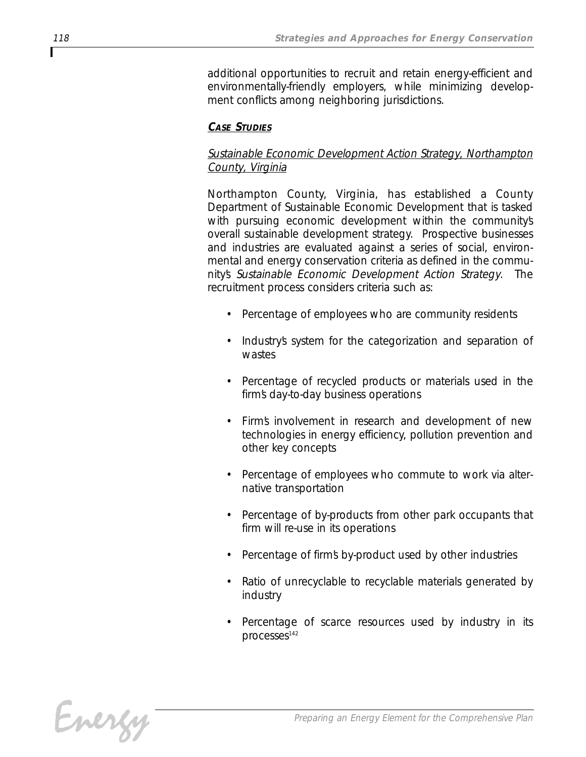*additional opportunities to recruit and retain energy-efficient and environmentally-friendly employers, while minimizing development conflicts among neighboring jurisdictions.*

#### *CASE STUDIES*

# *Sustainable Economic Development Action Strategy, Northampton County, Virginia*

*Northampton County, Virginia, has established a County Department of Sustainable Economic Development that is tasked with pursuing economic development within the community's overall sustainable development strategy. Prospective businesses and industries are evaluated against a series of social, environmental and energy conservation criteria as defined in the community's Sustainable Economic Development Action Strategy. The recruitment process considers criteria such as:*

- *• Percentage of employees who are community residents*
- *• Industry's system for the categorization and separation of wastes*
- *• Percentage of recycled products or materials used in the firm's day-to-day business operations*
- *• Firm's involvement in research and development of new technologies in energy efficiency, pollution prevention and other key concepts*
- *• Percentage of employees who commute to work via alternative transportation*
- *• Percentage of by-products from other park occupants that firm will re-use in its operations*
- *• Percentage of firm's by-product used by other industries*
- *• Ratio of unrecyclable to recyclable materials generated by industry*
- *• Percentage of scarce resources used by industry in its processes142*

Energy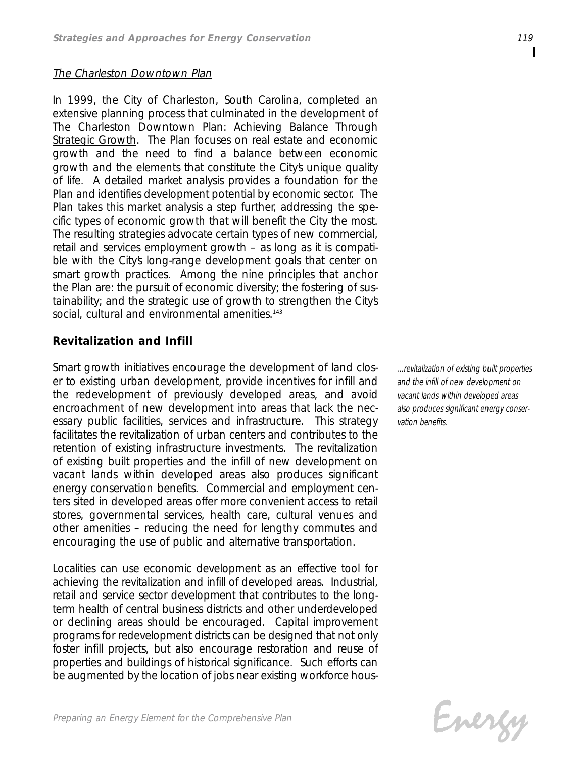### *The Charleston Downtown Plan*

*In 1999, the City of Charleston, South Carolina, completed an extensive planning process that culminated in the development of The Charleston Downtown Plan: Achieving Balance Through Strategic Growth. The Plan focuses on real estate and economic growth and the need to find a balance between economic growth and the elements that constitute the City's unique quality of life. A detailed market analysis provides a foundation for the Plan and identifies development potential by economic sector. The Plan takes this market analysis a step further, addressing the specific types of economic growth that will benefit the City the most. The resulting strategies advocate certain types of new commercial, retail and services employment growth – as long as it is compatible with the City's long-range development goals that center on smart growth practices. Among the nine principles that anchor the Plan are: the pursuit of economic diversity; the fostering of sustainability; and the strategic use of growth to strengthen the City's social, cultural and environmental amenities.143*

# *Revitalization and Infill*

*Smart growth initiatives encourage the development of land closer to existing urban development, provide incentives for infill and the redevelopment of previously developed areas, and avoid encroachment of new development into areas that lack the necessary public facilities, services and infrastructure. This strategy facilitates the revitalization of urban centers and contributes to the retention of existing infrastructure investments. The revitalization of existing built properties and the infill of new development on vacant lands within developed areas also produces significant energy conservation benefits. Commercial and employment centers sited in developed areas offer more convenient access to retail stores, governmental services, health care, cultural venues and other amenities – reducing the need for lengthy commutes and encouraging the use of public and alternative transportation.*

*Localities can use economic development as an effective tool for achieving the revitalization and infill of developed areas. Industrial, retail and service sector development that contributes to the longterm health of central business districts and other underdeveloped or declining areas should be encouraged. Capital improvement programs for redevelopment districts can be designed that not only foster infill projects, but also encourage restoration and reuse of properties and buildings of historical significance. Such efforts can be augmented by the location of jobs near existing workforce hous-* *...revitalization of existing built properties and the infill of new development on vacant lands within developed areas also produces significant energy conservation benefits.*

Energy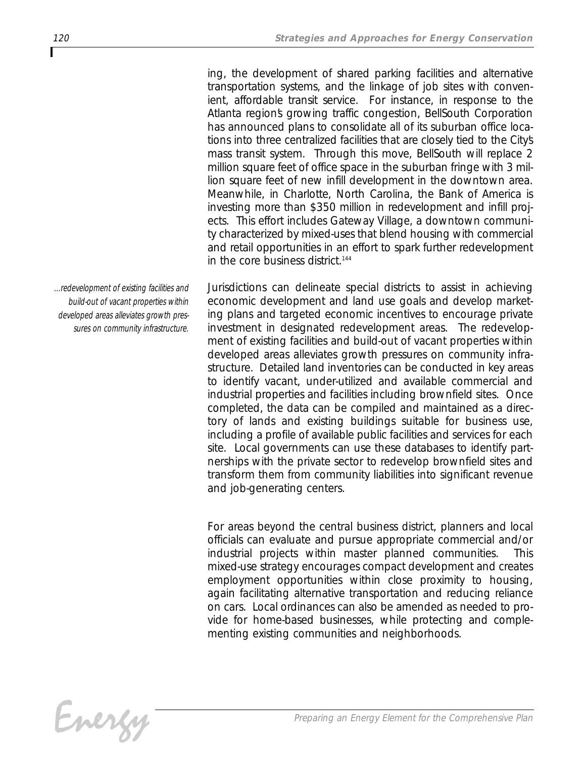*ing, the development of shared parking facilities and alternative transportation systems, and the linkage of job sites with convenient, affordable transit service. For instance, in response to the Atlanta region's growing traffic congestion, BellSouth Corporation has announced plans to consolidate all of its suburban office locations into three centralized facilities that are closely tied to the City's mass transit system. Through this move, BellSouth will replace 2 million square feet of office space in the suburban fringe with 3 million square feet of new infill development in the downtown area. Meanwhile, in Charlotte, North Carolina, the Bank of America is investing more than \$350 million in redevelopment and infill projects. This effort includes Gateway Village, a downtown community characterized by mixed-uses that blend housing with commercial and retail opportunities in an effort to spark further redevelopment in the core business district.144*

*Jurisdictions can delineate special districts to assist in achieving economic development and land use goals and develop marketing plans and targeted economic incentives to encourage private investment in designated redevelopment areas. The redevelopment of existing facilities and build-out of vacant properties within developed areas alleviates growth pressures on community infrastructure. Detailed land inventories can be conducted in key areas to identify vacant, under-utilized and available commercial and industrial properties and facilities including brownfield sites. Once completed, the data can be compiled and maintained as a directory of lands and existing buildings suitable for business use, including a profile of available public facilities and services for each site. Local governments can use these databases to identify partnerships with the private sector to redevelop brownfield sites and transform them from community liabilities into significant revenue and job-generating centers.* 

*For areas beyond the central business district, planners and local officials can evaluate and pursue appropriate commercial and/or industrial projects within master planned communities. This mixed-use strategy encourages compact development and creates employment opportunities within close proximity to housing, again facilitating alternative transportation and reducing reliance on cars. Local ordinances can also be amended as needed to provide for home-based businesses, while protecting and complementing existing communities and neighborhoods.*

*Preparing an Energy Element for the Comprehensive Plan*

*...redevelopment of existing facilities and build-out of vacant properties within developed areas alleviates growth pressures on community infrastructure.*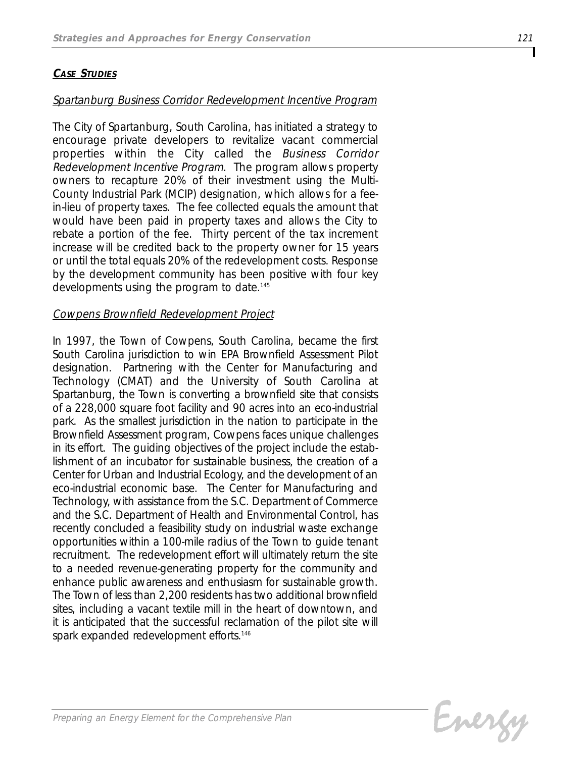#### *CASE STUDIES*

#### *Spartanburg Business Corridor Redevelopment Incentive Program*

*The City of Spartanburg, South Carolina, has initiated a strategy to encourage private developers to revitalize vacant commercial properties within the City called the Business Corridor Redevelopment Incentive Program. The program allows property owners to recapture 20% of their investment using the Multi-County Industrial Park (MCIP) designation, which allows for a feein-lieu of property taxes. The fee collected equals the amount that would have been paid in property taxes and allows the City to rebate a portion of the fee. Thirty percent of the tax increment increase will be credited back to the property owner for 15 years or until the total equals 20% of the redevelopment costs. Response by the development community has been positive with four key developments using the program to date.145*

#### *Cowpens Brownfield Redevelopment Project*

*In 1997, the Town of Cowpens, South Carolina, became the first South Carolina jurisdiction to win EPA Brownfield Assessment Pilot designation. Partnering with the Center for Manufacturing and Technology (CMAT) and the University of South Carolina at Spartanburg, the Town is converting a brownfield site that consists of a 228,000 square foot facility and 90 acres into an eco-industrial park. As the smallest jurisdiction in the nation to participate in the Brownfield Assessment program, Cowpens faces unique challenges in its effort. The guiding objectives of the project include the establishment of an incubator for sustainable business, the creation of a Center for Urban and Industrial Ecology, and the development of an eco-industrial economic base. The Center for Manufacturing and Technology, with assistance from the S.C. Department of Commerce and the S.C. Department of Health and Environmental Control, has recently concluded a feasibility study on industrial waste exchange opportunities within a 100-mile radius of the Town to guide tenant recruitment. The redevelopment effort will ultimately return the site to a needed revenue-generating property for the community and enhance public awareness and enthusiasm for sustainable growth. The Town of less than 2,200 residents has two additional brownfield sites, including a vacant textile mill in the heart of downtown, and it is anticipated that the successful reclamation of the pilot site will spark expanded redevelopment efforts.146*

Evergy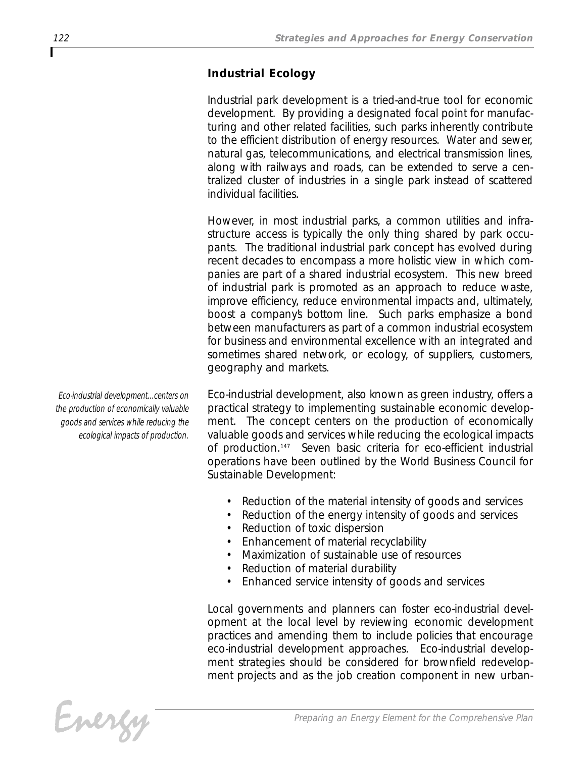# *Industrial Ecology*

*Industrial park development is a tried-and-true tool for economic development. By providing a designated focal point for manufacturing and other related facilities, such parks inherently contribute to the efficient distribution of energy resources. Water and sewer, natural gas, telecommunications, and electrical transmission lines, along with railways and roads, can be extended to serve a centralized cluster of industries in a single park instead of scattered individual facilities.* 

*However, in most industrial parks, a common utilities and infrastructure access is typically the only thing shared by park occupants. The traditional industrial park concept has evolved during recent decades to encompass a more holistic view in which companies are part of a shared industrial ecosystem. This new breed of industrial park is promoted as an approach to reduce waste, improve efficiency, reduce environmental impacts and, ultimately, boost a company's bottom line. Such parks emphasize a bond between manufacturers as part of a common industrial ecosystem for business and environmental excellence with an integrated and sometimes shared network, or ecology, of suppliers, customers, geography and markets.* 

*Eco-industrial development, also known as green industry, offers a practical strategy to implementing sustainable economic development. The concept centers on the production of economically valuable goods and services while reducing the ecological impacts of production.147 Seven basic criteria for eco-efficient industrial operations have been outlined by the World Business Council for Sustainable Development:*

- *• Reduction of the material intensity of goods and services*
- *• Reduction of the energy intensity of goods and services*
- *• Reduction of toxic dispersion*
- *• Enhancement of material recyclability*
- *• Maximization of sustainable use of resources*
- *• Reduction of material durability*
- *• Enhanced service intensity of goods and services*

*Local governments and planners can foster eco-industrial development at the local level by reviewing economic development practices and amending them to include policies that encourage eco-industrial development approaches. Eco-industrial development strategies should be considered for brownfield redevelopment projects and as the job creation component in new urban-*

*Eco-industrial development...centers on the production of economically valuable goods and services while reducing the ecological impacts of production.*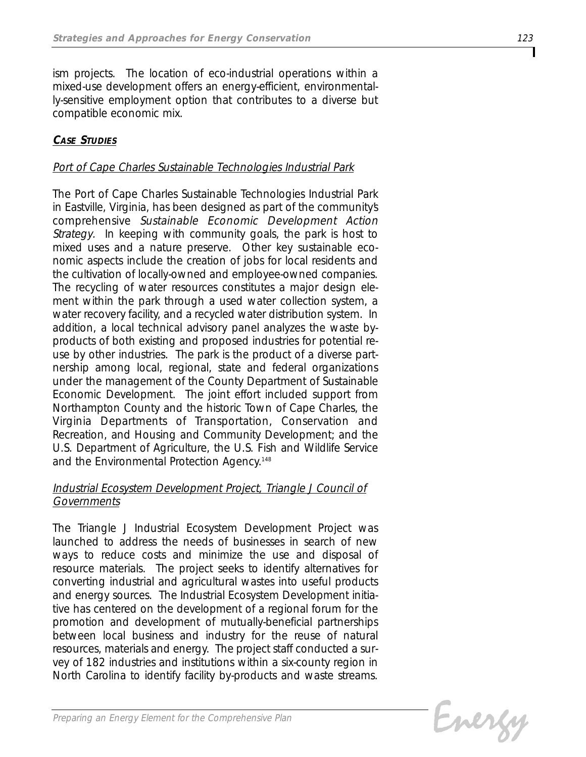*ism projects. The location of eco-industrial operations within a mixed-use development offers an energy-efficient, environmentally-sensitive employment option that contributes to a diverse but compatible economic mix.* 

# *CASE STUDIES*

#### *Port of Cape Charles Sustainable Technologies Industrial Park*

*The Port of Cape Charles Sustainable Technologies Industrial Park in Eastville, Virginia, has been designed as part of the community's comprehensive Sustainable Economic Development Action Strategy. In keeping with community goals, the park is host to mixed uses and a nature preserve. Other key sustainable economic aspects include the creation of jobs for local residents and the cultivation of locally-owned and employee-owned companies. The recycling of water resources constitutes a major design element within the park through a used water collection system, a water recovery facility, and a recycled water distribution system. In addition, a local technical advisory panel analyzes the waste byproducts of both existing and proposed industries for potential reuse by other industries. The park is the product of a diverse partnership among local, regional, state and federal organizations under the management of the County Department of Sustainable Economic Development. The joint effort included support from Northampton County and the historic Town of Cape Charles, the Virginia Departments of Transportation, Conservation and Recreation, and Housing and Community Development; and the U.S. Department of Agriculture, the U.S. Fish and Wildlife Service and the Environmental Protection Agency.148*

### *Industrial Ecosystem Development Project, Triangle J Council of Governments*

*The Triangle J Industrial Ecosystem Development Project was launched to address the needs of businesses in search of new ways to reduce costs and minimize the use and disposal of resource materials. The project seeks to identify alternatives for converting industrial and agricultural wastes into useful products and energy sources. The Industrial Ecosystem Development initiative has centered on the development of a regional forum for the promotion and development of mutually-beneficial partnerships between local business and industry for the reuse of natural resources, materials and energy. The project staff conducted a survey of 182 industries and institutions within a six-county region in North Carolina to identify facility by-products and waste streams.*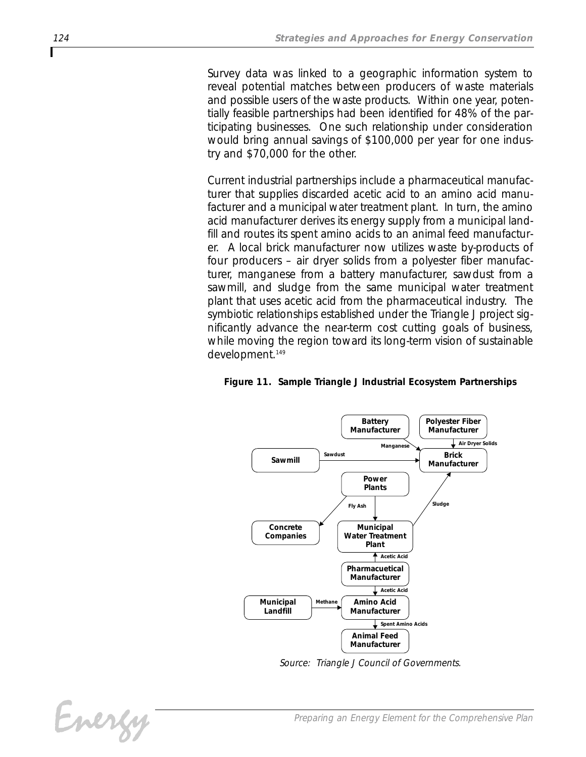*Survey data was linked to a geographic information system to reveal potential matches between producers of waste materials and possible users of the waste products. Within one year, potentially feasible partnerships had been identified for 48% of the participating businesses. One such relationship under consideration would bring annual savings of \$100,000 per year for one industry and \$70,000 for the other.*

*Current industrial partnerships include a pharmaceutical manufacturer that supplies discarded acetic acid to an amino acid manufacturer and a municipal water treatment plant. In turn, the amino acid manufacturer derives its energy supply from a municipal landfill and routes its spent amino acids to an animal feed manufacturer. A local brick manufacturer now utilizes waste by-products of four producers – air dryer solids from a polyester fiber manufacturer, manganese from a battery manufacturer, sawdust from a sawmill, and sludge from the same municipal water treatment plant that uses acetic acid from the pharmaceutical industry. The symbiotic relationships established under the Triangle J project significantly advance the near-term cost cutting goals of business, while moving the region toward its long-term vision of sustainable development.149*

#### *Figure 11. Sample Triangle J Industrial Ecosystem Partnerships*



*Source: Triangle J Council of Governments.*

*Preparing an Energy Element for the Comprehensive Plan*

Energy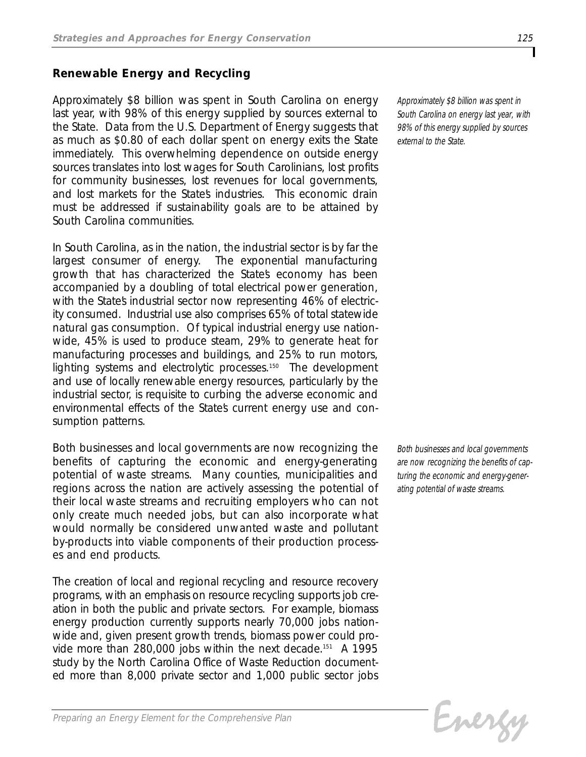## *Renewable Energy and Recycling*

*Approximately \$8 billion was spent in South Carolina on energy last year, with 98% of this energy supplied by sources external to the State. Data from the U.S. Department of Energy suggests that as much as \$0.80 of each dollar spent on energy exits the State immediately. This overwhelming dependence on outside energy sources translates into lost wages for South Carolinians, lost profits for community businesses, lost revenues for local governments, and lost markets for the State's industries. This economic drain must be addressed if sustainability goals are to be attained by South Carolina communities.*

*In South Carolina, as in the nation, the industrial sector is by far the largest consumer of energy. The exponential manufacturing growth that has characterized the State's economy has been accompanied by a doubling of total electrical power generation,* with the States industrial sector now representing 46% of electric*ity consumed. Industrial use also comprises 65% of total statewide natural gas consumption. Of typical industrial energy use nationwide, 45% is used to produce steam, 29% to generate heat for manufacturing processes and buildings, and 25% to run motors, lighting systems and electrolytic processes.150 The development and use of locally renewable energy resources, particularly by the industrial sector, is requisite to curbing the adverse economic and environmental effects of the State's current energy use and consumption patterns.* 

*Both businesses and local governments are now recognizing the benefits of capturing the economic and energy-generating potential of waste streams. Many counties, municipalities and regions across the nation are actively assessing the potential of their local waste streams and recruiting employers who can not only create much needed jobs, but can also incorporate what would normally be considered unwanted waste and pollutant by-products into viable components of their production processes and end products.*

*The creation of local and regional recycling and resource recovery programs, with an emphasis on resource recycling supports job creation in both the public and private sectors. For example, biomass energy production currently supports nearly 70,000 jobs nationwide and, given present growth trends, biomass power could provide more than 280,000 jobs within the next decade.151 A 1995 study by the North Carolina Office of Waste Reduction documented more than 8,000 private sector and 1,000 public sector jobs*

*Approximately \$8 billion was spent in South Carolina on energy last year, with 98% of this energy supplied by sources external to the State.*

*Both businesses and local governments are now recognizing the benefits of capturing the economic and energy-generating potential of waste streams.*

Evergy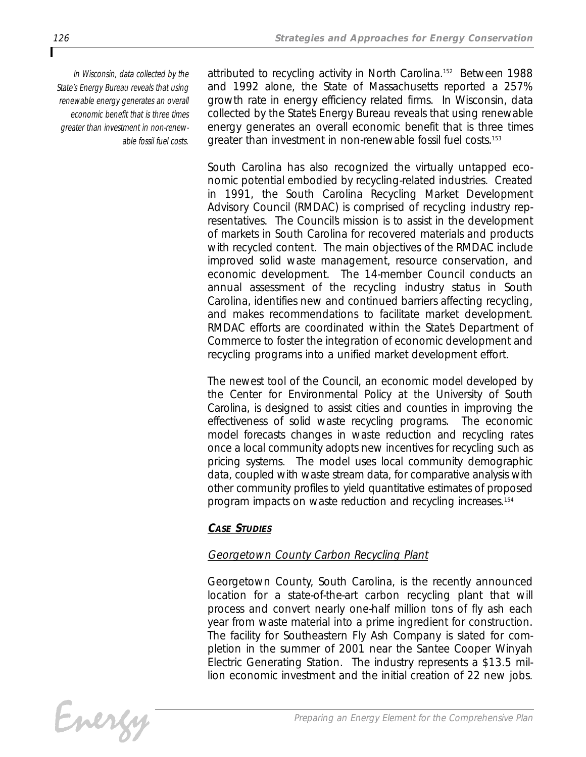*In Wisconsin, data collected by the State's Energy Bureau reveals that using renewable energy generates an overall economic benefit that is three times greater than investment in non-renewable fossil fuel costs.*

*attributed to recycling activity in North Carolina.152 Between 1988 and 1992 alone, the State of Massachusetts reported a 257% growth rate in energy efficiency related firms. In Wisconsin, data collected by the State's Energy Bureau reveals that using renewable energy generates an overall economic benefit that is three times greater than investment in non-renewable fossil fuel costs.153*

*South Carolina has also recognized the virtually untapped economic potential embodied by recycling-related industries. Created in 1991, the South Carolina Recycling Market Development Advisory Council (RMDAC) is comprised of recycling industry representatives. The Council's mission is to assist in the development of markets in South Carolina for recovered materials and products with recycled content. The main objectives of the RMDAC include improved solid waste management, resource conservation, and economic development. The 14-member Council conducts an annual assessment of the recycling industry status in South Carolina, identifies new and continued barriers affecting recycling, and makes recommendations to facilitate market development. RMDAC efforts are coordinated within the State's Department of Commerce to foster the integration of economic development and recycling programs into a unified market development effort.*

*The newest tool of the Council, an economic model developed by the Center for Environmental Policy at the University of South Carolina, is designed to assist cities and counties in improving the effectiveness of solid waste recycling programs. The economic model forecasts changes in waste reduction and recycling rates once a local community adopts new incentives for recycling such as pricing systems. The model uses local community demographic data, coupled with waste stream data, for comparative analysis with other community profiles to yield quantitative estimates of proposed program impacts on waste reduction and recycling increases.154*

# *CASE STUDIES*

# *Georgetown County Carbon Recycling Plant*

*Georgetown County, South Carolina, is the recently announced location for a state-of-the-art carbon recycling plant that will process and convert nearly one-half million tons of fly ash each year from waste material into a prime ingredient for construction. The facility for Southeastern Fly Ash Company is slated for completion in the summer of 2001 near the Santee Cooper Winyah Electric Generating Station. The industry represents a \$13.5 million economic investment and the initial creation of 22 new jobs.*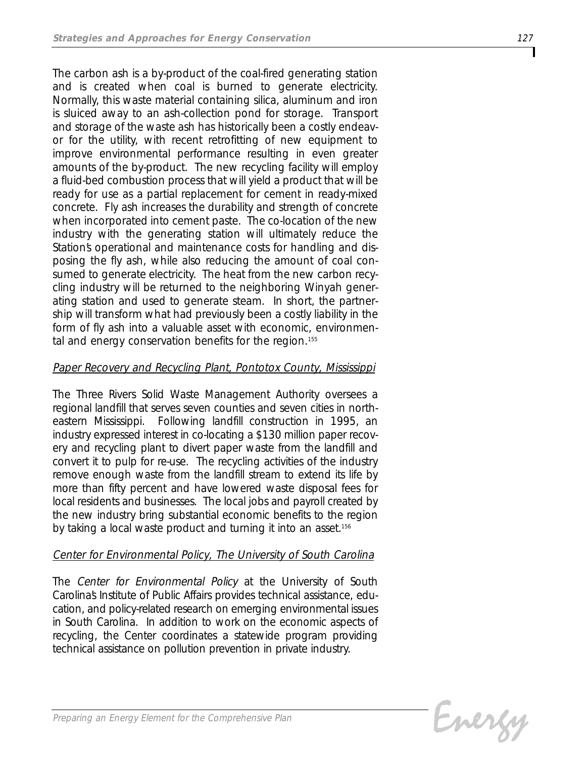*The carbon ash is a by-product of the coal-fired generating station and is created when coal is burned to generate electricity. Normally, this waste material containing silica, aluminum and iron is sluiced away to an ash-collection pond for storage. Transport and storage of the waste ash has historically been a costly endeavor for the utility, with recent retrofitting of new equipment to improve environmental performance resulting in even greater amounts of the by-product. The new recycling facility will employ a fluid-bed combustion process that will yield a product that will be ready for use as a partial replacement for cement in ready-mixed concrete. Fly ash increases the durability and strength of concrete when incorporated into cement paste. The co-location of the new industry with the generating station will ultimately reduce the Station's operational and maintenance costs for handling and disposing the fly ash, while also reducing the amount of coal consumed to generate electricity. The heat from the new carbon recycling industry will be returned to the neighboring Winyah generating station and used to generate steam. In short, the partnership will transform what had previously been a costly liability in the form of fly ash into a valuable asset with economic, environmental and energy conservation benefits for the region.155*

# *Paper Recovery and Recycling Plant, Pontotox County, Mississippi*

*The Three Rivers Solid Waste Management Authority oversees a regional landfill that serves seven counties and seven cities in northeastern Mississippi. Following landfill construction in 1995, an industry expressed interest in co-locating a \$130 million paper recovery and recycling plant to divert paper waste from the landfill and convert it to pulp for re-use. The recycling activities of the industry remove enough waste from the landfill stream to extend its life by more than fifty percent and have lowered waste disposal fees for local residents and businesses. The local jobs and payroll created by the new industry bring substantial economic benefits to the region by taking a local waste product and turning it into an asset.156*

# *Center for Environmental Policy, The University of South Carolina*

*The Center for Environmental Policy at the University of South Carolina's Institute of Public Affairs provides technical assistance, education, and policy-related research on emerging environmental issues in South Carolina. In addition to work on the economic aspects of recycling, the Center coordinates a statewide program providing technical assistance on pollution prevention in private industry.*

Evergy

*Preparing an Energy Element for the Comprehensive Plan*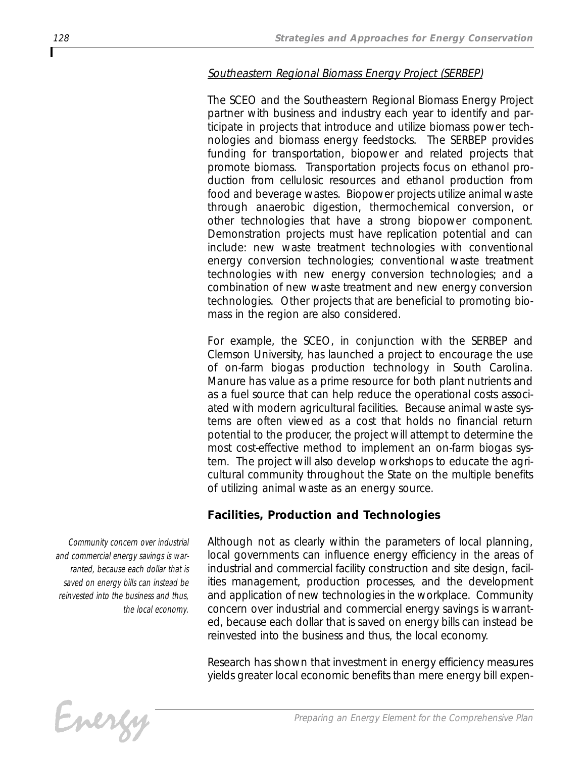# *Southeastern Regional Biomass Energy Project (SERBEP)*

*The SCEO and the Southeastern Regional Biomass Energy Project partner with business and industry each year to identify and participate in projects that introduce and utilize biomass power technologies and biomass energy feedstocks. The SERBEP provides funding for transportation, biopower and related projects that promote biomass. Transportation projects focus on ethanol production from cellulosic resources and ethanol production from food and beverage wastes. Biopower projects utilize animal waste through anaerobic digestion, thermochemical conversion, or other technologies that have a strong biopower component. Demonstration projects must have replication potential and can include: new waste treatment technologies with conventional energy conversion technologies; conventional waste treatment technologies with new energy conversion technologies; and a combination of new waste treatment and new energy conversion technologies. Other projects that are beneficial to promoting biomass in the region are also considered.* 

*For example, the SCEO, in conjunction with the SERBEP and Clemson University, has launched a project to encourage the use of on-farm biogas production technology in South Carolina. Manure has value as a prime resource for both plant nutrients and as a fuel source that can help reduce the operational costs associated with modern agricultural facilities. Because animal waste systems are often viewed as a cost that holds no financial return potential to the producer, the project will attempt to determine the most cost-effective method to implement an on-farm biogas system. The project will also develop workshops to educate the agricultural community throughout the State on the multiple benefits of utilizing animal waste as an energy source.* 

# *Facilities, Production and Technologies*

*Although not as clearly within the parameters of local planning, local governments can influence energy efficiency in the areas of industrial and commercial facility construction and site design, facilities management, production processes, and the development and application of new technologies in the workplace. Community concern over industrial and commercial energy savings is warranted, because each dollar that is saved on energy bills can instead be reinvested into the business and thus, the local economy.* 

*Research has shown that investment in energy efficiency measures yields greater local economic benefits than mere energy bill expen-*



*Community concern over industrial and commercial energy savings is warranted, because each dollar that is saved on energy bills can instead be reinvested into the business and thus, the local economy.*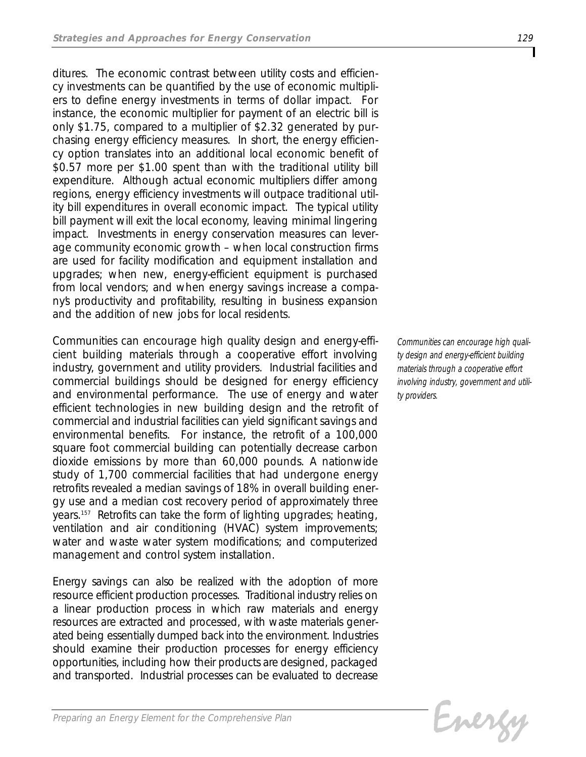*ditures. The economic contrast between utility costs and efficiency investments can be quantified by the use of economic multipliers to define energy investments in terms of dollar impact. For instance, the economic multiplier for payment of an electric bill is only \$1.75, compared to a multiplier of \$2.32 generated by purchasing energy efficiency measures. In short, the energy efficiency option translates into an additional local economic benefit of \$0.57 more per \$1.00 spent than with the traditional utility bill expenditure. Although actual economic multipliers differ among regions, energy efficiency investments will outpace traditional utility bill expenditures in overall economic impact. The typical utility bill payment will exit the local economy, leaving minimal lingering impact. Investments in energy conservation measures can leverage community economic growth – when local construction firms are used for facility modification and equipment installation and upgrades; when new, energy-efficient equipment is purchased from local vendors; and when energy savings increase a company's productivity and profitability, resulting in business expansion and the addition of new jobs for local residents.*

*Communities can encourage high quality design and energy-efficient building materials through a cooperative effort involving industry, government and utility providers. Industrial facilities and commercial buildings should be designed for energy efficiency and environmental performance. The use of energy and water efficient technologies in new building design and the retrofit of commercial and industrial facilities can yield significant savings and environmental benefits. For instance, the retrofit of a 100,000 square foot commercial building can potentially decrease carbon dioxide emissions by more than 60,000 pounds. A nationwide study of 1,700 commercial facilities that had undergone energy retrofits revealed a median savings of 18% in overall building energy use and a median cost recovery period of approximately three years.157 Retrofits can take the form of lighting upgrades; heating, ventilation and air conditioning (HVAC) system improvements; water and waste water system modifications; and computerized management and control system installation.* 

*Energy savings can also be realized with the adoption of more resource efficient production processes. Traditional industry relies on a linear production process in which raw materials and energy resources are extracted and processed, with waste materials generated being essentially dumped back into the environment. Industries should examine their production processes for energy efficiency opportunities, including how their products are designed, packaged and transported. Industrial processes can be evaluated to decrease*

*Communities can encourage high quality design and energy-efficient building materials through a cooperative effort involving industry, government and utility providers.*

Energy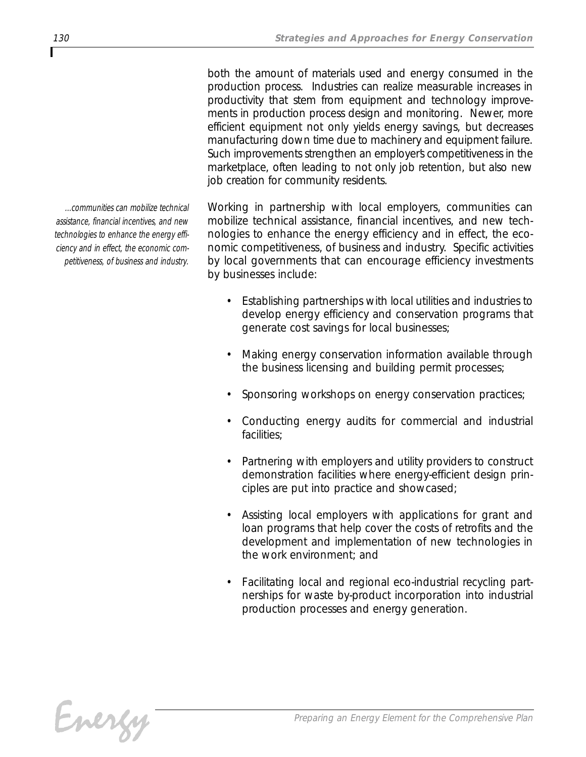*both the amount of materials used and energy consumed in the production process. Industries can realize measurable increases in productivity that stem from equipment and technology improvements in production process design and monitoring. Newer, more efficient equipment not only yields energy savings, but decreases manufacturing down time due to machinery and equipment failure. Such improvements strengthen an employer's competitiveness in the marketplace, often leading to not only job retention, but also new job creation for community residents.* 

*Working in partnership with local employers, communities can mobilize technical assistance, financial incentives, and new technologies to enhance the energy efficiency and in effect, the economic competitiveness, of business and industry. Specific activities by local governments that can encourage efficiency investments by businesses include:*

- *• Establishing partnerships with local utilities and industries to develop energy efficiency and conservation programs that generate cost savings for local businesses;*
- *• Making energy conservation information available through the business licensing and building permit processes;*
- *• Sponsoring workshops on energy conservation practices;*
- *• Conducting energy audits for commercial and industrial facilities;*
- *• Partnering with employers and utility providers to construct demonstration facilities where energy-efficient design principles are put into practice and showcased;*
- *• Assisting local employers with applications for grant and loan programs that help cover the costs of retrofits and the development and implementation of new technologies in the work environment; and*
- *• Facilitating local and regional eco-industrial recycling partnerships for waste by-product incorporation into industrial production processes and energy generation.*

*...communities can mobilize technical assistance, financial incentives, and new technologies to enhance the energy efficiency and in effect, the economic competitiveness, of business and industry.*

Energy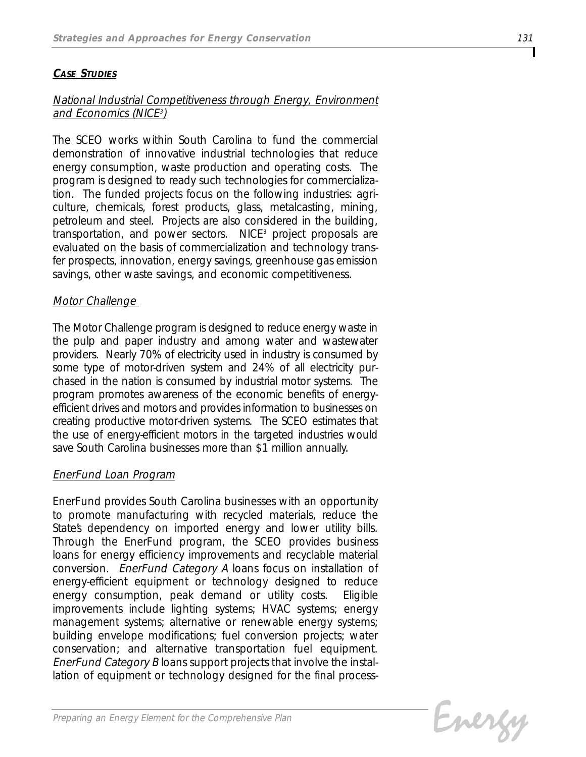# *CASE STUDIES*

### *National Industrial Competitiveness through Energy, Environment and Economics (NICE<sup>3</sup> )*

*The SCEO works within South Carolina to fund the commercial demonstration of innovative industrial technologies that reduce energy consumption, waste production and operating costs. The program is designed to ready such technologies for commercialization. The funded projects focus on the following industries: agriculture, chemicals, forest products, glass, metalcasting, mining, petroleum and steel. Projects are also considered in the building, transportation, and power sectors. NICE3 project proposals are evaluated on the basis of commercialization and technology transfer prospects, innovation, energy savings, greenhouse gas emission savings, other waste savings, and economic competitiveness.* 

### *Motor Challenge*

*The Motor Challenge program is designed to reduce energy waste in the pulp and paper industry and among water and wastewater providers. Nearly 70% of electricity used in industry is consumed by some type of motor-driven system and 24% of all electricity purchased in the nation is consumed by industrial motor systems. The program promotes awareness of the economic benefits of energyefficient drives and motors and provides information to businesses on creating productive motor-driven systems. The SCEO estimates that the use of energy-efficient motors in the targeted industries would save South Carolina businesses more than \$1 million annually.* 

#### *EnerFund Loan Program*

*EnerFund provides South Carolina businesses with an opportunity to promote manufacturing with recycled materials, reduce the State's dependency on imported energy and lower utility bills. Through the EnerFund program, the SCEO provides business loans for energy efficiency improvements and recyclable material conversion. EnerFund Category A loans focus on installation of energy-efficient equipment or technology designed to reduce energy consumption, peak demand or utility costs. Eligible improvements include lighting systems; HVAC systems; energy management systems; alternative or renewable energy systems; building envelope modifications; fuel conversion projects; water conservation; and alternative transportation fuel equipment. EnerFund Category B loans support projects that involve the installation of equipment or technology designed for the final process-*

Evergy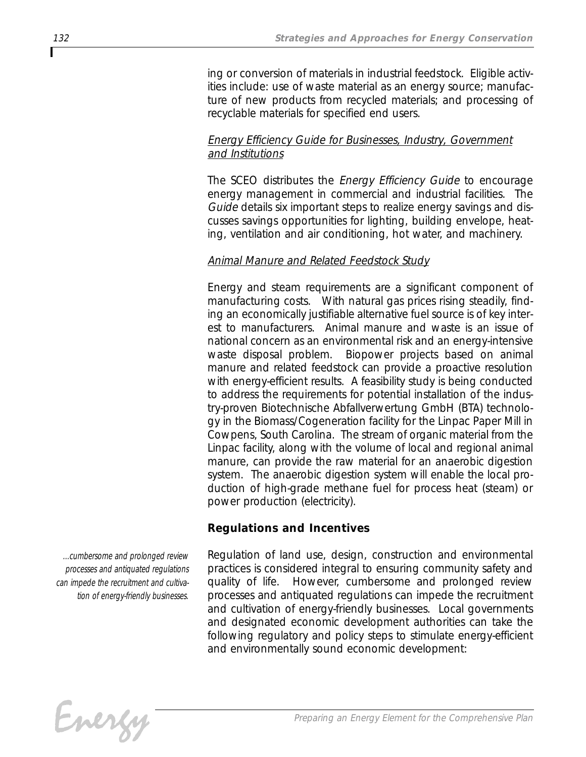*ing or conversion of materials in industrial feedstock. Eligible activities include: use of waste material as an energy source; manufacture of new products from recycled materials; and processing of recyclable materials for specified end users.* 

# *Energy Efficiency Guide for Businesses, Industry, Government and Institutions*

*The SCEO distributes the Energy Efficiency Guide to encourage energy management in commercial and industrial facilities. The Guide details six important steps to realize energy savings and discusses savings opportunities for lighting, building envelope, heating, ventilation and air conditioning, hot water, and machinery.*

# *Animal Manure and Related Feedstock Study*

*Energy and steam requirements are a significant component of manufacturing costs. With natural gas prices rising steadily, finding an economically justifiable alternative fuel source is of key interest to manufacturers. Animal manure and waste is an issue of national concern as an environmental risk and an energy-intensive waste disposal problem. Biopower projects based on animal manure and related feedstock can provide a proactive resolution with energy-efficient results. A feasibility study is being conducted to address the requirements for potential installation of the industry-proven Biotechnische Abfallverwertung GmbH (BTA) technology in the Biomass/Cogeneration facility for the Linpac Paper Mill in Cowpens, South Carolina. The stream of organic material from the Linpac facility, along with the volume of local and regional animal manure, can provide the raw material for an anaerobic digestion system. The anaerobic digestion system will enable the local production of high-grade methane fuel for process heat (steam) or power production (electricity).* 

# *Regulations and Incentives*

*Regulation of land use, design, construction and environmental practices is considered integral to ensuring community safety and quality of life. However, cumbersome and prolonged review processes and antiquated regulations can impede the recruitment and cultivation of energy-friendly businesses. Local governments and designated economic development authorities can take the following regulatory and policy steps to stimulate energy-efficient and environmentally sound economic development:*



*...cumbersome and prolonged review processes and antiquated regulations can impede the recruitment and cultivation of energy-friendly businesses.*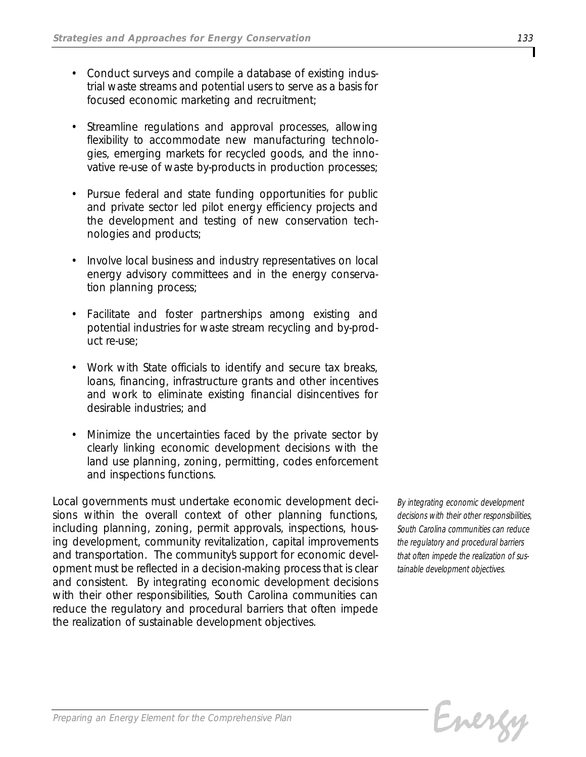- *• Conduct surveys and compile a database of existing industrial waste streams and potential users to serve as a basis for focused economic marketing and recruitment;*
- *• Streamline regulations and approval processes, allowing flexibility to accommodate new manufacturing technologies, emerging markets for recycled goods, and the innovative re-use of waste by-products in production processes;*
- *• Pursue federal and state funding opportunities for public and private sector led pilot energy efficiency projects and the development and testing of new conservation technologies and products;*
- *• Involve local business and industry representatives on local energy advisory committees and in the energy conservation planning process;*
- *• Facilitate and foster partnerships among existing and potential industries for waste stream recycling and by-product re-use;*
- *• Work with State officials to identify and secure tax breaks, loans, financing, infrastructure grants and other incentives and work to eliminate existing financial disincentives for desirable industries; and*
- *• Minimize the uncertainties faced by the private sector by clearly linking economic development decisions with the land use planning, zoning, permitting, codes enforcement and inspections functions.*

*Local governments must undertake economic development decisions within the overall context of other planning functions, including planning, zoning, permit approvals, inspections, housing development, community revitalization, capital improvements* and transportation. The community's support for economic devel*opment must be reflected in a decision-making process that is clear and consistent. By integrating economic development decisions with their other responsibilities, South Carolina communities can reduce the regulatory and procedural barriers that often impede the realization of sustainable development objectives.*

*By integrating economic development decisions with their other responsibilities, South Carolina communities can reduce the regulatory and procedural barriers that often impede the realization of sustainable development objectives.*

Evergy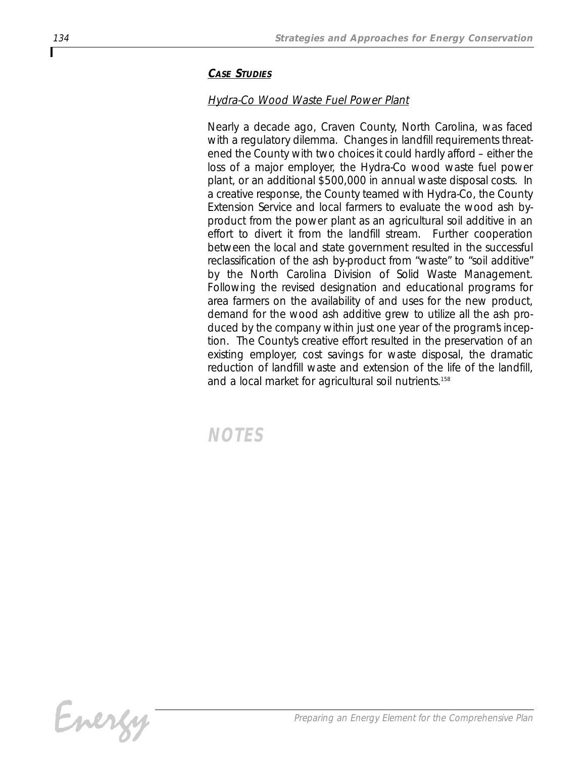### *CASE STUDIES*

# *Hydra-Co Wood Waste Fuel Power Plant*

*Nearly a decade ago, Craven County, North Carolina, was faced with a regulatory dilemma. Changes in landfill requirements threatened the County with two choices it could hardly afford – either the loss of a major employer, the Hydra-Co wood waste fuel power plant, or an additional \$500,000 in annual waste disposal costs. In a creative response, the County teamed with Hydra-Co, the County Extension Service and local farmers to evaluate the wood ash byproduct from the power plant as an agricultural soil additive in an effort to divert it from the landfill stream. Further cooperation between the local and state government resulted in the successful reclassification of the ash by-product from "waste" to "soil additive" by the North Carolina Division of Solid Waste Management. Following the revised designation and educational programs for area farmers on the availability of and uses for the new product, demand for the wood ash additive grew to utilize all the ash produced by the company within just one year of the program's inception. The County's creative effort resulted in the preservation of an existing employer, cost savings for waste disposal, the dramatic reduction of landfill waste and extension of the life of the landfill, and a local market for agricultural soil nutrients.158*

*NOTES*

Energy

Г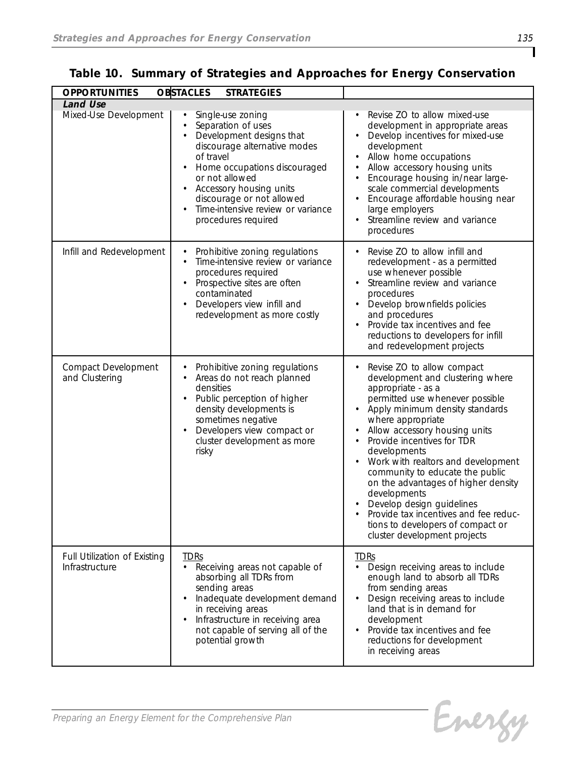| <b>OPPORTUNITIES</b>                           | <b>OBSTACLES</b><br><b>STRATEGIES</b>                                                                                                                                                                                                                                                                                                      |                                                                                                                                                                                                                                                                                                                                                                                                                                                                                                                                           |
|------------------------------------------------|--------------------------------------------------------------------------------------------------------------------------------------------------------------------------------------------------------------------------------------------------------------------------------------------------------------------------------------------|-------------------------------------------------------------------------------------------------------------------------------------------------------------------------------------------------------------------------------------------------------------------------------------------------------------------------------------------------------------------------------------------------------------------------------------------------------------------------------------------------------------------------------------------|
| <b>Land Use</b><br>Mixed-Use Development       | Single-use zoning<br>Separation of uses<br>Development designs that<br>$\bullet$<br>discourage alternative modes<br>of travel<br>Home occupations discouraged<br>$\bullet$<br>or not allowed<br>Accessory housing units<br>$\bullet$<br>discourage or not allowed<br>Time-intensive review or variance<br>$\bullet$<br>procedures required | Revise ZO to allow mixed-use<br>development in appropriate areas<br>Develop incentives for mixed-use<br>development<br>Allow home occupations<br>Allow accessory housing units<br>Encourage housing in/near large-<br>scale commercial developments<br>Encourage affordable housing near<br>large employers<br>Streamline review and variance<br>procedures                                                                                                                                                                               |
| Infill and Redevelopment                       | Prohibitive zoning regulations<br>٠<br>Time-intensive review or variance<br>$\bullet$<br>procedures required<br>Prospective sites are often<br>$\bullet$<br>contaminated<br>Developers view infill and<br>$\bullet$<br>redevelopment as more costly                                                                                        | Revise ZO to allow infill and<br>redevelopment - as a permitted<br>use whenever possible<br>Streamline review and variance<br>$\bullet$<br>procedures<br>Develop brownfields policies<br>and procedures<br>Provide tax incentives and fee<br>reductions to developers for infill<br>and redevelopment projects                                                                                                                                                                                                                            |
| Compact Development<br>and Clustering          | Prohibitive zoning regulations<br>$\bullet$<br>Areas do not reach planned<br>$\bullet$<br>densities<br>Public perception of higher<br>$\bullet$<br>density developments is<br>sometimes negative<br>Developers view compact or<br>$\bullet$<br>cluster development as more<br>risky                                                        | Revise ZO to allow compact<br>development and clustering where<br>appropriate - as a<br>permitted use whenever possible<br>Apply minimum density standards<br>where appropriate<br>Allow accessory housing units<br>Provide incentives for TDR<br>developments<br>Work with realtors and development<br>community to educate the public<br>on the advantages of higher density<br>developments<br>Develop design guidelines<br>Provide tax incentives and fee reduc-<br>tions to developers of compact or<br>cluster development projects |
| Full Utilization of Existing<br>Infrastructure | <b>TDRs</b><br>Receiving areas not capable of<br>absorbing all TDRs from<br>sending areas<br>Inadequate development demand<br>$\bullet$<br>in receiving areas<br>Infrastructure in receiving area<br>$\bullet$<br>not capable of serving all of the<br>potential growth                                                                    | <b>TDRs</b><br>Design receiving areas to include<br>enough land to absorb all TDRs<br>from sending areas<br>Design receiving areas to include<br>land that is in demand for<br>development<br>Provide tax incentives and fee<br>reductions for development<br>in receiving areas                                                                                                                                                                                                                                                          |

|  | Table 10. Summary of Strategies and Approaches for Energy Conservation |  |
|--|------------------------------------------------------------------------|--|
|  |                                                                        |  |

Energy

Τ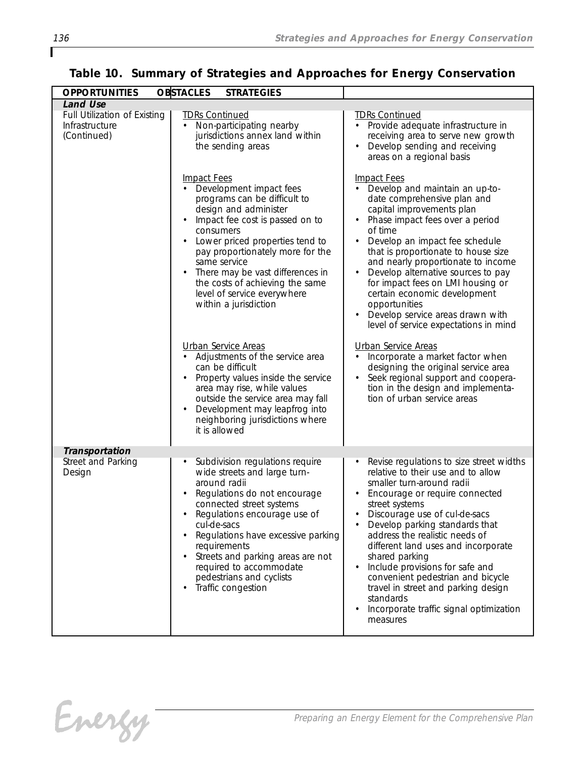| <b>OPPORTUNITIES</b>                                                             | <b>OBSTACLES</b><br><b>STRATEGIES</b>                                                                                                                                                                                                                                                                                                                                                                                                                                                                                                                                                                                                                                                      |                                                                                                                                                                                                                                                                                                                                                                                                                                                                                                                                                                                                                                                                                                                  |
|----------------------------------------------------------------------------------|--------------------------------------------------------------------------------------------------------------------------------------------------------------------------------------------------------------------------------------------------------------------------------------------------------------------------------------------------------------------------------------------------------------------------------------------------------------------------------------------------------------------------------------------------------------------------------------------------------------------------------------------------------------------------------------------|------------------------------------------------------------------------------------------------------------------------------------------------------------------------------------------------------------------------------------------------------------------------------------------------------------------------------------------------------------------------------------------------------------------------------------------------------------------------------------------------------------------------------------------------------------------------------------------------------------------------------------------------------------------------------------------------------------------|
| <b>Land Use</b><br>Full Utilization of Existing<br>Infrastructure<br>(Continued) | <b>TDRs Continued</b><br>Non-participating nearby<br>$\bullet$<br>jurisdictions annex land within<br>the sending areas                                                                                                                                                                                                                                                                                                                                                                                                                                                                                                                                                                     | <b>TDRs Continued</b><br>• Provide adequate infrastructure in<br>receiving area to serve new growth<br>Develop sending and receiving<br>$\bullet$<br>areas on a regional basis                                                                                                                                                                                                                                                                                                                                                                                                                                                                                                                                   |
|                                                                                  | <b>Impact Fees</b><br>Development impact fees<br>programs can be difficult to<br>design and administer<br>Impact fee cost is passed on to<br>consumers<br>Lower priced properties tend to<br>$\bullet$<br>pay proportionately more for the<br>same service<br>There may be vast differences in<br>$\bullet$<br>the costs of achieving the same<br>level of service everywhere<br>within a jurisdiction<br><b>Urban Service Areas</b><br>Adjustments of the service area<br>can be difficult<br>Property values inside the service<br>area may rise, while values<br>outside the service area may fall<br>Development may leapfrog into<br>neighboring jurisdictions where<br>it is allowed | <b>Impact Fees</b><br>Develop and maintain an up-to-<br>date comprehensive plan and<br>capital improvements plan<br>Phase impact fees over a period<br>of time<br>Develop an impact fee schedule<br>that is proportionate to house size<br>and nearly proportionate to income<br>Develop alternative sources to pay<br>$\bullet$<br>for impact fees on LMI housing or<br>certain economic development<br>opportunities<br>Develop service areas drawn with<br>level of service expectations in mind<br>Urban Service Areas<br>Incorporate a market factor when<br>designing the original service area<br>Seek regional support and coopera-<br>tion in the design and implementa-<br>tion of urban service areas |
| Transportation                                                                   |                                                                                                                                                                                                                                                                                                                                                                                                                                                                                                                                                                                                                                                                                            |                                                                                                                                                                                                                                                                                                                                                                                                                                                                                                                                                                                                                                                                                                                  |
| Street and Parking<br>Design                                                     | Subdivision regulations require<br>$\bullet$<br>wide streets and large turn-<br>around radii<br>Regulations do not encourage<br>connected street systems<br>Regulations encourage use of<br>cul-de-sacs<br>Regulations have excessive parking<br>requirements<br>Streets and parking areas are not<br>$\bullet$<br>required to accommodate<br>pedestrians and cyclists<br>Traffic congestion<br>$\bullet$                                                                                                                                                                                                                                                                                  | Revise regulations to size street widths<br>relative to their use and to allow<br>smaller turn-around radii<br>Encourage or require connected<br>street systems<br>Discourage use of cul-de-sacs<br>Develop parking standards that<br>address the realistic needs of<br>different land uses and incorporate<br>shared parking<br>Include provisions for safe and<br>convenient pedestrian and bicycle<br>travel in street and parking design<br>standards<br>Incorporate traffic signal optimization<br>measures                                                                                                                                                                                                 |

Energy

Г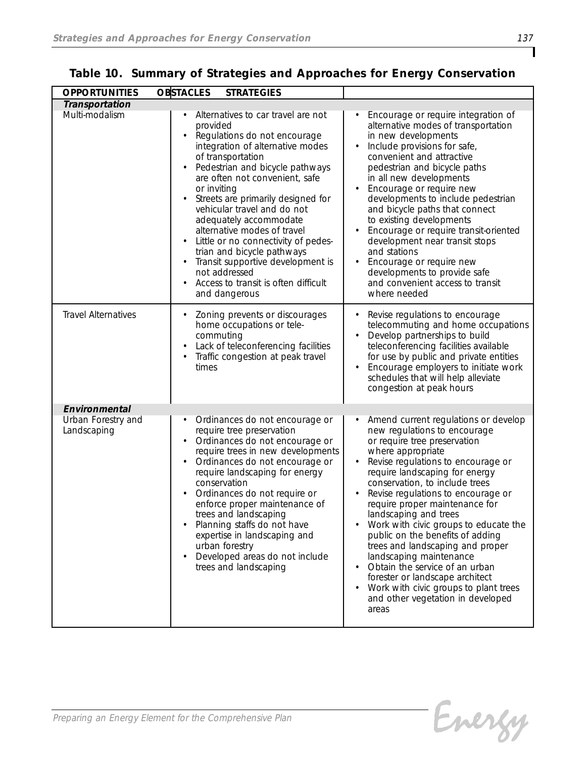| <b>OPPORTUNITIES</b>              | <b>OBSTACLES</b><br><b>STRATEGIES</b>                                                                                                                                                                                                                                                                                                                                                                                                                                                                                                                                                                  |                                                                                                                                                                                                                                                                                                                                                                                                                                                                                                                                                                                                                                                           |
|-----------------------------------|--------------------------------------------------------------------------------------------------------------------------------------------------------------------------------------------------------------------------------------------------------------------------------------------------------------------------------------------------------------------------------------------------------------------------------------------------------------------------------------------------------------------------------------------------------------------------------------------------------|-----------------------------------------------------------------------------------------------------------------------------------------------------------------------------------------------------------------------------------------------------------------------------------------------------------------------------------------------------------------------------------------------------------------------------------------------------------------------------------------------------------------------------------------------------------------------------------------------------------------------------------------------------------|
| Transportation                    |                                                                                                                                                                                                                                                                                                                                                                                                                                                                                                                                                                                                        |                                                                                                                                                                                                                                                                                                                                                                                                                                                                                                                                                                                                                                                           |
| Multi-modalism                    | Alternatives to car travel are not<br>provided<br>Regulations do not encourage<br>$\bullet$<br>integration of alternative modes<br>of transportation<br>Pedestrian and bicycle pathways<br>٠<br>are often not convenient, safe<br>or inviting<br>Streets are primarily designed for<br>$\bullet$<br>vehicular travel and do not<br>adequately accommodate<br>alternative modes of travel<br>Little or no connectivity of pedes-<br>trian and bicycle pathways<br>Transit supportive development is<br>$\bullet$<br>not addressed<br>Access to transit is often difficult<br>$\bullet$<br>and dangerous | Encourage or require integration of<br>alternative modes of transportation<br>in new developments<br>Include provisions for safe,<br>convenient and attractive<br>pedestrian and bicycle paths<br>in all new developments<br>Encourage or require new<br>developments to include pedestrian<br>and bicycle paths that connect<br>to existing developments<br>Encourage or require transit-oriented<br>development near transit stops<br>and stations<br>Encourage or require new<br>developments to provide safe<br>and convenient access to transit<br>where needed                                                                                      |
| <b>Travel Alternatives</b>        | Zoning prevents or discourages<br>$\bullet$<br>home occupations or tele-<br>commuting<br>Lack of teleconferencing facilities<br>$\bullet$<br>Traffic congestion at peak travel<br>٠<br>times                                                                                                                                                                                                                                                                                                                                                                                                           | Revise regulations to encourage<br>telecommuting and home occupations<br>Develop partnerships to build<br>teleconferencing facilities available<br>for use by public and private entities<br>Encourage employers to initiate work<br>schedules that will help alleviate<br>congestion at peak hours                                                                                                                                                                                                                                                                                                                                                       |
| Environmental                     |                                                                                                                                                                                                                                                                                                                                                                                                                                                                                                                                                                                                        |                                                                                                                                                                                                                                                                                                                                                                                                                                                                                                                                                                                                                                                           |
| Urban Forestry and<br>Landscaping | Ordinances do not encourage or<br>$\bullet$<br>require tree preservation<br>Ordinances do not encourage or<br>$\bullet$<br>require trees in new developments<br>Ordinances do not encourage or<br>$\bullet$<br>require landscaping for energy<br>conservation<br>Ordinances do not require or<br>enforce proper maintenance of<br>trees and landscaping<br>Planning staffs do not have<br>expertise in landscaping and<br>urban forestry<br>Developed areas do not include<br>$\bullet$<br>trees and landscaping                                                                                       | Amend current regulations or develop<br>$\bullet$<br>new regulations to encourage<br>or require tree preservation<br>where appropriate<br>Revise regulations to encourage or<br>require landscaping for energy<br>conservation, to include trees<br>Revise regulations to encourage or<br>require proper maintenance for<br>landscaping and trees<br>Work with civic groups to educate the<br>public on the benefits of adding<br>trees and landscaping and proper<br>landscaping maintenance<br>Obtain the service of an urban<br>forester or landscape architect<br>Work with civic groups to plant trees<br>and other vegetation in developed<br>areas |

Energy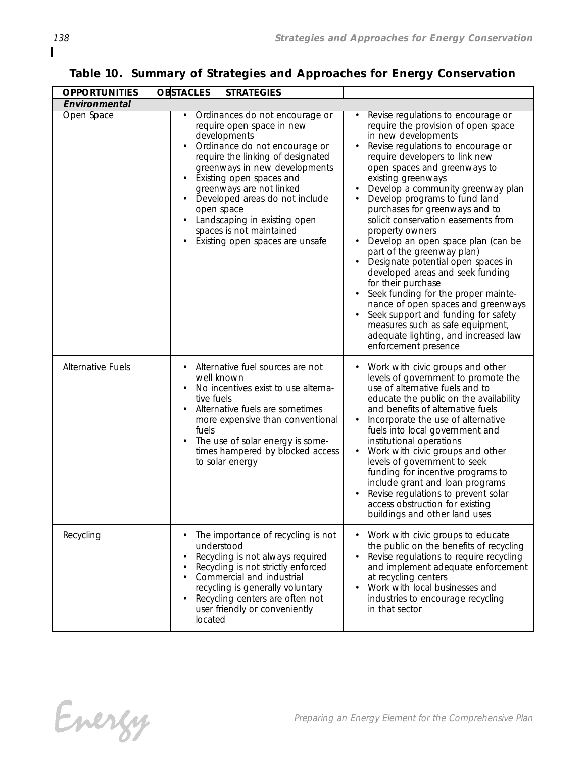| <b>OPPORTUNITIES</b>     | <b>OBSTACLES</b><br><b>STRATEGIES</b>                                                                                                                                                                                                                                                                                                                                                                                            |                                                                                                                                                                                                                                                                                                                                                                                                                                                                                                                                                                                                                                                                                                                                                                                              |
|--------------------------|----------------------------------------------------------------------------------------------------------------------------------------------------------------------------------------------------------------------------------------------------------------------------------------------------------------------------------------------------------------------------------------------------------------------------------|----------------------------------------------------------------------------------------------------------------------------------------------------------------------------------------------------------------------------------------------------------------------------------------------------------------------------------------------------------------------------------------------------------------------------------------------------------------------------------------------------------------------------------------------------------------------------------------------------------------------------------------------------------------------------------------------------------------------------------------------------------------------------------------------|
| Environmental            |                                                                                                                                                                                                                                                                                                                                                                                                                                  |                                                                                                                                                                                                                                                                                                                                                                                                                                                                                                                                                                                                                                                                                                                                                                                              |
| Open Space               | Ordinances do not encourage or<br>require open space in new<br>developments<br>Ordinance do not encourage or<br>$\bullet$<br>require the linking of designated<br>greenways in new developments<br>Existing open spaces and<br>greenways are not linked<br>Developed areas do not include<br>open space<br>Landscaping in existing open<br>$\bullet$<br>spaces is not maintained<br>Existing open spaces are unsafe<br>$\bullet$ | Revise regulations to encourage or<br>require the provision of open space<br>in new developments<br>Revise regulations to encourage or<br>require developers to link new<br>open spaces and greenways to<br>existing greenways<br>Develop a community greenway plan<br>Develop programs to fund land<br>purchases for greenways and to<br>solicit conservation easements from<br>property owners<br>Develop an open space plan (can be<br>part of the greenway plan)<br>Designate potential open spaces in<br>developed areas and seek funding<br>for their purchase<br>Seek funding for the proper mainte-<br>nance of open spaces and greenways<br>Seek support and funding for safety<br>measures such as safe equipment,<br>adequate lighting, and increased law<br>enforcement presence |
| <b>Alternative Fuels</b> | Alternative fuel sources are not<br>$\bullet$<br>well known<br>No incentives exist to use alterna-<br>tive fuels<br>Alternative fuels are sometimes<br>$\bullet$<br>more expensive than conventional<br>fuels<br>The use of solar energy is some-<br>$\bullet$<br>times hampered by blocked access<br>to solar energy                                                                                                            | Work with civic groups and other<br>levels of government to promote the<br>use of alternative fuels and to<br>educate the public on the availability<br>and benefits of alternative fuels<br>Incorporate the use of alternative<br>fuels into local government and<br>institutional operations<br>Work with civic groups and other<br>levels of government to seek<br>funding for incentive programs to<br>include grant and loan programs<br>Revise regulations to prevent solar<br>access obstruction for existing<br>buildings and other land uses                                                                                                                                                                                                                                        |
| Recycling                | The importance of recycling is not<br>understood<br>Recycling is not always required<br>$\bullet$<br>Recycling is not strictly enforced<br>٠<br>Commercial and industrial<br>recycling is generally voluntary<br>Recycling centers are often not<br>$\bullet$<br>user friendly or conveniently<br>located                                                                                                                        | Work with civic groups to educate<br>٠<br>the public on the benefits of recycling<br>Revise regulations to require recycling<br>and implement adequate enforcement<br>at recycling centers<br>Work with local businesses and<br>industries to encourage recycling<br>in that sector                                                                                                                                                                                                                                                                                                                                                                                                                                                                                                          |

Energy

ſ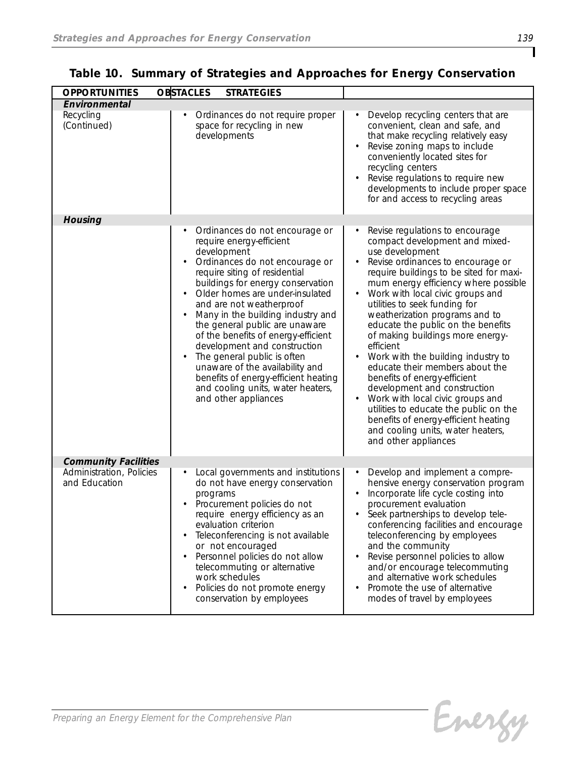| <b>OPPORTUNITIES</b>                      | <b>OBSTACLES</b><br><b>STRATEGIES</b>                                                                                                                                                                                                                                                                                                                                                                                                                                                                                                                                                                        |                                                                                                                                                                                                                                                                                                                                                                                                                                                                                                                                                                                                                                                                                                                                                     |
|-------------------------------------------|--------------------------------------------------------------------------------------------------------------------------------------------------------------------------------------------------------------------------------------------------------------------------------------------------------------------------------------------------------------------------------------------------------------------------------------------------------------------------------------------------------------------------------------------------------------------------------------------------------------|-----------------------------------------------------------------------------------------------------------------------------------------------------------------------------------------------------------------------------------------------------------------------------------------------------------------------------------------------------------------------------------------------------------------------------------------------------------------------------------------------------------------------------------------------------------------------------------------------------------------------------------------------------------------------------------------------------------------------------------------------------|
| Environmental                             |                                                                                                                                                                                                                                                                                                                                                                                                                                                                                                                                                                                                              |                                                                                                                                                                                                                                                                                                                                                                                                                                                                                                                                                                                                                                                                                                                                                     |
| Recycling<br>(Continued)                  | Ordinances do not require proper<br>space for recycling in new<br>developments                                                                                                                                                                                                                                                                                                                                                                                                                                                                                                                               | Develop recycling centers that are<br>convenient, clean and safe, and<br>that make recycling relatively easy<br>Revise zoning maps to include<br>conveniently located sites for<br>recycling centers<br>Revise regulations to require new<br>developments to include proper space<br>for and access to recycling areas                                                                                                                                                                                                                                                                                                                                                                                                                              |
| Housing                                   |                                                                                                                                                                                                                                                                                                                                                                                                                                                                                                                                                                                                              |                                                                                                                                                                                                                                                                                                                                                                                                                                                                                                                                                                                                                                                                                                                                                     |
|                                           | Ordinances do not encourage or<br>require energy-efficient<br>development<br>Ordinances do not encourage or<br>$\bullet$<br>require siting of residential<br>buildings for energy conservation<br>Older homes are under-insulated<br>and are not weatherproof<br>Many in the building industry and<br>$\bullet$<br>the general public are unaware<br>of the benefits of energy-efficient<br>development and construction<br>The general public is often<br>$\bullet$<br>unaware of the availability and<br>benefits of energy-efficient heating<br>and cooling units, water heaters,<br>and other appliances | Revise regulations to encourage<br>compact development and mixed-<br>use development<br>Revise ordinances to encourage or<br>$\bullet$<br>require buildings to be sited for maxi-<br>mum energy efficiency where possible<br>Work with local civic groups and<br>utilities to seek funding for<br>weatherization programs and to<br>educate the public on the benefits<br>of making buildings more energy-<br>efficient<br>Work with the building industry to<br>educate their members about the<br>benefits of energy-efficient<br>development and construction<br>Work with local civic groups and<br>utilities to educate the public on the<br>benefits of energy-efficient heating<br>and cooling units, water heaters,<br>and other appliances |
| <b>Community Facilities</b>               |                                                                                                                                                                                                                                                                                                                                                                                                                                                                                                                                                                                                              |                                                                                                                                                                                                                                                                                                                                                                                                                                                                                                                                                                                                                                                                                                                                                     |
| Administration, Policies<br>and Education | Local governments and institutions<br>do not have energy conservation<br>programs<br>Procurement policies do not<br>require energy efficiency as an<br>evaluation criterion<br>Teleconferencing is not available<br>$\bullet$<br>or not encouraged<br>Personnel policies do not allow<br>$\bullet$<br>telecommuting or alternative<br>work schedules<br>Policies do not promote energy<br>$\bullet$<br>conservation by employees                                                                                                                                                                             | Develop and implement a compre-<br>٠<br>hensive energy conservation program<br>Incorporate life cycle costing into<br>procurement evaluation<br>Seek partnerships to develop tele-<br>conferencing facilities and encourage<br>teleconferencing by employees<br>and the community<br>Revise personnel policies to allow<br>and/or encourage telecommuting<br>and alternative work schedules<br>Promote the use of alternative<br>modes of travel by employees                                                                                                                                                                                                                                                                                       |

Energy

٦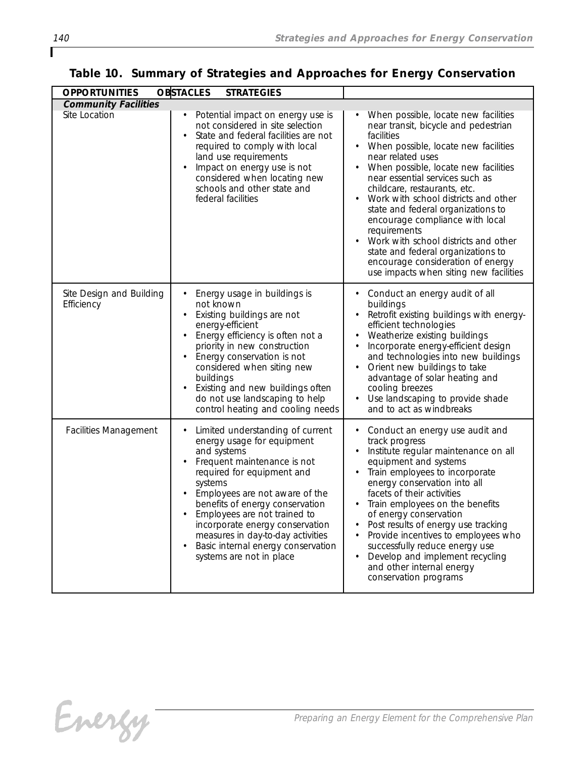| <b>OPPORTUNITIES</b>                   | <b>OBSTACLES</b><br><b>STRATEGIES</b>                                                                                                                                                                                                                                                                                                                                                                                          |                                                                                                                                                                                                                                                                                                                                                                                                                                                                                                                                                                                            |  |  |  |
|----------------------------------------|--------------------------------------------------------------------------------------------------------------------------------------------------------------------------------------------------------------------------------------------------------------------------------------------------------------------------------------------------------------------------------------------------------------------------------|--------------------------------------------------------------------------------------------------------------------------------------------------------------------------------------------------------------------------------------------------------------------------------------------------------------------------------------------------------------------------------------------------------------------------------------------------------------------------------------------------------------------------------------------------------------------------------------------|--|--|--|
| <b>Community Facilities</b>            |                                                                                                                                                                                                                                                                                                                                                                                                                                |                                                                                                                                                                                                                                                                                                                                                                                                                                                                                                                                                                                            |  |  |  |
| Site Location                          | Potential impact on energy use is<br>not considered in site selection<br>State and federal facilities are not<br>$\bullet$<br>required to comply with local<br>land use requirements<br>Impact on energy use is not<br>$\bullet$<br>considered when locating new<br>schools and other state and<br>federal facilities                                                                                                          | When possible, locate new facilities<br>near transit, bicycle and pedestrian<br>facilities<br>When possible, locate new facilities<br>$\bullet$<br>near related uses<br>When possible, locate new facilities<br>near essential services such as<br>childcare, restaurants, etc.<br>Work with school districts and other<br>$\bullet$<br>state and federal organizations to<br>encourage compliance with local<br>requirements<br>Work with school districts and other<br>state and federal organizations to<br>encourage consideration of energy<br>use impacts when siting new facilities |  |  |  |
| Site Design and Building<br>Efficiency | Energy usage in buildings is<br>not known<br>Existing buildings are not<br>$\bullet$<br>energy-efficient<br>Energy efficiency is often not a<br>$\bullet$<br>priority in new construction<br>Energy conservation is not<br>$\bullet$<br>considered when siting new<br>buildings<br>Existing and new buildings often<br>do not use landscaping to help<br>control heating and cooling needs                                     | Conduct an energy audit of all<br>buildings<br>Retrofit existing buildings with energy-<br>efficient technologies<br>Weatherize existing buildings<br>Incorporate energy-efficient design<br>and technologies into new buildings<br>Orient new buildings to take<br>advantage of solar heating and<br>cooling breezes<br>Use landscaping to provide shade<br>and to act as windbreaks                                                                                                                                                                                                      |  |  |  |
| <b>Facilities Management</b>           | Limited understanding of current<br>energy usage for equipment<br>and systems<br>Frequent maintenance is not<br>$\bullet$<br>required for equipment and<br>systems<br>Employees are not aware of the<br>benefits of energy conservation<br>Employees are not trained to<br>incorporate energy conservation<br>measures in day-to-day activities<br>Basic internal energy conservation<br>$\bullet$<br>systems are not in place | Conduct an energy use audit and<br>track progress<br>Institute regular maintenance on all<br>٠<br>equipment and systems<br>Train employees to incorporate<br>٠<br>energy conservation into all<br>facets of their activities<br>Train employees on the benefits<br>of energy conservation<br>Post results of energy use tracking<br>Provide incentives to employees who<br>successfully reduce energy use<br>Develop and implement recycling<br>and other internal energy<br>conservation programs                                                                                         |  |  |  |

ſ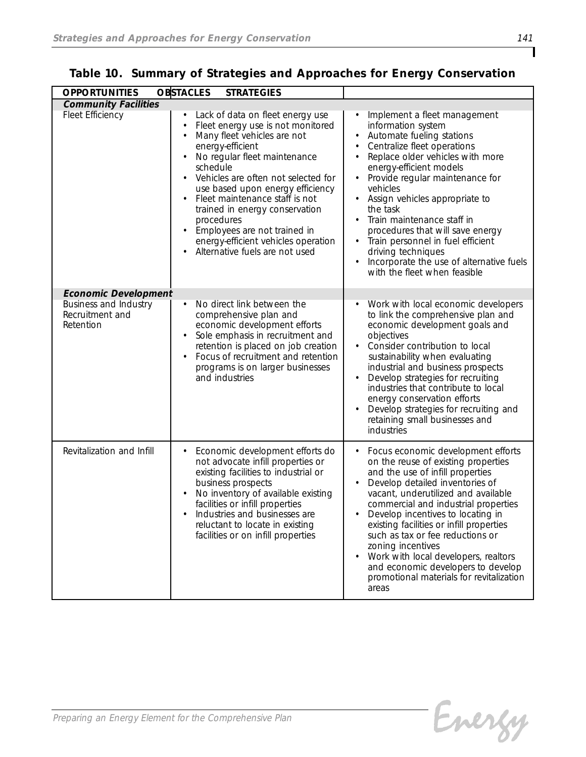| <b>OPPORTUNITIES</b>                                         | <b>OBSTACLES</b><br><b>STRATEGIES</b>                                                                                                                                                                                                                                                                                                                                                                                                                                                                                    |                                                                                                                                                                                                                                                                                                                                                                                                                                                                                                                            |
|--------------------------------------------------------------|--------------------------------------------------------------------------------------------------------------------------------------------------------------------------------------------------------------------------------------------------------------------------------------------------------------------------------------------------------------------------------------------------------------------------------------------------------------------------------------------------------------------------|----------------------------------------------------------------------------------------------------------------------------------------------------------------------------------------------------------------------------------------------------------------------------------------------------------------------------------------------------------------------------------------------------------------------------------------------------------------------------------------------------------------------------|
| <b>Community Facilities</b>                                  |                                                                                                                                                                                                                                                                                                                                                                                                                                                                                                                          |                                                                                                                                                                                                                                                                                                                                                                                                                                                                                                                            |
| Fleet Efficiency                                             | Lack of data on fleet energy use<br>Fleet energy use is not monitored<br>$\bullet$<br>Many fleet vehicles are not<br>$\bullet$<br>energy-efficient<br>No regular fleet maintenance<br>$\bullet$<br>schedule<br>Vehicles are often not selected for<br>$\bullet$<br>use based upon energy efficiency<br>Fleet maintenance staff is not<br>$\bullet$<br>trained in energy conservation<br>procedures<br>Employees are not trained in<br>$\bullet$<br>energy-efficient vehicles operation<br>Alternative fuels are not used | Implement a fleet management<br>$\bullet$<br>information system<br>Automate fueling stations<br>Centralize fleet operations<br>Replace older vehicles with more<br>energy-efficient models<br>Provide regular maintenance for<br>$\bullet$<br>vehicles<br>Assign vehicles appropriate to<br>the task<br>Train maintenance staff in<br>procedures that will save energy<br>Train personnel in fuel efficient<br>$\bullet$<br>driving techniques<br>Incorporate the use of alternative fuels<br>with the fleet when feasible |
| <b>Economic Development</b>                                  |                                                                                                                                                                                                                                                                                                                                                                                                                                                                                                                          |                                                                                                                                                                                                                                                                                                                                                                                                                                                                                                                            |
| <b>Business and Industry</b><br>Recruitment and<br>Retention | No direct link between the<br>$\bullet$<br>comprehensive plan and<br>economic development efforts<br>Sole emphasis in recruitment and<br>$\bullet$<br>retention is placed on job creation<br>Focus of recruitment and retention<br>$\bullet$<br>programs is on larger businesses<br>and industries                                                                                                                                                                                                                       | Work with local economic developers<br>$\bullet$<br>to link the comprehensive plan and<br>economic development goals and<br>objectives<br>Consider contribution to local<br>sustainability when evaluating<br>industrial and business prospects<br>Develop strategies for recruiting<br>industries that contribute to local<br>energy conservation efforts<br>Develop strategies for recruiting and<br>retaining small businesses and<br>industries                                                                        |
| Revitalization and Infill                                    | Economic development efforts do<br>not advocate infill properties or<br>existing facilities to industrial or<br>business prospects<br>No inventory of available existing<br>facilities or infill properties<br>Industries and businesses are<br>reluctant to locate in existing<br>facilities or on infill properties                                                                                                                                                                                                    | Focus economic development efforts<br>on the reuse of existing properties<br>and the use of infill properties<br>Develop detailed inventories of<br>vacant, underutilized and available<br>commercial and industrial properties<br>Develop incentives to locating in<br>existing facilities or infill properties<br>such as tax or fee reductions or<br>zoning incentives<br>Work with local developers, realtors<br>and economic developers to develop<br>promotional materials for revitalization<br>areas               |

|  | Table 10. Summary of Strategies and Approaches for Energy Conservation |  |
|--|------------------------------------------------------------------------|--|
|  |                                                                        |  |

Energy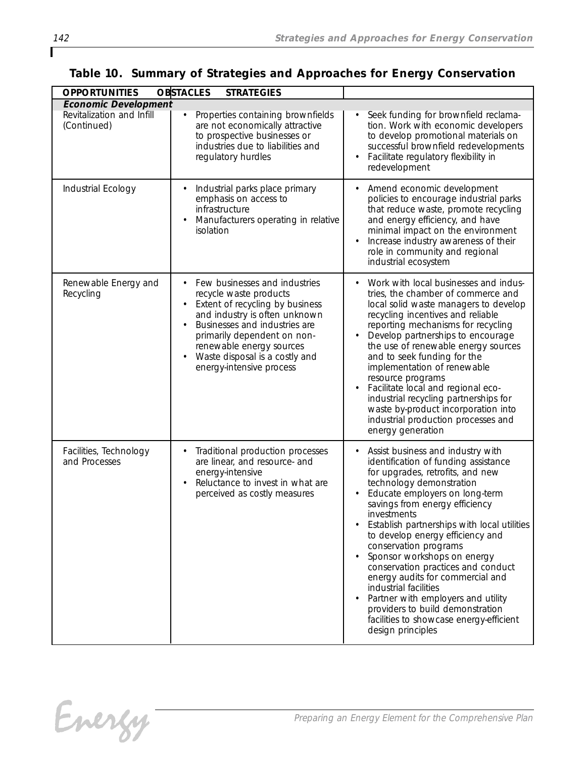| <b>OPPORTUNITIES</b>                                                    | <b>OBSTACLES</b><br><b>STRATEGIES</b>                                                                                                                                                                                                                                                                                        |                                                                                                                                                                                                                                                                                                                                                                                                                                                                                                                                                                                                                      |
|-------------------------------------------------------------------------|------------------------------------------------------------------------------------------------------------------------------------------------------------------------------------------------------------------------------------------------------------------------------------------------------------------------------|----------------------------------------------------------------------------------------------------------------------------------------------------------------------------------------------------------------------------------------------------------------------------------------------------------------------------------------------------------------------------------------------------------------------------------------------------------------------------------------------------------------------------------------------------------------------------------------------------------------------|
| <b>Economic Development</b><br>Revitalization and Infill<br>(Continued) | Properties containing brownfields<br>are not economically attractive<br>to prospective businesses or<br>industries due to liabilities and<br>regulatory hurdles                                                                                                                                                              | Seek funding for brownfield reclama-<br>tion. Work with economic developers<br>to develop promotional materials on<br>successful brownfield redevelopments<br>Facilitate regulatory flexibility in<br>redevelopment                                                                                                                                                                                                                                                                                                                                                                                                  |
| Industrial Ecology                                                      | Industrial parks place primary<br>emphasis on access to<br>infrastructure<br>Manufacturers operating in relative<br>isolation                                                                                                                                                                                                | Amend economic development<br>policies to encourage industrial parks<br>that reduce waste, promote recycling<br>and energy efficiency, and have<br>minimal impact on the environment<br>Increase industry awareness of their<br>role in community and regional<br>industrial ecosystem                                                                                                                                                                                                                                                                                                                               |
| Renewable Energy and<br>Recycling                                       | Few businesses and industries<br>recycle waste products<br>Extent of recycling by business<br>$\bullet$<br>and industry is often unknown<br>Businesses and industries are<br>$\bullet$<br>primarily dependent on non-<br>renewable energy sources<br>Waste disposal is a costly and<br>$\bullet$<br>energy-intensive process | Work with local businesses and indus-<br>$\bullet$<br>tries, the chamber of commerce and<br>local solid waste managers to develop<br>recycling incentives and reliable<br>reporting mechanisms for recycling<br>Develop partnerships to encourage<br>the use of renewable energy sources<br>and to seek funding for the<br>implementation of renewable<br>resource programs<br>Facilitate local and regional eco-<br>industrial recycling partnerships for<br>waste by-product incorporation into<br>industrial production processes and<br>energy generation                                                        |
| Facilities, Technology<br>and Processes                                 | Traditional production processes<br>$\bullet$<br>are linear, and resource- and<br>energy-intensive<br>Reluctance to invest in what are<br>perceived as costly measures                                                                                                                                                       | Assist business and industry with<br>identification of funding assistance<br>for upgrades, retrofits, and new<br>technology demonstration<br>Educate employers on long-term<br>savings from energy efficiency<br>investments<br>Establish partnerships with local utilities<br>to develop energy efficiency and<br>conservation programs<br>Sponsor workshops on energy<br>conservation practices and conduct<br>energy audits for commercial and<br>industrial facilities<br>Partner with employers and utility<br>providers to build demonstration<br>facilities to showcase energy-efficient<br>design principles |

### *Table 10. Summary of Strategies and Approaches for Energy Conservation*

Energy

ſ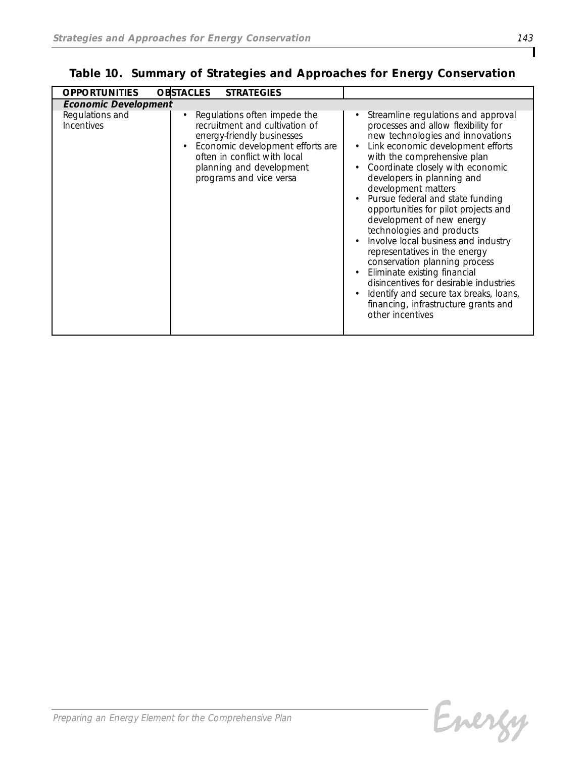| <b>OPPORTUNITIES</b>          | <b>OBSTACLES</b><br><b>STRATEGIES</b>                                                                                                                                                                                   |                                                                                                                                                                                                                                                                                                                                                                                                                                                                                                                                                                                                                                                                                                                         |  |  |  |  |
|-------------------------------|-------------------------------------------------------------------------------------------------------------------------------------------------------------------------------------------------------------------------|-------------------------------------------------------------------------------------------------------------------------------------------------------------------------------------------------------------------------------------------------------------------------------------------------------------------------------------------------------------------------------------------------------------------------------------------------------------------------------------------------------------------------------------------------------------------------------------------------------------------------------------------------------------------------------------------------------------------------|--|--|--|--|
| <b>Economic Development</b>   |                                                                                                                                                                                                                         |                                                                                                                                                                                                                                                                                                                                                                                                                                                                                                                                                                                                                                                                                                                         |  |  |  |  |
| Regulations and<br>Incentives | Regulations often impede the<br>recruitment and cultivation of<br>energy-friendly businesses<br>Economic development efforts are<br>often in conflict with local<br>planning and development<br>programs and vice versa | Streamline regulations and approval<br>processes and allow flexibility for<br>new technologies and innovations<br>Link economic development efforts<br>$\bullet$<br>with the comprehensive plan<br>Coordinate closely with economic<br>developers in planning and<br>development matters<br>Pursue federal and state funding<br>opportunities for pilot projects and<br>development of new energy<br>technologies and products<br>Involve local business and industry<br>representatives in the energy<br>conservation planning process<br>Eliminate existing financial<br>disincentives for desirable industries<br>Identify and secure tax breaks, loans,<br>financing, infrastructure grants and<br>other incentives |  |  |  |  |

*Table 10. Summary of Strategies and Approaches for Energy Conservation*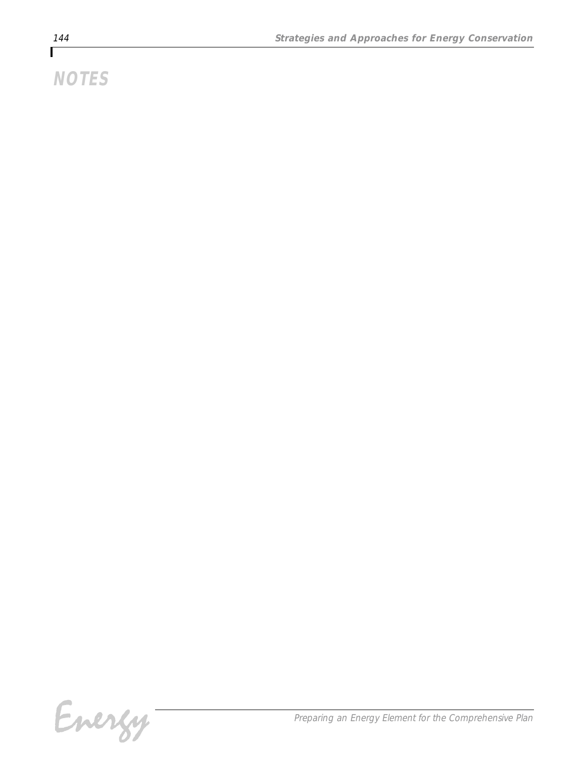# *NOTES*

Energy-

*Preparing an Energy Element for the Comprehensive Plan*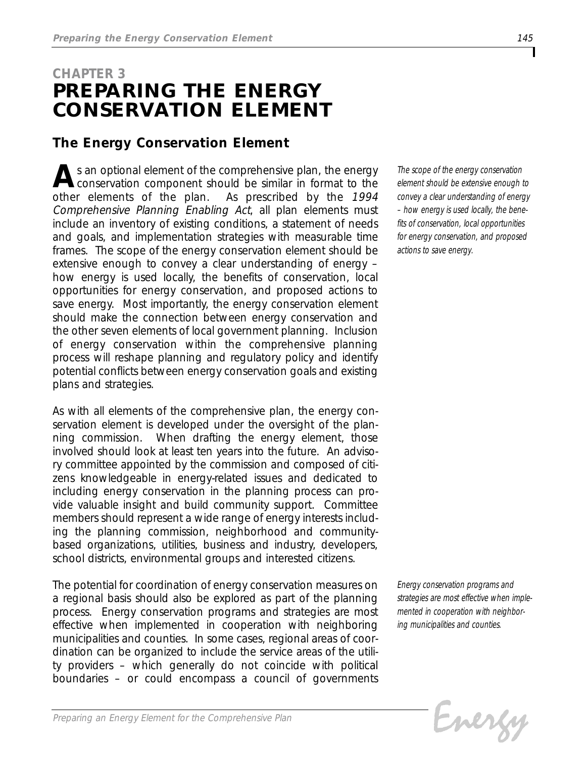# *CHAPTER 3 PREPARING THE ENERGY CONSERVATION ELEMENT*

### *The Energy Conservation Element*

**A***s* an optional element of the comprehensive plan, the energy conservation component should be similar in format to the *other elements of the plan. As prescribed by the 1994 Comprehensive Planning Enabling Act, all plan elements must include an inventory of existing conditions, a statement of needs and goals, and implementation strategies with measurable time frames. The scope of the energy conservation element should be extensive enough to convey a clear understanding of energy – how energy is used locally, the benefits of conservation, local opportunities for energy conservation, and proposed actions to save energy. Most importantly, the energy conservation element should make the connection between energy conservation and the other seven elements of local government planning. Inclusion of energy conservation within the comprehensive planning process will reshape planning and regulatory policy and identify potential conflicts between energy conservation goals and existing plans and strategies.*

*As with all elements of the comprehensive plan, the energy conservation element is developed under the oversight of the planning commission. When drafting the energy element, those involved should look at least ten years into the future. An advisory committee appointed by the commission and composed of citizens knowledgeable in energy-related issues and dedicated to including energy conservation in the planning process can provide valuable insight and build community support. Committee members should represent a wide range of energy interests including the planning commission, neighborhood and communitybased organizations, utilities, business and industry, developers, school districts, environmental groups and interested citizens.*

*The potential for coordination of energy conservation measures on a regional basis should also be explored as part of the planning process. Energy conservation programs and strategies are most effective when implemented in cooperation with neighboring municipalities and counties. In some cases, regional areas of coordination can be organized to include the service areas of the utility providers – which generally do not coincide with political boundaries – or could encompass a council of governments*

*The scope of the energy conservation element should be extensive enough to convey a clear understanding of energy – how energy is used locally, the benefits of conservation, local opportunities for energy conservation, and proposed actions to save energy.*

*Energy conservation programs and strategies are most effective when implemented in cooperation with neighboring municipalities and counties.*

Energy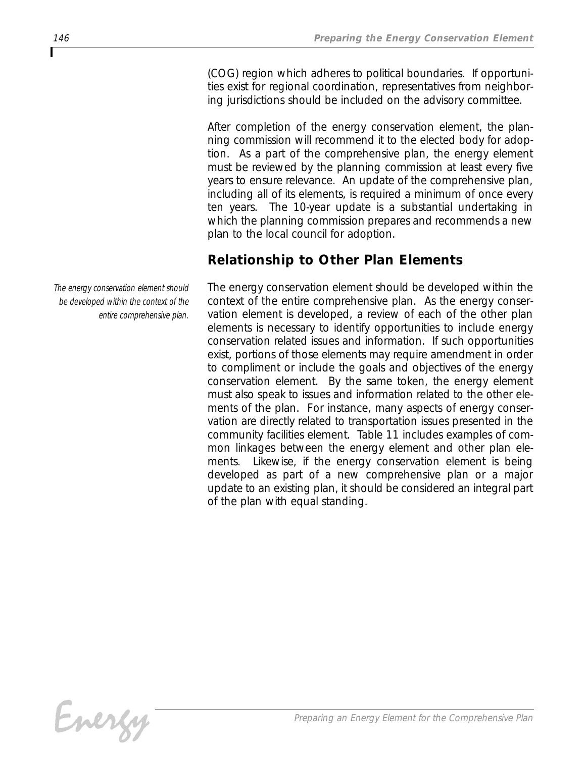*(COG) region which adheres to political boundaries. If opportunities exist for regional coordination, representatives from neighboring jurisdictions should be included on the advisory committee.* 

*After completion of the energy conservation element, the planning commission will recommend it to the elected body for adoption. As a part of the comprehensive plan, the energy element must be reviewed by the planning commission at least every five years to ensure relevance. An update of the comprehensive plan, including all of its elements, is required a minimum of once every ten years. The 10-year update is a substantial undertaking in which the planning commission prepares and recommends a new plan to the local council for adoption.* 

## *Relationship to Other Plan Elements*

*The energy conservation element should be developed within the context of the entire comprehensive plan. As the energy conservation element is developed, a review of each of the other plan elements is necessary to identify opportunities to include energy conservation related issues and information. If such opportunities exist, portions of those elements may require amendment in order to compliment or include the goals and objectives of the energy conservation element. By the same token, the energy element must also speak to issues and information related to the other elements of the plan. For instance, many aspects of energy conservation are directly related to transportation issues presented in the community facilities element. Table 11 includes examples of common linkages between the energy element and other plan elements. Likewise, if the energy conservation element is being developed as part of a new comprehensive plan or a major update to an existing plan, it should be considered an integral part of the plan with equal standing.*

*The energy conservation element should be developed within the context of the entire comprehensive plan.*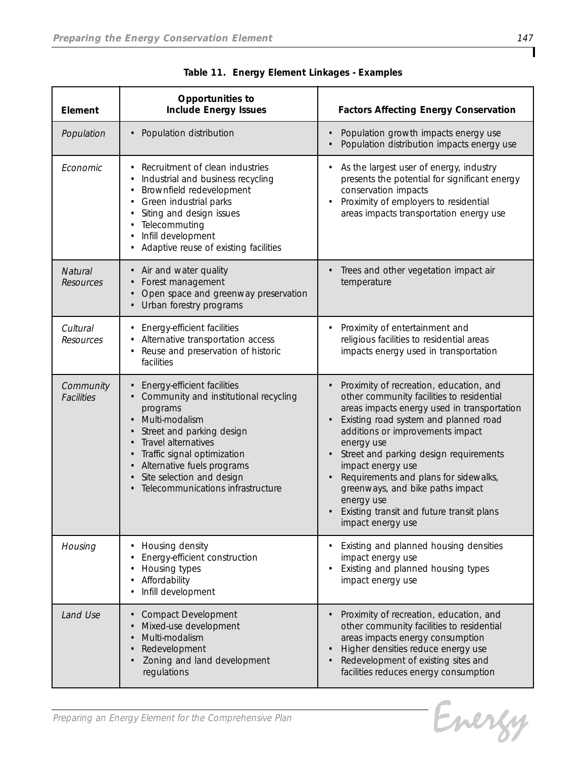| Element                        | Opportunities to<br><b>Include Energy Issues</b>                                                                                                                                                                                                                                      | <b>Factors Affecting Energy Conservation</b>                                                                                                                                                                                                                                                                                                                                                                                                               |
|--------------------------------|---------------------------------------------------------------------------------------------------------------------------------------------------------------------------------------------------------------------------------------------------------------------------------------|------------------------------------------------------------------------------------------------------------------------------------------------------------------------------------------------------------------------------------------------------------------------------------------------------------------------------------------------------------------------------------------------------------------------------------------------------------|
| Population                     | Population distribution<br>$\bullet$                                                                                                                                                                                                                                                  | Population growth impacts energy use<br>Population distribution impacts energy use                                                                                                                                                                                                                                                                                                                                                                         |
| Economic                       | Recruitment of clean industries<br>Industrial and business recycling<br>Brownfield redevelopment<br>Green industrial parks<br>Siting and design issues<br>Telecommuting<br>Infill development<br>Adaptive reuse of existing facilities                                                | As the largest user of energy, industry<br>presents the potential for significant energy<br>conservation impacts<br>Proximity of employers to residential<br>areas impacts transportation energy use                                                                                                                                                                                                                                                       |
| Natural<br>Resources           | Air and water quality<br>$\bullet$<br>Forest management<br>Open space and greenway preservation<br>Urban forestry programs                                                                                                                                                            | Trees and other vegetation impact air<br>temperature                                                                                                                                                                                                                                                                                                                                                                                                       |
| Cultural<br>Resources          | Energy-efficient facilities<br>Alternative transportation access<br>Reuse and preservation of historic<br>facilities                                                                                                                                                                  | Proximity of entertainment and<br>religious facilities to residential areas<br>impacts energy used in transportation                                                                                                                                                                                                                                                                                                                                       |
| Community<br><b>Facilities</b> | Energy-efficient facilities<br>Community and institutional recycling<br>programs<br>Multi-modalism<br>Street and parking design<br>Travel alternatives<br>Traffic signal optimization<br>Alternative fuels programs<br>Site selection and design<br>Telecommunications infrastructure | Proximity of recreation, education, and<br>other community facilities to residential<br>areas impacts energy used in transportation<br>Existing road system and planned road<br>additions or improvements impact<br>energy use<br>Street and parking design requirements<br>impact energy use<br>Requirements and plans for sidewalks,<br>greenways, and bike paths impact<br>energy use<br>Existing transit and future transit plans<br>impact energy use |
| Housing                        | Housing density<br>Energy-efficient construction<br>Housing types<br>Affordability<br>Infill development                                                                                                                                                                              | Existing and planned housing densities<br>impact energy use<br>Existing and planned housing types<br>impact energy use                                                                                                                                                                                                                                                                                                                                     |
| Land Use                       | <b>Compact Development</b><br>Mixed-use development<br>Multi-modalism<br>Redevelopment<br>Zoning and land development<br>regulations                                                                                                                                                  | Proximity of recreation, education, and<br>other community facilities to residential<br>areas impacts energy consumption<br>Higher densities reduce energy use<br>Redevelopment of existing sites and<br>facilities reduces energy consumption                                                                                                                                                                                                             |

|  |  | Table 11. Energy Element Linkages - Examples |
|--|--|----------------------------------------------|
|  |  |                                              |

Evergy

T

*Preparing an Energy Element for the Comprehensive Plan*

L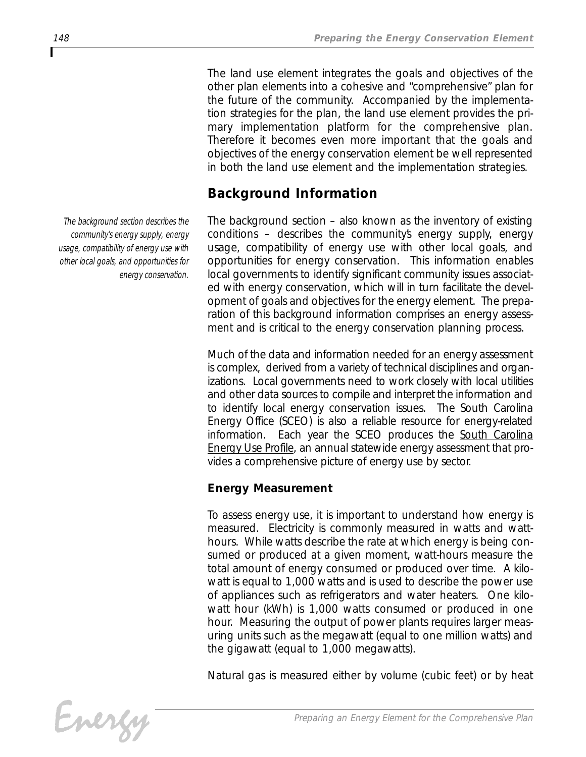*The land use element integrates the goals and objectives of the other plan elements into a cohesive and "comprehensive" plan for the future of the community. Accompanied by the implementation strategies for the plan, the land use element provides the primary implementation platform for the comprehensive plan. Therefore it becomes even more important that the goals and objectives of the energy conservation element be well represented in both the land use element and the implementation strategies.* 

## *Background Information*

*The background section – also known as the inventory of existing conditions – describes the community's energy supply, energy usage, compatibility of energy use with other local goals, and opportunities for energy conservation. This information enables local governments to identify significant community issues associated with energy conservation, which will in turn facilitate the development of goals and objectives for the energy element. The preparation of this background information comprises an energy assessment and is critical to the energy conservation planning process.*

*Much of the data and information needed for an energy assessment is complex, derived from a variety of technical disciplines and organizations. Local governments need to work closely with local utilities and other data sources to compile and interpret the information and to identify local energy conservation issues. The South Carolina Energy Office (SCEO) is also a reliable resource for energy-related information. Each year the SCEO produces the South Carolina Energy Use Profile, an annual statewide energy assessment that provides a comprehensive picture of energy use by sector.*

### *Energy Measurement*

*To assess energy use, it is important to understand how energy is measured. Electricity is commonly measured in watts and watthours. While watts describe the rate at which energy is being consumed or produced at a given moment, watt-hours measure the total amount of energy consumed or produced over time. A kilowatt is equal to 1,000 watts and is used to describe the power use of appliances such as refrigerators and water heaters. One kilowatt hour (kWh) is 1,000 watts consumed or produced in one hour. Measuring the output of power plants requires larger measuring units such as the megawatt (equal to one million watts) and the gigawatt (equal to 1,000 megawatts).* 

*Natural gas is measured either by volume (cubic feet) or by heat*



*The background section describes the community's energy supply, energy usage, compatibility of energy use with other local goals, and opportunities for energy conservation.*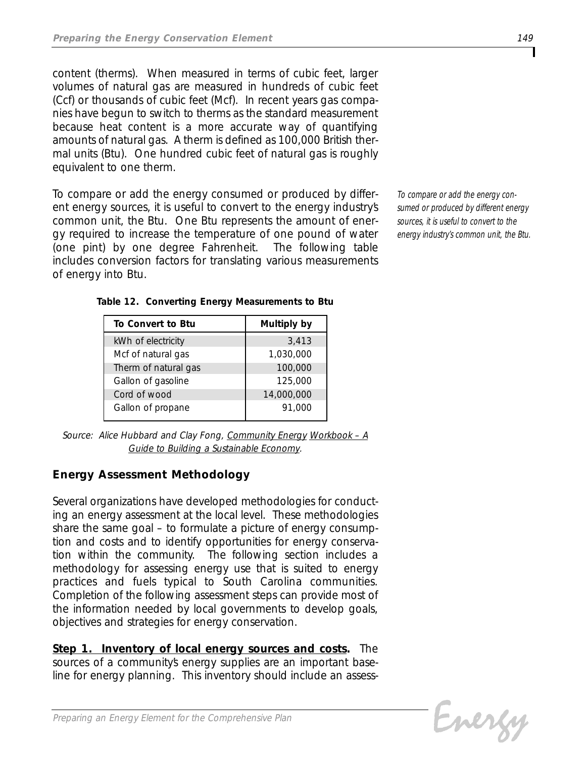*content (therms). When measured in terms of cubic feet, larger volumes of natural gas are measured in hundreds of cubic feet (Ccf) or thousands of cubic feet (Mcf). In recent years gas companies have begun to switch to therms as the standard measurement because heat content is a more accurate way of quantifying amounts of natural gas. A therm is defined as 100,000 British thermal units (Btu). One hundred cubic feet of natural gas is roughly equivalent to one therm.*

*To compare or add the energy consumed or produced by different energy sources, it is useful to convert to the energy industry's common unit, the Btu. One Btu represents the amount of energy required to increase the temperature of one pound of water (one pint) by one degree Fahrenheit. The following table includes conversion factors for translating various measurements of energy into Btu.*

*To compare or add the energy consumed or produced by different energy sources, it is useful to convert to the energy industry's common unit, the Btu.*

| To Convert to Btu    | Multiply by |
|----------------------|-------------|
| kWh of electricity   | 3,413       |
| Mcf of natural gas   | 1,030,000   |
| Therm of natural gas | 100,000     |
| Gallon of gasoline   | 125,000     |
| Cord of wood         | 14,000,000  |
| Gallon of propane    | 91,000      |

*Table 12. Converting Energy Measurements to Btu*

*Source: Alice Hubbard and Clay Fong, Community Energy Workbook – A Guide to Building a Sustainable Economy.*

### *Energy Assessment Methodology*

*Several organizations have developed methodologies for conducting an energy assessment at the local level. These methodologies share the same goal – to formulate a picture of energy consumption and costs and to identify opportunities for energy conservation within the community. The following section includes a methodology for assessing energy use that is suited to energy practices and fuels typical to South Carolina communities. Completion of the following assessment steps can provide most of the information needed by local governments to develop goals, objectives and strategies for energy conservation.*

*Step 1. Inventory of local energy sources and costs. The sources of a community's energy supplies are an important baseline for energy planning. This inventory should include an assess-*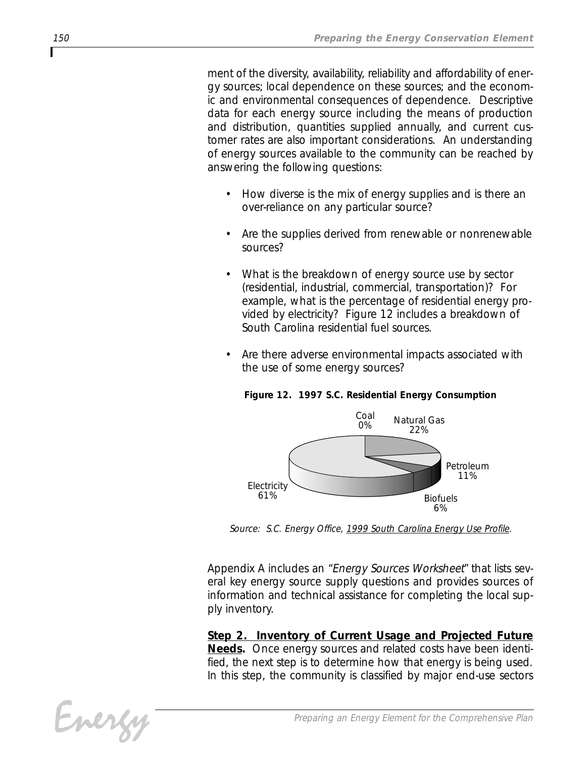*ment of the diversity, availability, reliability and affordability of energy sources; local dependence on these sources; and the economic and environmental consequences of dependence. Descriptive data for each energy source including the means of production and distribution, quantities supplied annually, and current customer rates are also important considerations. An understanding of energy sources available to the community can be reached by answering the following questions:*

- *• How diverse is the mix of energy supplies and is there an over-reliance on any particular source?*
- *• Are the supplies derived from renewable or nonrenewable sources?*
- *• What is the breakdown of energy source use by sector (residential, industrial, commercial, transportation)? For example, what is the percentage of residential energy provided by electricity? Figure 12 includes a breakdown of South Carolina residential fuel sources.*
- *• Are there adverse environmental impacts associated with the use of some energy sources?*



*Figure 12. 1997 S.C. Residential Energy Consumption*

*Source: S.C. Energy Office, 1999 South Carolina Energy Use Profile.*

*Appendix A includes an "Energy Sources Worksheet" that lists several key energy source supply questions and provides sources of information and technical assistance for completing the local supply inventory.*

*Step 2. Inventory of Current Usage and Projected Future Needs. Once energy sources and related costs have been identified, the next step is to determine how that energy is being used. In this step, the community is classified by major end-use sectors*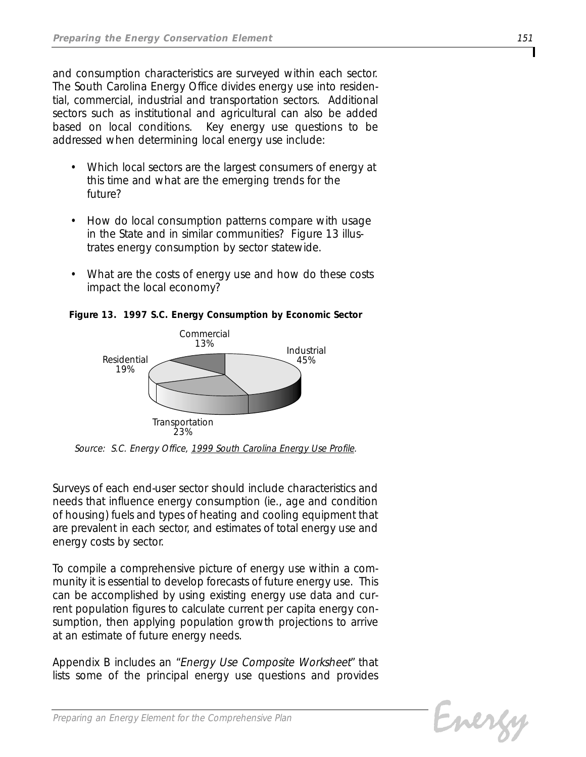*and consumption characteristics are surveyed within each sector. The South Carolina Energy Office divides energy use into residential, commercial, industrial and transportation sectors. Additional sectors such as institutional and agricultural can also be added based on local conditions. Key energy use questions to be addressed when determining local energy use include:*

- *• Which local sectors are the largest consumers of energy at this time and what are the emerging trends for the future?*
- *• How do local consumption patterns compare with usage in the State and in similar communities? Figure 13 illustrates energy consumption by sector statewide.*
- *• What are the costs of energy use and how do these costs impact the local economy?*



*Figure 13. 1997 S.C. Energy Consumption by Economic Sector*

*Source: S.C. Energy Office, 1999 South Carolina Energy Use Profile.*

*Surveys of each end-user sector should include characteristics and needs that influence energy consumption (ie., age and condition of housing) fuels and types of heating and cooling equipment that are prevalent in each sector, and estimates of total energy use and energy costs by sector.* 

*To compile a comprehensive picture of energy use within a community it is essential to develop forecasts of future energy use. This can be accomplished by using existing energy use data and current population figures to calculate current per capita energy consumption, then applying population growth projections to arrive at an estimate of future energy needs.*

*Appendix B includes an "Energy Use Composite Worksheet" that lists some of the principal energy use questions and provides*

Evergy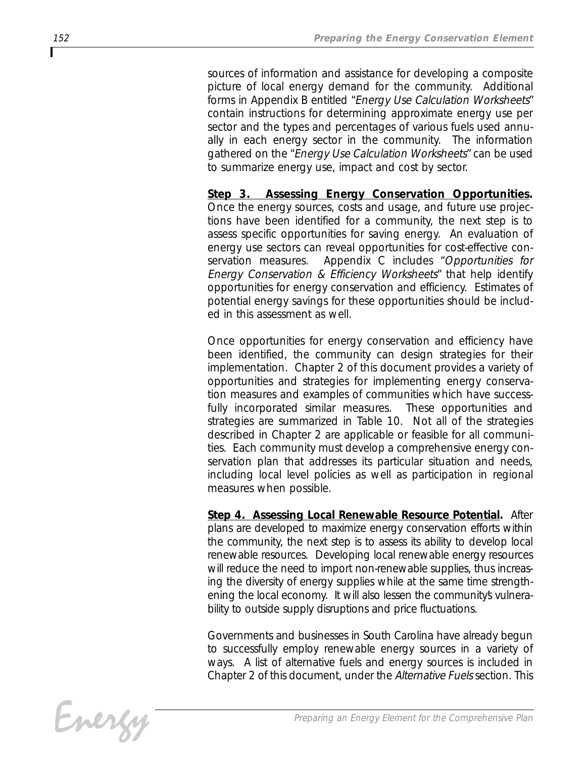*sources of information and assistance for developing a composite picture of local energy demand for the community. Additional forms in Appendix B entitled "Energy Use Calculation Worksheets" contain instructions for determining approximate energy use per sector and the types and percentages of various fuels used annually in each energy sector in the community. The information gathered on the "Energy Use Calculation Worksheets" can be used to summarize energy use, impact and cost by sector.*

*Step 3. Assessing Energy Conservation Opportunities. Once the energy sources, costs and usage, and future use projections have been identified for a community, the next step is to assess specific opportunities for saving energy. An evaluation of energy use sectors can reveal opportunities for cost-effective conservation measures. Appendix C includes "Opportunities for Energy Conservation & Efficiency Worksheets" that help identify opportunities for energy conservation and efficiency. Estimates of potential energy savings for these opportunities should be included in this assessment as well.*

*Once opportunities for energy conservation and efficiency have been identified, the community can design strategies for their implementation. Chapter 2 of this document provides a variety of opportunities and strategies for implementing energy conservation measures and examples of communities which have successfully incorporated similar measures. These opportunities and strategies are summarized in Table 10. Not all of the strategies described in Chapter 2 are applicable or feasible for all communities. Each community must develop a comprehensive energy conservation plan that addresses its particular situation and needs, including local level policies as well as participation in regional measures when possible.*

*Step 4. Assessing Local Renewable Resource Potential. After plans are developed to maximize energy conservation efforts within the community, the next step is to assess its ability to develop local renewable resources. Developing local renewable energy resources will reduce the need to import non-renewable supplies, thus increasing the diversity of energy supplies while at the same time strength*ening the local economy. It will also lessen the community's vulnera*bility to outside supply disruptions and price fluctuations.*

*Governments and businesses in South Carolina have already begun to successfully employ renewable energy sources in a variety of ways. A list of alternative fuels and energy sources is included in Chapter 2 of this document, under the Alternative Fuels section. This*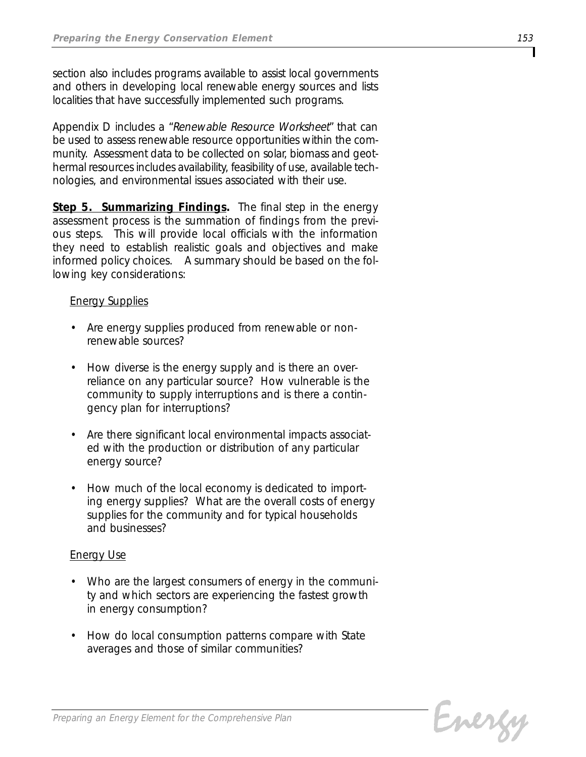*section also includes programs available to assist local governments and others in developing local renewable energy sources and lists localities that have successfully implemented such programs.*

*Appendix D includes a "Renewable Resource Worksheet" that can be used to assess renewable resource opportunities within the community. Assessment data to be collected on solar, biomass and geothermal resources includes availability, feasibility of use, available technologies, and environmental issues associated with their use.*

*Step 5. Summarizing Findings. The final step in the energy assessment process is the summation of findings from the previous steps. This will provide local officials with the information they need to establish realistic goals and objectives and make informed policy choices. A summary should be based on the following key considerations:*

#### *Energy Supplies*

- *• Are energy supplies produced from renewable or nonrenewable sources?*
- *• How diverse is the energy supply and is there an overreliance on any particular source? How vulnerable is the community to supply interruptions and is there a contingency plan for interruptions?*
- *• Are there significant local environmental impacts associated with the production or distribution of any particular energy source?*
- *• How much of the local economy is dedicated to importing energy supplies? What are the overall costs of energy supplies for the community and for typical households and businesses?*

#### *Energy Use*

- *• Who are the largest consumers of energy in the community and which sectors are experiencing the fastest growth in energy consumption?*
- *• How do local consumption patterns compare with State averages and those of similar communities?*

Evergy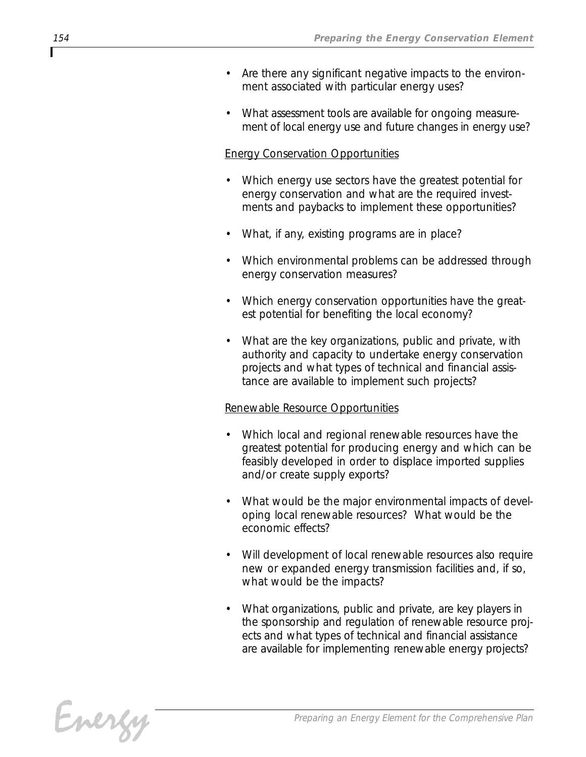- *• Are there any significant negative impacts to the environment associated with particular energy uses?*
- *• What assessment tools are available for ongoing measurement of local energy use and future changes in energy use?*

#### *Energy Conservation Opportunities*

- *• Which energy use sectors have the greatest potential for energy conservation and what are the required investments and paybacks to implement these opportunities?*
- *• What, if any, existing programs are in place?*
- *• Which environmental problems can be addressed through energy conservation measures?*
- *• Which energy conservation opportunities have the greatest potential for benefiting the local economy?*
- *• What are the key organizations, public and private, with authority and capacity to undertake energy conservation projects and what types of technical and financial assistance are available to implement such projects?*

#### *Renewable Resource Opportunities*

- *• Which local and regional renewable resources have the greatest potential for producing energy and which can be feasibly developed in order to displace imported supplies and/or create supply exports?*
- *• What would be the major environmental impacts of developing local renewable resources? What would be the economic effects?*
- *• Will development of local renewable resources also require new or expanded energy transmission facilities and, if so, what would be the impacts?*
- *• What organizations, public and private, are key players in the sponsorship and regulation of renewable resource projects and what types of technical and financial assistance are available for implementing renewable energy projects?*

Energy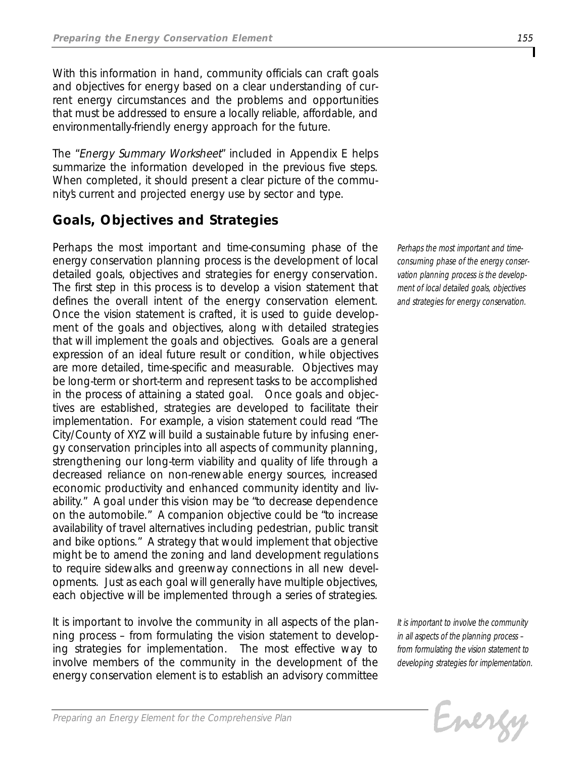*With this information in hand, community officials can craft goals and objectives for energy based on a clear understanding of current energy circumstances and the problems and opportunities that must be addressed to ensure a locally reliable, affordable, and environmentally-friendly energy approach for the future.*

*The "Energy Summary Worksheet" included in Appendix E helps summarize the information developed in the previous five steps. When completed, it should present a clear picture of the community's current and projected energy use by sector and type.*

## *Goals, Objectives and Strategies*

*Perhaps the most important and time-consuming phase of the energy conservation planning process is the development of local detailed goals, objectives and strategies for energy conservation. The first step in this process is to develop a vision statement that defines the overall intent of the energy conservation element. Once the vision statement is crafted, it is used to guide development of the goals and objectives, along with detailed strategies that will implement the goals and objectives. Goals are a general expression of an ideal future result or condition, while objectives are more detailed, time-specific and measurable. Objectives may be long-term or short-term and represent tasks to be accomplished in the process of attaining a stated goal. Once goals and objectives are established, strategies are developed to facilitate their implementation. For example, a vision statement could read "The City/County of XYZ will build a sustainable future by infusing energy conservation principles into all aspects of community planning, strengthening our long-term viability and quality of life through a decreased reliance on non-renewable energy sources, increased economic productivity and enhanced community identity and livability." A goal under this vision may be "to decrease dependence on the automobile." A companion objective could be "to increase availability of travel alternatives including pedestrian, public transit and bike options." A strategy that would implement that objective might be to amend the zoning and land development regulations to require sidewalks and greenway connections in all new developments. Just as each goal will generally have multiple objectives, each objective will be implemented through a series of strategies.*

*It is important to involve the community in all aspects of the planning process – from formulating the vision statement to developing strategies for implementation. The most effective way to involve members of the community in the development of the energy conservation element is to establish an advisory committee* *Perhaps the most important and timeconsuming phase of the energy conservation planning process is the development of local detailed goals, objectives and strategies for energy conservation.* 

*It is important to involve the community in all aspects of the planning process – from formulating the vision statement to developing strategies for implementation.*

Evergy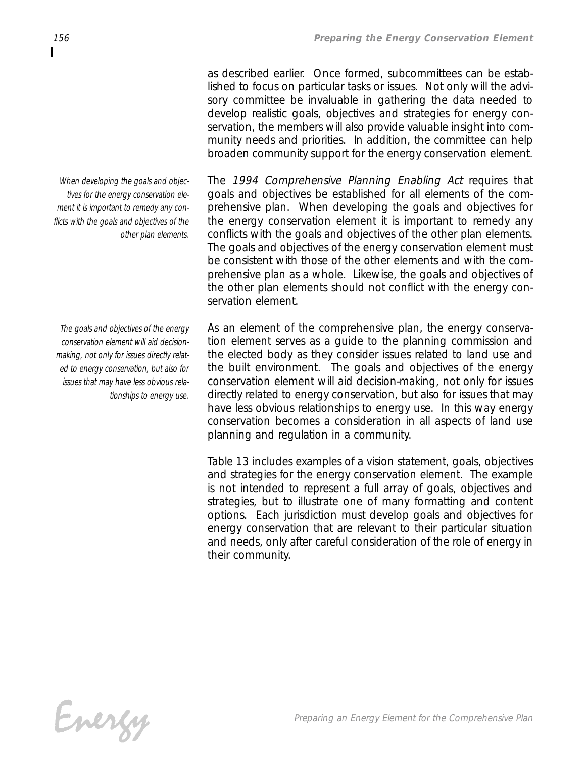*as described earlier. Once formed, subcommittees can be established to focus on particular tasks or issues. Not only will the advisory committee be invaluable in gathering the data needed to develop realistic goals, objectives and strategies for energy conservation, the members will also provide valuable insight into community needs and priorities. In addition, the committee can help broaden community support for the energy conservation element.*

*The 1994 Comprehensive Planning Enabling Act requires that goals and objectives be established for all elements of the comprehensive plan. When developing the goals and objectives for the energy conservation element it is important to remedy any conflicts with the goals and objectives of the other plan elements. The goals and objectives of the energy conservation element must be consistent with those of the other elements and with the comprehensive plan as a whole. Likewise, the goals and objectives of the other plan elements should not conflict with the energy conservation element.*

*As an element of the comprehensive plan, the energy conservation element serves as a guide to the planning commission and the elected body as they consider issues related to land use and the built environment. The goals and objectives of the energy conservation element will aid decision-making, not only for issues directly related to energy conservation, but also for issues that may have less obvious relationships to energy use. In this way energy conservation becomes a consideration in all aspects of land use planning and regulation in a community.*

*Table 13 includes examples of a vision statement, goals, objectives and strategies for the energy conservation element. The example is not intended to represent a full array of goals, objectives and strategies, but to illustrate one of many formatting and content options. Each jurisdiction must develop goals and objectives for energy conservation that are relevant to their particular situation and needs, only after careful consideration of the role of energy in their community.* 

*When developing the goals and objectives for the energy conservation element it is important to remedy any conflicts with the goals and objectives of the other plan elements.* 

*The goals and objectives of the energy conservation element will aid decisionmaking, not only for issues directly related to energy conservation, but also for issues that may have less obvious relationships to energy use.*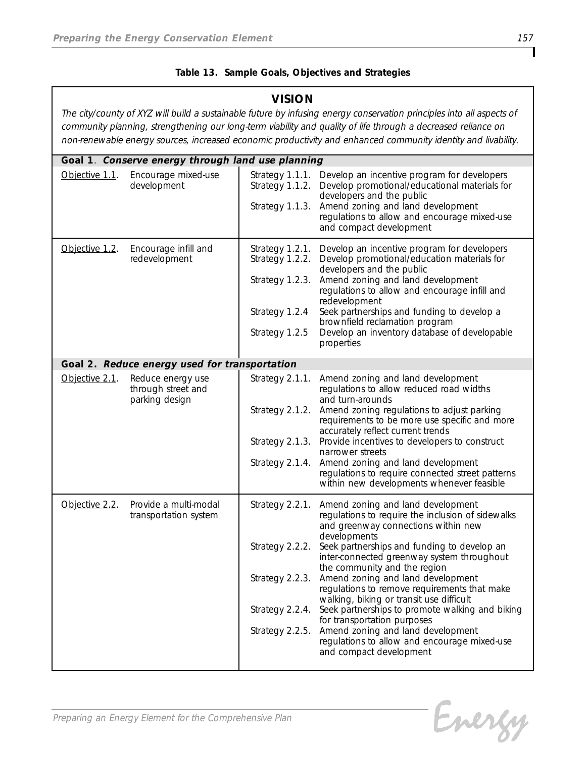#### *Table 13. Sample Goals, Objectives and Strategies*

#### *VISION*

*The city/county of XYZ will build a sustainable future by infusing energy conservation principles into all aspects of community planning, strengthening our long-term viability and quality of life through a decreased reliance on non-renewable energy sources, increased economic productivity and enhanced community identity and livability.*

|                | Goal 1. Conserve energy through land use planning         |                                                                                             |                                                                                                                                                                                                                                                                                                                                                                                                                                                                                                                                                                                                               |  |  |
|----------------|-----------------------------------------------------------|---------------------------------------------------------------------------------------------|---------------------------------------------------------------------------------------------------------------------------------------------------------------------------------------------------------------------------------------------------------------------------------------------------------------------------------------------------------------------------------------------------------------------------------------------------------------------------------------------------------------------------------------------------------------------------------------------------------------|--|--|
| Objective 1.1. | Encourage mixed-use<br>development                        | Strategy 1.1.1.<br>Strategy 1.1.2.<br>Strategy 1.1.3.                                       | Develop an incentive program for developers<br>Develop promotional/educational materials for<br>developers and the public<br>Amend zoning and land development<br>regulations to allow and encourage mixed-use<br>and compact development                                                                                                                                                                                                                                                                                                                                                                     |  |  |
| Objective 1.2. | Encourage infill and<br>redevelopment                     | Strategy 1.2.1.<br>Strategy 1.2.2.<br>Strategy 1.2.3.<br>Strategy 1.2.4<br>Strategy 1.2.5   | Develop an incentive program for developers<br>Develop promotional/education materials for<br>developers and the public<br>Amend zoning and land development<br>regulations to allow and encourage infill and<br>redevelopment<br>Seek partnerships and funding to develop a<br>brownfield reclamation program<br>Develop an inventory database of developable<br>properties                                                                                                                                                                                                                                  |  |  |
|                | Goal 2. Reduce energy used for transportation             |                                                                                             |                                                                                                                                                                                                                                                                                                                                                                                                                                                                                                                                                                                                               |  |  |
| Objective 2.1. | Reduce energy use<br>through street and<br>parking design | Strategy 2.1.1.<br>Strategy 2.1.4.                                                          | Amend zoning and land development<br>regulations to allow reduced road widths<br>and turn-arounds<br>Strategy 2.1.2. Amend zoning regulations to adjust parking<br>requirements to be more use specific and more<br>accurately reflect current trends<br>Strategy 2.1.3. Provide incentives to developers to construct<br>narrower streets<br>Amend zoning and land development<br>regulations to require connected street patterns<br>within new developments whenever feasible                                                                                                                              |  |  |
| Objective 2.2. | Provide a multi-modal<br>transportation system            | Strategy 2.2.1.<br>Strategy 2.2.2.<br>Strategy 2.2.3.<br>Strategy 2.2.4.<br>Strategy 2.2.5. | Amend zoning and land development<br>regulations to require the inclusion of sidewalks<br>and greenway connections within new<br>developments<br>Seek partnerships and funding to develop an<br>inter-connected greenway system throughout<br>the community and the region<br>Amend zoning and land development<br>regulations to remove requirements that make<br>walking, biking or transit use difficult<br>Seek partnerships to promote walking and biking<br>for transportation purposes<br>Amend zoning and land development<br>regulations to allow and encourage mixed-use<br>and compact development |  |  |

Energy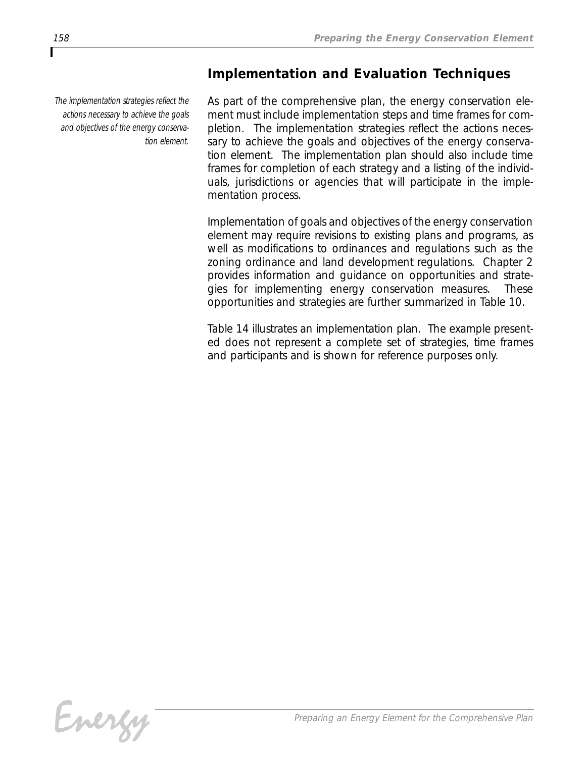## *Implementation and Evaluation Techniques*

*The implementation strategies reflect the actions necessary to achieve the goals and objectives of the energy conservation element.*

*As part of the comprehensive plan, the energy conservation element must include implementation steps and time frames for completion. The implementation strategies reflect the actions necessary to achieve the goals and objectives of the energy conservation element. The implementation plan should also include time frames for completion of each strategy and a listing of the individuals, jurisdictions or agencies that will participate in the implementation process.* 

*Implementation of goals and objectives of the energy conservation element may require revisions to existing plans and programs, as well as modifications to ordinances and regulations such as the zoning ordinance and land development regulations. Chapter 2 provides information and guidance on opportunities and strategies for implementing energy conservation measures. These opportunities and strategies are further summarized in Table 10.* 

*Table 14 illustrates an implementation plan. The example presented does not represent a complete set of strategies, time frames and participants and is shown for reference purposes only.*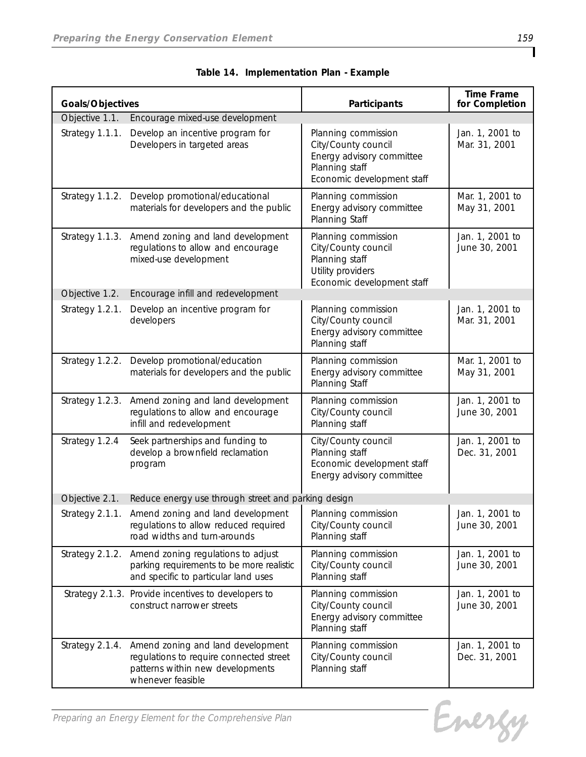| Goals/Objectives |                                                                                                                                       | Participants                                                                                                            | <b>Time Frame</b><br>for Completion |
|------------------|---------------------------------------------------------------------------------------------------------------------------------------|-------------------------------------------------------------------------------------------------------------------------|-------------------------------------|
| Objective 1.1.   | Encourage mixed-use development                                                                                                       |                                                                                                                         |                                     |
| Strategy 1.1.1.  | Develop an incentive program for<br>Developers in targeted areas                                                                      | Planning commission<br>City/County council<br>Energy advisory committee<br>Planning staff<br>Economic development staff | Jan. 1, 2001 to<br>Mar. 31, 2001    |
|                  | Strategy 1.1.2. Develop promotional/educational<br>materials for developers and the public                                            | Planning commission<br>Energy advisory committee<br>Planning Staff                                                      | Mar. 1, 2001 to<br>May 31, 2001     |
|                  | Strategy 1.1.3. Amend zoning and land development<br>regulations to allow and encourage<br>mixed-use development                      | Planning commission<br>City/County council<br>Planning staff<br>Utility providers<br>Economic development staff         | Jan. 1, 2001 to<br>June 30, 2001    |
| Objective 1.2.   | Encourage infill and redevelopment                                                                                                    |                                                                                                                         |                                     |
| Strategy 1.2.1.  | Develop an incentive program for<br>developers                                                                                        | Planning commission<br>City/County council<br>Energy advisory committee<br>Planning staff                               | Jan. 1, 2001 to<br>Mar. 31, 2001    |
|                  | Strategy 1.2.2. Develop promotional/education<br>materials for developers and the public                                              | Planning commission<br>Energy advisory committee<br>Planning Staff                                                      | Mar. 1, 2001 to<br>May 31, 2001     |
| Strategy 1.2.3.  | Amend zoning and land development<br>regulations to allow and encourage<br>infill and redevelopment                                   | Planning commission<br>City/County council<br>Planning staff                                                            | Jan. 1, 2001 to<br>June 30, 2001    |
| Strategy 1.2.4   | Seek partnerships and funding to<br>develop a brownfield reclamation<br>program                                                       | City/County council<br>Planning staff<br>Economic development staff<br>Energy advisory committee                        | Jan. 1, 2001 to<br>Dec. 31, 2001    |
| Objective 2.1.   | Reduce energy use through street and parking design                                                                                   |                                                                                                                         |                                     |
|                  | Strategy 2.1.1. Amend zoning and land development<br>regulations to allow reduced required<br>road widths and turn-arounds            | Planning commission<br>City/County council<br>Planning staff                                                            | Jan. 1, 2001 to<br>June 30, 2001    |
| Strategy 2.1.2.  | Amend zoning regulations to adjust<br>parking requirements to be more realistic<br>and specific to particular land uses               | Planning commission<br>City/County council<br>Planning staff                                                            | Jan. 1, 2001 to<br>June 30, 2001    |
|                  | Strategy 2.1.3. Provide incentives to developers to<br>construct narrower streets                                                     | Planning commission<br>City/County council<br>Energy advisory committee<br>Planning staff                               | Jan. 1, 2001 to<br>June 30, 2001    |
| Strategy 2.1.4.  | Amend zoning and land development<br>regulations to require connected street<br>patterns within new developments<br>whenever feasible | Planning commission<br>City/County council<br>Planning staff                                                            | Jan. 1, 2001 to<br>Dec. 31, 2001    |

*Table 14. Implementation Plan - Example*

Energy

*Preparing an Energy Element for the Comprehensive Plan*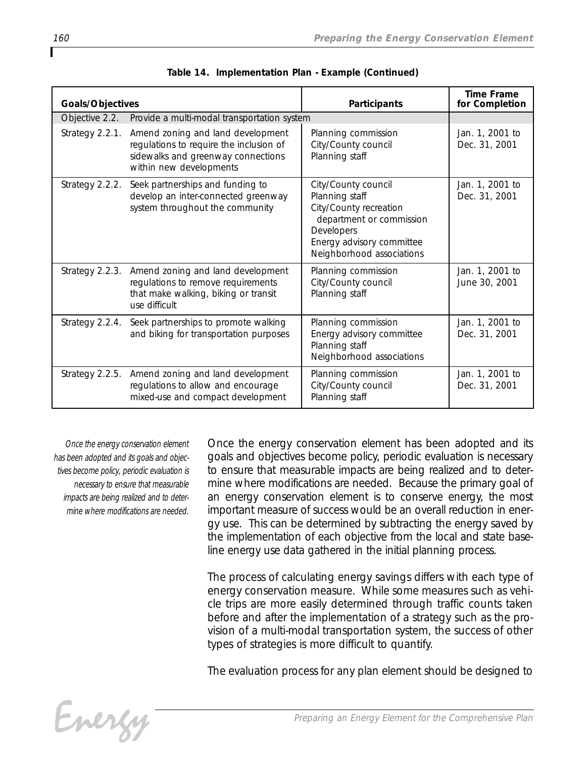| Goals/Objectives |                                                                                                                                               | Participants                                                                                                                                                        | <b>Time Frame</b><br>for Completion |
|------------------|-----------------------------------------------------------------------------------------------------------------------------------------------|---------------------------------------------------------------------------------------------------------------------------------------------------------------------|-------------------------------------|
|                  | Objective 2.2. Provide a multi-modal transportation system                                                                                    |                                                                                                                                                                     |                                     |
| Strategy 2.2.1.  | Amend zoning and land development<br>regulations to require the inclusion of<br>sidewalks and greenway connections<br>within new developments | Planning commission<br>City/County council<br>Planning staff                                                                                                        | Jan. 1, 2001 to<br>Dec. 31, 2001    |
| Strategy 2.2.2.  | Seek partnerships and funding to<br>develop an inter-connected greenway<br>system throughout the community                                    | City/County council<br>Planning staff<br>City/County recreation<br>department or commission<br>Developers<br>Energy advisory committee<br>Neighborhood associations | Jan. 1, 2001 to<br>Dec. 31, 2001    |
| Strategy 2.2.3.  | Amend zoning and land development<br>regulations to remove requirements<br>that make walking, biking or transit<br>use difficult              | Planning commission<br>City/County council<br>Planning staff                                                                                                        | Jan. 1, 2001 to<br>June 30, 2001    |
| Strategy 2.2.4.  | Seek partnerships to promote walking<br>and biking for transportation purposes                                                                | Planning commission<br>Energy advisory committee<br>Planning staff<br>Neighborhood associations                                                                     | Jan. 1, 2001 to<br>Dec. 31, 2001    |
| Strategy 2.2.5.  | Amend zoning and land development<br>regulations to allow and encourage<br>mixed-use and compact development                                  | Planning commission<br>City/County council<br>Planning staff                                                                                                        | Jan. 1, 2001 to<br>Dec. 31, 2001    |

| Table 14. Implementation Plan - Example (Continued) |  |
|-----------------------------------------------------|--|
|                                                     |  |

*Once the energy conservation element has been adopted and its goals and objectives become policy, periodic evaluation is necessary to ensure that measurable impacts are being realized and to determine where modifications are needed.*

*Once the energy conservation element has been adopted and its goals and objectives become policy, periodic evaluation is necessary to ensure that measurable impacts are being realized and to determine where modifications are needed. Because the primary goal of an energy conservation element is to conserve energy, the most important measure of success would be an overall reduction in energy use. This can be determined by subtracting the energy saved by the implementation of each objective from the local and state baseline energy use data gathered in the initial planning process.*

*The process of calculating energy savings differs with each type of energy conservation measure. While some measures such as vehicle trips are more easily determined through traffic counts taken before and after the implementation of a strategy such as the provision of a multi-modal transportation system, the success of other types of strategies is more difficult to quantify.* 

*The evaluation process for any plan element should be designed to*

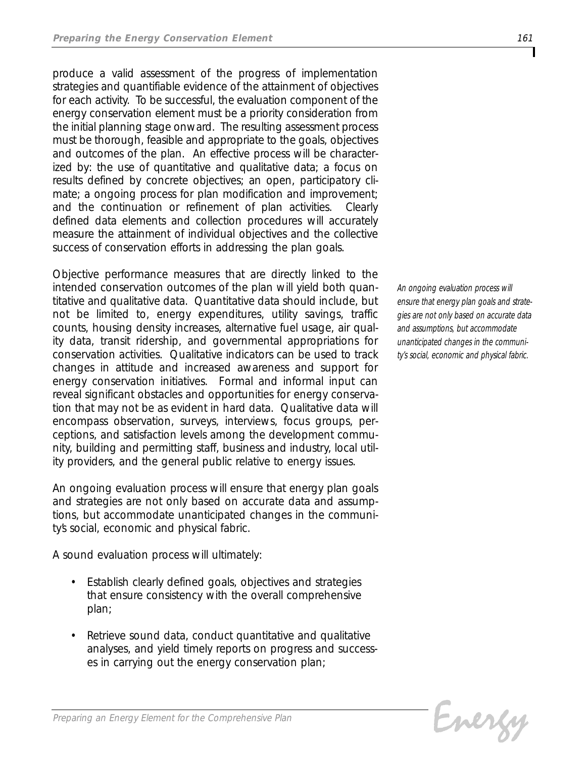*produce a valid assessment of the progress of implementation strategies and quantifiable evidence of the attainment of objectives for each activity. To be successful, the evaluation component of the energy conservation element must be a priority consideration from the initial planning stage onward. The resulting assessment process must be thorough, feasible and appropriate to the goals, objectives and outcomes of the plan. An effective process will be characterized by: the use of quantitative and qualitative data; a focus on results defined by concrete objectives; an open, participatory climate; a ongoing process for plan modification and improvement; and the continuation or refinement of plan activities. Clearly defined data elements and collection procedures will accurately measure the attainment of individual objectives and the collective success of conservation efforts in addressing the plan goals.*

*Objective performance measures that are directly linked to the intended conservation outcomes of the plan will yield both quantitative and qualitative data. Quantitative data should include, but not be limited to, energy expenditures, utility savings, traffic counts, housing density increases, alternative fuel usage, air quality data, transit ridership, and governmental appropriations for conservation activities. Qualitative indicators can be used to track changes in attitude and increased awareness and support for energy conservation initiatives. Formal and informal input can reveal significant obstacles and opportunities for energy conservation that may not be as evident in hard data. Qualitative data will encompass observation, surveys, interviews, focus groups, perceptions, and satisfaction levels among the development community, building and permitting staff, business and industry, local utility providers, and the general public relative to energy issues.*

*An ongoing evaluation process will ensure that energy plan goals and strategies are not only based on accurate data and assumptions, but accommodate unanticipated changes in the community's social, economic and physical fabric.*

*A sound evaluation process will ultimately:*

- *• Establish clearly defined goals, objectives and strategies that ensure consistency with the overall comprehensive plan;*
- *• Retrieve sound data, conduct quantitative and qualitative analyses, and yield timely reports on progress and successes in carrying out the energy conservation plan;*

*An ongoing evaluation process will ensure that energy plan goals and strategies are not only based on accurate data and assumptions, but accommodate unanticipated changes in the community's social, economic and physical fabric.*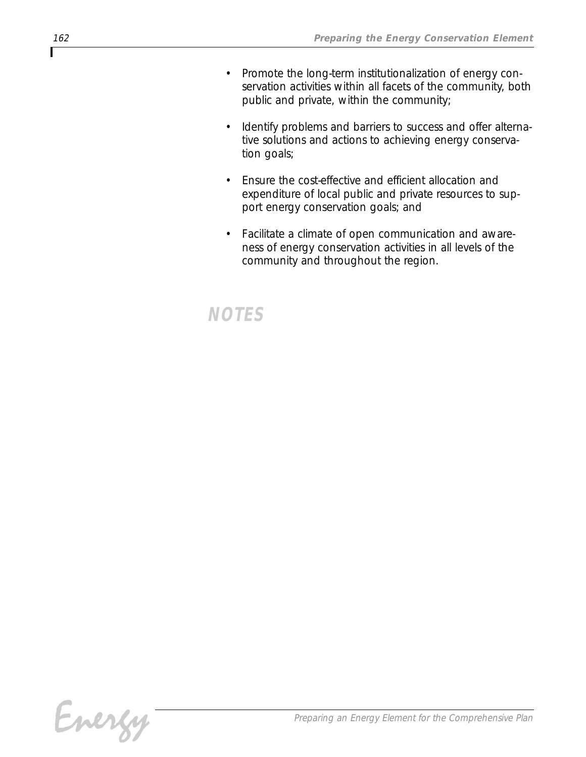- *• Promote the long-term institutionalization of energy conservation activities within all facets of the community, both public and private, within the community;*
- *• Identify problems and barriers to success and offer alternative solutions and actions to achieving energy conservation goals;*
- *• Ensure the cost-effective and efficient allocation and expenditure of local public and private resources to support energy conservation goals; and*
- *• Facilitate a climate of open communication and awareness of energy conservation activities in all levels of the community and throughout the region.*

# *NOTES*

Г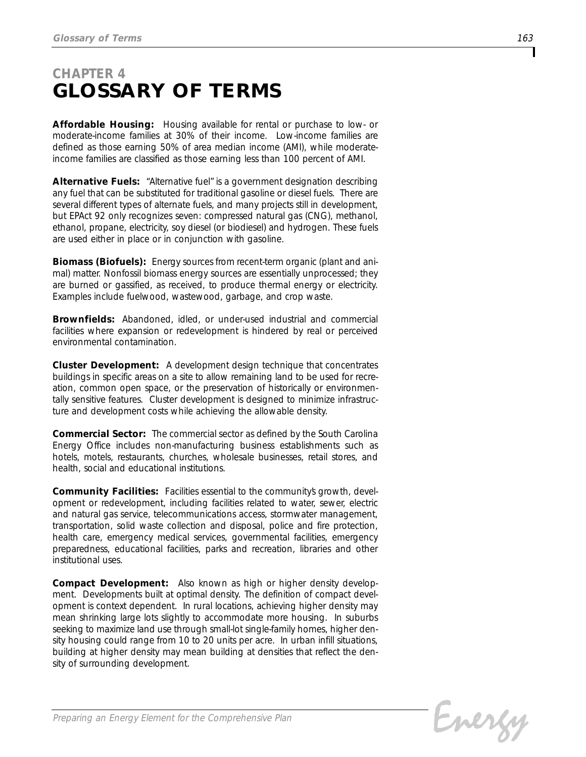# *CHAPTER 4 GLOSSARY OF TERMS*

*Affordable Housing: Housing available for rental or purchase to low- or moderate-income families at 30% of their income. Low-income families are defined as those earning 50% of area median income (AMI), while moderateincome families are classified as those earning less than 100 percent of AMI.* 

*Alternative Fuels: "Alternative fuel" is a government designation describing any fuel that can be substituted for traditional gasoline or diesel fuels. There are several different types of alternate fuels, and many projects still in development, but EPAct 92 only recognizes seven: compressed natural gas (CNG), methanol, ethanol, propane, electricity, soy diesel (or biodiesel) and hydrogen. These fuels are used either in place or in conjunction with gasoline.* 

*Biomass (Biofuels): Energy sources from recent-term organic (plant and animal) matter. Nonfossil biomass energy sources are essentially unprocessed; they are burned or gassified, as received, to produce thermal energy or electricity. Examples include fuelwood, wastewood, garbage, and crop waste.*

*Brownfields: Abandoned, idled, or under-used industrial and commercial facilities where expansion or redevelopment is hindered by real or perceived environmental contamination.* 

*Cluster Development: A development design technique that concentrates buildings in specific areas on a site to allow remaining land to be used for recreation, common open space, or the preservation of historically or environmentally sensitive features. Cluster development is designed to minimize infrastructure and development costs while achieving the allowable density.* 

*Commercial Sector: The commercial sector as defined by the South Carolina Energy Office includes non-manufacturing business establishments such as hotels, motels, restaurants, churches, wholesale businesses, retail stores, and health, social and educational institutions.*

*Community Facilities: Facilities essential to the community's growth, development or redevelopment, including facilities related to water, sewer, electric and natural gas service, telecommunications access, stormwater management, transportation, solid waste collection and disposal, police and fire protection, health care, emergency medical services, governmental facilities, emergency preparedness, educational facilities, parks and recreation, libraries and other institutional uses.*

*Compact Development: Also known as high or higher density development. Developments built at optimal density. The definition of compact development is context dependent. In rural locations, achieving higher density may mean shrinking large lots slightly to accommodate more housing. In suburbs seeking to maximize land use through small-lot single-family homes, higher density housing could range from 10 to 20 units per acre. In urban infill situations, building at higher density may mean building at densities that reflect the density of surrounding development.*

Energy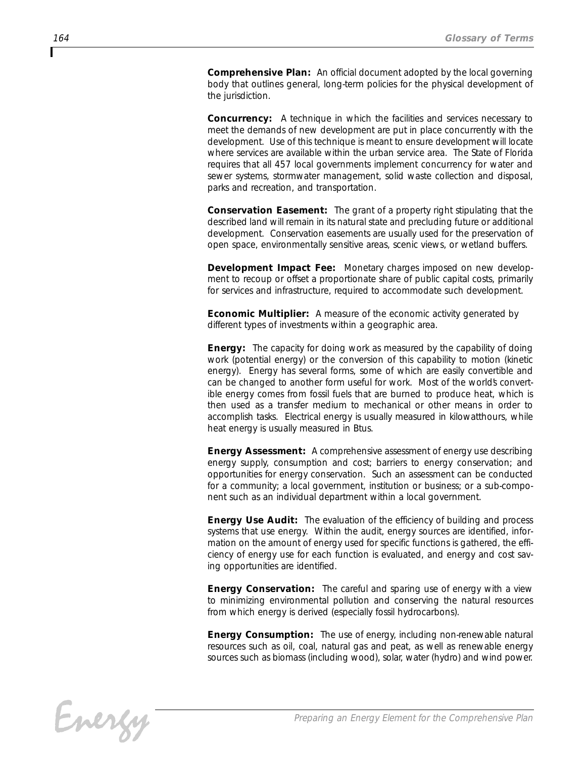*Comprehensive Plan: An official document adopted by the local governing body that outlines general, long-term policies for the physical development of the jurisdiction.*

*Concurrency: A technique in which the facilities and services necessary to meet the demands of new development are put in place concurrently with the development. Use of this technique is meant to ensure development will locate where services are available within the urban service area. The State of Florida requires that all 457 local governments implement concurrency for water and sewer systems, stormwater management, solid waste collection and disposal, parks and recreation, and transportation.* 

*Conservation Easement: The grant of a property right stipulating that the described land will remain in its natural state and precluding future or additional development. Conservation easements are usually used for the preservation of open space, environmentally sensitive areas, scenic views, or wetland buffers.*

*Development Impact Fee: Monetary charges imposed on new development to recoup or offset a proportionate share of public capital costs, primarily for services and infrastructure, required to accommodate such development.*

*Economic Multiplier: A measure of the economic activity generated by different types of investments within a geographic area.*

*Energy: The capacity for doing work as measured by the capability of doing work (potential energy) or the conversion of this capability to motion (kinetic energy). Energy has several forms, some of which are easily convertible and can be changed to another form useful for work. Most of the world's convertible energy comes from fossil fuels that are burned to produce heat, which is then used as a transfer medium to mechanical or other means in order to accomplish tasks. Electrical energy is usually measured in kilowatthours, while heat energy is usually measured in Btus.*

*Energy Assessment: A comprehensive assessment of energy use describing energy supply, consumption and cost; barriers to energy conservation; and opportunities for energy conservation. Such an assessment can be conducted for a community; a local government, institution or business; or a sub-component such as an individual department within a local government.*

*Energy Use Audit: The evaluation of the efficiency of building and process systems that use energy. Within the audit, energy sources are identified, information on the amount of energy used for specific functions is gathered, the efficiency of energy use for each function is evaluated, and energy and cost saving opportunities are identified.*

*Energy Conservation: The careful and sparing use of energy with a view to minimizing environmental pollution and conserving the natural resources from which energy is derived (especially fossil hydrocarbons).*

*Energy Consumption: The use of energy, including non-renewable natural resources such as oil, coal, natural gas and peat, as well as renewable energy sources such as biomass (including wood), solar, water (hydro) and wind power.*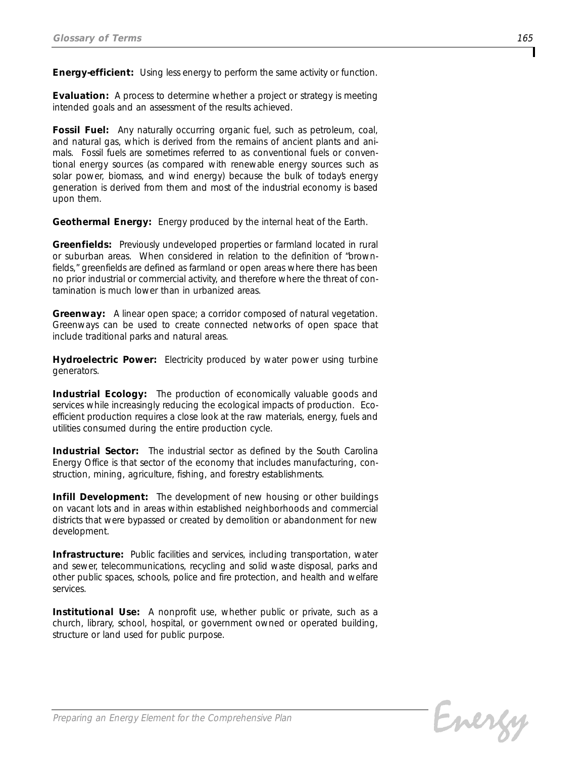*Energy-efficient: Using less energy to perform the same activity or function.*

*Evaluation: A process to determine whether a project or strategy is meeting intended goals and an assessment of the results achieved.* 

*Fossil Fuel: Any naturally occurring organic fuel, such as petroleum, coal, and natural gas, which is derived from the remains of ancient plants and animals. Fossil fuels are sometimes referred to as conventional fuels or conventional energy sources (as compared with renewable energy sources such as solar power, biomass, and wind energy) because the bulk of today's energy generation is derived from them and most of the industrial economy is based upon them.* 

*Geothermal Energy: Energy produced by the internal heat of the Earth.*

*Greenfields: Previously undeveloped properties or farmland located in rural or suburban areas. When considered in relation to the definition of "brownfields," greenfields are defined as farmland or open areas where there has been no prior industrial or commercial activity, and therefore where the threat of contamination is much lower than in urbanized areas.* 

*Greenway: A linear open space; a corridor composed of natural vegetation. Greenways can be used to create connected networks of open space that include traditional parks and natural areas.* 

*Hydroelectric Power: Electricity produced by water power using turbine generators.*

*Industrial Ecology: The production of economically valuable goods and services while increasingly reducing the ecological impacts of production. Ecoefficient production requires a close look at the raw materials, energy, fuels and utilities consumed during the entire production cycle.*

*Industrial Sector: The industrial sector as defined by the South Carolina Energy Office is that sector of the economy that includes manufacturing, construction, mining, agriculture, fishing, and forestry establishments.*

*Infill Development: The development of new housing or other buildings on vacant lots and in areas within established neighborhoods and commercial districts that were bypassed or created by demolition or abandonment for new development.*

*Infrastructure: Public facilities and services, including transportation, water and sewer, telecommunications, recycling and solid waste disposal, parks and other public spaces, schools, police and fire protection, and health and welfare services.*

*Institutional Use: A nonprofit use, whether public or private, such as a church, library, school, hospital, or government owned or operated building, structure or land used for public purpose.*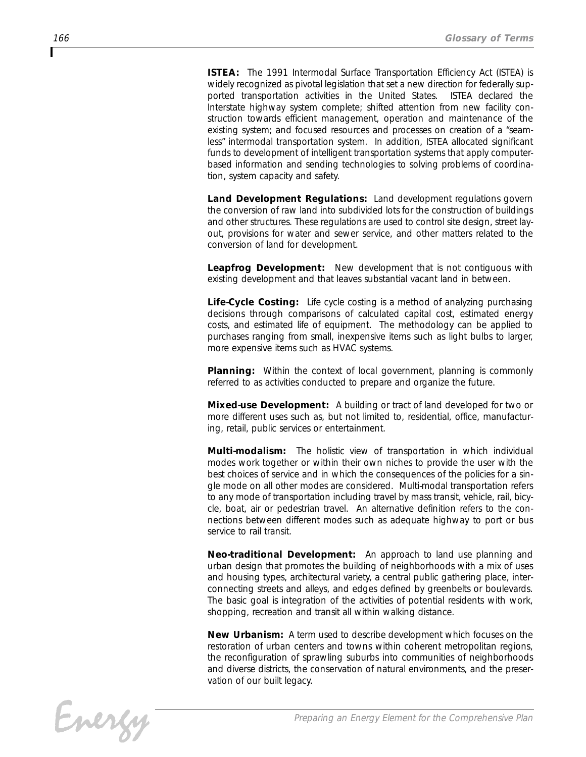*ISTEA: The 1991 Intermodal Surface Transportation Efficiency Act (ISTEA) is widely recognized as pivotal legislation that set a new direction for federally supported transportation activities in the United States. ISTEA declared the Interstate highway system complete; shifted attention from new facility construction towards efficient management, operation and maintenance of the existing system; and focused resources and processes on creation of a "seamless" intermodal transportation system. In addition, ISTEA allocated significant funds to development of intelligent transportation systems that apply computerbased information and sending technologies to solving problems of coordination, system capacity and safety.* 

*Land Development Regulations: Land development regulations govern the conversion of raw land into subdivided lots for the construction of buildings and other structures. These regulations are used to control site design, street layout, provisions for water and sewer service, and other matters related to the conversion of land for development.*

*Leapfrog Development: New development that is not contiguous with existing development and that leaves substantial vacant land in between.* 

*Life-Cycle Costing: Life cycle costing is a method of analyzing purchasing decisions through comparisons of calculated capital cost, estimated energy costs, and estimated life of equipment. The methodology can be applied to purchases ranging from small, inexpensive items such as light bulbs to larger, more expensive items such as HVAC systems.*

*Planning: Within the context of local government, planning is commonly referred to as activities conducted to prepare and organize the future.* 

*Mixed-use Development: A building or tract of land developed for two or more different uses such as, but not limited to, residential, office, manufacturing, retail, public services or entertainment.* 

*Multi-modalism: The holistic view of transportation in which individual modes work together or within their own niches to provide the user with the best choices of service and in which the consequences of the policies for a single mode on all other modes are considered. Multi-modal transportation refers to any mode of transportation including travel by mass transit, vehicle, rail, bicycle, boat, air or pedestrian travel. An alternative definition refers to the connections between different modes such as adequate highway to port or bus service to rail transit.*

*Neo-traditional Development: An approach to land use planning and urban design that promotes the building of neighborhoods with a mix of uses and housing types, architectural variety, a central public gathering place, interconnecting streets and alleys, and edges defined by greenbelts or boulevards. The basic goal is integration of the activities of potential residents with work, shopping, recreation and transit all within walking distance.* 

*New Urbanism: A term used to describe development which focuses on the restoration of urban centers and towns within coherent metropolitan regions, the reconfiguration of sprawling suburbs into communities of neighborhoods and diverse districts, the conservation of natural environments, and the preservation of our built legacy.*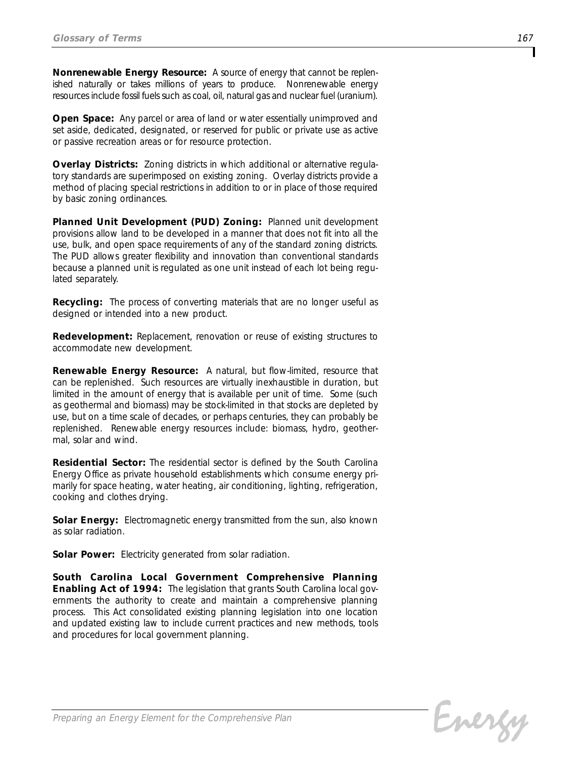*Nonrenewable Energy Resource: A source of energy that cannot be replenished naturally or takes millions of years to produce. Nonrenewable energy* resources include fossil fuels such as coal, oil, natural gas and nuclear fuel (uranium).

*Open Space: Any parcel or area of land or water essentially unimproved and set aside, dedicated, designated, or reserved for public or private use as active or passive recreation areas or for resource protection.* 

*Overlay Districts: Zoning districts in which additional or alternative regulatory standards are superimposed on existing zoning. Overlay districts provide a method of placing special restrictions in addition to or in place of those required by basic zoning ordinances.* 

*Planned Unit Development (PUD) Zoning: Planned unit development provisions allow land to be developed in a manner that does not fit into all the use, bulk, and open space requirements of any of the standard zoning districts. The PUD allows greater flexibility and innovation than conventional standards because a planned unit is regulated as one unit instead of each lot being regulated separately.*

*Recycling: The process of converting materials that are no longer useful as designed or intended into a new product.*

*Redevelopment: Replacement, renovation or reuse of existing structures to accommodate new development.* 

*Renewable Energy Resource: A natural, but flow-limited, resource that can be replenished. Such resources are virtually inexhaustible in duration, but limited in the amount of energy that is available per unit of time. Some (such as geothermal and biomass) may be stock-limited in that stocks are depleted by use, but on a time scale of decades, or perhaps centuries, they can probably be replenished. Renewable energy resources include: biomass, hydro, geothermal, solar and wind.*

*Residential Sector: The residential sector is defined by the South Carolina Energy Office as private household establishments which consume energy primarily for space heating, water heating, air conditioning, lighting, refrigeration, cooking and clothes drying.*

*Solar Energy: Electromagnetic energy transmitted from the sun, also known as solar radiation.*

*Solar Power: Electricity generated from solar radiation.*

*South Carolina Local Government Comprehensive Planning Enabling Act of 1994: The legislation that grants South Carolina local governments the authority to create and maintain a comprehensive planning process. This Act consolidated existing planning legislation into one location and updated existing law to include current practices and new methods, tools and procedures for local government planning.*

Energy

*Preparing an Energy Element for the Comprehensive Plan*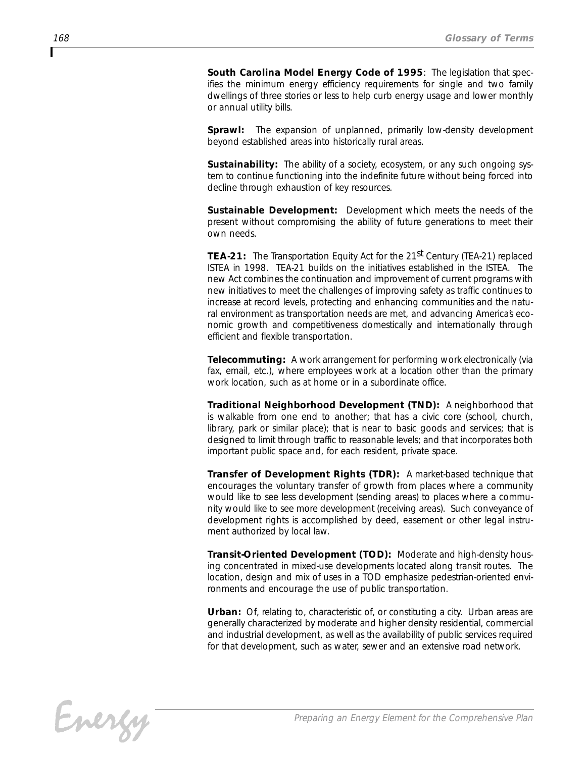*South Carolina Model Energy Code of 1995: The legislation that specifies the minimum energy efficiency requirements for single and two family dwellings of three stories or less to help curb energy usage and lower monthly or annual utility bills.*

*Sprawl: The expansion of unplanned, primarily low-density development beyond established areas into historically rural areas.* 

*Sustainability: The ability of a society, ecosystem, or any such ongoing system to continue functioning into the indefinite future without being forced into decline through exhaustion of key resources.* 

*Sustainable Development: Development which meets the needs of the present without compromising the ability of future generations to meet their own needs.* 

*TEA-21: The Transportation Equity Act for the 21st Century (TEA-21) replaced ISTEA in 1998. TEA-21 builds on the initiatives established in the ISTEA. The new Act combines the continuation and improvement of current programs with new initiatives to meet the challenges of improving safety as traffic continues to increase at record levels, protecting and enhancing communities and the natu*ral environment as transportation needs are met, and advancing America's eco*nomic growth and competitiveness domestically and internationally through efficient and flexible transportation.*

*Telecommuting: A work arrangement for performing work electronically (via fax, email, etc.), where employees work at a location other than the primary work location, such as at home or in a subordinate office.*

*Traditional Neighborhood Development (TND): A neighborhood that is walkable from one end to another; that has a civic core (school, church, library, park or similar place); that is near to basic goods and services; that is designed to limit through traffic to reasonable levels; and that incorporates both important public space and, for each resident, private space.* 

*Transfer of Development Rights (TDR): A market-based technique that encourages the voluntary transfer of growth from places where a community would like to see less development (sending areas) to places where a community would like to see more development (receiving areas). Such conveyance of development rights is accomplished by deed, easement or other legal instrument authorized by local law.* 

*Transit-Oriented Development (TOD): Moderate and high-density housing concentrated in mixed-use developments located along transit routes. The location, design and mix of uses in a TOD emphasize pedestrian-oriented environments and encourage the use of public transportation.* 

*Urban: Of, relating to, characteristic of, or constituting a city. Urban areas are generally characterized by moderate and higher density residential, commercial and industrial development, as well as the availability of public services required* for that development, such as water, sewer and an extensive road network.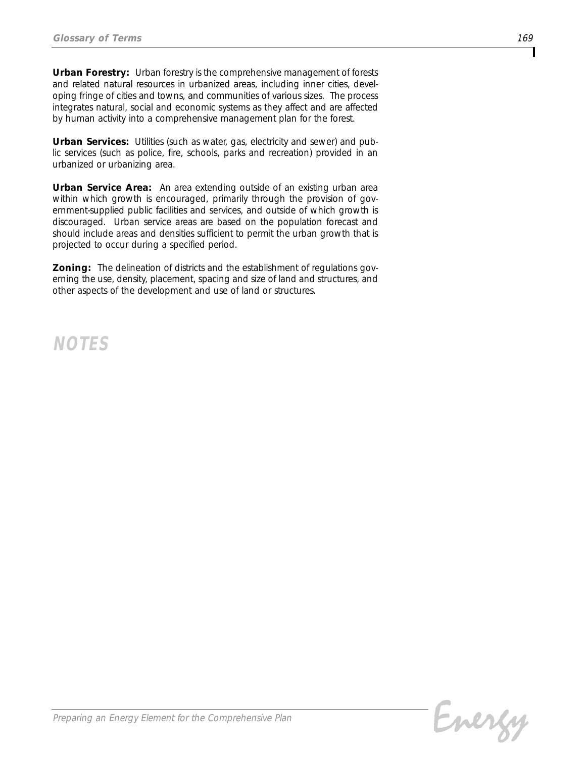*Urban Forestry: Urban forestry is the comprehensive management of forests and related natural resources in urbanized areas, including inner cities, developing fringe of cities and towns, and communities of various sizes. The process integrates natural, social and economic systems as they affect and are affected by human activity into a comprehensive management plan for the forest.*

*Urban Services: Utilities (such as water, gas, electricity and sewer) and public services (such as police, fire, schools, parks and recreation) provided in an urbanized or urbanizing area.*

*Urban Service Area: An area extending outside of an existing urban area within which growth is encouraged, primarily through the provision of government-supplied public facilities and services, and outside of which growth is discouraged. Urban service areas are based on the population forecast and should include areas and densities sufficient to permit the urban growth that is projected to occur during a specified period.*

*Zoning: The delineation of districts and the establishment of regulations governing the use, density, placement, spacing and size of land and structures, and other aspects of the development and use of land or structures.*

*NOTES*

Energy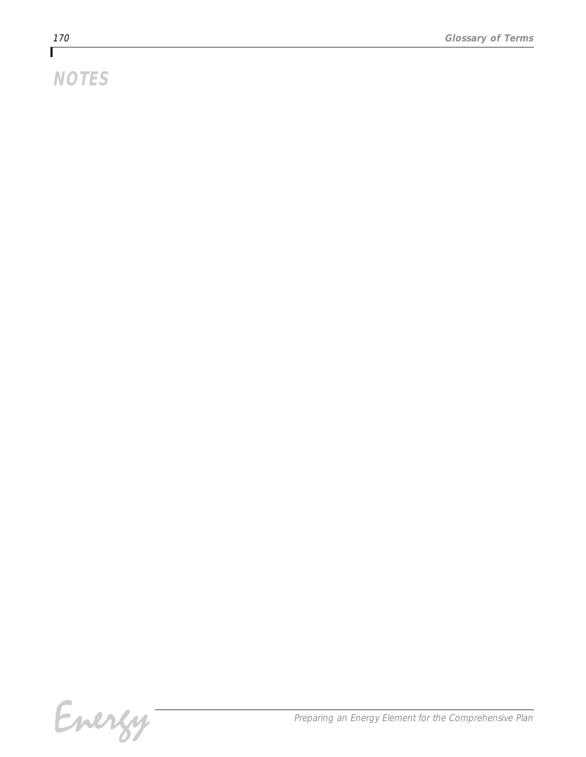# *NOTES*

Energy-

*Preparing an Energy Element for the Comprehensive Plan*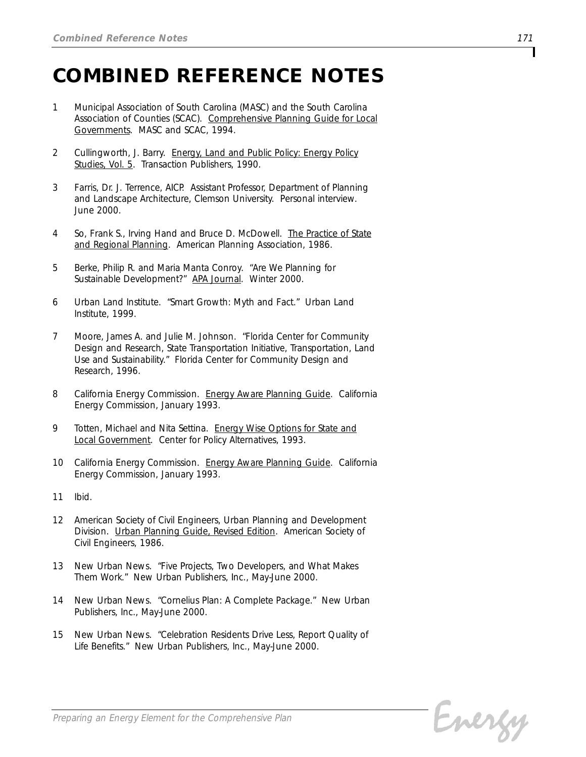# *COMBINED REFERENCE NOTES*

- *1 Municipal Association of South Carolina (MASC) and the South Carolina Association of Counties (SCAC). Comprehensive Planning Guide for Local Governments. MASC and SCAC, 1994.*
- *2 Cullingworth, J. Barry. Energy, Land and Public Policy: Energy Policy Studies, Vol. 5. Transaction Publishers, 1990.*
- *3 Farris, Dr. J. Terrence, AICP. Assistant Professor, Department of Planning and Landscape Architecture, Clemson University. Personal interview. June 2000.*
- *4 So, Frank S., Irving Hand and Bruce D. McDowell. The Practice of State and Regional Planning. American Planning Association, 1986.*
- *5 Berke, Philip R. and Maria Manta Conroy. "Are We Planning for Sustainable Development?" APA Journal. Winter 2000.*
- *6 Urban Land Institute. "Smart Growth: Myth and Fact." Urban Land Institute, 1999.*
- *7 Moore, James A. and Julie M. Johnson. "Florida Center for Community Design and Research, State Transportation Initiative, Transportation, Land Use and Sustainability." Florida Center for Community Design and Research, 1996.*
- *8 California Energy Commission. Energy Aware Planning Guide. California Energy Commission, January 1993.*
- *9 Totten, Michael and Nita Settina. Energy Wise Options for State and Local Government. Center for Policy Alternatives, 1993.*
- *10 California Energy Commission. Energy Aware Planning Guide. California Energy Commission, January 1993.*
- *11 Ibid.*
- *12 American Society of Civil Engineers, Urban Planning and Development Division. Urban Planning Guide, Revised Edition. American Society of Civil Engineers, 1986.*
- *13 New Urban News. "Five Projects, Two Developers, and What Makes Them Work." New Urban Publishers, Inc., May-June 2000.*
- *14 New Urban News. "Cornelius Plan: A Complete Package." New Urban Publishers, Inc., May-June 2000.*
- *15 New Urban News. "Celebration Residents Drive Less, Report Quality of Life Benefits." New Urban Publishers, Inc., May-June 2000.*

Energy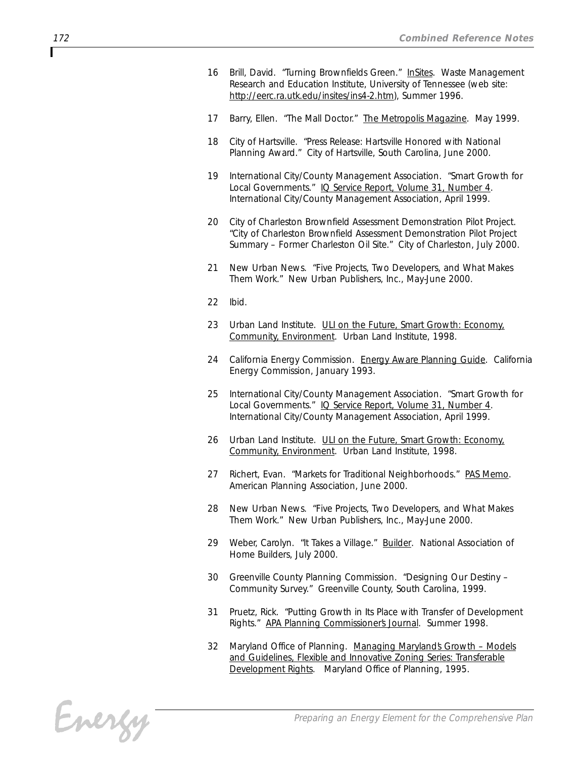- *16 Brill, David. "Turning Brownfields Green." InSites. Waste Management Research and Education Institute, University of Tennessee (web site: http://eerc.ra.utk.edu/insites/ins4-2.htm), Summer 1996.*
- *17 Barry, Ellen. "The Mall Doctor." The Metropolis Magazine. May 1999.*
- *18 City of Hartsville. "Press Release: Hartsville Honored with National Planning Award." City of Hartsville, South Carolina, June 2000.*
- *19 International City/County Management Association. "Smart Growth for Local Governments." IQ Service Report, Volume 31, Number 4. International City/County Management Association, April 1999.*
- *20 City of Charleston Brownfield Assessment Demonstration Pilot Project. "City of Charleston Brownfield Assessment Demonstration Pilot Project Summary – Former Charleston Oil Site." City of Charleston, July 2000.*
- *21 New Urban News. "Five Projects, Two Developers, and What Makes Them Work." New Urban Publishers, Inc., May-June 2000.*
- *22 Ibid.*
- *23 Urban Land Institute. ULI on the Future, Smart Growth: Economy, Community, Environment. Urban Land Institute, 1998.*
- *24 California Energy Commission. Energy Aware Planning Guide. California Energy Commission, January 1993.*
- *25 International City/County Management Association. "Smart Growth for Local Governments." IQ Service Report, Volume 31, Number 4. International City/County Management Association, April 1999.*
- *26 Urban Land Institute. ULI on the Future, Smart Growth: Economy, Community, Environment. Urban Land Institute, 1998.*
- *27 Richert, Evan. "Markets for Traditional Neighborhoods." PAS Memo. American Planning Association, June 2000.*
- *28 New Urban News. "Five Projects, Two Developers, and What Makes Them Work." New Urban Publishers, Inc., May-June 2000.*
- *29 Weber, Carolyn. "It Takes a Village." Builder. National Association of Home Builders, July 2000.*
- *30 Greenville County Planning Commission. "Designing Our Destiny – Community Survey." Greenville County, South Carolina, 1999.*
- *31 Pruetz, Rick. "Putting Growth in Its Place with Transfer of Development Rights." APA Planning Commissioner's Journal. Summer 1998.*
- *32 Maryland Office of Planning. Managing Maryland's Growth Models and Guidelines, Flexible and Innovative Zoning Series: Transferable Development Rights. Maryland Office of Planning, 1995.*

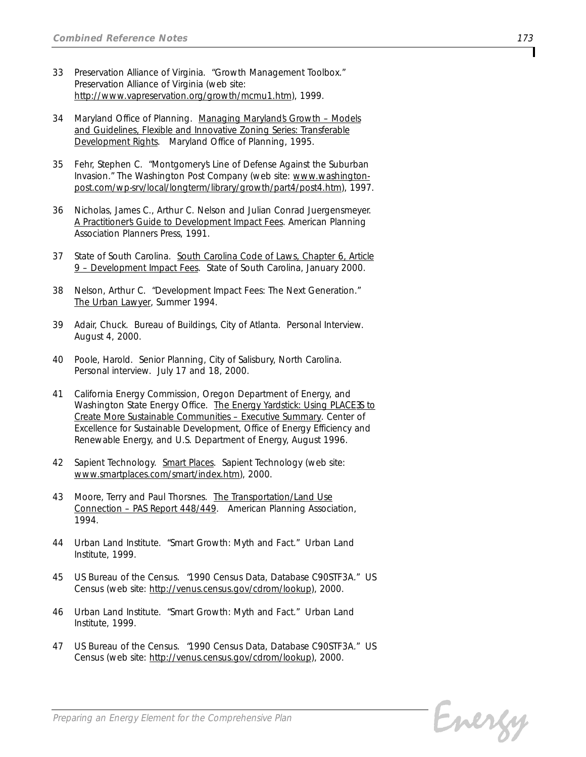- *33 Preservation Alliance of Virginia. "Growth Management Toolbox." Preservation Alliance of Virginia (web site: http://www.vapreservation.org/growth/mcmu1.htm), 1999.*
- *34 Maryland Office of Planning. Managing Maryland's Growth Models and Guidelines, Flexible and Innovative Zoning Series: Transferable Development Rights. Maryland Office of Planning, 1995.*
- *35 Fehr, Stephen C. "Montgomery's Line of Defense Against the Suburban Invasion." The Washington Post Company (web site: www.washingtonpost.com/wp-srv/local/longterm/library/growth/part4/post4.htm), 1997.*
- *36 Nicholas, James C., Arthur C. Nelson and Julian Conrad Juergensmeyer. A Practitioner's Guide to Development Impact Fees. American Planning Association Planners Press, 1991.*
- *37 State of South Carolina. South Carolina Code of Laws, Chapter 6, Article 9 – Development Impact Fees. State of South Carolina, January 2000.*
- *38 Nelson, Arthur C. "Development Impact Fees: The Next Generation." The Urban Lawyer, Summer 1994.*
- *39 Adair, Chuck. Bureau of Buildings, City of Atlanta. Personal Interview. August 4, 2000.*
- *40 Poole, Harold. Senior Planning, City of Salisbury, North Carolina. Personal interview. July 17 and 18, 2000.*
- *41 California Energy Commission, Oregon Department of Energy, and* Washington State Energy Office. The Energy Yardstick: Using PLACE 35 to *Create More Sustainable Communities – Executive Summary. Center of Excellence for Sustainable Development, Office of Energy Efficiency and Renewable Energy, and U.S. Department of Energy, August 1996.*
- *42 Sapient Technology. Smart Places. Sapient Technology (web site: www.smartplaces.com/smart/index.htm), 2000.*
- *43 Moore, Terry and Paul Thorsnes. The Transportation/Land Use Connection – PAS Report 448/449. American Planning Association, 1994.*
- *44 Urban Land Institute. "Smart Growth: Myth and Fact." Urban Land Institute, 1999.*
- *45 US Bureau of the Census. "1990 Census Data, Database C90STF3A." US Census (web site: http://venus.census.gov/cdrom/lookup), 2000.*
- *46 Urban Land Institute. "Smart Growth: Myth and Fact." Urban Land Institute, 1999.*
- *47 US Bureau of the Census. "1990 Census Data, Database C90STF3A." US Census (web site: http://venus.census.gov/cdrom/lookup), 2000.*

Energy

*Preparing an Energy Element for the Comprehensive Plan*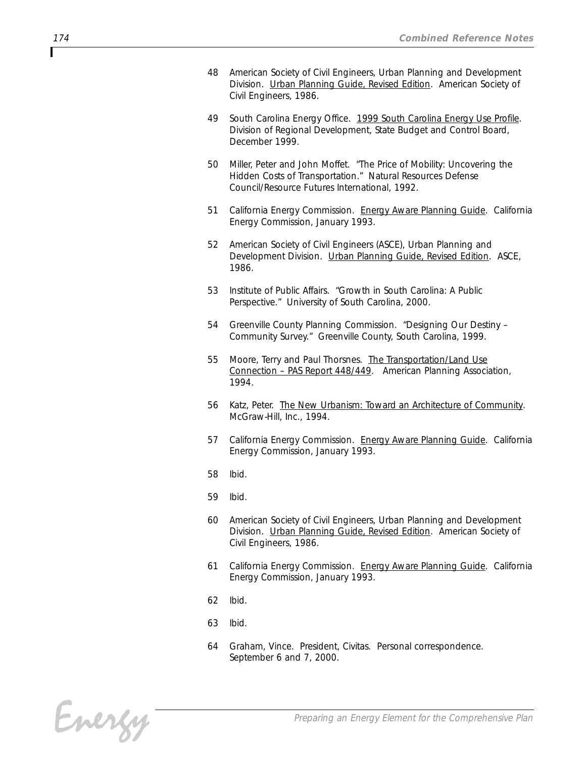- *48 American Society of Civil Engineers, Urban Planning and Development Division. Urban Planning Guide, Revised Edition. American Society of Civil Engineers, 1986.*
- *49 South Carolina Energy Office. 1999 South Carolina Energy Use Profile. Division of Regional Development, State Budget and Control Board, December 1999.*
- *50 Miller, Peter and John Moffet. "The Price of Mobility: Uncovering the Hidden Costs of Transportation." Natural Resources Defense Council/Resource Futures International, 1992.*
- *51 California Energy Commission. Energy Aware Planning Guide. California Energy Commission, January 1993.*
- *52 American Society of Civil Engineers (ASCE), Urban Planning and Development Division. Urban Planning Guide, Revised Edition. ASCE, 1986.*
- *53 Institute of Public Affairs. "Growth in South Carolina: A Public Perspective." University of South Carolina, 2000.*
- *54 Greenville County Planning Commission. "Designing Our Destiny – Community Survey." Greenville County, South Carolina, 1999.*
- *55 Moore, Terry and Paul Thorsnes. The Transportation/Land Use Connection – PAS Report 448/449. American Planning Association, 1994.*
- *56 Katz, Peter. The New Urbanism: Toward an Architecture of Community. McGraw-Hill, Inc., 1994.*
- *57 California Energy Commission. Energy Aware Planning Guide. California Energy Commission, January 1993.*
- *58 Ibid.*
- *59 Ibid.*
- *60 American Society of Civil Engineers, Urban Planning and Development Division. Urban Planning Guide, Revised Edition. American Society of Civil Engineers, 1986.*
- *61 California Energy Commission. Energy Aware Planning Guide. California Energy Commission, January 1993.*
- *62 Ibid.*
- *63 Ibid.*
- *64 Graham, Vince. President, Civitas. Personal correspondence. September 6 and 7, 2000.*

Energy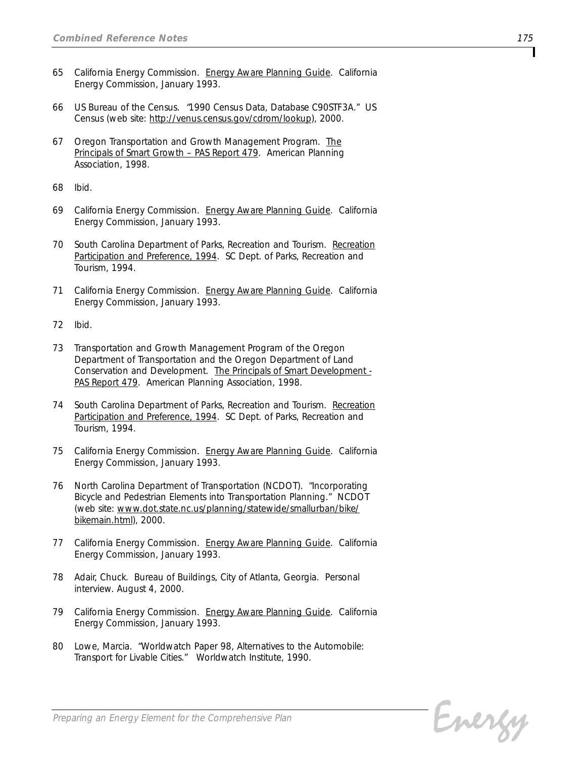- *65 California Energy Commission. Energy Aware Planning Guide. California Energy Commission, January 1993.*
- *66 US Bureau of the Census. "1990 Census Data, Database C90STF3A." US Census (web site: http://venus.census.gov/cdrom/lookup), 2000.*
- *67 Oregon Transportation and Growth Management Program. The Principals of Smart Growth – PAS Report 479. American Planning Association, 1998.*
- *68 Ibid.*
- *69 California Energy Commission. Energy Aware Planning Guide. California Energy Commission, January 1993.*
- *70 South Carolina Department of Parks, Recreation and Tourism. Recreation Participation and Preference, 1994. SC Dept. of Parks, Recreation and Tourism, 1994.*
- *71 California Energy Commission. Energy Aware Planning Guide. California Energy Commission, January 1993.*
- *72 Ibid.*
- *73 Transportation and Growth Management Program of the Oregon Department of Transportation and the Oregon Department of Land Conservation and Development. The Principals of Smart Development - PAS Report 479. American Planning Association, 1998.*
- *74 South Carolina Department of Parks, Recreation and Tourism. Recreation Participation and Preference, 1994. SC Dept. of Parks, Recreation and Tourism, 1994.*
- *75 California Energy Commission. Energy Aware Planning Guide. California Energy Commission, January 1993.*
- *76 North Carolina Department of Transportation (NCDOT). "Incorporating Bicycle and Pedestrian Elements into Transportation Planning." NCDOT (web site: www.dot.state.nc.us/planning/statewide/smallurban/bike/ bikemain.html), 2000.*
- *77 California Energy Commission. Energy Aware Planning Guide. California Energy Commission, January 1993.*
- *78 Adair, Chuck. Bureau of Buildings, City of Atlanta, Georgia. Personal interview. August 4, 2000.*
- *79 California Energy Commission. Energy Aware Planning Guide. California Energy Commission, January 1993.*
- *80 Lowe, Marcia. "Worldwatch Paper 98, Alternatives to the Automobile: Transport for Livable Cities." Worldwatch Institute, 1990.*

Energy

*Preparing an Energy Element for the Comprehensive Plan*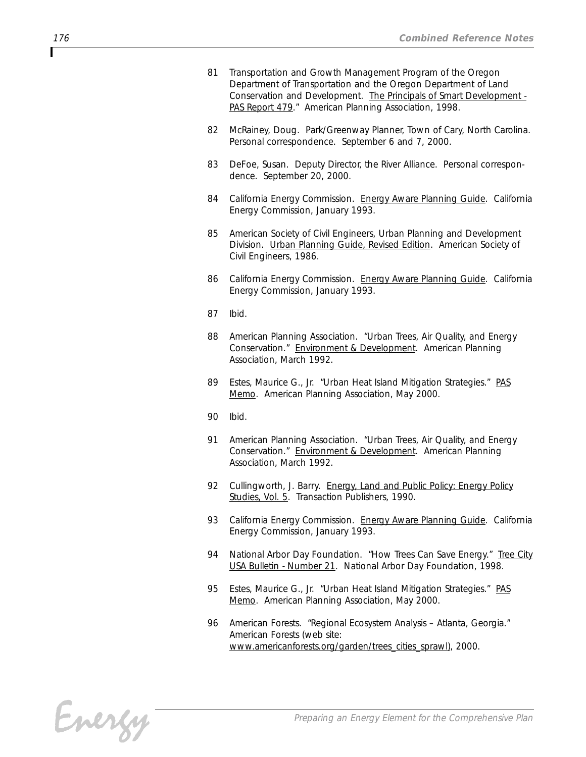- *81 Transportation and Growth Management Program of the Oregon Department of Transportation and the Oregon Department of Land Conservation and Development. The Principals of Smart Development - PAS Report 479." American Planning Association, 1998.*
- *82 McRainey, Doug. Park/Greenway Planner, Town of Cary, North Carolina. Personal correspondence. September 6 and 7, 2000.*
- *83 DeFoe, Susan. Deputy Director, the River Alliance. Personal correspondence. September 20, 2000.*
- *84 California Energy Commission. Energy Aware Planning Guide. California Energy Commission, January 1993.*
- *85 American Society of Civil Engineers, Urban Planning and Development Division. Urban Planning Guide, Revised Edition. American Society of Civil Engineers, 1986.*
- *86 California Energy Commission. Energy Aware Planning Guide. California Energy Commission, January 1993.*
- *87 Ibid.*
- *88 American Planning Association. "Urban Trees, Air Quality, and Energy Conservation." Environment & Development. American Planning Association, March 1992.*
- *89 Estes, Maurice G., Jr. "Urban Heat Island Mitigation Strategies." PAS Memo. American Planning Association, May 2000.*
- *90 Ibid.*
- *91 American Planning Association. "Urban Trees, Air Quality, and Energy Conservation." Environment & Development. American Planning Association, March 1992.*
- *92 Cullingworth, J. Barry. Energy, Land and Public Policy: Energy Policy Studies, Vol. 5. Transaction Publishers, 1990.*
- *93 California Energy Commission. Energy Aware Planning Guide. California Energy Commission, January 1993.*
- *94 National Arbor Day Foundation. "How Trees Can Save Energy." Tree City USA Bulletin - Number 21. National Arbor Day Foundation, 1998.*
- *95 Estes, Maurice G., Jr. "Urban Heat Island Mitigation Strategies." PAS Memo. American Planning Association, May 2000.*
- *96 American Forests. "Regional Ecosystem Analysis Atlanta, Georgia." American Forests (web site: www.americanforests.org/garden/trees\_cities\_sprawl), 2000.*

Energy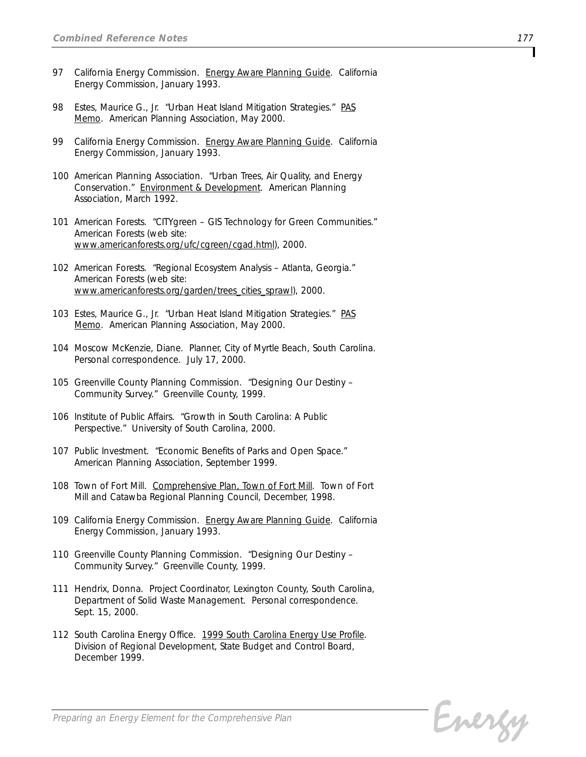- *97 California Energy Commission. Energy Aware Planning Guide. California Energy Commission, January 1993.*
- *98 Estes, Maurice G., Jr. "Urban Heat Island Mitigation Strategies." PAS Memo. American Planning Association, May 2000.*
- *99 California Energy Commission. Energy Aware Planning Guide. California Energy Commission, January 1993.*
- *100 American Planning Association. "Urban Trees, Air Quality, and Energy Conservation." Environment & Development. American Planning Association, March 1992.*
- *101 American Forests. "CITYgreen GIS Technology for Green Communities." American Forests (web site: www.americanforests.org/ufc/cgreen/cgad.html), 2000.*
- *102 American Forests. "Regional Ecosystem Analysis Atlanta, Georgia." American Forests (web site: www.americanforests.org/garden/trees\_cities\_sprawl), 2000.*
- *103 Estes, Maurice G., Jr. "Urban Heat Island Mitigation Strategies." PAS Memo. American Planning Association, May 2000.*
- *104 Moscow McKenzie, Diane. Planner, City of Myrtle Beach, South Carolina. Personal correspondence. July 17, 2000.*
- *105 Greenville County Planning Commission. "Designing Our Destiny – Community Survey." Greenville County, 1999.*
- *106 Institute of Public Affairs. "Growth in South Carolina: A Public Perspective." University of South Carolina, 2000.*
- *107 Public Investment. "Economic Benefits of Parks and Open Space." American Planning Association, September 1999.*
- *108 Town of Fort Mill. Comprehensive Plan, Town of Fort Mill. Town of Fort Mill and Catawba Regional Planning Council, December, 1998.*
- *109 California Energy Commission. Energy Aware Planning Guide. California Energy Commission, January 1993.*
- *110 Greenville County Planning Commission. "Designing Our Destiny – Community Survey." Greenville County, 1999.*
- *111 Hendrix, Donna. Project Coordinator, Lexington County, South Carolina, Department of Solid Waste Management. Personal correspondence. Sept. 15, 2000.*
- *112 South Carolina Energy Office. 1999 South Carolina Energy Use Profile. Division of Regional Development, State Budget and Control Board, December 1999.*

Energy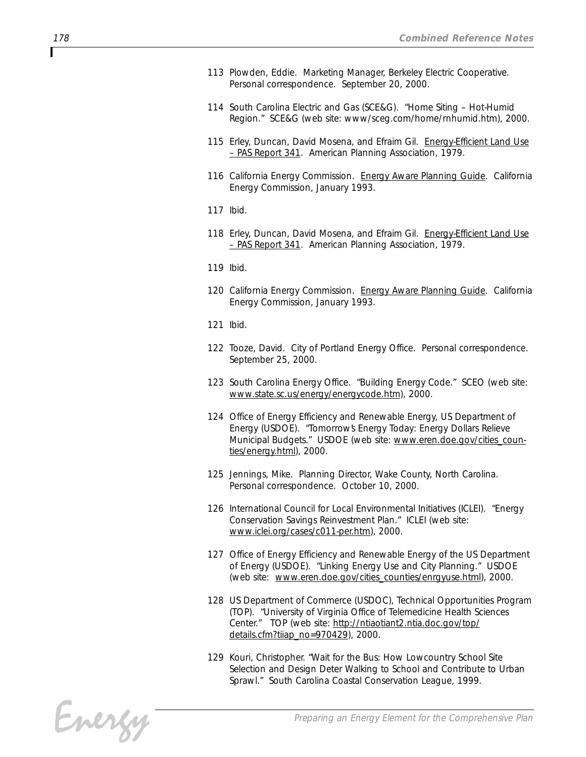- *113 Plowden, Eddie. Marketing Manager, Berkeley Electric Cooperative. Personal correspondence. September 20, 2000.*
- *114 South Carolina Electric and Gas (SCE&G). "Home Siting Hot-Humid Region." SCE&G (web site: www/sceg.com/home/rnhumid.htm), 2000.*
- *115 Erley, Duncan, David Mosena, and Efraim Gil. Energy-Efficient Land Use – PAS Report 341. American Planning Association, 1979.*
- *116 California Energy Commission. Energy Aware Planning Guide. California Energy Commission, January 1993.*
- *117 Ibid.*
- *118 Erley, Duncan, David Mosena, and Efraim Gil. Energy-Efficient Land Use – PAS Report 341. American Planning Association, 1979.*
- *119 Ibid.*
- *120 California Energy Commission. Energy Aware Planning Guide. California Energy Commission, January 1993.*
- *121 Ibid.*
- *122 Tooze, David. City of Portland Energy Office. Personal correspondence. September 25, 2000.*
- *123 South Carolina Energy Office. "Building Energy Code." SCEO (web site: www.state.sc.us/energy/energycode.htm), 2000.*
- *124 Office of Energy Efficiency and Renewable Energy, US Department of Energy (USDOE). "Tomorrow's Energy Today: Energy Dollars Relieve Municipal Budgets." USDOE (web site: www.eren.doe.gov/cities\_counties/energy.html), 2000.*
- *125 Jennings, Mike. Planning Director, Wake County, North Carolina. Personal correspondence. October 10, 2000.*
- *126 International Council for Local Environmental Initiatives (ICLEI). "Energy Conservation Savings Reinvestment Plan." ICLEI (web site: www.iclei.org/cases/c011-per.htm), 2000.*
- *127 Office of Energy Efficiency and Renewable Energy of the US Department of Energy (USDOE). "Linking Energy Use and City Planning." USDOE (web site: www.eren.doe.gov/cities\_counties/enrgyuse.html), 2000.*
- *128 US Department of Commerce (USDOC), Technical Opportunities Program (TOP). "University of Virginia Office of Telemedicine Health Sciences Center." TOP (web site: http://ntiaotiant2.ntia.doc.gov/top/ details.cfm?tiiap\_no=970429), 2000.*
- *129 Kouri, Christopher. "Wait for the Bus: How Lowcountry School Site Selection and Design Deter Walking to School and Contribute to Urban Sprawl." South Carolina Coastal Conservation League, 1999.*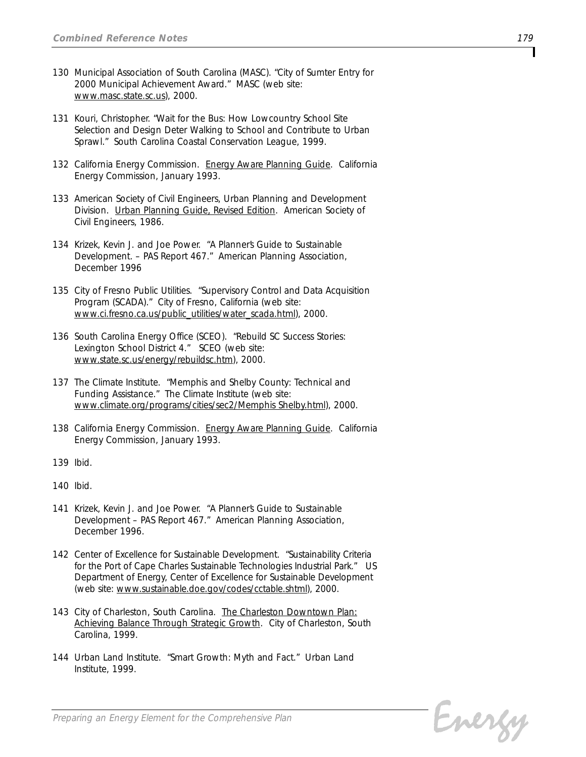- *130 Municipal Association of South Carolina (MASC). "City of Sumter Entry for 2000 Municipal Achievement Award." MASC (web site: www.masc.state.sc.us), 2000.*
- *131 Kouri, Christopher. "Wait for the Bus: How Lowcountry School Site Selection and Design Deter Walking to School and Contribute to Urban Sprawl." South Carolina Coastal Conservation League, 1999.*
- *132 California Energy Commission. Energy Aware Planning Guide. California Energy Commission, January 1993.*
- *133 American Society of Civil Engineers, Urban Planning and Development Division. Urban Planning Guide, Revised Edition. American Society of Civil Engineers, 1986.*
- *134 Krizek, Kevin J. and Joe Power. "A Planner's Guide to Sustainable Development. – PAS Report 467." American Planning Association, December 1996*
- *135 City of Fresno Public Utilities. "Supervisory Control and Data Acquisition Program (SCADA)." City of Fresno, California (web site: www.ci.fresno.ca.us/public\_utilities/water\_scada.html), 2000.*
- *136 South Carolina Energy Office (SCEO). "Rebuild SC Success Stories: Lexington School District 4." SCEO (web site: www.state.sc.us/energy/rebuildsc.htm), 2000.*
- *137 The Climate Institute. "Memphis and Shelby County: Technical and Funding Assistance." The Climate Institute (web site: www.climate.org/programs/cities/sec2/Memphis Shelby.html), 2000.*
- *138 California Energy Commission. Energy Aware Planning Guide. California Energy Commission, January 1993.*
- *139 Ibid.*
- *140 Ibid.*
- *141 Krizek, Kevin J. and Joe Power. "A Planner's Guide to Sustainable Development – PAS Report 467." American Planning Association, December 1996.*
- *142 Center of Excellence for Sustainable Development. "Sustainability Criteria for the Port of Cape Charles Sustainable Technologies Industrial Park." US Department of Energy, Center of Excellence for Sustainable Development (web site: www.sustainable.doe.gov/codes/cctable.shtml), 2000.*
- *143 City of Charleston, South Carolina. The Charleston Downtown Plan: Achieving Balance Through Strategic Growth. City of Charleston, South Carolina, 1999.*
- *144 Urban Land Institute. "Smart Growth: Myth and Fact." Urban Land Institute, 1999.*

Energy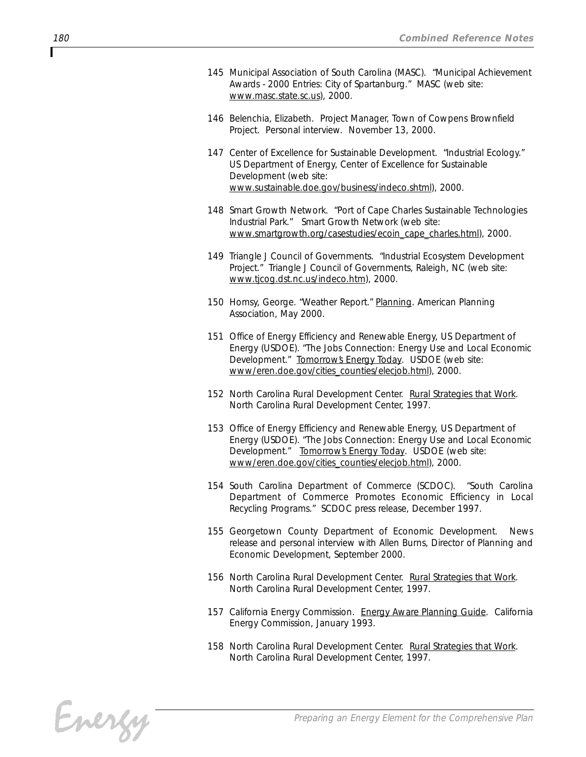- *145 Municipal Association of South Carolina (MASC). "Municipal Achievement Awards - 2000 Entries: City of Spartanburg." MASC (web site: www.masc.state.sc.us), 2000.*
- *146 Belenchia, Elizabeth. Project Manager, Town of Cowpens Brownfield Project. Personal interview. November 13, 2000.*
- *147 Center of Excellence for Sustainable Development. "Industrial Ecology." US Department of Energy, Center of Excellence for Sustainable Development (web site: www.sustainable.doe.gov/business/indeco.shtml), 2000.*
- *148 Smart Growth Network. "Port of Cape Charles Sustainable Technologies Industrial Park." Smart Growth Network (web site: www.smartgrowth.org/casestudies/ecoin\_cape\_charles.html), 2000.*
- *149 Triangle J Council of Governments. "Industrial Ecosystem Development Project." Triangle J Council of Governments, Raleigh, NC (web site: www.tjcog.dst.nc.us/indeco.htm), 2000.*
- *150 Homsy, George. "Weather Report." Planning. American Planning Association, May 2000.*
- *151 Office of Energy Efficiency and Renewable Energy, US Department of Energy (USDOE). "The Jobs Connection: Energy Use and Local Economic Development." Tomorrow's Energy Today. USDOE (web site: www/eren.doe.gov/cities\_counties/elecjob.html), 2000.*
- *152 North Carolina Rural Development Center. Rural Strategies that Work. North Carolina Rural Development Center, 1997.*
- *153 Office of Energy Efficiency and Renewable Energy, US Department of Energy (USDOE). "The Jobs Connection: Energy Use and Local Economic Development." Tomorrow's Energy Today. USDOE (web site: www/eren.doe.gov/cities\_counties/elecjob.html), 2000.*
- *154 South Carolina Department of Commerce (SCDOC). "South Carolina Department of Commerce Promotes Economic Efficiency in Local Recycling Programs." SCDOC press release, December 1997.*
- *155 Georgetown County Department of Economic Development. News release and personal interview with Allen Burns, Director of Planning and Economic Development, September 2000.*
- *156 North Carolina Rural Development Center. Rural Strategies that Work. North Carolina Rural Development Center, 1997.*
- *157 California Energy Commission. Energy Aware Planning Guide. California Energy Commission, January 1993.*
- *158 North Carolina Rural Development Center. Rural Strategies that Work. North Carolina Rural Development Center, 1997.*

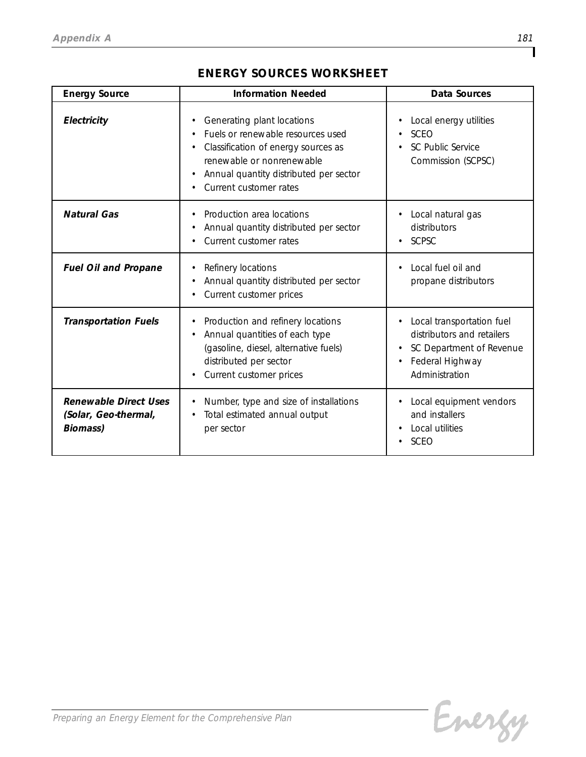## *ENERGY SOURCES WORKSHEET*

| <b>Energy Source</b>                                                    | <b>Information Needed</b>                                                                                                                                                                               | Data Sources                                                                                                             |
|-------------------------------------------------------------------------|---------------------------------------------------------------------------------------------------------------------------------------------------------------------------------------------------------|--------------------------------------------------------------------------------------------------------------------------|
| Electricity                                                             | Generating plant locations<br>Fuels or renewable resources used<br>Classification of energy sources as<br>renewable or nonrenewable<br>Annual quantity distributed per sector<br>Current customer rates | Local energy utilities<br><b>SCEO</b><br>SC Public Service<br>Commission (SCPSC)                                         |
| <b>Natural Gas</b>                                                      | Production area locations<br>Annual quantity distributed per sector<br>Current customer rates                                                                                                           | Local natural gas<br>distributors<br><b>SCPSC</b>                                                                        |
| <b>Fuel Oil and Propane</b>                                             | Refinery locations<br>Annual quantity distributed per sector<br>Current customer prices                                                                                                                 | Local fuel oil and<br>propane distributors                                                                               |
| <b>Transportation Fuels</b>                                             | Production and refinery locations<br>Annual quantities of each type<br>(gasoline, diesel, alternative fuels)<br>distributed per sector<br>Current customer prices                                       | Local transportation fuel<br>distributors and retailers<br>SC Department of Revenue<br>Federal Highway<br>Administration |
| <b>Renewable Direct Uses</b><br>(Solar, Geo-thermal,<br><b>Biomass)</b> | Number, type and size of installations<br>Total estimated annual output<br>per sector                                                                                                                   | Local equipment vendors<br>and installers<br>Local utilities<br><b>SCEO</b>                                              |

٦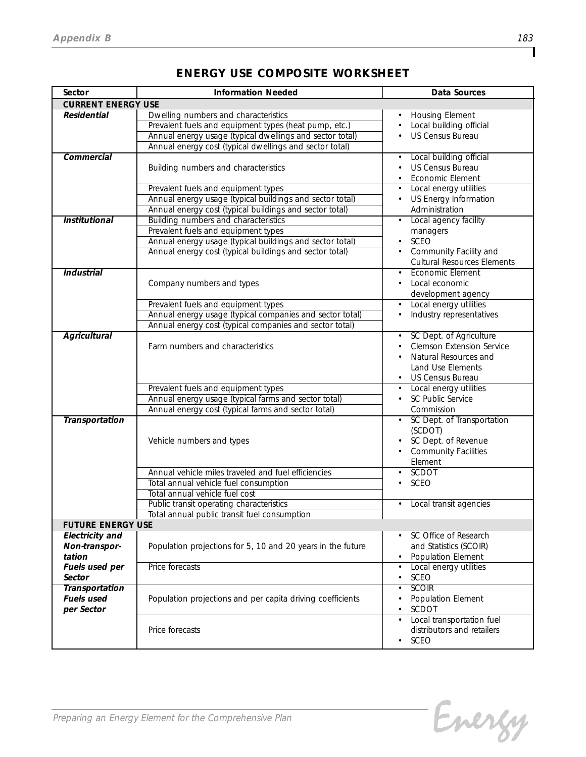| Sector                                                                        | <b>Information Needed</b>                                                                                                                                                                          | <b>Data Sources</b>                                                                                                      |
|-------------------------------------------------------------------------------|----------------------------------------------------------------------------------------------------------------------------------------------------------------------------------------------------|--------------------------------------------------------------------------------------------------------------------------|
| <b>CURRENT ENERGY USE</b>                                                     |                                                                                                                                                                                                    |                                                                                                                          |
| <b>Residential</b>                                                            | Dwelling numbers and characteristics                                                                                                                                                               | <b>Housing Element</b>                                                                                                   |
|                                                                               | Prevalent fuels and equipment types (heat pump, etc.)                                                                                                                                              | Local building official                                                                                                  |
|                                                                               | Annual energy usage (typical dwellings and sector total)                                                                                                                                           | US Census Bureau                                                                                                         |
|                                                                               | Annual energy cost (typical dwellings and sector total)                                                                                                                                            |                                                                                                                          |
| Commercial                                                                    | Building numbers and characteristics                                                                                                                                                               | Local building official<br>US Census Bureau<br>• Economic Element                                                        |
|                                                                               | Prevalent fuels and equipment types<br>Annual energy usage (typical buildings and sector total)<br>Annual energy cost (typical buildings and sector total)                                         | • Local energy utilities<br>US Energy Information<br>Administration                                                      |
| <b>Institutional</b>                                                          | Building numbers and characteristics<br>Prevalent fuels and equipment types<br>Annual energy usage (typical buildings and sector total)<br>Annual energy cost (typical buildings and sector total) | Local agency facility<br>$\bullet$<br>managers<br>SCEO<br>Community Facility and<br><b>Cultural Resources Elements</b>   |
| <b>Industrial</b>                                                             | Company numbers and types                                                                                                                                                                          | <b>Economic Element</b><br>Local economic<br>development agency                                                          |
|                                                                               | Prevalent fuels and equipment types                                                                                                                                                                | • Local energy utilities                                                                                                 |
|                                                                               | Annual energy usage (typical companies and sector total)<br>Annual energy cost (typical companies and sector total)                                                                                | Industry representatives                                                                                                 |
| <b>Agricultural</b>                                                           | Farm numbers and characteristics                                                                                                                                                                   | SC Dept. of Agriculture<br>Clemson Extension Service<br>Natural Resources and<br>Land Use Elements<br>• US Census Bureau |
|                                                                               | Prevalent fuels and equipment types                                                                                                                                                                | Local energy utilities                                                                                                   |
|                                                                               | Annual energy usage (typical farms and sector total)                                                                                                                                               | SC Public Service                                                                                                        |
|                                                                               | Annual energy cost (typical farms and sector total)                                                                                                                                                | Commission                                                                                                               |
| Transportation                                                                | Vehicle numbers and types                                                                                                                                                                          | • SC Dept. of Transportation<br>(SCDOT)<br>SC Dept. of Revenue<br><b>Community Facilities</b><br>Element                 |
|                                                                               | Annual vehicle miles traveled and fuel efficiencies                                                                                                                                                | SCDOT<br>$\bullet$                                                                                                       |
|                                                                               | Total annual vehicle fuel consumption                                                                                                                                                              | <b>SCEO</b>                                                                                                              |
|                                                                               | Total annual vehicle fuel cost                                                                                                                                                                     |                                                                                                                          |
|                                                                               | Public transit operating characteristics                                                                                                                                                           | • Local transit agencies                                                                                                 |
|                                                                               | Total annual public transit fuel consumption                                                                                                                                                       |                                                                                                                          |
| <b>FUTURE ENERGY USE</b><br><b>Electricity</b> and<br>Non-transpor-<br>tation | Population projections for 5, 10 and 20 years in the future                                                                                                                                        | SC Office of Research<br>$\bullet$<br>and Statistics (SCOIR)<br>Population Element                                       |
| Fuels used per<br>Sector                                                      | Price forecasts                                                                                                                                                                                    | Local energy utilities<br>SCEO                                                                                           |
| <b>Transportation</b><br><b>Fuels used</b><br>per Sector                      | Population projections and per capita driving coefficients                                                                                                                                         | <b>SCOIR</b><br>Population Element<br>SCDOT                                                                              |
|                                                                               | Price forecasts                                                                                                                                                                                    | Local transportation fuel<br>distributors and retailers<br>SCEO                                                          |

## *ENERGY USE COMPOSITE WORKSHEET*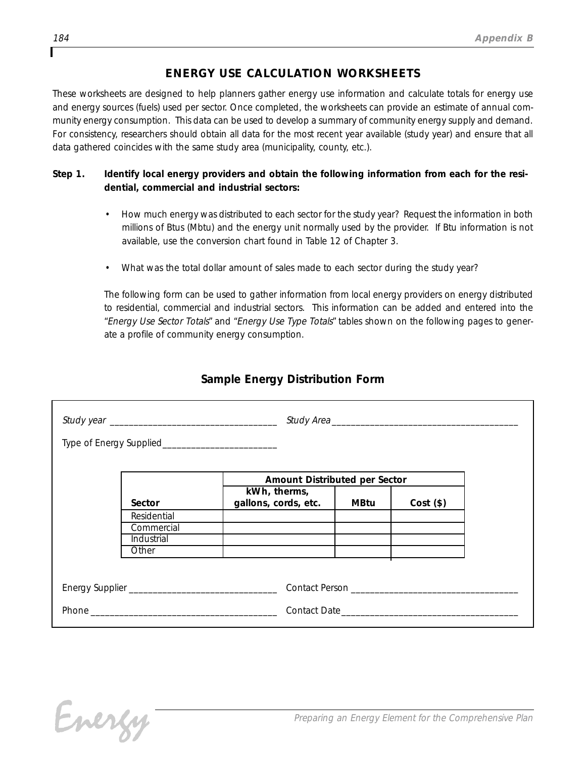## *ENERGY USE CALCULATION WORKSHEETS*

*These worksheets are designed to help planners gather energy use information and calculate totals for energy use and energy sources (fuels) used per sector. Once completed, the worksheets can provide an estimate of annual community energy consumption. This data can be used to develop a summary of community energy supply and demand. For consistency, researchers should obtain all data for the most recent year available (study year) and ensure that all data gathered coincides with the same study area (municipality, county, etc.).*

#### *Step 1. Identify local energy providers and obtain the following information from each for the residential, commercial and industrial sectors:*

- *• How much energy was distributed to each sector for the study year? Request the information in both millions of Btus (Mbtu) and the energy unit normally used by the provider. If Btu information is not available, use the conversion chart found in Table 12 of Chapter 3.*
- *• What was the total dollar amount of sales made to each sector during the study year?*

*The following form can be used to gather information from local energy providers on energy distributed to residential, commercial and industrial sectors. This information can be added and entered into the "Energy Use Sector Totals" and "Energy Use Type Totals" tables shown on the following pages to generate a profile of community energy consumption.*

## *Sample Energy Distribution Form*

|             | Amount Distributed per Sector        |             |                                                                                     |
|-------------|--------------------------------------|-------------|-------------------------------------------------------------------------------------|
| Sector      | kWh, therms,<br>gallons, cords, etc. | <b>MBtu</b> | $Cost($ \$)                                                                         |
| Residential |                                      |             |                                                                                     |
| Commercial  |                                      |             |                                                                                     |
| Industrial  |                                      |             |                                                                                     |
| Other       |                                      |             |                                                                                     |
|             |                                      |             |                                                                                     |
|             |                                      |             | Contact Person entrance and the contract person and the contract of the contract of |
|             |                                      |             | Contact Date <b>Contact Date Contact Date</b>                                       |

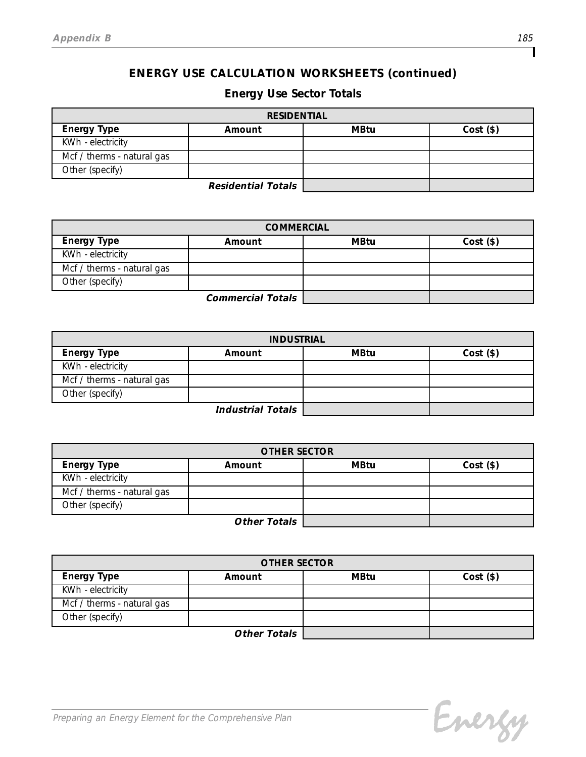## *Energy Use Sector Totals*

| <b>RESIDENTIAL</b>         |        |             |             |  |
|----------------------------|--------|-------------|-------------|--|
| <b>Energy Type</b>         | Amount | <b>MBtu</b> | $Cost($ \$) |  |
| KWh - electricity          |        |             |             |  |
| Mcf / therms - natural gas |        |             |             |  |
| Other (specify)            |        |             |             |  |
| <b>Residential Totals</b>  |        |             |             |  |

*Residential Totals*

| <b>COMMERCIAL</b>          |        |             |             |  |  |
|----------------------------|--------|-------------|-------------|--|--|
| <b>Energy Type</b>         | Amount | <b>MBtu</b> | $Cost($ \$) |  |  |
| KWh - electricity          |        |             |             |  |  |
| Mcf / therms - natural gas |        |             |             |  |  |
| Other (specify)            |        |             |             |  |  |
| <b>Commercial Totals</b>   |        |             |             |  |  |

| <b>INDUSTRIAL</b>          |        |             |             |  |
|----------------------------|--------|-------------|-------------|--|
| <b>Energy Type</b>         | Amount | <b>MBtu</b> | $Cost($ \$) |  |
| KWh - electricity          |        |             |             |  |
| Mcf / therms - natural gas |        |             |             |  |
| Other (specify)            |        |             |             |  |
| Industrial Totals          |        |             |             |  |

*Industrial Totals*

| <b>OTHER SECTOR</b>        |        |             |             |  |
|----------------------------|--------|-------------|-------------|--|
| <b>Energy Type</b>         | Amount | <b>MBtu</b> | $Cost($ \$) |  |
| KWh - electricity          |        |             |             |  |
| Mcf / therms - natural gas |        |             |             |  |
| Other (specify)            |        |             |             |  |
| Other Totals               |        |             |             |  |

*Other Totals*

| <b>OTHER SECTOR</b>        |        |             |             |  |  |
|----------------------------|--------|-------------|-------------|--|--|
| <b>Energy Type</b>         | Amount | <b>MBtu</b> | $Cost($ \$) |  |  |
| KWh - electricity          |        |             |             |  |  |
| Mcf / therms - natural gas |        |             |             |  |  |
| Other (specify)            |        |             |             |  |  |
| <b>Other Totals</b>        |        |             |             |  |  |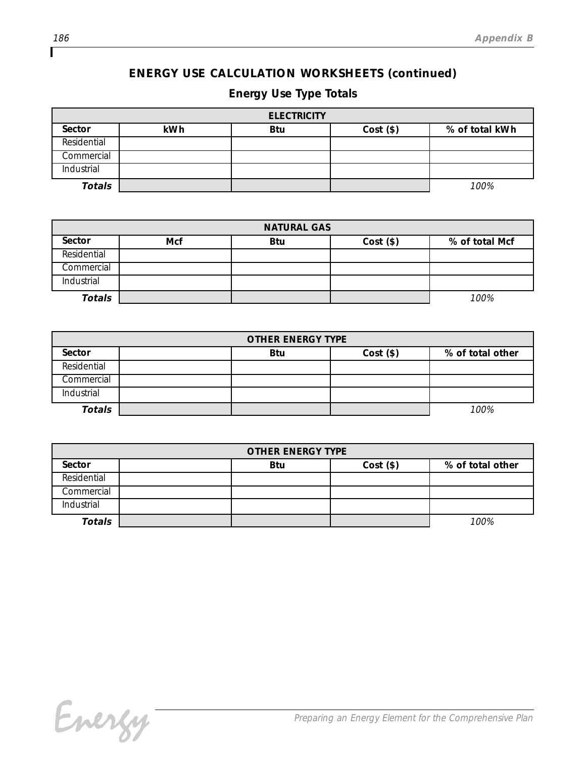# *Energy Use Type Totals*

| <b>ELECTRICITY</b> |     |            |             |                |  |
|--------------------|-----|------------|-------------|----------------|--|
| Sector             | kWh | <b>Btu</b> | $Cost($ \$) | % of total kWh |  |
| Residential        |     |            |             |                |  |
| Commercial         |     |            |             |                |  |
| Industrial         |     |            |             |                |  |
| <b>Totals</b>      |     |            |             | 100%           |  |

| <b>NATURAL GAS</b> |            |            |             |                |  |
|--------------------|------------|------------|-------------|----------------|--|
| Sector             | <b>Mcf</b> | <b>Btu</b> | $Cost($ \$) | % of total Mcf |  |
| Residential        |            |            |             |                |  |
| Commercial         |            |            |             |                |  |
| Industrial         |            |            |             |                |  |
| <b>Totals</b>      |            |            |             | 100%           |  |

| <b>OTHER ENERGY TYPE</b> |  |            |             |                  |
|--------------------------|--|------------|-------------|------------------|
| Sector                   |  | <b>Btu</b> | $Cost($ \$) | % of total other |
| Residential              |  |            |             |                  |
| Commercial               |  |            |             |                  |
| Industrial               |  |            |             |                  |
| Totals                   |  |            |             | 100%             |

| <b>OTHER ENERGY TYPE</b> |  |            |             |                  |
|--------------------------|--|------------|-------------|------------------|
| Sector                   |  | <b>Btu</b> | $Cost($ \$) | % of total other |
| Residential              |  |            |             |                  |
| Commercial               |  |            |             |                  |
| Industrial               |  |            |             |                  |
| <b>Totals</b>            |  |            |             | 100%             |

Energy

Г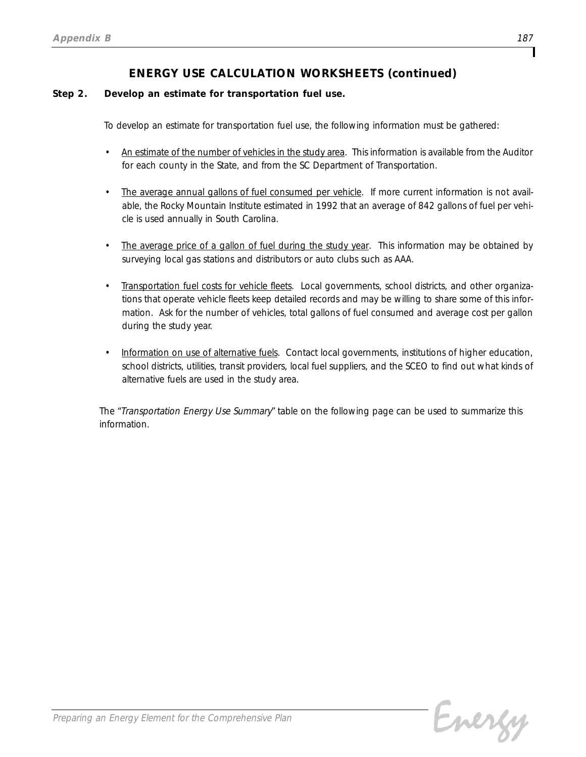#### *Step 2. Develop an estimate for transportation fuel use.*

*To develop an estimate for transportation fuel use, the following information must be gathered:*

- *• An estimate of the number of vehicles in the study area. This information is available from the Auditor for each county in the State, and from the SC Department of Transportation.*
- The average annual gallons of fuel consumed per vehicle. If more current information is not avail*able, the Rocky Mountain Institute estimated in 1992 that an average of 842 gallons of fuel per vehicle is used annually in South Carolina.*
- *• The average price of a gallon of fuel during the study year. This information may be obtained by surveying local gas stations and distributors or auto clubs such as AAA.*
- *• Transportation fuel costs for vehicle fleets. Local governments, school districts, and other organizations that operate vehicle fleets keep detailed records and may be willing to share some of this information. Ask for the number of vehicles, total gallons of fuel consumed and average cost per gallon during the study year.*
- *• Information on use of alternative fuels. Contact local governments, institutions of higher education, school districts, utilities, transit providers, local fuel suppliers, and the SCEO to find out what kinds of alternative fuels are used in the study area.*

*The "Transportation Energy Use Summary" table on the following page can be used to summarize this information.*

Energy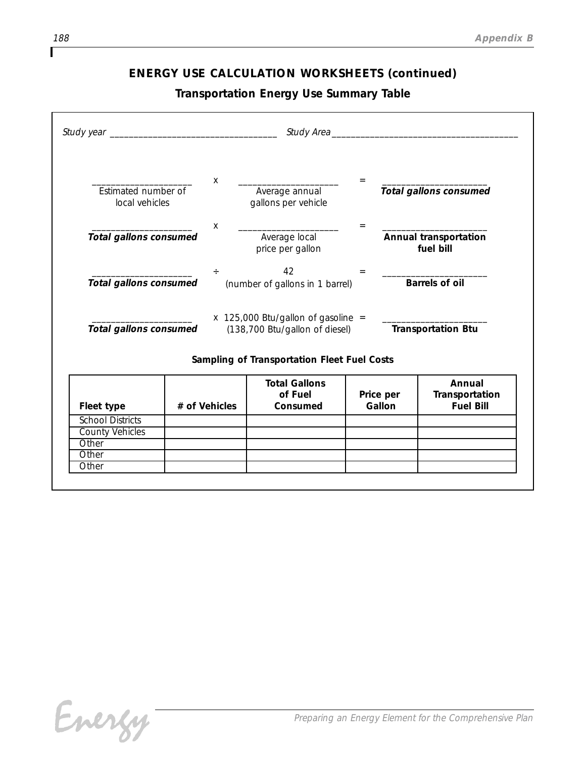*Transportation Energy Use Summary Table*

| Estimated number of<br>local vehicles             |               | $\mathsf{X}$ | Average annual<br>gallons per vehicle                                                         | $=$                 |                       | <b>Total gallons consumed</b>                |
|---------------------------------------------------|---------------|--------------|-----------------------------------------------------------------------------------------------|---------------------|-----------------------|----------------------------------------------|
| <b>Total gallons consumed</b>                     |               | X            | Average local<br>price per gallon                                                             |                     | fuel bill             | Annual transportation                        |
| <b>Total gallons consumed</b>                     |               | ÷            | 42<br>(number of gallons in 1 barrel)                                                         | $=$                 | <b>Barrels of oil</b> |                                              |
|                                                   |               |              | $x$ 125,000 Btu/gallon of gasoline =<br>Total gallons consumed (138,700 Btu/gallon of diesel) |                     |                       | <b>Transportation Btu</b>                    |
|                                                   |               |              | Sampling of Transportation Fleet Fuel Costs                                                   |                     |                       |                                              |
|                                                   | # of Vehicles |              | <b>Total Gallons</b><br>of Fuel<br>Consumed                                                   | Price per<br>Gallon |                       | Annual<br>Transportation<br><b>Fuel Bill</b> |
|                                                   |               |              |                                                                                               |                     |                       |                                              |
| <b>School Districts</b><br><b>County Vehicles</b> |               |              |                                                                                               |                     |                       |                                              |
| Fleet type                                        |               |              |                                                                                               |                     |                       |                                              |

Energy

ſ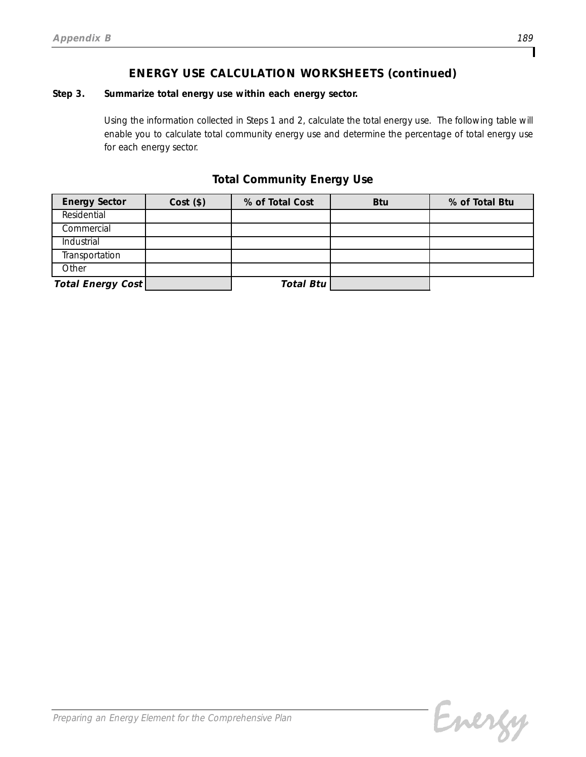#### *Step 3. Summarize total energy use within each energy sector.*

*Using the information collected in Steps 1 and 2, calculate the total energy use. The following table will enable you to calculate total community energy use and determine the percentage of total energy use for each energy sector.*

### *Total Community Energy Use*

| <b>Energy Sector</b>     | $Cost($ \$) | % of Total Cost  | <b>Btu</b> | % of Total Btu |
|--------------------------|-------------|------------------|------------|----------------|
| Residential              |             |                  |            |                |
| Commercial               |             |                  |            |                |
| <b>Industrial</b>        |             |                  |            |                |
| Transportation           |             |                  |            |                |
| Other                    |             |                  |            |                |
| <b>Total Energy Cost</b> |             | <b>Total Btu</b> |            |                |

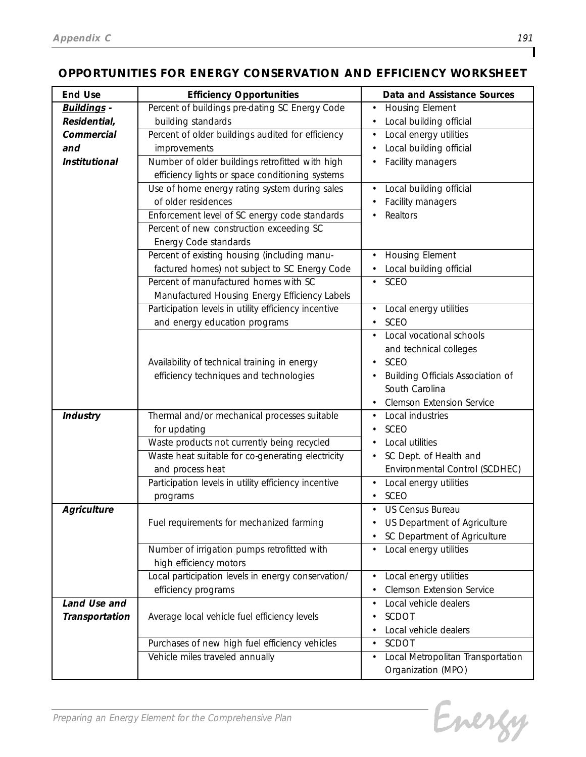## *OPPORTUNITIES FOR ENERGY CONSERVATION AND EFFICIENCY WORKSHEET*

| <b>End Use</b>       | <b>Efficiency Opportunities</b>                      | Data and Assistance Sources         |
|----------------------|------------------------------------------------------|-------------------------------------|
| <b>Buildings -</b>   | Percent of buildings pre-dating SC Energy Code       | <b>Housing Element</b><br>$\bullet$ |
| Residential,         | building standards                                   | Local building official             |
| Commercial           | Percent of older buildings audited for efficiency    | Local energy utilities              |
| and                  | improvements                                         | Local building official             |
| <b>Institutional</b> | Number of older buildings retrofitted with high      | Facility managers                   |
|                      | efficiency lights or space conditioning systems      |                                     |
|                      | Use of home energy rating system during sales        | Local building official             |
|                      | of older residences                                  | Facility managers                   |
|                      | Enforcement level of SC energy code standards        | Realtors                            |
|                      | Percent of new construction exceeding SC             |                                     |
|                      | Energy Code standards                                |                                     |
|                      | Percent of existing housing (including manu-         | <b>Housing Element</b>              |
|                      | factured homes) not subject to SC Energy Code        | Local building official             |
|                      | Percent of manufactured homes with SC                | <b>SCEO</b>                         |
|                      | Manufactured Housing Energy Efficiency Labels        |                                     |
|                      | Participation levels in utility efficiency incentive | Local energy utilities              |
|                      | and energy education programs                        | <b>SCEO</b><br>٠                    |
|                      |                                                      | Local vocational schools            |
|                      |                                                      | and technical colleges              |
|                      | Availability of technical training in energy         | <b>SCEO</b>                         |
|                      | efficiency techniques and technologies               | Building Officials Association of   |
|                      |                                                      | South Carolina                      |
|                      |                                                      | <b>Clemson Extension Service</b>    |
| <b>Industry</b>      | Thermal and/or mechanical processes suitable         | Local industries                    |
|                      | for updating                                         | <b>SCEO</b>                         |
|                      | Waste products not currently being recycled          | Local utilities                     |
|                      | Waste heat suitable for co-generating electricity    | SC Dept. of Health and              |
|                      | and process heat                                     | Environmental Control (SCDHEC)      |
|                      | Participation levels in utility efficiency incentive | Local energy utilities              |
|                      | programs                                             | SCEO                                |
| <b>Agriculture</b>   |                                                      | US Census Bureau                    |
|                      | Fuel requirements for mechanized farming             | US Department of Agriculture        |
|                      |                                                      | SC Department of Agriculture        |
|                      | Number of irrigation pumps retrofitted with          | Local energy utilities              |
|                      | high efficiency motors                               |                                     |
|                      | Local participation levels in energy conservation/   | Local energy utilities              |
|                      | efficiency programs                                  | <b>Clemson Extension Service</b>    |
| Land Use and         |                                                      | Local vehicle dealers               |
| Transportation       | Average local vehicle fuel efficiency levels         | SCDOT                               |
|                      |                                                      | Local vehicle dealers               |
|                      | Purchases of new high fuel efficiency vehicles       | SCDOT                               |
|                      | Vehicle miles traveled annually                      | Local Metropolitan Transportation   |
|                      |                                                      | Organization (MPO)                  |

Energy

٦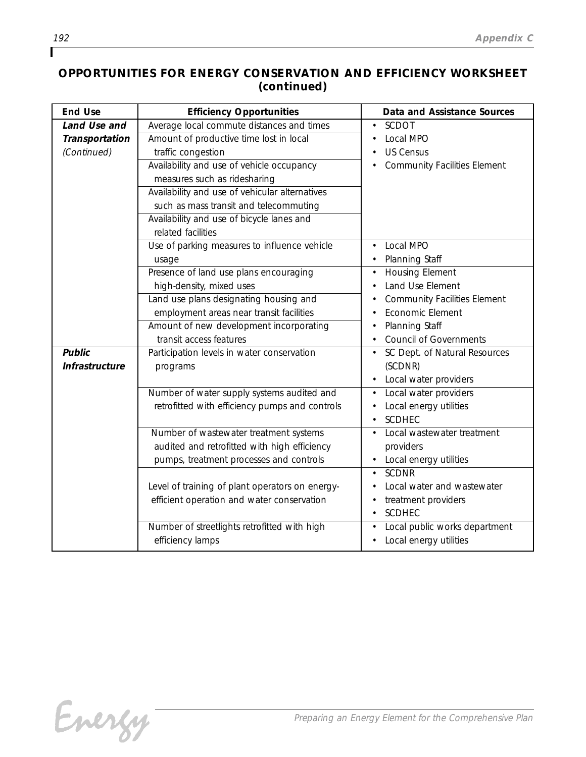## *OPPORTUNITIES FOR ENERGY CONSERVATION AND EFFICIENCY WORKSHEET (continued)*

| <b>End Use</b> | <b>Efficiency Opportunities</b>                 | Data and Assistance Sources         |
|----------------|-------------------------------------------------|-------------------------------------|
| Land Use and   | Average local commute distances and times       | SCDOT                               |
| Transportation | Amount of productive time lost in local         | Local MPO                           |
| (Continued)    | traffic congestion                              | <b>US Census</b>                    |
|                | Availability and use of vehicle occupancy       | <b>Community Facilities Element</b> |
|                | measures such as ridesharing                    |                                     |
|                | Availability and use of vehicular alternatives  |                                     |
|                | such as mass transit and telecommuting          |                                     |
|                | Availability and use of bicycle lanes and       |                                     |
|                | related facilities                              |                                     |
|                | Use of parking measures to influence vehicle    | Local MPO                           |
|                | usage                                           | Planning Staff                      |
|                | Presence of land use plans encouraging          | <b>Housing Element</b>              |
|                | high-density, mixed uses                        | Land Use Element                    |
|                | Land use plans designating housing and          | <b>Community Facilities Element</b> |
|                | employment areas near transit facilities        | Economic Element                    |
|                | Amount of new development incorporating         | Planning Staff                      |
|                | transit access features                         | <b>Council of Governments</b>       |
| <b>Public</b>  | Participation levels in water conservation      | SC Dept. of Natural Resources       |
| Infrastructure | programs                                        | (SCDNR)                             |
|                |                                                 | Local water providers               |
|                | Number of water supply systems audited and      | Local water providers               |
|                | retrofitted with efficiency pumps and controls  | Local energy utilities              |
|                |                                                 | <b>SCDHEC</b>                       |
|                | Number of wastewater treatment systems          | Local wastewater treatment          |
|                | audited and retrofitted with high efficiency    | providers                           |
|                | pumps, treatment processes and controls         | Local energy utilities              |
|                |                                                 | <b>SCDNR</b>                        |
|                | Level of training of plant operators on energy- | Local water and wastewater          |
|                | efficient operation and water conservation      | treatment providers                 |
|                |                                                 | SCDHEC                              |
|                | Number of streetlights retrofitted with high    | Local public works department       |
|                | efficiency lamps                                | Local energy utilities              |

Г

Energy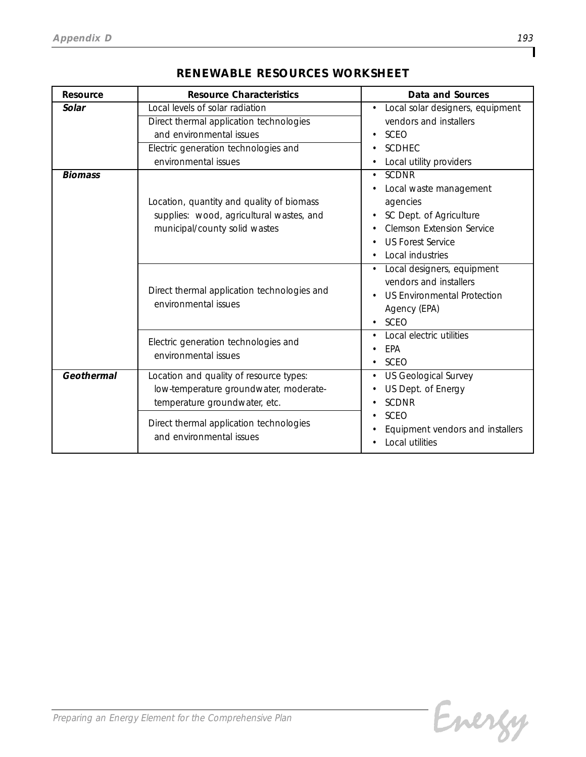| Resource       | <b>Resource Characteristics</b>                                                                                                                                                               | Data and Sources                                                                                                                                                                                                                                                                               |
|----------------|-----------------------------------------------------------------------------------------------------------------------------------------------------------------------------------------------|------------------------------------------------------------------------------------------------------------------------------------------------------------------------------------------------------------------------------------------------------------------------------------------------|
| Solar          | Local levels of solar radiation<br>Direct thermal application technologies<br>and environmental issues<br>Electric generation technologies and<br>environmental issues                        | Local solar designers, equipment<br>vendors and installers<br><b>SCEO</b><br><b>SCDHEC</b><br>Local utility providers                                                                                                                                                                          |
| <b>Biomass</b> | Location, quantity and quality of biomass<br>supplies: wood, agricultural wastes, and<br>municipal/county solid wastes<br>Direct thermal application technologies and<br>environmental issues | <b>SCDNR</b><br>Local waste management<br>agencies<br>SC Dept. of Agriculture<br><b>Clemson Extension Service</b><br><b>US Forest Service</b><br>Local industries<br>Local designers, equipment<br>vendors and installers<br><b>US Environmental Protection</b><br>Agency (EPA)<br><b>SCEO</b> |
|                | Electric generation technologies and<br>environmental issues                                                                                                                                  | Local electric utilities<br>EPA<br>SCEO                                                                                                                                                                                                                                                        |
| Geothermal     | Location and quality of resource types:<br>low-temperature groundwater, moderate-<br>temperature groundwater, etc.                                                                            | US Geological Survey<br>US Dept. of Energy<br><b>SCDNR</b>                                                                                                                                                                                                                                     |
|                | Direct thermal application technologies<br>and environmental issues                                                                                                                           | <b>SCEO</b><br>Equipment vendors and installers<br>Local utilities                                                                                                                                                                                                                             |

## *RENEWABLE RESOURCES WORKSHEET*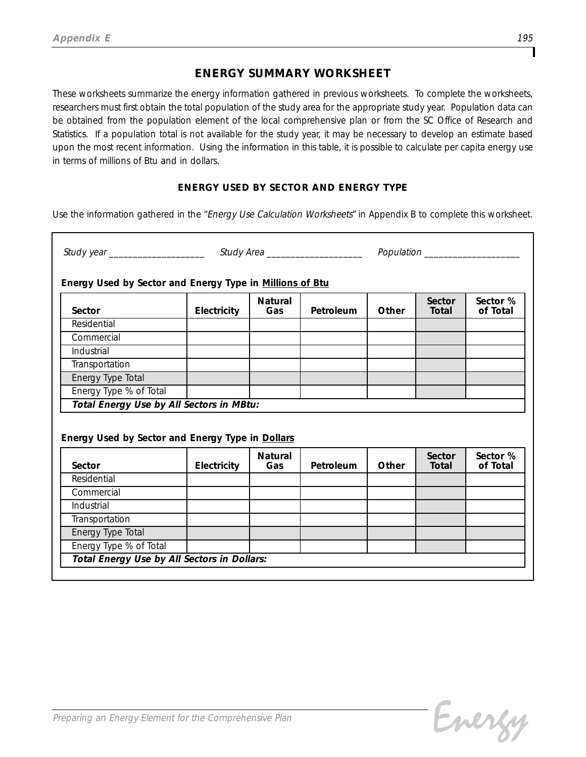### *ENERGY SUMMARY WORKSHEET*

*These worksheets summarize the energy information gathered in previous worksheets. To complete the worksheets, researchers must first obtain the total population of the study area for the appropriate study year. Population data can be obtained from the population element of the local comprehensive plan or from the SC Office of Research and Statistics. If a population total is not available for the study year, it may be necessary to develop an estimate based upon the most recent information. Using the information in this table, it is possible to calculate per capita energy use in terms of millions of Btu and in dollars.* 

#### *ENERGY USED BY SECTOR AND ENERGY TYPE*

*Use the information gathered in the "Energy Use Calculation Worksheets" in Appendix B to complete this worksheet.*

| Energy Used by Sector and Energy Type in Millions of Btu   |             |                       |           |       |                        |                      |
|------------------------------------------------------------|-------------|-----------------------|-----------|-------|------------------------|----------------------|
| Sector                                                     | Electricity | <b>Natural</b><br>Gas | Petroleum | Other | Sector<br>Total        | Sector %<br>of Total |
| Residential                                                |             |                       |           |       |                        |                      |
| Commercial                                                 |             |                       |           |       |                        |                      |
| Industrial                                                 |             |                       |           |       |                        |                      |
| Transportation                                             |             |                       |           |       |                        |                      |
| Energy Type Total                                          |             |                       |           |       |                        |                      |
| Energy Type % of Total                                     |             |                       |           |       |                        |                      |
|                                                            |             |                       |           |       |                        |                      |
| Total Energy Use by All Sectors in MBtu:                   |             |                       |           |       |                        |                      |
| Energy Used by Sector and Energy Type in Dollars<br>Sector | Electricity | <b>Natural</b><br>Gas | Petroleum | Other | Sector<br><b>Total</b> | of Total             |
| Residential                                                |             |                       |           |       |                        |                      |
| Commercial                                                 |             |                       |           |       |                        |                      |
| Industrial                                                 |             |                       |           |       |                        |                      |
| Transportation                                             |             |                       |           |       |                        |                      |
| Energy Type Total                                          |             |                       |           |       |                        |                      |
| Energy Type % of Total                                     |             |                       |           |       |                        | Sector %             |

Energy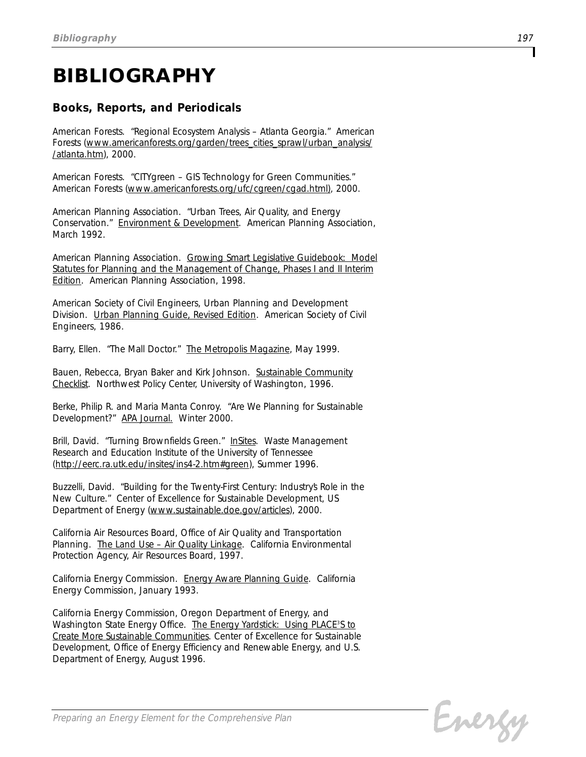# *BIBLIOGRAPHY*

## *Books, Reports, and Periodicals*

*American Forests. "Regional Ecosystem Analysis – Atlanta Georgia." American Forests (www.americanforests.org/garden/trees\_cities\_sprawl/urban\_analysis/ /atlanta.htm), 2000.* 

*American Forests. "CITYgreen – GIS Technology for Green Communities." American Forests (www.americanforests.org/ufc/cgreen/cgad.html), 2000.*

*American Planning Association. "Urban Trees, Air Quality, and Energy Conservation." Environment & Development. American Planning Association, March 1992.*

*American Planning Association. Growing Smart Legislative Guidebook: Model Statutes for Planning and the Management of Change, Phases I and II Interim Edition. American Planning Association, 1998.*

*American Society of Civil Engineers, Urban Planning and Development Division. Urban Planning Guide, Revised Edition. American Society of Civil Engineers, 1986.*

*Barry, Ellen. "The Mall Doctor." The Metropolis Magazine, May 1999.*

*Bauen, Rebecca, Bryan Baker and Kirk Johnson. Sustainable Community Checklist. Northwest Policy Center, University of Washington, 1996.*

*Berke, Philip R. and Maria Manta Conroy. "Are We Planning for Sustainable Development?" APA Journal. Winter 2000.*

*Brill, David. "Turning Brownfields Green." InSites. Waste Management Research and Education Institute of the University of Tennessee (http://eerc.ra.utk.edu/insites/ins4-2.htm#green), Summer 1996.*

*Buzzelli, David. "Building for the Twenty-First Century: Industry's Role in the New Culture." Center of Excellence for Sustainable Development, US Department of Energy (www.sustainable.doe.gov/articles), 2000.*

*California Air Resources Board, Office of Air Quality and Transportation Planning. The Land Use – Air Quality Linkage. California Environmental Protection Agency, Air Resources Board, 1997.*

*California Energy Commission. Energy Aware Planning Guide. California Energy Commission, January 1993.*

*California Energy Commission, Oregon Department of Energy, and* Washington State Energy Office. The Energy Yardstick: Using PLACE<sup>3</sup>S to *Create More Sustainable Communities. Center of Excellence for Sustainable Development, Office of Energy Efficiency and Renewable Energy, and U.S. Department of Energy, August 1996.*

Energy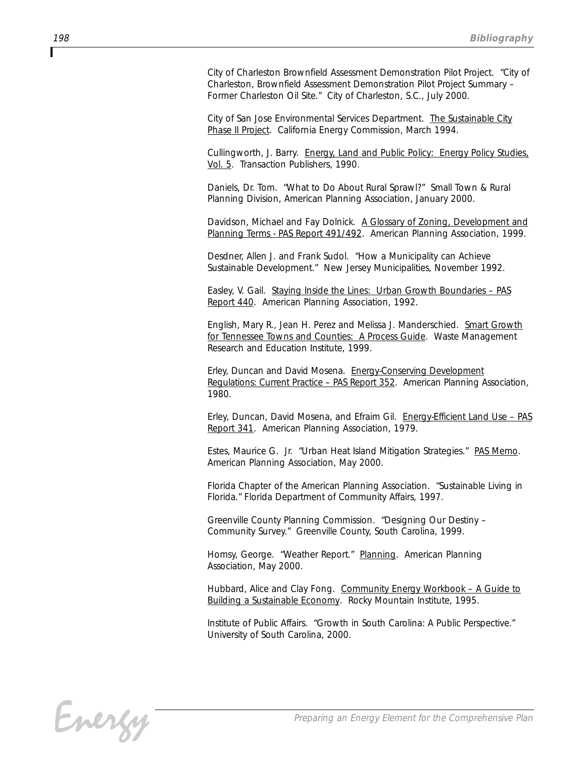*City of Charleston Brownfield Assessment Demonstration Pilot Project. "City of Charleston, Brownfield Assessment Demonstration Pilot Project Summary – Former Charleston Oil Site." City of Charleston, S.C., July 2000.*

*City of San Jose Environmental Services Department. The Sustainable City Phase II Project. California Energy Commission, March 1994.*

*Cullingworth, J. Barry. Energy, Land and Public Policy: Energy Policy Studies, Vol. 5. Transaction Publishers, 1990.*

*Daniels, Dr. Tom. "What to Do About Rural Sprawl?" Small Town & Rural Planning Division, American Planning Association, January 2000.*

*Davidson, Michael and Fay Dolnick. A Glossary of Zoning, Development and* Planning Terms - PAS Report 491/492. American Planning Association, 1999.

*Desdner, Allen J. and Frank Sudol. "How a Municipality can Achieve Sustainable Development." New Jersey Municipalities, November 1992.*

*Easley, V. Gail. Staying Inside the Lines: Urban Growth Boundaries – PAS Report 440. American Planning Association, 1992.*

*English, Mary R., Jean H. Perez and Melissa J. Manderschied. Smart Growth for Tennessee Towns and Counties: A Process Guide. Waste Management Research and Education Institute, 1999.*

*Erley, Duncan and David Mosena. Energy-Conserving Development Regulations: Current Practice – PAS Report 352. American Planning Association, 1980.*

*Erley, Duncan, David Mosena, and Efraim Gil. Energy-Efficient Land Use – PAS Report 341. American Planning Association, 1979.*

*Estes, Maurice G. Jr. "Urban Heat Island Mitigation Strategies." PAS Memo. American Planning Association, May 2000.* 

*Florida Chapter of the American Planning Association. "Sustainable Living in Florida." Florida Department of Community Affairs, 1997.*

*Greenville County Planning Commission. "Designing Our Destiny – Community Survey." Greenville County, South Carolina, 1999.*

*Homsy, George. "Weather Report." Planning. American Planning Association, May 2000.*

*Hubbard, Alice and Clay Fong. Community Energy Workbook – A Guide to Building a Sustainable Economy. Rocky Mountain Institute, 1995.*

*Institute of Public Affairs. "Growth in South Carolina: A Public Perspective." University of South Carolina, 2000.*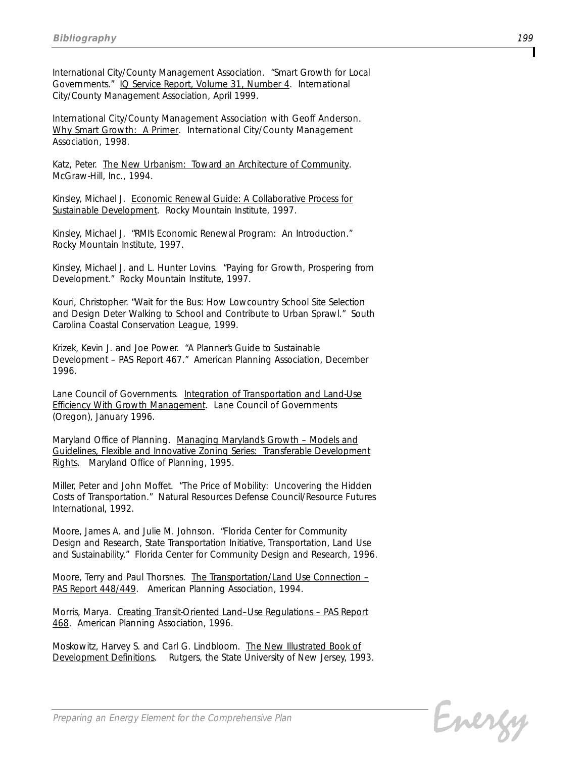*International City/County Management Association. "Smart Growth for Local Governments." IQ Service Report, Volume 31, Number 4. International City/County Management Association, April 1999.*

*International City/County Management Association with Geoff Anderson. Why Smart Growth: A Primer. International City/County Management Association, 1998.*

*Katz, Peter. The New Urbanism: Toward an Architecture of Community. McGraw-Hill, Inc., 1994.*

*Kinsley, Michael J. Economic Renewal Guide: A Collaborative Process for Sustainable Development. Rocky Mountain Institute, 1997.*

*Kinsley, Michael J. "RMI's Economic Renewal Program: An Introduction." Rocky Mountain Institute, 1997.*

*Kinsley, Michael J. and L. Hunter Lovins. "Paying for Growth, Prospering from Development." Rocky Mountain Institute, 1997.*

*Kouri, Christopher. "Wait for the Bus: How Lowcountry School Site Selection and Design Deter Walking to School and Contribute to Urban Sprawl." South Carolina Coastal Conservation League, 1999.*

*Krizek, Kevin J. and Joe Power. "A Planner's Guide to Sustainable Development – PAS Report 467." American Planning Association, December 1996.*

*Lane Council of Governments. Integration of Transportation and Land-Use Efficiency With Growth Management. Lane Council of Governments (Oregon), January 1996.*

*Maryland Office of Planning. Managing Maryland's Growth – Models and Guidelines, Flexible and Innovative Zoning Series: Transferable Development Rights. Maryland Office of Planning, 1995.*

*Miller, Peter and John Moffet. "The Price of Mobility: Uncovering the Hidden Costs of Transportation." Natural Resources Defense Council/Resource Futures International, 1992.*

*Moore, James A. and Julie M. Johnson. "Florida Center for Community Design and Research, State Transportation Initiative, Transportation, Land Use* and Sustainability." Florida Center for Community Design and Research, 1996.

*Moore, Terry and Paul Thorsnes. The Transportation/Land Use Connection – PAS Report 448/449. American Planning Association, 1994.*

*Morris, Marya. Creating Transit-Oriented Land–Use Regulations – PAS Report 468. American Planning Association, 1996.*

*Moskowitz, Harvey S. and Carl G. Lindbloom. The New Illustrated Book of Development Definitions. Rutgers, the State University of New Jersey, 1993.*

Energy

*Preparing an Energy Element for the Comprehensive Plan*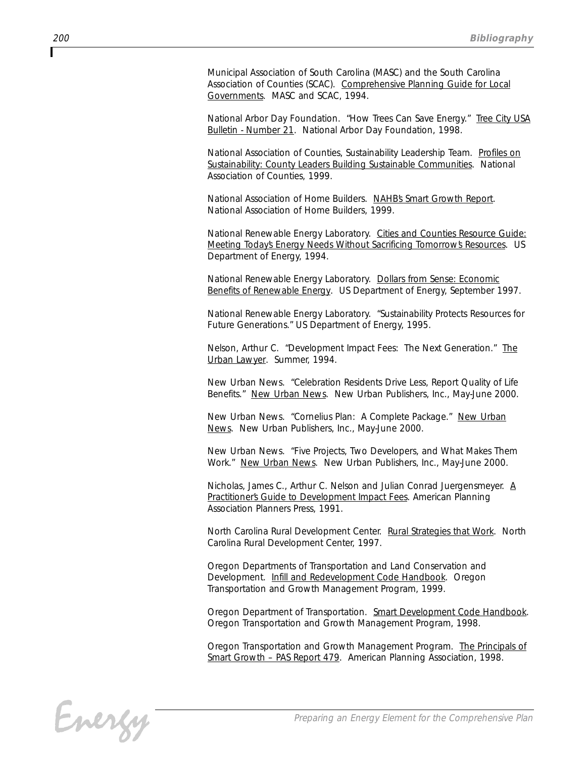*Municipal Association of South Carolina (MASC) and the South Carolina Association of Counties (SCAC). Comprehensive Planning Guide for Local Governments. MASC and SCAC, 1994.* 

*National Arbor Day Foundation. "How Trees Can Save Energy." Tree City USA Bulletin - Number 21. National Arbor Day Foundation, 1998.*

*National Association of Counties, Sustainability Leadership Team. Profiles on Sustainability: County Leaders Building Sustainable Communities. National Association of Counties, 1999.*

*National Association of Home Builders. NAHB's Smart Growth Report. National Association of Home Builders, 1999.*

*National Renewable Energy Laboratory. Cities and Counties Resource Guide: Meeting Today's Energy Needs Without Sacrificing Tomorrow's Resources. US Department of Energy, 1994.*

*National Renewable Energy Laboratory. Dollars from Sense: Economic Benefits of Renewable Energy. US Department of Energy, September 1997.*

*National Renewable Energy Laboratory. "Sustainability Protects Resources for Future Generations." US Department of Energy, 1995.*

*Nelson, Arthur C. "Development Impact Fees: The Next Generation." The Urban Lawyer. Summer, 1994.*

*New Urban News. "Celebration Residents Drive Less, Report Quality of Life Benefits." New Urban News. New Urban Publishers, Inc., May-June 2000.*

*New Urban News. "Cornelius Plan: A Complete Package." New Urban News. New Urban Publishers, Inc., May-June 2000.*

*New Urban News. "Five Projects, Two Developers, and What Makes Them Work." New Urban News. New Urban Publishers, Inc., May-June 2000.*

*Nicholas, James C., Arthur C. Nelson and Julian Conrad Juergensmeyer. A Practitioner's Guide to Development Impact Fees. American Planning Association Planners Press, 1991.*

*North Carolina Rural Development Center. Rural Strategies that Work. North Carolina Rural Development Center, 1997.*

*Oregon Departments of Transportation and Land Conservation and Development. Infill and Redevelopment Code Handbook. Oregon Transportation and Growth Management Program, 1999.* 

*Oregon Department of Transportation. Smart Development Code Handbook. Oregon Transportation and Growth Management Program, 1998.*

*Oregon Transportation and Growth Management Program. The Principals of Smart Growth – PAS Report 479. American Planning Association, 1998.*

Energy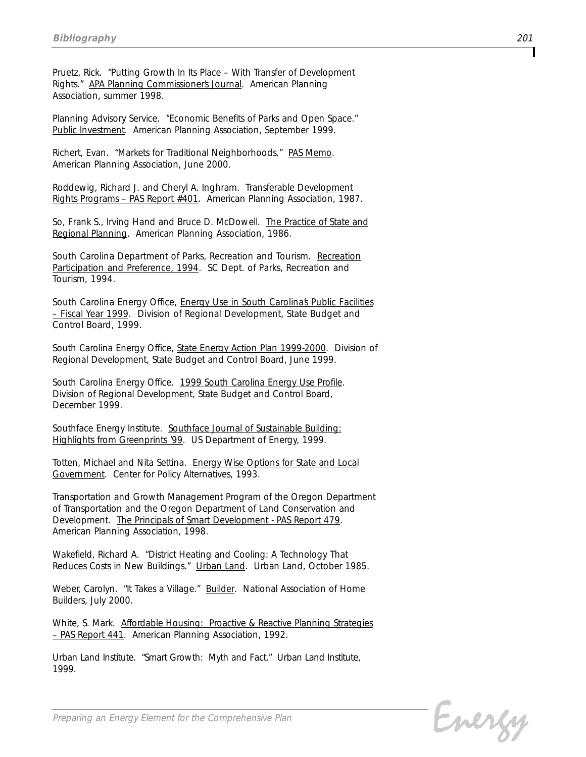*Pruetz, Rick. "Putting Growth In Its Place – With Transfer of Development Rights." APA Planning Commissioner's Journal. American Planning Association, summer 1998.*

*Planning Advisory Service. "Economic Benefits of Parks and Open Space." Public Investment. American Planning Association, September 1999.*

*Richert, Evan. "Markets for Traditional Neighborhoods." PAS Memo. American Planning Association, June 2000.*

*Roddewig, Richard J. and Cheryl A. Inghram. Transferable Development Rights Programs – PAS Report #401. American Planning Association, 1987.*

*So, Frank S., Irving Hand and Bruce D. McDowell. The Practice of State and Regional Planning. American Planning Association, 1986.*

*South Carolina Department of Parks, Recreation and Tourism. Recreation Participation and Preference, 1994. SC Dept. of Parks, Recreation and Tourism, 1994.*

*South Carolina Energy Office, Energy Use in South Carolina's Public Facilities – Fiscal Year 1999. Division of Regional Development, State Budget and Control Board, 1999.*

*South Carolina Energy Office, State Energy Action Plan 1999-2000. Division of Regional Development, State Budget and Control Board, June 1999.*

*South Carolina Energy Office. 1999 South Carolina Energy Use Profile. Division of Regional Development, State Budget and Control Board, December 1999.*

*Southface Energy Institute. Southface Journal of Sustainable Building: Highlights from Greenprints '99. US Department of Energy, 1999.* 

*Totten, Michael and Nita Settina. Energy Wise Options for State and Local Government. Center for Policy Alternatives, 1993.*

*Transportation and Growth Management Program of the Oregon Department of Transportation and the Oregon Department of Land Conservation and Development. The Principals of Smart Development - PAS Report 479. American Planning Association, 1998.*

*Wakefield, Richard A. "District Heating and Cooling: A Technology That Reduces Costs in New Buildings." Urban Land. Urban Land, October 1985.*

*Weber, Carolyn. "It Takes a Village." Builder. National Association of Home Builders, July 2000.*

*White, S. Mark. Affordable Housing: Proactive & Reactive Planning Strategies – PAS Report 441. American Planning Association, 1992.*

*Urban Land Institute. "Smart Growth: Myth and Fact." Urban Land Institute, 1999.*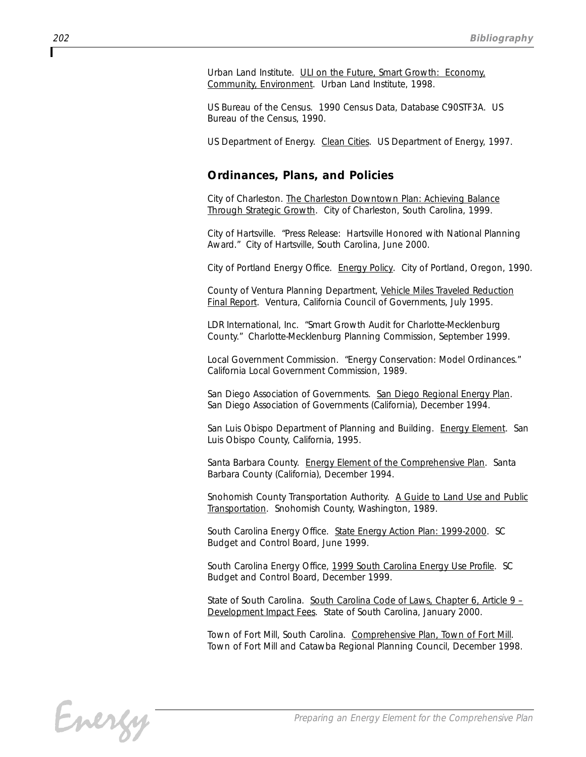*Urban Land Institute. ULI on the Future, Smart Growth: Economy, Community, Environment. Urban Land Institute, 1998.*

*US Bureau of the Census. 1990 Census Data, Database C90STF3A. US Bureau of the Census, 1990.*

*US Department of Energy. Clean Cities. US Department of Energy, 1997.*

#### *Ordinances, Plans, and Policies*

*City of Charleston. The Charleston Downtown Plan: Achieving Balance Through Strategic Growth. City of Charleston, South Carolina, 1999.*

*City of Hartsville. "Press Release: Hartsville Honored with National Planning Award." City of Hartsville, South Carolina, June 2000.*

*City of Portland Energy Office. Energy Policy. City of Portland, Oregon, 1990.*

*County of Ventura Planning Department, Vehicle Miles Traveled Reduction Final Report. Ventura, California Council of Governments, July 1995.*

*LDR International, Inc. "Smart Growth Audit for Charlotte-Mecklenburg County." Charlotte-Mecklenburg Planning Commission, September 1999.*

*Local Government Commission. "Energy Conservation: Model Ordinances." California Local Government Commission, 1989.*

*San Diego Association of Governments. San Diego Regional Energy Plan. San Diego Association of Governments (California), December 1994.*

*San Luis Obispo Department of Planning and Building. Energy Element. San Luis Obispo County, California, 1995.*

*Santa Barbara County. Energy Element of the Comprehensive Plan. Santa Barbara County (California), December 1994.*

*Snohomish County Transportation Authority. A Guide to Land Use and Public Transportation. Snohomish County, Washington, 1989.*

*South Carolina Energy Office. State Energy Action Plan: 1999-2000. SC Budget and Control Board, June 1999.*

*South Carolina Energy Office, 1999 South Carolina Energy Use Profile. SC Budget and Control Board, December 1999.*

*State of South Carolina. South Carolina Code of Laws, Chapter 6, Article 9 – Development Impact Fees. State of South Carolina, January 2000.*

*Town of Fort Mill, South Carolina. Comprehensive Plan, Town of Fort Mill. Town of Fort Mill and Catawba Regional Planning Council, December 1998.*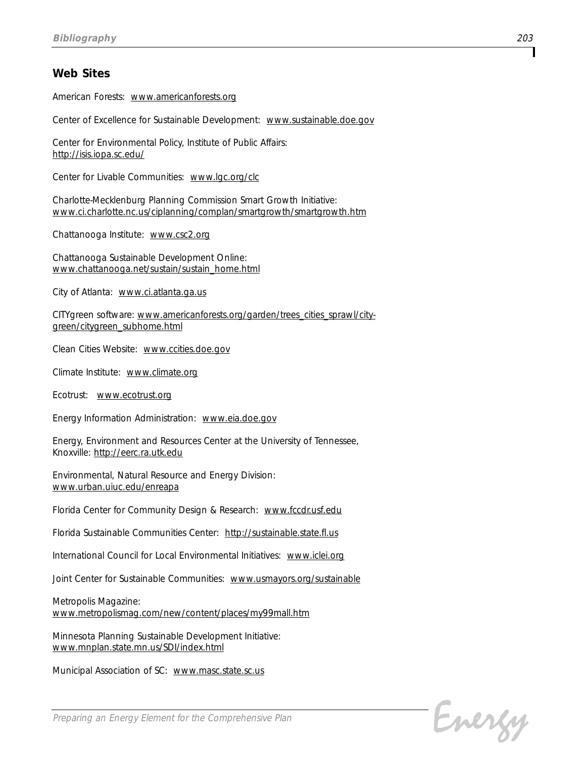#### *Web Sites*

*American Forests: www.americanforests.org*

*Center of Excellence for Sustainable Development: www.sustainable.doe.gov*

*Center for Environmental Policy, Institute of Public Affairs: http://isis.iopa.sc.edu/*

*Center for Livable Communities: www.lgc.org/clc*

*Charlotte-Mecklenburg Planning Commission Smart Growth Initiative: www.ci.charlotte.nc.us/ciplanning/complan/smartgrowth/smartgrowth.htm*

*Chattanooga Institute: www.csc2.org*

*Chattanooga Sustainable Development Online: www.chattanooga.net/sustain/sustain\_home.html*

*City of Atlanta: www.ci.atlanta.ga.us*

*CITYgreen software: www.americanforests.org/garden/trees\_cities\_sprawl/citygreen/citygreen\_subhome.html*

*Clean Cities Website: www.ccities.doe.gov*

*Climate Institute: www.climate.org*

*Ecotrust: www.ecotrust.org*

*Energy Information Administration: www.eia.doe.gov*

*Energy, Environment and Resources Center at the University of Tennessee, Knoxville: http://eerc.ra.utk.edu*

*Environmental, Natural Resource and Energy Division: www.urban.uiuc.edu/enreapa*

*Florida Center for Community Design & Research: www.fccdr.usf.edu*

*Florida Sustainable Communities Center: http://sustainable.state.fl.us*

*International Council for Local Environmental Initiatives: www.iclei.org*

*Joint Center for Sustainable Communities: www.usmayors.org/sustainable*

*Metropolis Magazine: www.metropolismag.com/new/content/places/my99mall.htm*

*Minnesota Planning Sustainable Development Initiative: www.mnplan.state.mn.us/SDI/index.html*

*Municipal Association of SC: www.masc.state.sc.us*

Energy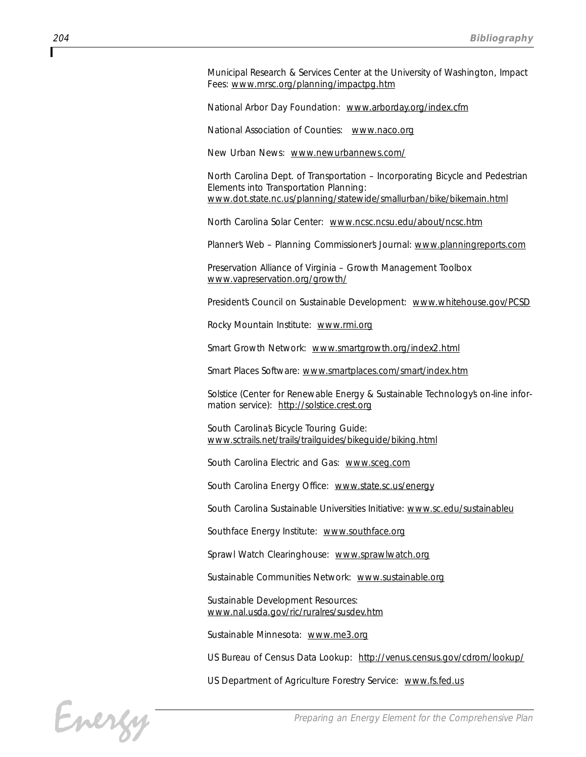*Municipal Research & Services Center at the University of Washington, Impact Fees: www.mrsc.org/planning/impactpg.htm*

*National Arbor Day Foundation: www.arborday.org/index.cfm*

*National Association of Counties: www.naco.org*

*New Urban News: www.newurbannews.com/*

*North Carolina Dept. of Transportation – Incorporating Bicycle and Pedestrian Elements into Transportation Planning: www.dot.state.nc.us/planning/statewide/smallurban/bike/bikemain.html*

*North Carolina Solar Center: www.ncsc.ncsu.edu/about/ncsc.htm*

*Planner's Web – Planning Commissioner's Journal: www.planningreports.com*

*Preservation Alliance of Virginia – Growth Management Toolbox www.vapreservation.org/growth/*

*President's Council on Sustainable Development: www.whitehouse.gov/PCSD*

*Rocky Mountain Institute: www.rmi.org*

*Smart Growth Network: www.smartgrowth.org/index2.html*

*Smart Places Software: www.smartplaces.com/smart/index.htm*

*Solstice (Center for Renewable Energy & Sustainable Technology's on-line information service): http://solstice.crest.org*

*South Carolina's Bicycle Touring Guide: www.sctrails.net/trails/trailguides/bikeguide/biking.html*

*South Carolina Electric and Gas: www.sceg.com*

*South Carolina Energy Office: www.state.sc.us/energy*

*South Carolina Sustainable Universities Initiative: www.sc.edu/sustainableu*

*Southface Energy Institute: www.southface.org*

*Sprawl Watch Clearinghouse: www.sprawlwatch.org*

*Sustainable Communities Network: www.sustainable.org*

*Sustainable Development Resources: www.nal.usda.gov/ric/ruralres/susdev.htm*

*Sustainable Minnesota: www.me3.org*

*US Bureau of Census Data Lookup: http://venus.census.gov/cdrom/lookup/*

*US Department of Agriculture Forestry Service: www.fs.fed.us*

Energy

*Preparing an Energy Element for the Comprehensive Plan*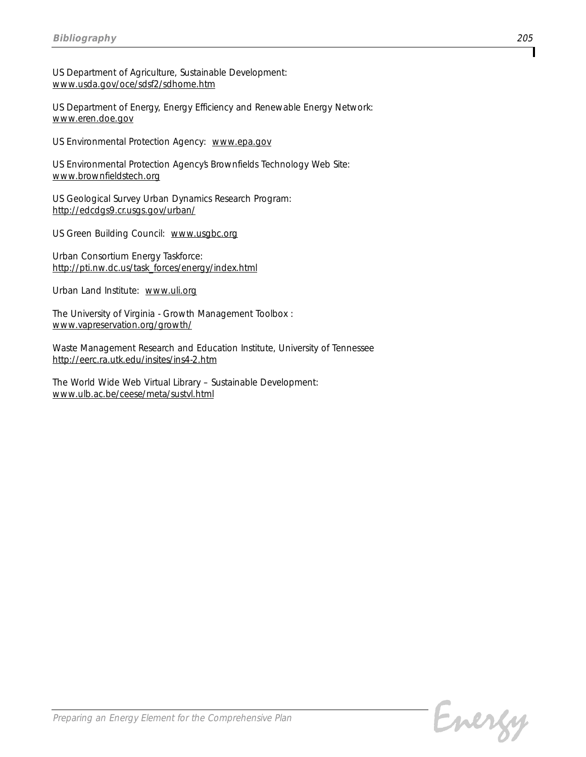*US Department of Agriculture, Sustainable Development: www.usda.gov/oce/sdsf2/sdhome.htm*

*US Department of Energy, Energy Efficiency and Renewable Energy Network: www.eren.doe.gov*

*US Environmental Protection Agency: www.epa.gov*

*US Environmental Protection Agency's Brownfields Technology Web Site: www.brownfieldstech.org*

*US Geological Survey Urban Dynamics Research Program: http://edcdgs9.cr.usgs.gov/urban/*

*US Green Building Council: www.usgbc.org*

*Urban Consortium Energy Taskforce: http://pti.nw.dc.us/task\_forces/energy/index.html*

*Urban Land Institute: www.uli.org*

*The University of Virginia - Growth Management Toolbox : www.vapreservation.org/growth/*

*Waste Management Research and Education Institute, University of Tennessee http://eerc.ra.utk.edu/insites/ins4-2.htm*

*The World Wide Web Virtual Library – Sustainable Development: www.ulb.ac.be/ceese/meta/sustvl.html*

Energy